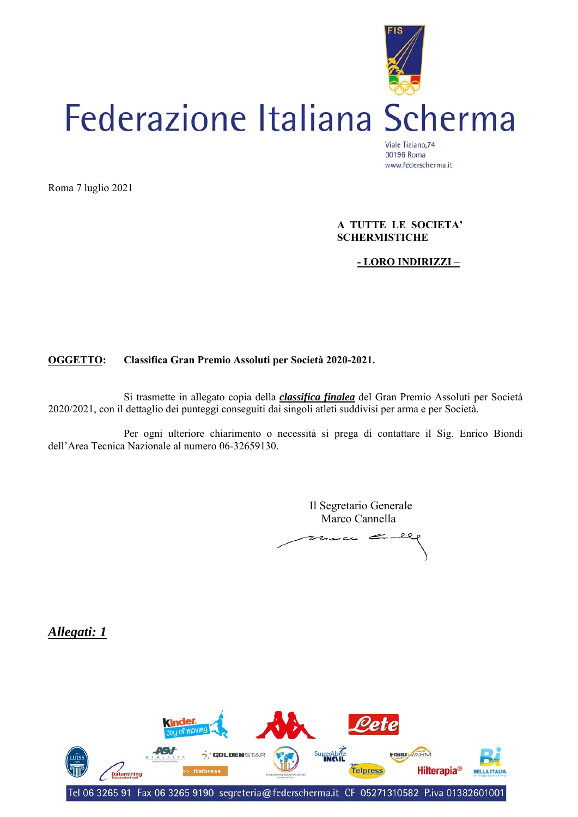

Roma 7 luglio 2021

 **A TUTTE LE SOCIETA' SCHERMISTICHE** 

### **- LORO INDIRIZZI –**

#### **OGGETTO: Classifica Gran Premio Assoluti per Società 2020-2021.**

 Si trasmette in allegato copia della *classifica finalea* del Gran Premio Assoluti per Società 2020/2021, con il dettaglio dei punteggi conseguiti dai singoli atleti suddivisi per arma e per Società.

 Per ogni ulteriore chiarimento o necessità si prega di contattare il Sig. Enrico Biondi dell'Area Tecnica Nazionale al numero 06-32659130.

> Il Segretario Generale Marco Cannella

 $z_{\text{lower}}=$ 

*Allegati: 1* 

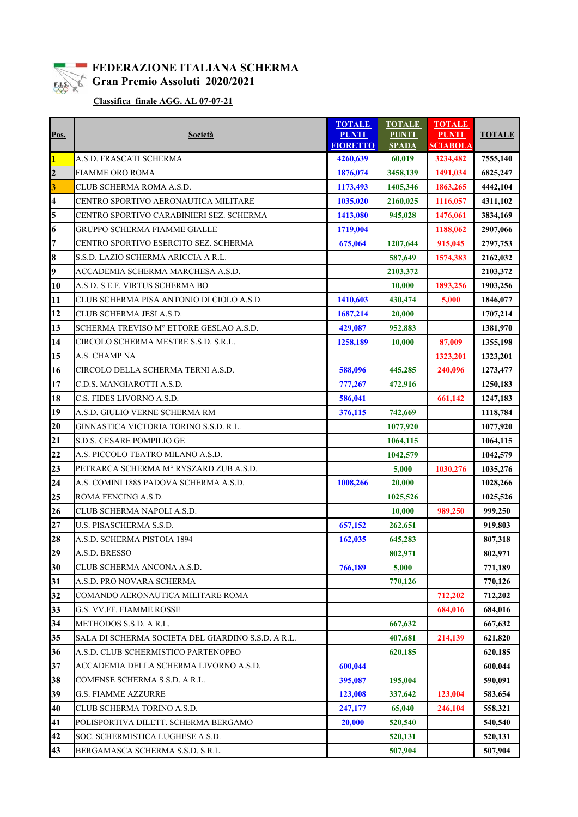

### **FEDERAZIONE ITALIANA SCHERMA E.L.S.** Gran Premio Assoluti 2020/2021

 **Classifica finale AGG. AL 07-07-21**

| Pos.           | Società                                            | <b>TOTALE</b><br><b>PUNTI</b><br><b>FIORETTO</b> | <b>TOTALE</b><br><b>PUNTI</b><br><b>SPADA</b> | <b>TOTALE</b><br><b>PUNTI</b><br><b>SCIABOLA</b> | <b>TOTALE</b> |
|----------------|----------------------------------------------------|--------------------------------------------------|-----------------------------------------------|--------------------------------------------------|---------------|
| $\mathbf{1}$   | A.S.D. FRASCATI SCHERMA                            | 4260,639                                         | 60,019                                        | 3234,482                                         | 7555,140      |
| $\overline{2}$ | <b>FIAMME ORO ROMA</b>                             | 1876,074                                         | 3458,139                                      | 1491,034                                         | 6825,247      |
| 3              | CLUB SCHERMA ROMA A.S.D.                           | 1173,493                                         | 1405,346                                      | 1863,265                                         | 4442,104      |
| 4              | CENTRO SPORTIVO AERONAUTICA MILITARE               | 1035,020                                         | 2160,025                                      | 1116,057                                         | 4311,102      |
| 5              | CENTRO SPORTIVO CARABINIERI SEZ. SCHERMA           | 1413,080                                         | 945,028                                       | 1476,061                                         | 3834,169      |
| 6              | GRUPPO SCHERMA FIAMME GIALLE                       | 1719,004                                         |                                               | 1188,062                                         | 2907,066      |
| $\overline{7}$ | CENTRO SPORTIVO ESERCITO SEZ. SCHERMA              | 675,064                                          | 1207,644                                      | 915,045                                          | 2797,753      |
| 8              | S.S.D. LAZIO SCHERMA ARICCIA A R.L.                |                                                  | 587,649                                       | 1574,383                                         | 2162,032      |
| 9              | ACCADEMIA SCHERMA MARCHESA A.S.D.                  |                                                  | 2103,372                                      |                                                  | 2103,372      |
| 10             | A.S.D. S.E.F. VIRTUS SCHERMA BO                    |                                                  | 10,000                                        | 1893,256                                         | 1903,256      |
| 11             | CLUB SCHERMA PISA ANTONIO DI CIOLO A.S.D.          | 1410,603                                         | 430,474                                       | 5,000                                            | 1846,077      |
| 12             | CLUB SCHERMA JESI A.S.D.                           | 1687,214                                         | 20,000                                        |                                                  | 1707,214      |
| 13             | SCHERMA TREVISO M° ETTORE GESLAO A.S.D.            | 429,087                                          | 952,883                                       |                                                  | 1381,970      |
| 14             | CIRCOLO SCHERMA MESTRE S.S.D. S.R.L.               | 1258,189                                         | 10,000                                        | 87,009                                           | 1355,198      |
| 15             | A.S. CHAMP NA                                      |                                                  |                                               | 1323,201                                         | 1323,201      |
| 16             | CIRCOLO DELLA SCHERMA TERNI A.S.D.                 | 588,096                                          | 445,285                                       | 240,096                                          | 1273,477      |
| 17             | C.D.S. MANGIAROTTI A.S.D.                          | 777,267                                          | 472,916                                       |                                                  | 1250,183      |
| 18             | C.S. FIDES LIVORNO A.S.D.                          | 586,041                                          |                                               | 661,142                                          | 1247,183      |
| 19             | A.S.D. GIULIO VERNE SCHERMA RM                     | 376,115                                          | 742,669                                       |                                                  | 1118,784      |
| 20             | GINNASTICA VICTORIA TORINO S.S.D. R.L.             |                                                  | 1077,920                                      |                                                  | 1077,920      |
| 21             | S.D.S. CESARE POMPILIO GE                          |                                                  | 1064,115                                      |                                                  | 1064,115      |
| 22             | A.S. PICCOLO TEATRO MILANO A.S.D.                  |                                                  | 1042,579                                      |                                                  | 1042,579      |
| 23             | PETRARCA SCHERMA Mº RYSZARD ZUB A.S.D.             |                                                  | 5,000                                         | 1030,276                                         | 1035,276      |
| 24             | A.S. COMINI 1885 PADOVA SCHERMA A.S.D.             | 1008,266                                         | 20,000                                        |                                                  | 1028,266      |
| 25             | ROMA FENCING A.S.D.                                |                                                  | 1025,526                                      |                                                  | 1025,526      |
| 26             | CLUB SCHERMA NAPOLI A.S.D.                         |                                                  | 10,000                                        | 989,250                                          | 999,250       |
| 27             | U.S. PISASCHERMA S.S.D.                            | 657,152                                          | 262,651                                       |                                                  | 919,803       |
| 28             | A.S.D. SCHERMA PISTOIA 1894                        | 162,035                                          | 645,283                                       |                                                  | 807,318       |
| 29             | A.S.D. BRESSO                                      |                                                  | 802,971                                       |                                                  | 802,971       |
| 30             | CLUB SCHERMA ANCONA A.S.D.                         | 766,189                                          | 5,000                                         |                                                  | 771,189       |
| 31             | A.S.D. PRO NOVARA SCHERMA                          |                                                  | 770,126                                       |                                                  | 770,126       |
| 32             | COMANDO AERONAUTICA MILITARE ROMA                  |                                                  |                                               | 712,202                                          | 712,202       |
| 33             | G.S. VV.FF. FIAMME ROSSE                           |                                                  |                                               | 684,016                                          | 684,016       |
| 34             | METHODOS S.S.D. A R.L.                             |                                                  | 667,632                                       |                                                  | 667,632       |
| 35             | SALA DI SCHERMA SOCIETA DEL GIARDINO S.S.D. A R.L. |                                                  | 407,681                                       | 214,139                                          | 621,820       |
| 36             | A.S.D. CLUB SCHERMISTICO PARTENOPEO                |                                                  | 620,185                                       |                                                  | 620,185       |
| 37             | ACCADEMIA DELLA SCHERMA LIVORNO A.S.D.             | 600,044                                          |                                               |                                                  | 600,044       |
| 38             | COMENSE SCHERMA S.S.D. A R.L.                      | 395,087                                          | 195,004                                       |                                                  | 590,091       |
| 39             | <b>G.S. FIAMME AZZURRE</b>                         | 123,008                                          | 337,642                                       | 123,004                                          | 583,654       |
| 40             | CLUB SCHERMA TORINO A.S.D.                         | 247,177                                          | 65,040                                        | 246,104                                          | 558,321       |
| 41             | POLISPORTIVA DILETT. SCHERMA BERGAMO               | 20,000                                           | 520,540                                       |                                                  | 540,540       |
| 42             | SOC. SCHERMISTICA LUGHESE A.S.D.                   |                                                  | 520,131                                       |                                                  | 520,131       |
| 43             | BERGAMASCA SCHERMA S.S.D. S.R.L.                   |                                                  | 507,904                                       |                                                  | 507,904       |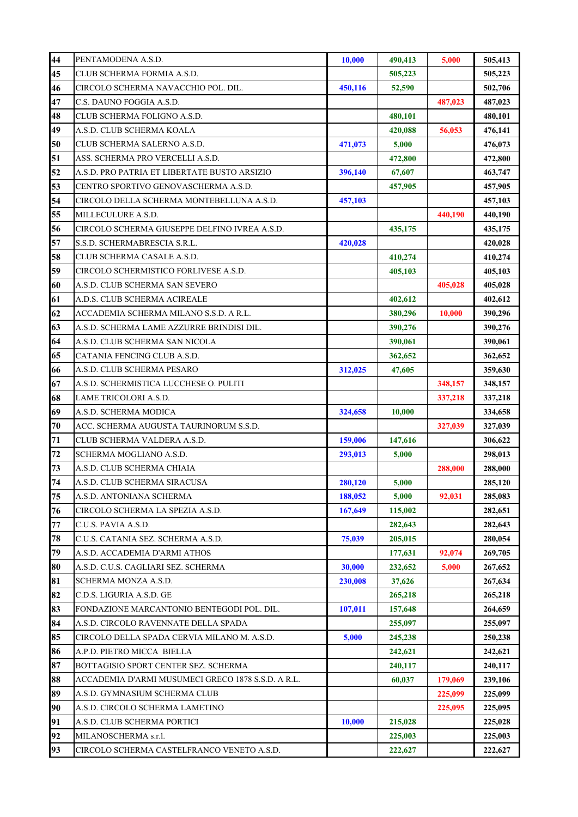| 44 | PENTAMODENA A.S.D.                                 | 10,000  | 490,413 | 5,000   | 505,413 |
|----|----------------------------------------------------|---------|---------|---------|---------|
| 45 | CLUB SCHERMA FORMIA A.S.D.                         |         | 505,223 |         | 505,223 |
| 46 | CIRCOLO SCHERMA NAVACCHIO POL. DIL.                | 450,116 | 52,590  |         | 502,706 |
| 47 | C.S. DAUNO FOGGIA A.S.D.                           |         |         | 487,023 | 487,023 |
| 48 | CLUB SCHERMA FOLIGNO A.S.D.                        |         | 480,101 |         | 480,101 |
| 49 | A.S.D. CLUB SCHERMA KOALA                          |         | 420,088 | 56,053  | 476,141 |
| 50 | CLUB SCHERMA SALERNO A.S.D.                        | 471,073 | 5,000   |         | 476,073 |
| 51 | ASS. SCHERMA PRO VERCELLI A.S.D.                   |         | 472,800 |         | 472,800 |
| 52 | A.S.D. PRO PATRIA ET LIBERTATE BUSTO ARSIZIO       | 396,140 | 67,607  |         | 463,747 |
| 53 | CENTRO SPORTIVO GENOVASCHERMA A.S.D.               |         | 457,905 |         | 457,905 |
| 54 | CIRCOLO DELLA SCHERMA MONTEBELLUNA A.S.D.          | 457,103 |         |         | 457,103 |
| 55 | MILLECULURE A.S.D.                                 |         |         | 440,190 | 440,190 |
| 56 | CIRCOLO SCHERMA GIUSEPPE DELFINO IVREA A.S.D.      |         | 435,175 |         | 435,175 |
| 57 | S.S.D. SCHERMABRESCIA S.R.L.                       | 420,028 |         |         | 420,028 |
| 58 | CLUB SCHERMA CASALE A.S.D.                         |         | 410,274 |         | 410,274 |
| 59 | CIRCOLO SCHERMISTICO FORLIVESE A.S.D.              |         | 405,103 |         | 405,103 |
| 60 | A.S.D. CLUB SCHERMA SAN SEVERO                     |         |         | 405,028 | 405,028 |
| 61 | A.D.S. CLUB SCHERMA ACIREALE                       |         | 402,612 |         | 402,612 |
| 62 | ACCADEMIA SCHERMA MILANO S.S.D. A R.L.             |         | 380,296 | 10,000  | 390,296 |
| 63 | A.S.D. SCHERMA LAME AZZURRE BRINDISI DIL.          |         | 390,276 |         | 390,276 |
| 64 | A.S.D. CLUB SCHERMA SAN NICOLA                     |         | 390,061 |         | 390,061 |
| 65 | CATANIA FENCING CLUB A.S.D.                        |         | 362,652 |         | 362,652 |
| 66 | A.S.D. CLUB SCHERMA PESARO                         | 312,025 | 47,605  |         | 359,630 |
| 67 | A.S.D. SCHERMISTICA LUCCHESE O. PULITI             |         |         | 348,157 | 348,157 |
| 68 | LAME TRICOLORI A.S.D.                              |         |         | 337,218 | 337,218 |
| 69 | A.S.D. SCHERMA MODICA                              | 324,658 | 10,000  |         | 334,658 |
| 70 | ACC. SCHERMA AUGUSTA TAURINORUM S.S.D.             |         |         | 327,039 | 327,039 |
| 71 | CLUB SCHERMA VALDERA A.S.D.                        | 159,006 | 147,616 |         | 306,622 |
| 72 | SCHERMA MOGLIANO A.S.D.                            | 293,013 | 5,000   |         | 298,013 |
| 73 | A.S.D. CLUB SCHERMA CHIAIA                         |         |         | 288,000 | 288,000 |
| 74 | A.S.D. CLUB SCHERMA SIRACUSA                       | 280,120 | 5,000   |         | 285,120 |
| 75 | A.S.D. ANTONIANA SCHERMA                           | 188,052 | 5,000   | 92,031  | 285,083 |
| 76 | CIRCOLO SCHERMA LA SPEZIA A.S.D.                   | 167,649 | 115,002 |         | 282,651 |
| 77 | C.U.S. PAVIA A.S.D.                                |         | 282,643 |         | 282,643 |
| 78 | C.U.S. CATANIA SEZ. SCHERMA A.S.D.                 | 75,039  | 205,015 |         | 280,054 |
| 79 | A.S.D. ACCADEMIA D'ARMI ATHOS                      |         | 177,631 | 92,074  | 269,705 |
| 80 | A.S.D. C.U.S. CAGLIARI SEZ. SCHERMA                | 30,000  | 232,652 | 5,000   | 267,652 |
| 81 | SCHERMA MONZA A.S.D.                               | 230,008 | 37,626  |         | 267,634 |
| 82 | C.D.S. LIGURIA A.S.D. GE                           |         | 265,218 |         | 265,218 |
| 83 | FONDAZIONE MARCANTONIO BENTEGODI POL. DIL.         | 107,011 | 157,648 |         | 264,659 |
| 84 | A.S.D. CIRCOLO RAVENNATE DELLA SPADA               |         | 255,097 |         | 255,097 |
| 85 | CIRCOLO DELLA SPADA CERVIA MILANO M. A.S.D.        | 5,000   | 245,238 |         | 250,238 |
| 86 | A.P.D. PIETRO MICCA BIELLA                         |         | 242,621 |         | 242,621 |
| 87 | BOTTAGISIO SPORT CENTER SEZ. SCHERMA               |         | 240,117 |         | 240,117 |
| 88 | ACCADEMIA D'ARMI MUSUMECI GRECO 1878 S.S.D. A R.L. |         | 60,037  | 179,069 | 239,106 |
| 89 | A.S.D. GYMNASIUM SCHERMA CLUB                      |         |         | 225,099 | 225,099 |
| 90 | A.S.D. CIRCOLO SCHERMA LAMETINO                    |         |         | 225,095 | 225,095 |
| 91 | A.S.D. CLUB SCHERMA PORTICI                        | 10,000  | 215,028 |         | 225,028 |
| 92 | MILANOSCHERMA s.r.l.                               |         | 225,003 |         | 225,003 |
| 93 | CIRCOLO SCHERMA CASTELFRANCO VENETO A.S.D.         |         | 222,627 |         | 222,627 |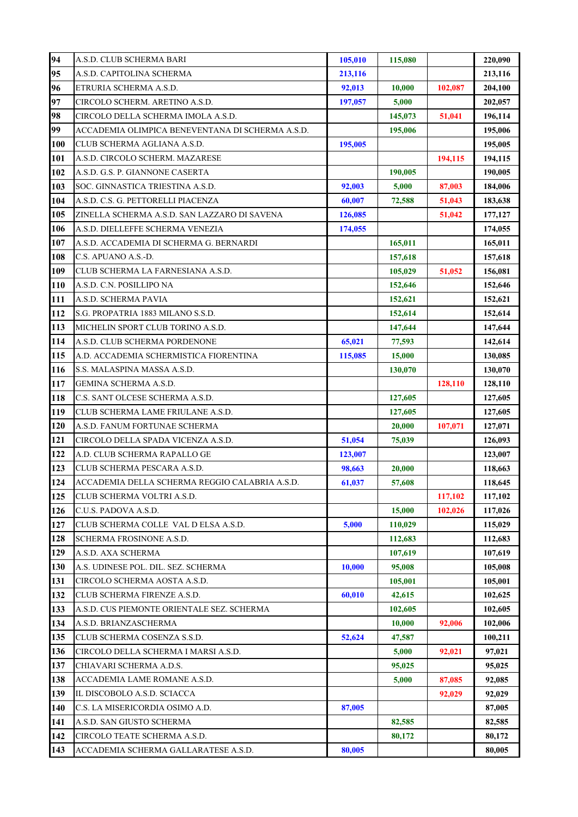| 94  | A.S.D. CLUB SCHERMA BARI                         | 105,010 | 115,080 |         | 220,090 |
|-----|--------------------------------------------------|---------|---------|---------|---------|
| 95  | A.S.D. CAPITOLINA SCHERMA                        | 213,116 |         |         | 213,116 |
| 96  | ETRURIA SCHERMA A.S.D.                           | 92,013  | 10,000  | 102,087 | 204,100 |
| 97  | CIRCOLO SCHERM. ARETINO A.S.D.                   | 197,057 | 5,000   |         | 202,057 |
| 98  | CIRCOLO DELLA SCHERMA IMOLA A.S.D.               |         | 145,073 | 51,041  | 196,114 |
| 99  | ACCADEMIA OLIMPICA BENEVENTANA DI SCHERMA A.S.D. |         | 195,006 |         | 195,006 |
| 100 | CLUB SCHERMA AGLIANA A.S.D.                      | 195,005 |         |         | 195,005 |
| 101 | A.S.D. CIRCOLO SCHERM. MAZARESE                  |         |         | 194,115 | 194,115 |
| 102 | A.S.D. G.S. P. GIANNONE CASERTA                  |         | 190,005 |         | 190,005 |
| 103 | SOC. GINNASTICA TRIESTINA A.S.D.                 | 92,003  | 5,000   | 87,003  | 184,006 |
| 104 | A.S.D. C.S. G. PETTORELLI PIACENZA               | 60,007  | 72,588  | 51,043  | 183,638 |
| 105 | ZINELLA SCHERMA A.S.D. SAN LAZZARO DI SAVENA     | 126,085 |         | 51,042  | 177,127 |
| 106 | A.S.D. DIELLEFFE SCHERMA VENEZIA                 | 174,055 |         |         | 174,055 |
| 107 | A.S.D. ACCADEMIA DI SCHERMA G. BERNARDI          |         | 165,011 |         | 165,011 |
| 108 | C.S. APUANO A.S.-D.                              |         | 157,618 |         | 157,618 |
| 109 | CLUB SCHERMA LA FARNESIANA A.S.D.                |         | 105,029 | 51,052  | 156,081 |
| 110 | A.S.D. C.N. POSILLIPO NA                         |         | 152,646 |         | 152,646 |
| 111 | A.S.D. SCHERMA PAVIA                             |         | 152,621 |         | 152,621 |
| 112 | S.G. PROPATRIA 1883 MILANO S.S.D.                |         | 152,614 |         | 152,614 |
| 113 | MICHELIN SPORT CLUB TORINO A.S.D.                |         | 147,644 |         | 147,644 |
| 114 | A.S.D. CLUB SCHERMA PORDENONE                    | 65,021  | 77,593  |         | 142,614 |
| 115 | A.D. ACCADEMIA SCHERMISTICA FIORENTINA           | 115,085 | 15,000  |         | 130,085 |
| 116 | S.S. MALASPINA MASSA A.S.D.                      |         | 130,070 |         | 130,070 |
| 117 | GEMINA SCHERMA A.S.D.                            |         |         | 128,110 | 128,110 |
| 118 | C.S. SANT OLCESE SCHERMA A.S.D.                  |         | 127,605 |         | 127,605 |
| 119 | CLUB SCHERMA LAME FRIULANE A.S.D.                |         | 127,605 |         | 127,605 |
| 120 | A.S.D. FANUM FORTUNAE SCHERMA                    |         | 20,000  | 107,071 | 127,071 |
| 121 | CIRCOLO DELLA SPADA VICENZA A.S.D.               | 51,054  | 75,039  |         | 126,093 |
| 122 | A.D. CLUB SCHERMA RAPALLO GE                     | 123,007 |         |         | 123,007 |
| 123 | CLUB SCHERMA PESCARA A.S.D.                      | 98,663  | 20,000  |         | 118,663 |
| 124 | ACCADEMIA DELLA SCHERMA REGGIO CALABRIA A.S.D.   | 61,037  | 57,608  |         | 118,645 |
| 125 | CLUB SCHERMA VOLTRI A.S.D.                       |         |         | 117,102 | 117,102 |
| 126 | C.U.S. PADOVA A.S.D.                             |         | 15,000  | 102,026 | 117,026 |
| 127 | CLUB SCHERMA COLLE VAL D ELSA A.S.D.             | 5,000   | 110,029 |         | 115,029 |
| 128 | SCHERMA FROSINONE A.S.D.                         |         | 112,683 |         | 112,683 |
| 129 | A.S.D. AXA SCHERMA                               |         | 107,619 |         | 107,619 |
| 130 | A.S. UDINESE POL. DIL. SEZ. SCHERMA              | 10,000  | 95,008  |         | 105,008 |
| 131 | CIRCOLO SCHERMA AOSTA A.S.D.                     |         | 105,001 |         | 105,001 |
| 132 | CLUB SCHERMA FIRENZE A.S.D.                      | 60,010  | 42,615  |         | 102,625 |
| 133 | A.S.D. CUS PIEMONTE ORIENTALE SEZ. SCHERMA       |         | 102,605 |         | 102,605 |
| 134 | A.S.D. BRIANZASCHERMA                            |         | 10,000  | 92,006  | 102,006 |
| 135 | CLUB SCHERMA COSENZA S.S.D.                      | 52,624  | 47,587  |         | 100,211 |
| 136 | CIRCOLO DELLA SCHERMA I MARSI A.S.D.             |         | 5,000   | 92,021  | 97,021  |
| 137 | CHIAVARI SCHERMA A.D.S.                          |         | 95,025  |         | 95,025  |
| 138 | ACCADEMIA LAME ROMANE A.S.D.                     |         | 5,000   | 87,085  | 92,085  |
| 139 | IL DISCOBOLO A.S.D. SCIACCA                      |         |         | 92,029  | 92,029  |
| 140 | C.S. LA MISERICORDIA OSIMO A.D.                  | 87,005  |         |         | 87,005  |
| 141 | A.S.D. SAN GIUSTO SCHERMA                        |         | 82,585  |         | 82,585  |
| 142 | CIRCOLO TEATE SCHERMA A.S.D.                     |         | 80,172  |         | 80,172  |
| 143 | ACCADEMIA SCHERMA GALLARATESE A.S.D.             | 80,005  |         |         | 80,005  |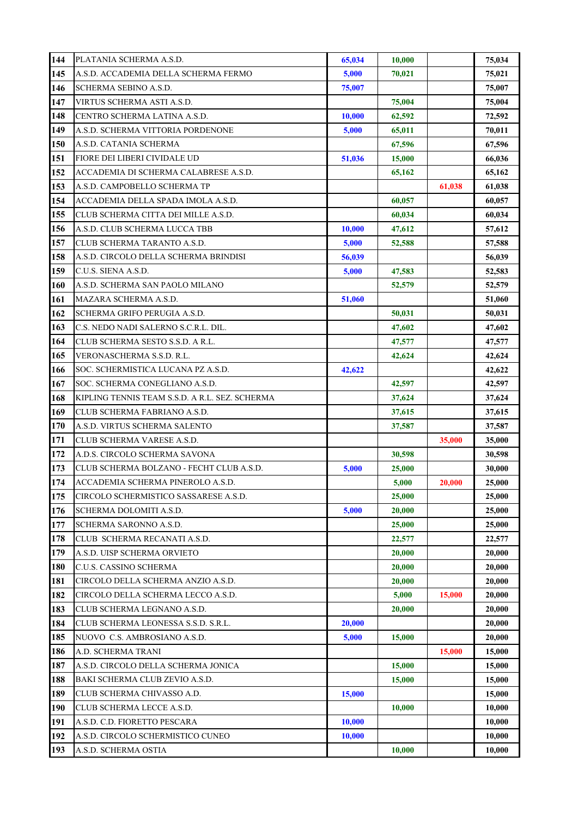| 144        | PLATANIA SCHERMA A.S.D.                                             | 65,034 | 10,000 |        | 75,034           |
|------------|---------------------------------------------------------------------|--------|--------|--------|------------------|
| 145        | A.S.D. ACCADEMIA DELLA SCHERMA FERMO                                | 5,000  | 70,021 |        | 75,021           |
| 146        | SCHERMA SEBINO A.S.D.                                               | 75,007 |        |        | 75,007           |
| 147        | VIRTUS SCHERMA ASTI A.S.D.                                          |        | 75,004 |        | 75,004           |
| 148        | CENTRO SCHERMA LATINA A.S.D.                                        | 10,000 | 62,592 |        | 72,592           |
| 149        | A.S.D. SCHERMA VITTORIA PORDENONE                                   | 5,000  | 65,011 |        | 70,011           |
| 150        | A.S.D. CATANIA SCHERMA                                              |        | 67,596 |        | 67,596           |
| 151        | FIORE DEI LIBERI CIVIDALE UD                                        | 51,036 | 15,000 |        | 66,036           |
| 152        | ACCADEMIA DI SCHERMA CALABRESE A.S.D.                               |        | 65,162 |        | 65,162           |
| 153        | A.S.D. CAMPOBELLO SCHERMA TP                                        |        |        | 61,038 | 61,038           |
| 154        | ACCADEMIA DELLA SPADA IMOLA A.S.D.                                  |        | 60,057 |        | 60,057           |
| 155        | CLUB SCHERMA CITTA DEI MILLE A.S.D.                                 |        | 60,034 |        | 60,034           |
| 156        | A.S.D. CLUB SCHERMA LUCCA TBB                                       | 10,000 | 47,612 |        | 57,612           |
| 157        | CLUB SCHERMA TARANTO A.S.D.                                         | 5,000  | 52,588 |        | 57,588           |
| 158        | A.S.D. CIRCOLO DELLA SCHERMA BRINDISI                               | 56,039 |        |        | 56,039           |
| 159        | C.U.S. SIENA A.S.D.                                                 | 5,000  | 47,583 |        | 52,583           |
| 160        | A.S.D. SCHERMA SAN PAOLO MILANO                                     |        | 52,579 |        | 52,579           |
| 161        | MAZARA SCHERMA A.S.D.                                               | 51,060 |        |        | 51,060           |
| 162        | SCHERMA GRIFO PERUGIA A.S.D.                                        |        | 50,031 |        | 50,031           |
| 163        | C.S. NEDO NADI SALERNO S.C.R.L. DIL.                                |        | 47,602 |        | 47,602           |
| 164        | CLUB SCHERMA SESTO S.S.D. A R.L.                                    |        | 47,577 |        | 47,577           |
| 165        | VERONASCHERMA S.S.D. R.L.                                           |        | 42,624 |        | 42,624           |
| 166        | SOC. SCHERMISTICA LUCANA PZ A.S.D.                                  | 42,622 |        |        | 42,622           |
| 167        | SOC. SCHERMA CONEGLIANO A.S.D.                                      |        | 42,597 |        | 42,597           |
| 168        | KIPLING TENNIS TEAM S.S.D. A R.L. SEZ. SCHERMA                      |        | 37,624 |        | 37,624           |
| 169        | CLUB SCHERMA FABRIANO A.S.D.                                        |        | 37,615 |        | 37,615           |
| 170        | A.S.D. VIRTUS SCHERMA SALENTO                                       |        | 37,587 |        | 37,587           |
| 171        | CLUB SCHERMA VARESE A.S.D.                                          |        |        | 35,000 | 35,000           |
| 172        | A.D.S. CIRCOLO SCHERMA SAVONA                                       |        | 30,598 |        | 30,598           |
| 173        | CLUB SCHERMA BOLZANO - FECHT CLUB A.S.D.                            | 5,000  | 25,000 |        | 30,000           |
| 174        | ACCADEMIA SCHERMA PINEROLO A.S.D.                                   |        | 5,000  | 20,000 | 25,000           |
| 175        | CIRCOLO SCHERMISTICO SASSARESE A.S.D.                               |        | 25,000 |        | 25,000           |
| 176        | SCHERMA DOLOMITI A.S.D.                                             | 5,000  | 20,000 |        | 25,000           |
| 177        | SCHERMA SARONNO A.S.D.                                              |        | 25,000 |        | 25,000           |
| 178        | CLUB SCHERMA RECANATI A.S.D.                                        |        | 22,577 |        | 22,577           |
| 179        | A.S.D. UISP SCHERMA ORVIETO                                         |        | 20,000 |        | 20,000           |
| 180        | C.U.S. CASSINO SCHERMA                                              |        | 20,000 |        | 20,000           |
| 181        | CIRCOLO DELLA SCHERMA ANZIO A.S.D.                                  |        | 20,000 |        | 20,000           |
| 182<br>183 | CIRCOLO DELLA SCHERMA LECCO A.S.D.<br>CLUB SCHERMA LEGNANO A.S.D.   |        | 5,000  | 15,000 | 20,000           |
| 184        |                                                                     | 20,000 | 20,000 |        | 20,000           |
| 185        | CLUB SCHERMA LEONESSA S.S.D. S.R.L.<br>NUOVO C.S. AMBROSIANO A.S.D. | 5,000  | 15,000 |        | 20,000<br>20,000 |
| 186        | A.D. SCHERMA TRANI                                                  |        |        | 15,000 | 15,000           |
| 187        | A.S.D. CIRCOLO DELLA SCHERMA JONICA                                 |        | 15,000 |        | 15,000           |
| 188        | BAKI SCHERMA CLUB ZEVIO A.S.D.                                      |        | 15,000 |        | 15,000           |
| 189        | CLUB SCHERMA CHIVASSO A.D.                                          | 15,000 |        |        | 15,000           |
| 190        | CLUB SCHERMA LECCE A.S.D.                                           |        | 10,000 |        | 10,000           |
| 191        | A.S.D. C.D. FIORETTO PESCARA                                        | 10,000 |        |        | 10,000           |
| 192        | A.S.D. CIRCOLO SCHERMISTICO CUNEO                                   | 10,000 |        |        | 10,000           |
| 193        | A.S.D. SCHERMA OSTIA                                                |        | 10,000 |        | 10,000           |
|            |                                                                     |        |        |        |                  |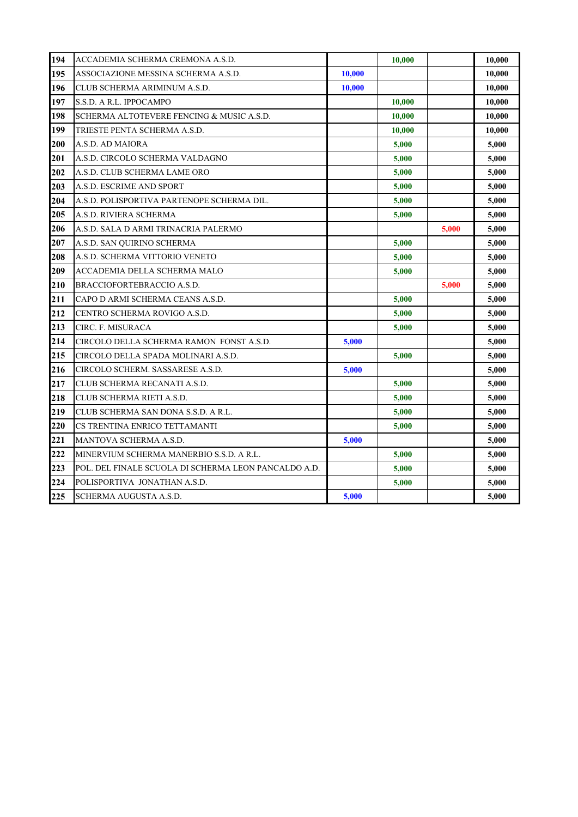| 194 | ACCADEMIA SCHERMA CREMONA A.S.D.                     |        | 10,000 |       | 10,000 |
|-----|------------------------------------------------------|--------|--------|-------|--------|
| 195 | ASSOCIAZIONE MESSINA SCHERMA A.S.D.                  | 10,000 |        |       | 10,000 |
| 196 | CLUB SCHERMA ARIMINUM A.S.D.                         | 10,000 |        |       | 10,000 |
| 197 | S.S.D. A R.L. IPPOCAMPO                              |        | 10,000 |       | 10,000 |
| 198 | SCHERMA ALTOTEVERE FENCING & MUSIC A.S.D.            |        | 10,000 |       | 10,000 |
| 199 | TRIESTE PENTA SCHERMA A.S.D.                         |        | 10,000 |       | 10,000 |
| 200 | A.S.D. AD MAIORA                                     |        | 5,000  |       | 5,000  |
| 201 | A.S.D. CIRCOLO SCHERMA VALDAGNO                      |        | 5,000  |       | 5,000  |
| 202 | A.S.D. CLUB SCHERMA LAME ORO                         |        | 5,000  |       | 5,000  |
| 203 | A.S.D. ESCRIME AND SPORT                             |        | 5,000  |       | 5,000  |
| 204 | A.S.D. POLISPORTIVA PARTENOPE SCHERMA DIL.           |        | 5,000  |       | 5,000  |
| 205 | A.S.D. RIVIERA SCHERMA                               |        | 5,000  |       | 5,000  |
| 206 | A.S.D. SALA D ARMI TRINACRIA PALERMO                 |        |        | 5,000 | 5,000  |
| 207 | A.S.D. SAN QUIRINO SCHERMA                           |        | 5,000  |       | 5,000  |
| 208 | A.S.D. SCHERMA VITTORIO VENETO                       |        | 5,000  |       | 5,000  |
| 209 | ACCADEMIA DELLA SCHERMA MALO                         |        | 5,000  |       | 5,000  |
| 210 | BRACCIOFORTEBRACCIO A.S.D.                           |        |        | 5,000 | 5,000  |
| 211 | CAPO D ARMI SCHERMA CEANS A.S.D.                     |        | 5,000  |       | 5,000  |
| 212 | CENTRO SCHERMA ROVIGO A.S.D.                         |        | 5,000  |       | 5,000  |
| 213 | CIRC. F. MISURACA                                    |        | 5,000  |       | 5,000  |
| 214 | CIRCOLO DELLA SCHERMA RAMON FONST A.S.D.             | 5,000  |        |       | 5,000  |
| 215 | CIRCOLO DELLA SPADA MOLINARI A.S.D.                  |        | 5,000  |       | 5,000  |
| 216 | CIRCOLO SCHERM. SASSARESE A.S.D.                     | 5,000  |        |       | 5,000  |
| 217 | CLUB SCHERMA RECANATI A.S.D.                         |        | 5,000  |       | 5,000  |
| 218 | CLUB SCHERMA RIETI A.S.D.                            |        | 5,000  |       | 5,000  |
| 219 | CLUB SCHERMA SAN DONA S.S.D. A R.L.                  |        | 5,000  |       | 5,000  |
| 220 | CS TRENTINA ENRICO TETTAMANTI                        |        | 5,000  |       | 5,000  |
| 221 | MANTOVA SCHERMA A.S.D.                               | 5,000  |        |       | 5,000  |
| 222 | MINERVIUM SCHERMA MANERBIO S.S.D. A R.L.             |        | 5,000  |       | 5,000  |
| 223 | POL. DEL FINALE SCUOLA DI SCHERMA LEON PANCALDO A.D. |        | 5,000  |       | 5,000  |
| 224 | POLISPORTIVA JONATHAN A.S.D.                         |        | 5,000  |       | 5,000  |
| 225 | SCHERMA AUGUSTA A.S.D.                               | 5,000  |        |       | 5,000  |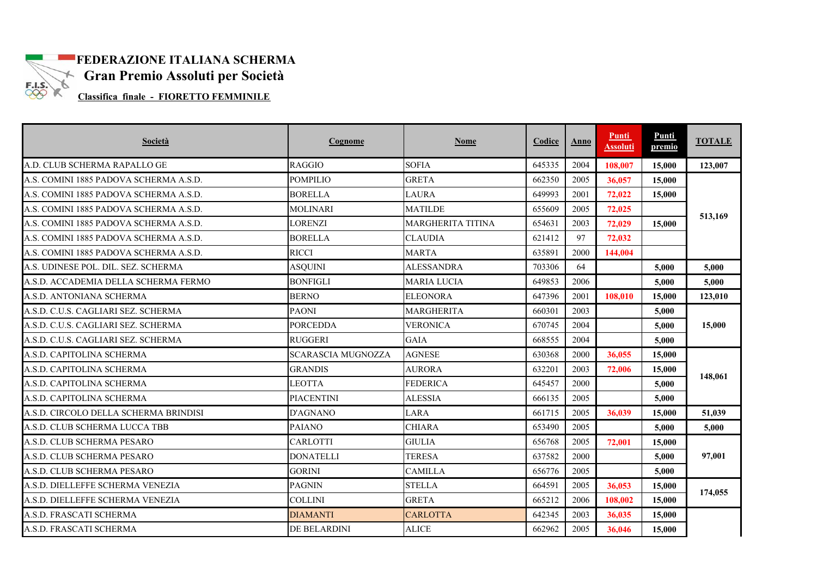

# **FEDERAZIONE ITALIANA SCHERMA Gran Premio Assoluti per Società**<br>Classifica finale - FIORETTO FEMMINI F

**Classifica finale - FIORETTO FEMMINILE** 

| Società                                | Cognome                   | <b>Nome</b>              | Codice | Anno | <b>Punti</b><br><b>Assoluti</b> | Punti<br>premio | <b>TOTALE</b> |
|----------------------------------------|---------------------------|--------------------------|--------|------|---------------------------------|-----------------|---------------|
| A.D. CLUB SCHERMA RAPALLO GE           | <b>RAGGIO</b>             | <b>SOFIA</b>             | 645335 | 2004 | 108,007                         | 15,000          | 123,007       |
| A.S. COMINI 1885 PADOVA SCHERMA A.S.D. | <b>POMPILIO</b>           | <b>GRETA</b>             | 662350 | 2005 | 36,057                          | 15,000          |               |
| A.S. COMINI 1885 PADOVA SCHERMA A.S.D. | <b>BORELLA</b>            | <b>LAURA</b>             | 649993 | 2001 | 72,022                          | 15,000          |               |
| A.S. COMINI 1885 PADOVA SCHERMA A.S.D. | <b>MOLINARI</b>           | <b>MATILDE</b>           | 655609 | 2005 | 72,025                          |                 | 513,169       |
| A.S. COMINI 1885 PADOVA SCHERMA A.S.D. | LORENZI                   | <b>MARGHERITA TITINA</b> | 654631 | 2003 | 72,029                          | 15,000          |               |
| A.S. COMINI 1885 PADOVA SCHERMA A.S.D. | <b>BORELLA</b>            | <b>CLAUDIA</b>           | 621412 | 97   | 72,032                          |                 |               |
| A.S. COMINI 1885 PADOVA SCHERMA A.S.D. | <b>RICCI</b>              | <b>MARTA</b>             | 635891 | 2000 | 144,004                         |                 |               |
| A.S. UDINESE POL. DIL. SEZ. SCHERMA    | <b>ASQUINI</b>            | <b>ALESSANDRA</b>        | 703306 | 64   |                                 | 5.000           | 5.000         |
| A.S.D. ACCADEMIA DELLA SCHERMA FERMO   | <b>BONFIGLI</b>           | <b>MARIA LUCIA</b>       | 649853 | 2006 |                                 | 5,000           | 5,000         |
| A.S.D. ANTONIANA SCHERMA               | <b>BERNO</b>              | <b>ELEONORA</b>          | 647396 | 2001 | 108,010                         | 15,000          | 123,010       |
| A.S.D. C.U.S. CAGLIARI SEZ. SCHERMA    | <b>PAONI</b>              | <b>MARGHERITA</b>        | 660301 | 2003 |                                 | 5,000           |               |
| A.S.D. C.U.S. CAGLIARI SEZ. SCHERMA    | <b>PORCEDDA</b>           | <b>VERONICA</b>          | 670745 | 2004 |                                 | 5,000           | 15,000        |
| A.S.D. C.U.S. CAGLIARI SEZ. SCHERMA    | <b>RUGGERI</b>            | <b>GAIA</b>              | 668555 | 2004 |                                 | 5,000           |               |
| A.S.D. CAPITOLINA SCHERMA              | <b>SCARASCIA MUGNOZZA</b> | <b>AGNESE</b>            | 630368 | 2000 | 36,055                          | 15,000          |               |
| A.S.D. CAPITOLINA SCHERMA              | <b>GRANDIS</b>            | <b>AURORA</b>            | 632201 | 2003 | 72,006                          | 15,000          | 148,061       |
| A.S.D. CAPITOLINA SCHERMA              | <b>LEOTTA</b>             | <b>FEDERICA</b>          | 645457 | 2000 |                                 | 5,000           |               |
| A.S.D. CAPITOLINA SCHERMA              | <b>PIACENTINI</b>         | <b>ALESSIA</b>           | 666135 | 2005 |                                 | 5,000           |               |
| A.S.D. CIRCOLO DELLA SCHERMA BRINDISI  | <b>D'AGNANO</b>           | LARA                     | 661715 | 2005 | 36.039                          | 15,000          | 51,039        |
| A.S.D. CLUB SCHERMA LUCCA TBB          | <b>PAIANO</b>             | <b>CHIARA</b>            | 653490 | 2005 |                                 | 5.000           | 5,000         |
| A.S.D. CLUB SCHERMA PESARO             | <b>CARLOTTI</b>           | <b>GIULIA</b>            | 656768 | 2005 | 72,001                          | 15,000          |               |
| A.S.D. CLUB SCHERMA PESARO             | <b>DONATELLI</b>          | <b>TERESA</b>            | 637582 | 2000 |                                 | 5.000           | 97,001        |
| A.S.D. CLUB SCHERMA PESARO             | <b>GORINI</b>             | <b>CAMILLA</b>           | 656776 | 2005 |                                 | 5,000           |               |
| A.S.D. DIELLEFFE SCHERMA VENEZIA       | <b>PAGNIN</b>             | <b>STELLA</b>            | 664591 | 2005 | 36,053                          | 15,000          |               |
| A.S.D. DIELLEFFE SCHERMA VENEZIA       | <b>COLLINI</b>            | <b>GRETA</b>             | 665212 | 2006 | 108.002                         | 15,000          | 174,055       |
| A.S.D. FRASCATI SCHERMA                | <b>DIAMANTI</b>           | <b>CARLOTTA</b>          | 642345 | 2003 | 36.035                          | 15,000          |               |
| A.S.D. FRASCATI SCHERMA                | <b>DE BELARDINI</b>       | <b>ALICE</b>             | 662962 | 2005 | 36,046                          | 15,000          |               |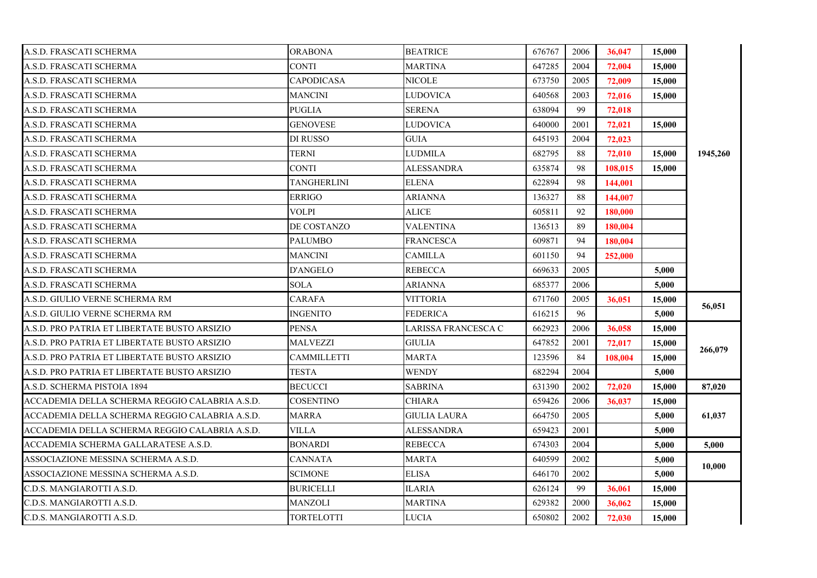| A.S.D. FRASCATI SCHERMA                        | <b>ORABONA</b>     | <b>BEATRICE</b>     | 676767 | 2006 | 36,047  | 15,000 |          |
|------------------------------------------------|--------------------|---------------------|--------|------|---------|--------|----------|
| A.S.D. FRASCATI SCHERMA                        | <b>CONTI</b>       | MARTINA             | 647285 | 2004 | 72,004  | 15,000 |          |
| A.S.D. FRASCATI SCHERMA                        | <b>CAPODICASA</b>  | <b>NICOLE</b>       | 673750 | 2005 | 72,009  | 15,000 |          |
| A.S.D. FRASCATI SCHERMA                        | MANCINI            | LUDOVICA            | 640568 | 2003 | 72,016  | 15,000 |          |
| A.S.D. FRASCATI SCHERMA                        | PUGLIA             | <b>SERENA</b>       | 638094 | 99   | 72,018  |        |          |
| A.S.D. FRASCATI SCHERMA                        | <b>GENOVESE</b>    | LUDOVICA            | 640000 | 2001 | 72,021  | 15,000 |          |
| A.S.D. FRASCATI SCHERMA                        | DI RUSSO           | <b>GUIA</b>         | 645193 | 2004 | 72,023  |        |          |
| A.S.D. FRASCATI SCHERMA                        | <b>TERNI</b>       | LUDMILA             | 682795 | 88   | 72,010  | 15,000 | 1945,260 |
| A.S.D. FRASCATI SCHERMA                        | <b>CONTI</b>       | <b>ALESSANDRA</b>   | 635874 | 98   | 108,015 | 15,000 |          |
| A.S.D. FRASCATI SCHERMA                        | <b>TANGHERLINI</b> | <b>ELENA</b>        | 622894 | 98   | 144,001 |        |          |
| A.S.D. FRASCATI SCHERMA                        | <b>ERRIGO</b>      | <b>ARIANNA</b>      | 136327 | 88   | 144,007 |        |          |
| A.S.D. FRASCATI SCHERMA                        | VOLPI              | ALICE               | 605811 | 92   | 180,000 |        |          |
| A.S.D. FRASCATI SCHERMA                        | DE COSTANZO        | VALENTINA           | 136513 | 89   | 180,004 |        |          |
| A.S.D. FRASCATI SCHERMA                        | <b>PALUMBO</b>     | <b>FRANCESCA</b>    | 609871 | 94   | 180,004 |        |          |
| A.S.D. FRASCATI SCHERMA                        | <b>MANCINI</b>     | <b>CAMILLA</b>      | 601150 | 94   | 252,000 |        |          |
| A.S.D. FRASCATI SCHERMA                        | D'ANGELO           | REBECCA             | 669633 | 2005 |         | 5,000  |          |
| A.S.D. FRASCATI SCHERMA                        | SOLA               | ARIANNA             | 685377 | 2006 |         | 5,000  |          |
| A.S.D. GIULIO VERNE SCHERMA RM                 | <b>CARAFA</b>      | <b>VITTORIA</b>     | 671760 | 2005 | 36,051  | 15,000 |          |
| A.S.D. GIULIO VERNE SCHERMA RM                 | <b>INGENITO</b>    | <b>FEDERICA</b>     | 616215 | 96   |         | 5,000  | 56,051   |
| A.S.D. PRO PATRIA ET LIBERTATE BUSTO ARSIZIO   | PENSA              | LARISSA FRANCESCA C | 662923 | 2006 | 36,058  | 15,000 |          |
| A.S.D. PRO PATRIA ET LIBERTATE BUSTO ARSIZIO   | MALVEZZI           | GIULIA              | 647852 | 2001 | 72,017  | 15,000 | 266,079  |
| A.S.D. PRO PATRIA ET LIBERTATE BUSTO ARSIZIO   | CAMMILLETTI        | MARTA               | 123596 | 84   | 108,004 | 15,000 |          |
| A.S.D. PRO PATRIA ET LIBERTATE BUSTO ARSIZIO   | <b>TESTA</b>       | <b>WENDY</b>        | 682294 | 2004 |         | 5,000  |          |
| A.S.D. SCHERMA PISTOIA 1894                    | <b>BECUCCI</b>     | SABRINA             | 631390 | 2002 | 72,020  | 15,000 | 87,020   |
| ACCADEMIA DELLA SCHERMA REGGIO CALABRIA A.S.D. | COSENTINO          | CHIARA              | 659426 | 2006 | 36,037  | 15,000 |          |
| ACCADEMIA DELLA SCHERMA REGGIO CALABRIA A.S.D. | MARRA              | <b>GIULIA LAURA</b> | 664750 | 2005 |         | 5,000  | 61,037   |
| ACCADEMIA DELLA SCHERMA REGGIO CALABRIA A.S.D. | VILLA              | ALESSANDRA          | 659423 | 2001 |         | 5,000  |          |
| ACCADEMIA SCHERMA GALLARATESE A.S.D.           | BONARDI            | REBECCA             | 674303 | 2004 |         | 5,000  | 5.000    |
| ASSOCIAZIONE MESSINA SCHERMA A.S.D.            | <b>CANNATA</b>     | MARTA               | 640599 | 2002 |         | 5,000  |          |
| ASSOCIAZIONE MESSINA SCHERMA A.S.D.            | <b>SCIMONE</b>     | <b>ELISA</b>        | 646170 | 2002 |         | 5,000  | 10,000   |
| C.D.S. MANGIAROTTI A.S.D.                      | BURICELLI          | ILARIA              | 626124 | 99   | 36,061  | 15,000 |          |
| C.D.S. MANGIAROTTI A.S.D.                      | MANZOLI            | MARTINA             | 629382 | 2000 | 36,062  | 15,000 |          |
| C.D.S. MANGIAROTTI A.S.D.                      | <b>TORTELOTTI</b>  | <b>LUCIA</b>        | 650802 | 2002 | 72,030  | 15,000 |          |
|                                                |                    |                     |        |      |         |        |          |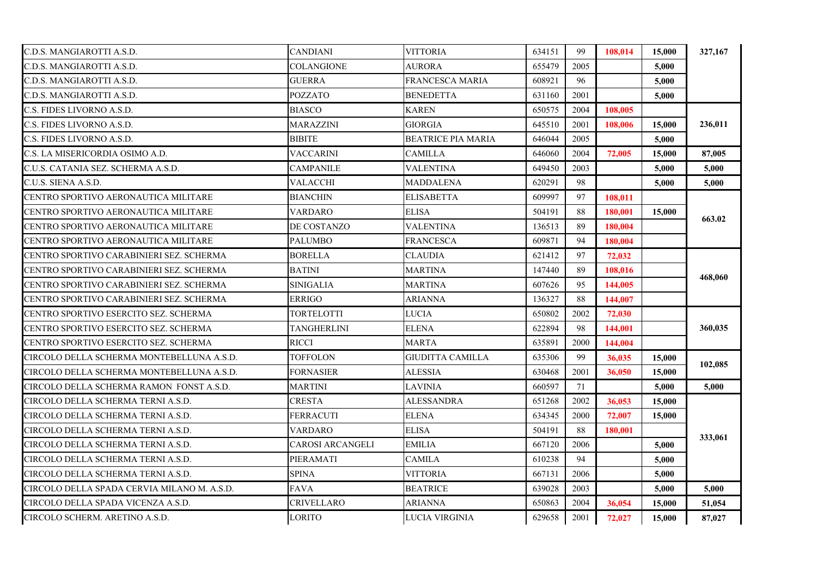| C.D.S. MANGIAROTTI A.S.D.                   | <b>CANDIANI</b>         | <b>VITTORIA</b>           | 634151 | 99   | 108.014 | 15,000 | 327,167 |
|---------------------------------------------|-------------------------|---------------------------|--------|------|---------|--------|---------|
| C.D.S. MANGIAROTTI A.S.D.                   | COLANGIONE              | AURORA                    | 655479 | 2005 |         | 5,000  |         |
| C.D.S. MANGIAROTTI A.S.D.                   | <b>GUERRA</b>           | FRANCESCA MARIA           | 608921 | 96   |         | 5,000  |         |
| C.D.S. MANGIAROTTI A.S.D.                   | <b>POZZATO</b>          | <b>BENEDETTA</b>          | 631160 | 2001 |         | 5,000  |         |
| C.S. FIDES LIVORNO A.S.D.                   | <b>BIASCO</b>           | <b>KAREN</b>              | 650575 | 2004 | 108,005 |        |         |
| C.S. FIDES LIVORNO A.S.D.                   | MARAZZINI               | <b>GIORGIA</b>            | 645510 | 2001 | 108,006 | 15,000 | 236,011 |
| C.S. FIDES LIVORNO A.S.D.                   | <b>BIBITE</b>           | <b>BEATRICE PIA MARIA</b> | 646044 | 2005 |         | 5,000  |         |
| C.S. LA MISERICORDIA OSIMO A.D.             | VACCARINI               | CAMILLA                   | 646060 | 2004 | 72,005  | 15,000 | 87,005  |
| C.U.S. CATANIA SEZ. SCHERMA A.S.D.          | CAMPANILE               | <b>VALENTINA</b>          | 649450 | 2003 |         | 5,000  | 5,000   |
| C.U.S. SIENA A.S.D.                         | VALACCHI                | <b>MADDALENA</b>          | 620291 | 98   |         | 5,000  | 5,000   |
| CENTRO SPORTIVO AERONAUTICA MILITARE        | <b>BIANCHIN</b>         | <b>ELISABETTA</b>         | 609997 | 97   | 108,011 |        |         |
| CENTRO SPORTIVO AERONAUTICA MILITARE        | VARDARO                 | <b>ELISA</b>              | 504191 | 88   | 180,001 | 15,000 | 663.02  |
| CENTRO SPORTIVO AERONAUTICA MILITARE        | DE COSTANZO             | <b>VALENTINA</b>          | 136513 | 89   | 180,004 |        |         |
| CENTRO SPORTIVO AERONAUTICA MILITARE        | <b>PALUMBO</b>          | <b>FRANCESCA</b>          | 609871 | 94   | 180,004 |        |         |
| CENTRO SPORTIVO CARABINIERI SEZ. SCHERMA    | <b>BORELLA</b>          | CLAUDIA                   | 621412 | 97   | 72,032  |        |         |
| CENTRO SPORTIVO CARABINIERI SEZ. SCHERMA    | BATINI                  | MARTINA                   | 147440 | 89   | 108,016 |        | 468,060 |
| CENTRO SPORTIVO CARABINIERI SEZ. SCHERMA    | SINIGALIA               | <b>MARTINA</b>            | 607626 | 95   | 144,005 |        |         |
| CENTRO SPORTIVO CARABINIERI SEZ. SCHERMA    | <b>ERRIGO</b>           | <b>ARIANNA</b>            | 136327 | 88   | 144,007 |        |         |
| CENTRO SPORTIVO ESERCITO SEZ. SCHERMA       | TORTELOTTI              | <b>LUCIA</b>              | 650802 | 2002 | 72,030  |        |         |
| CENTRO SPORTIVO ESERCITO SEZ. SCHERMA       | TANGHERLINI             | <b>ELENA</b>              | 622894 | 98   | 144,001 |        | 360,035 |
| CENTRO SPORTIVO ESERCITO SEZ. SCHERMA       | RICCI                   | MARTA                     | 635891 | 2000 | 144,004 |        |         |
| CIRCOLO DELLA SCHERMA MONTEBELLUNA A.S.D.   | <b>TOFFOLON</b>         | GIUDITTA CAMILLA          | 635306 | 99   | 36,035  | 15,000 |         |
| CIRCOLO DELLA SCHERMA MONTEBELLUNA A.S.D.   | FORNASIER               | ALESSIA                   | 630468 | 2001 | 36,050  | 15,000 | 102,085 |
| CIRCOLO DELLA SCHERMA RAMON FONST A.S.D.    | MARTINI                 | LAVINIA                   | 660597 | 71   |         | 5,000  | 5,000   |
| CIRCOLO DELLA SCHERMA TERNI A.S.D.          | CRESTA                  | ALESSANDRA                | 651268 | 2002 | 36,053  | 15,000 |         |
| CIRCOLO DELLA SCHERMA TERNI A.S.D.          | FERRACUTI               | <b>ELENA</b>              | 634345 | 2000 | 72,007  | 15,000 |         |
| CIRCOLO DELLA SCHERMA TERNI A.S.D.          | <b>VARDARO</b>          | <b>ELISA</b>              | 504191 | 88   | 180.001 |        |         |
| CIRCOLO DELLA SCHERMA TERNI A.S.D.          | <b>CAROSI ARCANGELI</b> | <b>EMILIA</b>             | 667120 | 2006 |         | 5,000  | 333,061 |
| CIRCOLO DELLA SCHERMA TERNI A.S.D.          | PIERAMATI               | <b>CAMILA</b>             | 610238 | 94   |         | 5,000  |         |
| CIRCOLO DELLA SCHERMA TERNI A.S.D.          | <b>SPINA</b>            | <b>VITTORIA</b>           | 667131 | 2006 |         | 5,000  |         |
| CIRCOLO DELLA SPADA CERVIA MILANO M. A.S.D. | FAVA                    | <b>BEATRICE</b>           | 639028 | 2003 |         | 5,000  | 5,000   |
| CIRCOLO DELLA SPADA VICENZA A.S.D.          | CRIVELLARO              | ARIANNA                   | 650863 | 2004 | 36,054  | 15,000 | 51,054  |
| CIRCOLO SCHERM. ARETINO A.S.D.              | LORITO                  | LUCIA VIRGINIA            | 629658 | 2001 | 72,027  | 15,000 | 87,027  |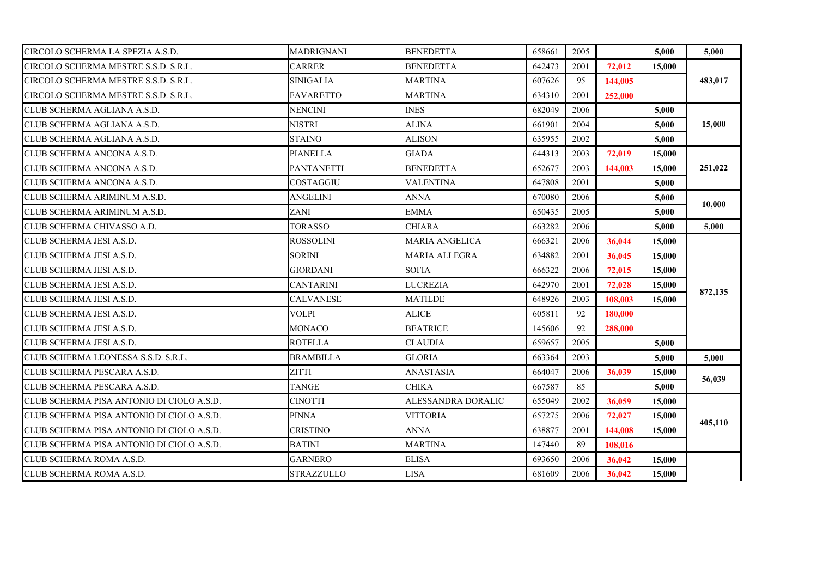| CIRCOLO SCHERMA LA SPEZIA A.S.D.          | <b>MADRIGNANI</b> | <b>BENEDETTA</b>      | 658661 | 2005 |         | 5,000  | 5,000   |
|-------------------------------------------|-------------------|-----------------------|--------|------|---------|--------|---------|
| CIRCOLO SCHERMA MESTRE S.S.D. S.R.L.      | <b>CARRER</b>     | <b>BENEDETTA</b>      | 642473 | 2001 | 72,012  | 15,000 |         |
| CIRCOLO SCHERMA MESTRE S.S.D. S.R.L.      | SINIGALIA         | <b>MARTINA</b>        | 607626 | 95   | 144,005 |        | 483,017 |
| CIRCOLO SCHERMA MESTRE S.S.D. S.R.L.      | <b>FAVARETTO</b>  | <b>MARTINA</b>        | 634310 | 2001 | 252,000 |        |         |
| CLUB SCHERMA AGLIANA A.S.D.               | <b>NENCINI</b>    | <b>INES</b>           | 682049 | 2006 |         | 5.000  |         |
| CLUB SCHERMA AGLIANA A.S.D.               | <b>NISTRI</b>     | <b>ALINA</b>          | 661901 | 2004 |         | 5,000  | 15,000  |
| CLUB SCHERMA AGLIANA A.S.D.               | STAINO            | ALISON                | 635955 | 2002 |         | 5,000  |         |
| CLUB SCHERMA ANCONA A.S.D.                | <b>PIANELLA</b>   | <b>GIADA</b>          | 644313 | 2003 | 72,019  | 15,000 |         |
| CLUB SCHERMA ANCONA A.S.D.                | PANTANETTI        | <b>BENEDETTA</b>      | 652677 | 2003 | 144,003 | 15,000 | 251,022 |
| CLUB SCHERMA ANCONA A.S.D.                | <b>COSTAGGIU</b>  | <b>VALENTINA</b>      | 647808 | 2001 |         | 5,000  |         |
| CLUB SCHERMA ARIMINUM A.S.D.              | ANGELINI          | <b>ANNA</b>           | 670080 | 2006 |         | 5,000  |         |
| CLUB SCHERMA ARIMINUM A.S.D.              | ZANI              | <b>EMMA</b>           | 650435 | 2005 |         | 5,000  | 10,000  |
| CLUB SCHERMA CHIVASSO A.D.                | <b>TORASSO</b>    | CHIARA                | 663282 | 2006 |         | 5,000  | 5,000   |
| CLUB SCHERMA JESI A.S.D.                  | <b>ROSSOLINI</b>  | <b>MARIA ANGELICA</b> | 666321 | 2006 | 36,044  | 15,000 |         |
| CLUB SCHERMA JESI A.S.D.                  | <b>SORINI</b>     | MARIA ALLEGRA         | 634882 | 2001 | 36,045  | 15,000 |         |
| CLUB SCHERMA JESI A.S.D.                  | <b>GIORDANI</b>   | <b>SOFIA</b>          | 666322 | 2006 | 72,015  | 15,000 |         |
| CLUB SCHERMA JESI A.S.D.                  | CANTARINI         | LUCREZIA              | 642970 | 2001 | 72,028  | 15,000 |         |
| CLUB SCHERMA JESI A.S.D.                  | <b>CALVANESE</b>  | <b>MATILDE</b>        | 648926 | 2003 | 108,003 | 15,000 | 872,135 |
| CLUB SCHERMA JESI A.S.D.                  | <b>VOLPI</b>      | <b>ALICE</b>          | 605811 | 92   | 180,000 |        |         |
| CLUB SCHERMA JESI A.S.D.                  | <b>MONACO</b>     | <b>BEATRICE</b>       | 145606 | 92   | 288,000 |        |         |
| CLUB SCHERMA JESI A.S.D.                  | <b>ROTELLA</b>    | <b>CLAUDIA</b>        | 659657 | 2005 |         | 5,000  |         |
| CLUB SCHERMA LEONESSA S.S.D. S.R.L.       | <b>BRAMBILLA</b>  | <b>GLORIA</b>         | 663364 | 2003 |         | 5,000  | 5,000   |
| CLUB SCHERMA PESCARA A.S.D.               | ZITTI             | ANASTASIA             | 664047 | 2006 | 36,039  | 15,000 |         |
| CLUB SCHERMA PESCARA A.S.D.               | <b>TANGE</b>      | <b>CHIKA</b>          | 667587 | 85   |         | 5,000  | 56,039  |
| CLUB SCHERMA PISA ANTONIO DI CIOLO A.S.D. | <b>CINOTTI</b>    | ALESSANDRA DORALIC    | 655049 | 2002 | 36,059  | 15,000 |         |
| CLUB SCHERMA PISA ANTONIO DI CIOLO A.S.D. | <b>PINNA</b>      | <b>VITTORIA</b>       | 657275 | 2006 | 72,027  | 15,000 | 405,110 |
| CLUB SCHERMA PISA ANTONIO DI CIOLO A.S.D. | CRISTINO          | <b>ANNA</b>           | 638877 | 2001 | 144,008 | 15,000 |         |
| CLUB SCHERMA PISA ANTONIO DI CIOLO A.S.D. | <b>BATINI</b>     | <b>MARTINA</b>        | 147440 | 89   | 108,016 |        |         |
| CLUB SCHERMA ROMA A.S.D.                  | <b>GARNERO</b>    | <b>ELISA</b>          | 693650 | 2006 | 36,042  | 15,000 |         |
| CLUB SCHERMA ROMA A.S.D.                  | <b>STRAZZULLO</b> | <b>LISA</b>           | 681609 | 2006 | 36,042  | 15,000 |         |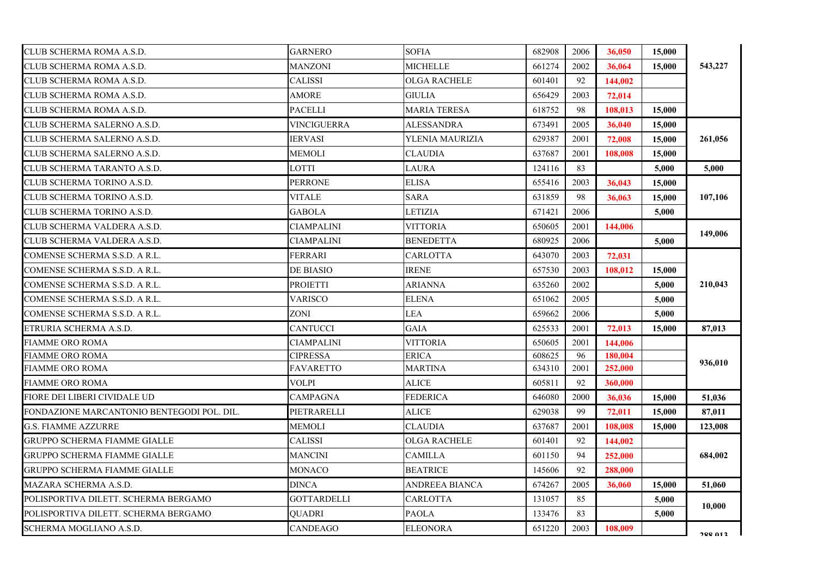| CLUB SCHERMA ROMA A.S.D.                   | <b>GARNERO</b>     | <b>SOFIA</b>        | 682908 | 2006 | 36,050  | 15,000 |         |
|--------------------------------------------|--------------------|---------------------|--------|------|---------|--------|---------|
| CLUB SCHERMA ROMA A.S.D.                   | <b>MANZONI</b>     | MICHELLE            | 661274 | 2002 | 36,064  | 15,000 | 543,227 |
| CLUB SCHERMA ROMA A.S.D.                   | <b>CALISSI</b>     | <b>OLGA RACHELE</b> | 601401 | 92   | 144,002 |        |         |
| CLUB SCHERMA ROMA A.S.D.                   | <b>AMORE</b>       | <b>GIULIA</b>       | 656429 | 2003 | 72,014  |        |         |
| CLUB SCHERMA ROMA A.S.D.                   | <b>PACELLI</b>     | <b>MARIA TERESA</b> | 618752 | 98   | 108.013 | 15,000 |         |
| CLUB SCHERMA SALERNO A.S.D.                | <b>VINCIGUERRA</b> | ALESSANDRA          | 673491 | 2005 | 36,040  | 15,000 |         |
| CLUB SCHERMA SALERNO A.S.D.                | <b>IERVASI</b>     | YLENIA MAURIZIA     | 629387 | 2001 | 72,008  | 15,000 | 261,056 |
| CLUB SCHERMA SALERNO A.S.D.                | <b>MEMOLI</b>      | <b>CLAUDIA</b>      | 637687 | 2001 | 108,008 | 15,000 |         |
| CLUB SCHERMA TARANTO A.S.D.                | <b>LOTTI</b>       | LAURA               | 124116 | 83   |         | 5,000  | 5,000   |
| CLUB SCHERMA TORINO A.S.D.                 | <b>PERRONE</b>     | <b>ELISA</b>        | 655416 | 2003 | 36,043  | 15,000 |         |
| CLUB SCHERMA TORINO A.S.D.                 | VITALE             | SARA                | 631859 | 98   | 36,063  | 15,000 | 107,106 |
| CLUB SCHERMA TORINO A.S.D.                 | <b>GABOLA</b>      | LETIZIA             | 671421 | 2006 |         | 5,000  |         |
| CLUB SCHERMA VALDERA A.S.D.                | <b>CIAMPALINI</b>  | <b>VITTORIA</b>     | 650605 | 2001 | 144,006 |        |         |
| CLUB SCHERMA VALDERA A.S.D.                | <b>CIAMPALINI</b>  | <b>BENEDETTA</b>    | 680925 | 2006 |         | 5,000  | 149,006 |
| COMENSE SCHERMA S.S.D. A R.L.              | <b>FERRARI</b>     | CARLOTTA            | 643070 | 2003 | 72,031  |        |         |
| COMENSE SCHERMA S.S.D. A R.L.              | DE BIASIO          | <b>IRENE</b>        | 657530 | 2003 | 108.012 | 15,000 |         |
| COMENSE SCHERMA S.S.D. A R.L.              | <b>PROIETTI</b>    | ARIANNA             | 635260 | 2002 |         | 5,000  | 210,043 |
| COMENSE SCHERMA S.S.D. A R.L.              | VARISCO            | <b>ELENA</b>        | 651062 | 2005 |         | 5,000  |         |
| COMENSE SCHERMA S.S.D. A R.L.              | ZONI               | <b>LEA</b>          | 659662 | 2006 |         | 5,000  |         |
| ETRURIA SCHERMA A.S.D.                     | CANTUCCI           | <b>GAIA</b>         | 625533 | 2001 | 72,013  | 15,000 | 87,013  |
| <b>FIAMME ORO ROMA</b>                     | <b>CIAMPALINI</b>  | <b>VITTORIA</b>     | 650605 | 2001 | 144,006 |        |         |
| <b>FIAMME ORO ROMA</b>                     | <b>CIPRESSA</b>    | <b>ERICA</b>        | 608625 | 96   | 180,004 |        |         |
| <b>FIAMME ORO ROMA</b>                     | <b>FAVARETTO</b>   | MARTINA             | 634310 | 2001 | 252,000 |        | 936,010 |
| <b>FIAMME ORO ROMA</b>                     | VOLPI              | <b>ALICE</b>        | 605811 | 92   | 360,000 |        |         |
| FIORE DEI LIBERI CIVIDALE UD               | <b>CAMPAGNA</b>    | <b>FEDERICA</b>     | 646080 | 2000 | 36,036  | 15,000 | 51,036  |
| FONDAZIONE MARCANTONIO BENTEGODI POL. DIL. | PIETRARELLI        | <b>ALICE</b>        | 629038 | 99   | 72,011  | 15,000 | 87,011  |
| <b>G.S. FIAMME AZZURRE</b>                 | <b>MEMOLI</b>      | <b>CLAUDIA</b>      | 637687 | 2001 | 108,008 | 15,000 | 123,008 |
| <b>GRUPPO SCHERMA FIAMME GIALLE</b>        | CALISSI            | <b>OLGA RACHELE</b> | 601401 | 92   | 144,002 |        |         |
| <b>GRUPPO SCHERMA FIAMME GIALLE</b>        | MANCINI            | <b>CAMILLA</b>      | 601150 | 94   | 252,000 |        | 684,002 |
| <b>GRUPPO SCHERMA FIAMME GIALLE</b>        | MONACO             | <b>BEATRICE</b>     | 145606 | 92   | 288,000 |        |         |
| MAZARA SCHERMA A.S.D.                      | <b>DINCA</b>       | ANDREEA BIANCA      | 674267 | 2005 | 36,060  | 15,000 | 51,060  |
| POLISPORTIVA DILETT. SCHERMA BERGAMO       | <b>GOTTARDELLI</b> | <b>CARLOTTA</b>     | 131057 | 85   |         | 5,000  |         |
| POLISPORTIVA DILETT. SCHERMA BERGAMO       | OUADRI             | <b>PAOLA</b>        | 133476 | 83   |         | 5,000  | 10,000  |
| SCHERMA MOGLIANO A.S.D.                    | CANDEAGO           | <b>ELEONORA</b>     | 651220 | 2003 | 108,009 |        | 288 013 |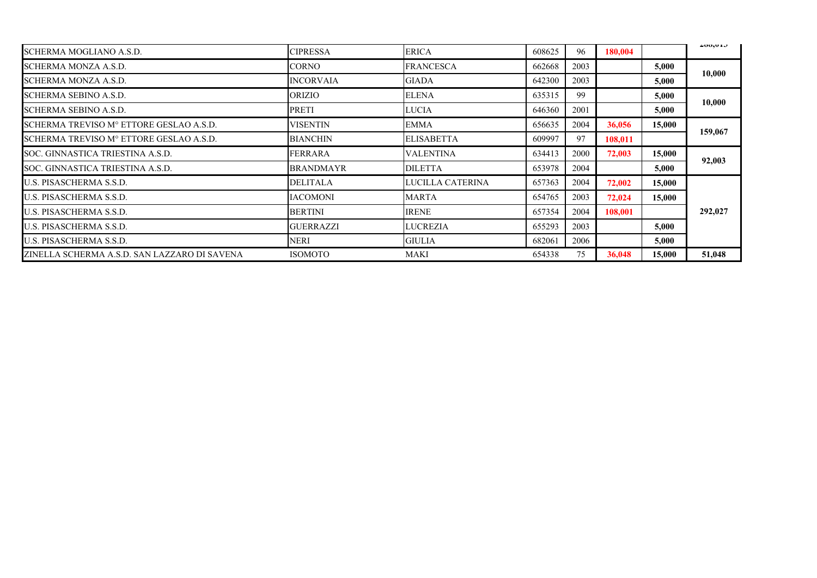| SCHERMA MOGLIANO A.S.D.                      | CIPRESSA         | <b>ERICA</b>      | 608625 | 96   | 180,004 |        | 400,01J |
|----------------------------------------------|------------------|-------------------|--------|------|---------|--------|---------|
| SCHERMA MONZA A.S.D.                         | <b>CORNO</b>     | <b>FRANCESCA</b>  | 662668 | 2003 |         | 5,000  | 10,000  |
| SCHERMA MONZA A.S.D.                         | <b>INCORVAIA</b> | <b>GIADA</b>      | 642300 | 2003 |         | 5,000  |         |
| <b>SCHERMA SEBINO A.S.D.</b>                 | <b>ORIZIO</b>    | <b>ELENA</b>      | 635315 | 99   |         | 5,000  | 10,000  |
| SCHERMA SEBINO A.S.D.                        | PRETI            | <b>LUCIA</b>      | 646360 | 2001 |         | 5,000  |         |
| SCHERMA TREVISO Mº ETTORE GESLAO A.S.D.      | <b>VISENTIN</b>  | <b>EMMA</b>       | 656635 | 2004 | 36,056  | 15,000 | 159,067 |
| SCHERMA TREVISO Mº ETTORE GESLAO A.S.D.      | <b>BIANCHIN</b>  | <b>ELISABETTA</b> | 609997 | 97   | 108,011 |        |         |
| SOC. GINNASTICA TRIESTINA A.S.D.             | <b>FERRARA</b>   | <b>VALENTINA</b>  | 634413 | 2000 | 72,003  | 15,000 | 92,003  |
| SOC. GINNASTICA TRIESTINA A.S.D.             | <b>BRANDMAYR</b> | <b>DILETTA</b>    | 653978 | 2004 |         | 5,000  |         |
| U.S. PISASCHERMA S.S.D.                      | <b>DELITALA</b>  | LUCILLA CATERINA  | 657363 | 2004 | 72,002  | 15,000 |         |
| U.S. PISASCHERMA S.S.D.                      | <b>IACOMONI</b>  | <b>MARTA</b>      | 654765 | 2003 | 72,024  | 15,000 |         |
| U.S. PISASCHERMA S.S.D.                      | <b>BERTINI</b>   | <b>IRENE</b>      | 657354 | 2004 | 108,001 |        | 292,027 |
| U.S. PISASCHERMA S.S.D.                      | <b>GUERRAZZI</b> | <b>LUCREZIA</b>   | 655293 | 2003 |         | 5,000  |         |
| <b>U.S. PISASCHERMA S.S.D.</b>               | NERI             | <b>GIULIA</b>     | 682061 | 2006 |         | 5,000  |         |
| ZINELLA SCHERMA A.S.D. SAN LAZZARO DI SAVENA | <b>ISOMOTO</b>   | MAKI              | 654338 | 75   | 36,048  | 15,000 | 51,048  |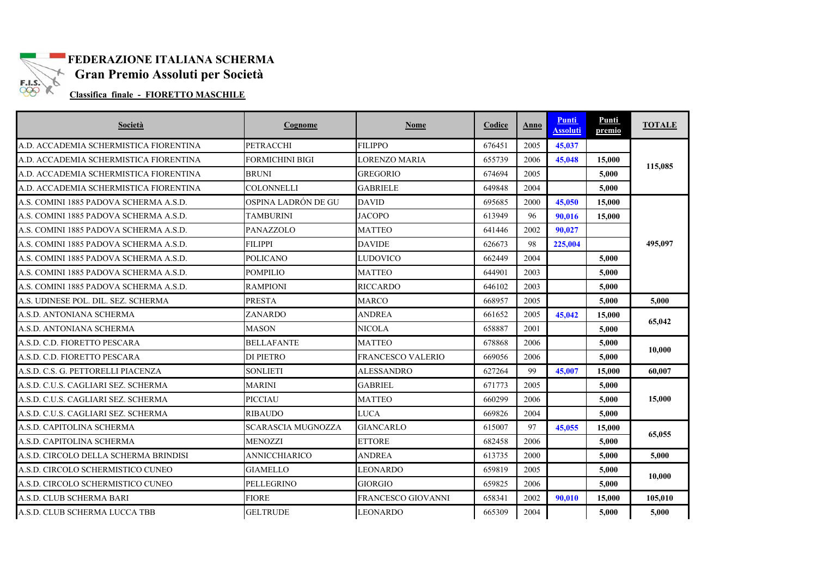

## **FEDERAZIONE ITALIANA SCHERMA**

**Gran Premio Assoluti per Società** 

**Classifica finale - FIORETTO MASCHILE** 

| Società                                | Cognome                   | Nome                      | Codice | Anno | <b>Punti</b><br><b>Assoluti</b> | Punti<br>premio | <b>TOTALE</b> |
|----------------------------------------|---------------------------|---------------------------|--------|------|---------------------------------|-----------------|---------------|
| A.D. ACCADEMIA SCHERMISTICA FIORENTINA | <b>PETRACCHI</b>          | <b>FILIPPO</b>            | 676451 | 2005 | 45.037                          |                 |               |
| A.D. ACCADEMIA SCHERMISTICA FIORENTINA | FORMICHINI BIGI           | <b>LORENZO MARIA</b>      | 655739 | 2006 | 45,048                          | 15,000          | 115,085       |
| A.D. ACCADEMIA SCHERMISTICA FIORENTINA | <b>BRUNI</b>              | <b>GREGORIO</b>           | 674694 | 2005 |                                 | 5,000           |               |
| A.D. ACCADEMIA SCHERMISTICA FIORENTINA | <b>COLONNELLI</b>         | <b>GABRIELE</b>           | 649848 | 2004 |                                 | 5.000           |               |
| A.S. COMINI 1885 PADOVA SCHERMA A.S.D. | OSPINA LADRÓN DE GU       | <b>DAVID</b>              | 695685 | 2000 | 45,050                          | 15,000          |               |
| A.S. COMINI 1885 PADOVA SCHERMA A.S.D. | <b>TAMBURINI</b>          | JACOPO                    | 613949 | 96   | 90.016                          | 15,000          |               |
| A.S. COMINI 1885 PADOVA SCHERMA A.S.D. | <b>PANAZZOLO</b>          | <b>MATTEO</b>             | 641446 | 2002 | 90.027                          |                 |               |
| A.S. COMINI 1885 PADOVA SCHERMA A.S.D. | <b>FILIPPI</b>            | <b>DAVIDE</b>             | 626673 | 98   | 225,004                         |                 | 495,097       |
| A.S. COMINI 1885 PADOVA SCHERMA A.S.D. | <b>POLICANO</b>           | <b>LUDOVICO</b>           | 662449 | 2004 |                                 | 5.000           |               |
| A.S. COMINI 1885 PADOVA SCHERMA A.S.D. | <b>POMPILIO</b>           | <b>MATTEO</b>             | 644901 | 2003 |                                 | 5,000           |               |
| A.S. COMINI 1885 PADOVA SCHERMA A.S.D. | <b>RAMPIONI</b>           | <b>RICCARDO</b>           | 646102 | 2003 |                                 | 5.000           |               |
| A.S. UDINESE POL. DIL. SEZ. SCHERMA    | <b>PRESTA</b>             | <b>MARCO</b>              | 668957 | 2005 |                                 | 5,000           | 5,000         |
| A.S.D. ANTONIANA SCHERMA               | ZANARDO                   | <b>ANDREA</b>             | 661652 | 2005 | 45,042                          | 15,000          | 65,042        |
| A.S.D. ANTONIANA SCHERMA               | <b>MASON</b>              | <b>NICOLA</b>             | 658887 | 2001 |                                 | 5.000           |               |
| A.S.D. C.D. FIORETTO PESCARA           | <b>BELLAFANTE</b>         | <b>MATTEO</b>             | 678868 | 2006 |                                 | 5.000           | 10,000        |
| A.S.D. C.D. FIORETTO PESCARA           | <b>DI PIETRO</b>          | FRANCESCO VALERIO         | 669056 | 2006 |                                 | 5,000           |               |
| A.S.D. C.S. G. PETTORELLI PIACENZA     | <b>SONLIETI</b>           | <b>ALESSANDRO</b>         | 627264 | 99   | 45,007                          | 15,000          | 60.007        |
| A.S.D. C.U.S. CAGLIARI SEZ. SCHERMA    | <b>MARINI</b>             | <b>GABRIEL</b>            | 671773 | 2005 |                                 | 5.000           |               |
| A.S.D. C.U.S. CAGLIARI SEZ. SCHERMA    | <b>PICCIAU</b>            | <b>MATTEO</b>             | 660299 | 2006 |                                 | 5.000           | 15,000        |
| A.S.D. C.U.S. CAGLIARI SEZ. SCHERMA    | <b>RIBAUDO</b>            | <b>LUCA</b>               | 669826 | 2004 |                                 | 5,000           |               |
| A.S.D. CAPITOLINA SCHERMA              | <b>SCARASCIA MUGNOZZA</b> | <b>GIANCARLO</b>          | 615007 | 97   | 45,055                          | 15,000          |               |
| A.S.D. CAPITOLINA SCHERMA              | <b>MENOZZI</b>            | <b>ETTORE</b>             | 682458 | 2006 |                                 | 5,000           | 65,055        |
| A.S.D. CIRCOLO DELLA SCHERMA BRINDISI  | ANNICCHIARICO             | <b>ANDREA</b>             | 613735 | 2000 |                                 | 5.000           | 5.000         |
| A.S.D. CIRCOLO SCHERMISTICO CUNEO      | <b>GIAMELLO</b>           | <b>LEONARDO</b>           | 659819 | 2005 |                                 | 5,000           |               |
| A.S.D. CIRCOLO SCHERMISTICO CUNEO      | <b>PELLEGRINO</b>         | <b>GIORGIO</b>            | 659825 | 2006 |                                 | 5,000           | 10,000        |
| A.S.D. CLUB SCHERMA BARI               | <b>FIORE</b>              | <b>FRANCESCO GIOVANNI</b> | 658341 | 2002 | 90.010                          | 15,000          | 105,010       |
| A.S.D. CLUB SCHERMA LUCCA TBB          | <b>GELTRUDE</b>           | <b>LEONARDO</b>           | 665309 | 2004 |                                 | 5,000           | 5,000         |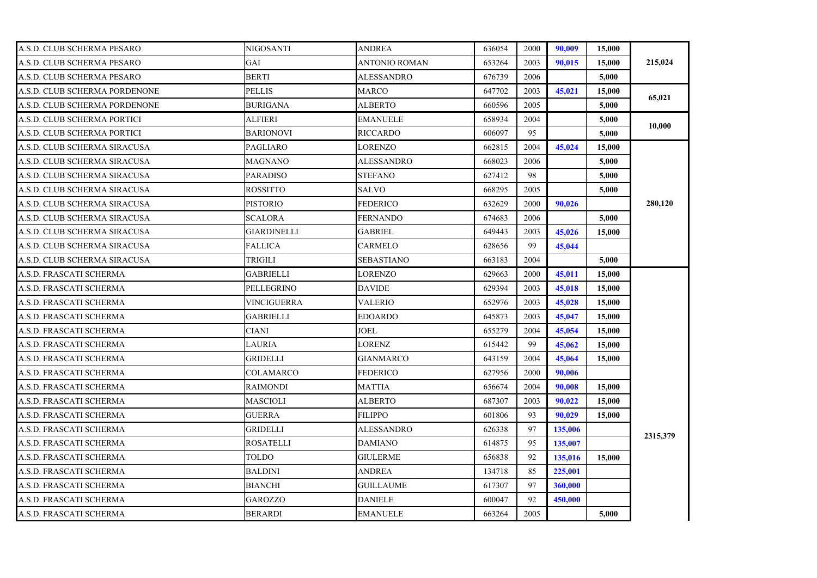| A.S.D. CLUB SCHERMA PESARO    | NIGOSANTI          | <b>ANDREA</b>     | 636054 | 2000 | 90,009  | 15,000 |          |
|-------------------------------|--------------------|-------------------|--------|------|---------|--------|----------|
| A.S.D. CLUB SCHERMA PESARO    | GAI                | ANTONIO ROMAN     | 653264 | 2003 | 90,015  | 15,000 | 215,024  |
| A.S.D. CLUB SCHERMA PESARO    | <b>BERTI</b>       | <b>ALESSANDRO</b> | 676739 | 2006 |         | 5,000  |          |
| A.S.D. CLUB SCHERMA PORDENONE | <b>PELLIS</b>      | MARCO             | 647702 | 2003 | 45,021  | 15,000 |          |
| A.S.D. CLUB SCHERMA PORDENONE | <b>BURIGANA</b>    | <b>ALBERTO</b>    | 660596 | 2005 |         | 5.000  | 65,021   |
| A.S.D. CLUB SCHERMA PORTICI   | ALFIERI            | <b>EMANUELE</b>   | 658934 | 2004 |         | 5,000  | 10,000   |
| A.S.D. CLUB SCHERMA PORTICI   | <b>BARIONOVI</b>   | RICCARDO          | 606097 | 95   |         | 5,000  |          |
| A.S.D. CLUB SCHERMA SIRACUSA  | <b>PAGLIARO</b>    | LORENZO           | 662815 | 2004 | 45,024  | 15,000 |          |
| A.S.D. CLUB SCHERMA SIRACUSA  | MAGNANO            | ALESSANDRO        | 668023 | 2006 |         | 5,000  |          |
| A.S.D. CLUB SCHERMA SIRACUSA  | <b>PARADISO</b>    | <b>STEFANO</b>    | 627412 | 98   |         | 5,000  |          |
| A.S.D. CLUB SCHERMA SIRACUSA  | <b>ROSSITTO</b>    | SALVO             | 668295 | 2005 |         | 5,000  |          |
| A.S.D. CLUB SCHERMA SIRACUSA  | <b>PISTORIO</b>    | FEDERICO          | 632629 | 2000 | 90.026  |        | 280,120  |
| A.S.D. CLUB SCHERMA SIRACUSA  | <b>SCALORA</b>     | <b>FERNANDO</b>   | 674683 | 2006 |         | 5,000  |          |
| A.S.D. CLUB SCHERMA SIRACUSA  | <b>GIARDINELLI</b> | GABRIEL           | 649443 | 2003 | 45,026  | 15,000 |          |
| A.S.D. CLUB SCHERMA SIRACUSA  | <b>FALLICA</b>     | <b>CARMELO</b>    | 628656 | 99   | 45,044  |        |          |
| A.S.D. CLUB SCHERMA SIRACUSA  | TRIGILI            | <b>SEBASTIANO</b> | 663183 | 2004 |         | 5.000  |          |
| A.S.D. FRASCATI SCHERMA       | <b>GABRIELLI</b>   | LORENZO           | 629663 | 2000 | 45,011  | 15,000 |          |
| A.S.D. FRASCATI SCHERMA       | PELLEGRINO         | <b>DAVIDE</b>     | 629394 | 2003 | 45,018  | 15,000 |          |
| A.S.D. FRASCATI SCHERMA       | VINCIGUERRA        | VALERIO           | 652976 | 2003 | 45,028  | 15,000 |          |
| A.S.D. FRASCATI SCHERMA       | <b>GABRIELLI</b>   | <b>EDOARDO</b>    | 645873 | 2003 | 45,047  | 15,000 |          |
| A.S.D. FRASCATI SCHERMA       | <b>CIANI</b>       | JOEL              | 655279 | 2004 | 45,054  | 15,000 |          |
| A.S.D. FRASCATI SCHERMA       | LAURIA             | LORENZ            | 615442 | 99   | 45,062  | 15,000 |          |
| A.S.D. FRASCATI SCHERMA       | <b>GRIDELLI</b>    | GIANMARCO         | 643159 | 2004 | 45,064  | 15,000 |          |
| A.S.D. FRASCATI SCHERMA       | COLAMARCO          | <b>FEDERICO</b>   | 627956 | 2000 | 90,006  |        |          |
| A.S.D. FRASCATI SCHERMA       | <b>RAIMONDI</b>    | MATTIA            | 656674 | 2004 | 90.008  | 15,000 |          |
| A.S.D. FRASCATI SCHERMA       | <b>MASCIOLI</b>    | <b>ALBERTO</b>    | 687307 | 2003 | 90.022  | 15,000 |          |
| A.S.D. FRASCATI SCHERMA       | <b>GUERRA</b>      | <b>FILIPPO</b>    | 601806 | 93   | 90.029  | 15,000 |          |
| A.S.D. FRASCATI SCHERMA       | GRIDELLI           | ALESSANDRO        | 626338 | 97   | 135,006 |        | 2315,379 |
| A.S.D. FRASCATI SCHERMA       | <b>ROSATELLI</b>   | <b>DAMIANO</b>    | 614875 | 95   | 135,007 |        |          |
| A.S.D. FRASCATI SCHERMA       | <b>TOLDO</b>       | <b>GIULERME</b>   | 656838 | 92   | 135,016 | 15,000 |          |
| A.S.D. FRASCATI SCHERMA       | <b>BALDINI</b>     | ANDREA            | 134718 | 85   | 225,001 |        |          |
| A.S.D. FRASCATI SCHERMA       | <b>BIANCHI</b>     | GUILLAUME         | 617307 | 97   | 360,000 |        |          |
| A.S.D. FRASCATI SCHERMA       | <b>GAROZZO</b>     | <b>DANIELE</b>    | 600047 | 92   | 450,000 |        |          |
| A.S.D. FRASCATI SCHERMA       | <b>BERARDI</b>     | <b>EMANUELE</b>   | 663264 | 2005 |         | 5,000  |          |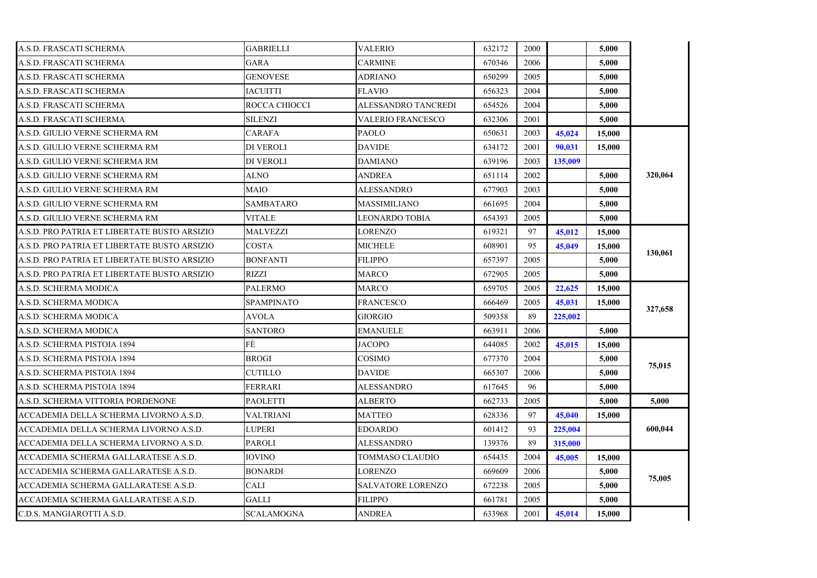| A.S.D. FRASCATI SCHERMA                      | <b>GABRIELLI</b>  | <b>VALERIO</b>           | 632172 | 2000 |         | 5,000  |         |
|----------------------------------------------|-------------------|--------------------------|--------|------|---------|--------|---------|
| A.S.D. FRASCATI SCHERMA                      | <b>GARA</b>       | <b>CARMINE</b>           | 670346 | 2006 |         | 5.000  |         |
| A.S.D. FRASCATI SCHERMA                      | <b>GENOVESE</b>   | <b>ADRIANO</b>           | 650299 | 2005 |         | 5,000  |         |
| A.S.D. FRASCATI SCHERMA                      | <b>IACUITTI</b>   | <b>FLAVIO</b>            | 656323 | 2004 |         | 5.000  |         |
| A.S.D. FRASCATI SCHERMA                      | ROCCA CHIOCCI     | ALESSANDRO TANCREDI      | 654526 | 2004 |         | 5.000  |         |
| A.S.D. FRASCATI SCHERMA                      | <b>SILENZI</b>    | VALERIO FRANCESCO        | 632306 | 2001 |         | 5,000  |         |
| A.S.D. GIULIO VERNE SCHERMA RM               | CARAFA            | <b>PAOLO</b>             | 650631 | 2003 | 45,024  | 15,000 |         |
| A.S.D. GIULIO VERNE SCHERMA RM               | DI VEROLI         | <b>DAVIDE</b>            | 634172 | 2001 | 90,031  | 15,000 |         |
| A.S.D. GIULIO VERNE SCHERMA RM               | DI VEROLI         | <b>DAMIANO</b>           | 639196 | 2003 | 135,009 |        |         |
| A.S.D. GIULIO VERNE SCHERMA RM               | ALNO              | ANDREA                   | 651114 | 2002 |         | 5.000  | 320,064 |
| A.S.D. GIULIO VERNE SCHERMA RM               | MAIO              | ALESSANDRO               | 677903 | 2003 |         | 5,000  |         |
| A.S.D. GIULIO VERNE SCHERMA RM               | SAMBATARO         | <b>MASSIMILIANO</b>      | 661695 | 2004 |         | 5.000  |         |
| A.S.D. GIULIO VERNE SCHERMA RM               | <b>VITALE</b>     | LEONARDO TOBIA           | 654393 | 2005 |         | 5.000  |         |
| A.S.D. PRO PATRIA ET LIBERTATE BUSTO ARSIZIO | <b>MALVEZZI</b>   | <b>LORENZO</b>           | 619321 | 97   | 45,012  | 15,000 |         |
| A.S.D. PRO PATRIA ET LIBERTATE BUSTO ARSIZIO | COSTA             | <b>MICHELE</b>           | 608901 | 95   | 45,049  | 15,000 | 130,061 |
| A.S.D. PRO PATRIA ET LIBERTATE BUSTO ARSIZIO | <b>BONFANTI</b>   | <b>FILIPPO</b>           | 657397 | 2005 |         | 5,000  |         |
| A.S.D. PRO PATRIA ET LIBERTATE BUSTO ARSIZIO | RIZZI             | <b>MARCO</b>             | 672905 | 2005 |         | 5,000  |         |
| A.S.D. SCHERMA MODICA                        | <b>PALERMO</b>    | <b>MARCO</b>             | 659705 | 2005 | 22,625  | 15,000 |         |
| A.S.D. SCHERMA MODICA                        | <b>SPAMPINATO</b> | <b>FRANCESCO</b>         | 666469 | 2005 | 45,031  | 15,000 | 327,658 |
| A.S.D. SCHERMA MODICA                        | <b>AVOLA</b>      | GIORGIO                  | 509358 | 89   | 225,002 |        |         |
| A.S.D. SCHERMA MODICA                        | <b>SANTORO</b>    | EMANUELE                 | 663911 | 2006 |         | 5,000  |         |
| A.S.D. SCHERMA PISTOIA 1894                  | FÈ                | <b>JACOPO</b>            | 644085 | 2002 | 45,015  | 15,000 |         |
| A.S.D. SCHERMA PISTOIA 1894                  | <b>BROGI</b>      | COSIMO                   | 677370 | 2004 |         | 5.000  | 75,015  |
| A.S.D. SCHERMA PISTOIA 1894                  | <b>CUTILLO</b>    | <b>DAVIDE</b>            | 665307 | 2006 |         | 5,000  |         |
| A.S.D. SCHERMA PISTOIA 1894                  | FERRARI           | <b>ALESSANDRO</b>        | 617645 | 96   |         | 5,000  |         |
| A.S.D. SCHERMA VITTORIA PORDENONE            | PAOLETTI          | ALBERTO                  | 662733 | 2005 |         | 5,000  | 5,000   |
| ACCADEMIA DELLA SCHERMA LIVORNO A.S.D.       | VALTRIANI         | <b>MATTEO</b>            | 628336 | 97   | 45,040  | 15,000 |         |
| ACCADEMIA DELLA SCHERMA LIVORNO A.S.D.       | LUPERI            | <b>EDOARDO</b>           | 601412 | 93   | 225,004 |        | 600,044 |
| ACCADEMIA DELLA SCHERMA LIVORNO A.S.D.       | PAROLI            | ALESSANDRO               | 139376 | 89   | 315,000 |        |         |
| ACCADEMIA SCHERMA GALLARATESE A.S.D.         | <b>IOVINO</b>     | TOMMASO CLAUDIO          | 654435 | 2004 | 45,005  | 15,000 |         |
| ACCADEMIA SCHERMA GALLARATESE A.S.D.         | <b>BONARDI</b>    | <b>LORENZO</b>           | 669609 | 2006 |         | 5.000  | 75,005  |
| ACCADEMIA SCHERMA GALLARATESE A.S.D.         | CALI              | <b>SALVATORE LORENZO</b> | 672238 | 2005 |         | 5,000  |         |
| ACCADEMIA SCHERMA GALLARATESE A.S.D.         | GALLI             | <b>FILIPPO</b>           | 661781 | 2005 |         | 5,000  |         |
| C.D.S. MANGIAROTTI A.S.D.                    | <b>SCALAMOGNA</b> | <b>ANDREA</b>            | 633968 | 2001 | 45,014  | 15,000 |         |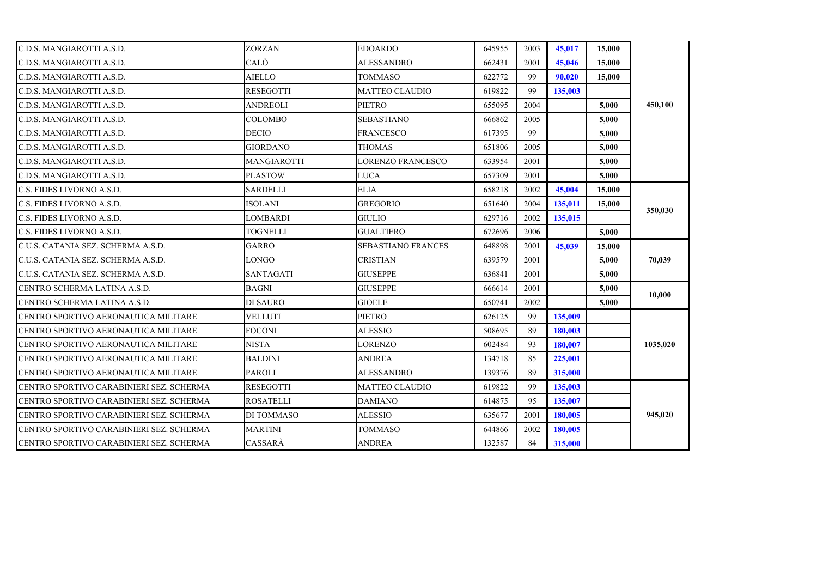| C.D.S. MANGIAROTTI A.S.D.                 | <b>ZORZAN</b>    | <b>EDOARDO</b>            | 645955 | 2003 | 45,017  | 15,000 |          |
|-------------------------------------------|------------------|---------------------------|--------|------|---------|--------|----------|
| C.D.S. MANGIAROTTI A.S.D.                 | CALÒ             | <b>ALESSANDRO</b>         | 662431 | 2001 | 45,046  | 15,000 |          |
| C.D.S. MANGIAROTTI A.S.D.                 | <b>AIELLO</b>    | <b>TOMMASO</b>            | 622772 | 99   | 90,020  | 15,000 |          |
| C.D.S. MANGIAROTTI A.S.D.                 | <b>RESEGOTTI</b> | <b>MATTEO CLAUDIO</b>     | 619822 | 99   | 135,003 |        |          |
| C.D.S. MANGIAROTTI A.S.D.                 | <b>ANDREOLI</b>  | <b>PIETRO</b>             | 655095 | 2004 |         | 5,000  | 450,100  |
| C.D.S. MANGIAROTTI A.S.D.                 | <b>COLOMBO</b>   | <b>SEBASTIANO</b>         | 666862 | 2005 |         | 5.000  |          |
| C.D.S. MANGIAROTTI A.S.D.                 | <b>DECIO</b>     | <b>FRANCESCO</b>          | 617395 | 99   |         | 5.000  |          |
| C.D.S. MANGIAROTTI A.S.D.                 | <b>GIORDANO</b>  | <b>THOMAS</b>             | 651806 | 2005 |         | 5.000  |          |
| C.D.S. MANGIAROTTI A.S.D.                 | MANGIAROTTI      | <b>LORENZO FRANCESCO</b>  | 633954 | 2001 |         | 5,000  |          |
| C.D.S. MANGIAROTTI A.S.D.                 | <b>PLASTOW</b>   | LUCA                      | 657309 | 2001 |         | 5.000  |          |
| C.S. FIDES LIVORNO A.S.D.                 | SARDELLI         | <b>ELIA</b>               | 658218 | 2002 | 45,004  | 15,000 |          |
| C.S. FIDES LIVORNO A.S.D.                 | ISOLANI          | <b>GREGORIO</b>           | 651640 | 2004 | 135,011 | 15,000 |          |
| C.S. FIDES LIVORNO A.S.D.                 | LOMBARDI         | <b>GIULIO</b>             | 629716 | 2002 | 135,015 |        | 350,030  |
| C.S. FIDES LIVORNO A.S.D.                 | <b>TOGNELLI</b>  | <b>GUALTIERO</b>          | 672696 | 2006 |         | 5,000  |          |
| C.U.S. CATANIA SEZ. SCHERMA A.S.D.        | <b>GARRO</b>     | <b>SEBASTIANO FRANCES</b> | 648898 | 2001 | 45,039  | 15,000 |          |
| C.U.S. CATANIA SEZ. SCHERMA A.S.D.        | LONGO            | <b>CRISTIAN</b>           | 639579 | 2001 |         | 5,000  | 70,039   |
| C.U.S. CATANIA SEZ. SCHERMA A.S.D.        | <b>SANTAGATI</b> | <b>GIUSEPPE</b>           | 636841 | 2001 |         | 5,000  |          |
| CENTRO SCHERMA LATINA A.S.D.              | BAGNI            | <b>GIUSEPPE</b>           | 666614 | 2001 |         | 5,000  |          |
| CENTRO SCHERMA LATINA A.S.D.              | DI SAURO         | <b>GIOELE</b>             | 650741 | 2002 |         | 5,000  | 10,000   |
| CENTRO SPORTIVO AERONAUTICA MILITARE      | <b>VELLUTI</b>   | <b>PIETRO</b>             | 626125 | 99   | 135,009 |        |          |
| CENTRO SPORTIVO AERONAUTICA MILITARE      | <b>FOCONI</b>    | ALESSIO                   | 508695 | 89   | 180,003 |        |          |
| CENTRO SPORTIVO AERONAUTICA MILITARE      | <b>NISTA</b>     | LORENZO                   | 602484 | 93   | 180,007 |        | 1035,020 |
| CENTRO SPORTIVO AERONAUTICA MILITARE      | <b>BALDINI</b>   | <b>ANDREA</b>             | 134718 | 85   | 225,001 |        |          |
| CENTRO SPORTIVO AERONAUTICA MILITARE      | <b>PAROLI</b>    | <b>ALESSANDRO</b>         | 139376 | 89   | 315,000 |        |          |
| ICENTRO SPORTIVO CARABINIERI SEZ. SCHERMA | RESEGOTTI        | MATTEO CLAUDIO            | 619822 | 99   | 135,003 |        |          |
| CENTRO SPORTIVO CARABINIERI SEZ. SCHERMA  | <b>ROSATELLI</b> | <b>DAMIANO</b>            | 614875 | 95   | 135,007 |        |          |
| CENTRO SPORTIVO CARABINIERI SEZ. SCHERMA  | DI TOMMASO       | <b>ALESSIO</b>            | 635677 | 2001 | 180,005 |        | 945,020  |
| CENTRO SPORTIVO CARABINIERI SEZ. SCHERMA  | <b>MARTINI</b>   | TOMMASO                   | 644866 | 2002 | 180,005 |        |          |
| CENTRO SPORTIVO CARABINIERI SEZ. SCHERMA  | CASSARÀ          | <b>ANDREA</b>             | 132587 | 84   | 315,000 |        |          |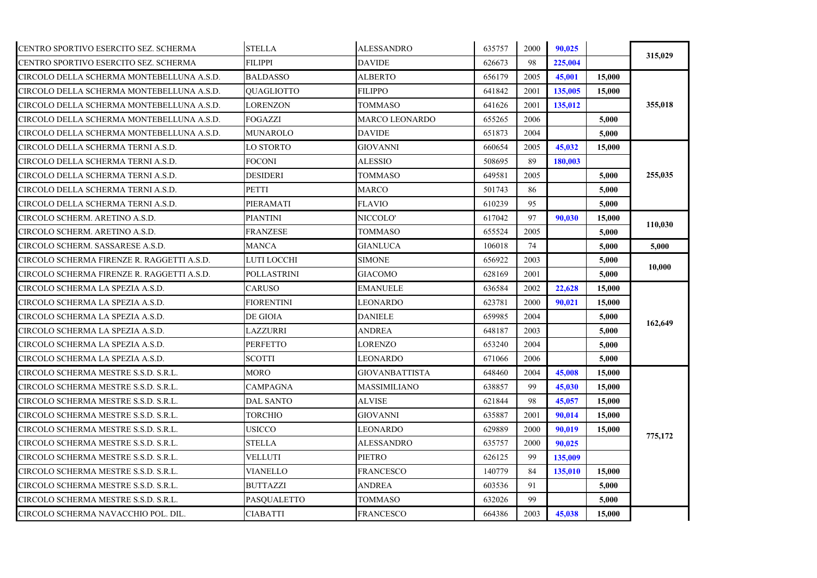| CENTRO SPORTIVO ESERCITO SEZ. SCHERMA      | <b>STELLA</b>      | <b>ALESSANDRO</b>     | 635757 | 2000 | 90.025  |        | 315,029 |
|--------------------------------------------|--------------------|-----------------------|--------|------|---------|--------|---------|
| CENTRO SPORTIVO ESERCITO SEZ. SCHERMA      | <b>FILIPPI</b>     | <b>DAVIDE</b>         | 626673 | 98   | 225,004 |        |         |
| CIRCOLO DELLA SCHERMA MONTEBELLUNA A.S.D.  | <b>BALDASSO</b>    | <b>ALBERTO</b>        | 656179 | 2005 | 45,001  | 15,000 |         |
| CIRCOLO DELLA SCHERMA MONTEBELLUNA A.S.D.  | <b>OUAGLIOTTO</b>  | <b>FILIPPO</b>        | 641842 | 2001 | 135,005 | 15,000 |         |
| CIRCOLO DELLA SCHERMA MONTEBELLUNA A.S.D.  | <b>LORENZON</b>    | <b>TOMMASO</b>        | 641626 | 2001 | 135,012 |        | 355,018 |
| CIRCOLO DELLA SCHERMA MONTEBELLUNA A.S.D.  | FOGAZZI            | MARCO LEONARDO        | 655265 | 2006 |         | 5,000  |         |
| CIRCOLO DELLA SCHERMA MONTEBELLUNA A.S.D.  | <b>MUNAROLO</b>    | <b>DAVIDE</b>         | 651873 | 2004 |         | 5,000  |         |
| CIRCOLO DELLA SCHERMA TERNI A.S.D.         | LO STORTO          | <b>GIOVANNI</b>       | 660654 | 2005 | 45,032  | 15,000 |         |
| CIRCOLO DELLA SCHERMA TERNI A.S.D.         | <b>FOCONI</b>      | <b>ALESSIO</b>        | 508695 | 89   | 180.003 |        |         |
| CIRCOLO DELLA SCHERMA TERNI A.S.D.         | <b>DESIDERI</b>    | TOMMASO               | 649581 | 2005 |         | 5,000  | 255,035 |
| CIRCOLO DELLA SCHERMA TERNI A.S.D.         | PETTI              | MARCO                 | 501743 | 86   |         | 5,000  |         |
| CIRCOLO DELLA SCHERMA TERNI A.S.D.         | PIERAMATI          | FLAVIO                | 610239 | 95   |         | 5,000  |         |
| CIRCOLO SCHERM. ARETINO A.S.D.             | <b>PIANTINI</b>    | NICCOLO'              | 617042 | 97   | 90,030  | 15,000 | 110,030 |
| CIRCOLO SCHERM. ARETINO A.S.D.             | <b>FRANZESE</b>    | TOMMASO               | 655524 | 2005 |         | 5,000  |         |
| CIRCOLO SCHERM. SASSARESE A.S.D.           | MANCA              | <b>GIANLUCA</b>       | 106018 | 74   |         | 5,000  | 5,000   |
| CIRCOLO SCHERMA FIRENZE R. RAGGETTI A.S.D. | LUTI LOCCHI        | SIMONE                | 656922 | 2003 |         | 5,000  | 10,000  |
| CIRCOLO SCHERMA FIRENZE R. RAGGETTI A.S.D. | <b>POLLASTRINI</b> | <b>GIACOMO</b>        | 628169 | 2001 |         | 5,000  |         |
| CIRCOLO SCHERMA LA SPEZIA A.S.D.           | <b>CARUSO</b>      | <b>EMANUELE</b>       | 636584 | 2002 | 22,628  | 15,000 |         |
| CIRCOLO SCHERMA LA SPEZIA A.S.D.           | <b>FIORENTINI</b>  | LEONARDO              | 623781 | 2000 | 90.021  | 15,000 |         |
| CIRCOLO SCHERMA LA SPEZIA A.S.D.           | DE GIOIA           | <b>DANIELE</b>        | 659985 | 2004 |         | 5,000  | 162,649 |
| CIRCOLO SCHERMA LA SPEZIA A.S.D.           | LAZZURRI           | <b>ANDREA</b>         | 648187 | 2003 |         | 5,000  |         |
| CIRCOLO SCHERMA LA SPEZIA A.S.D.           | <b>PERFETTO</b>    | LORENZO               | 653240 | 2004 |         | 5.000  |         |
| CIRCOLO SCHERMA LA SPEZIA A.S.D.           | <b>SCOTTI</b>      | LEONARDO              | 671066 | 2006 |         | 5,000  |         |
| CIRCOLO SCHERMA MESTRE S.S.D. S.R.L.       | MORO               | <b>GIOVANBATTISTA</b> | 648460 | 2004 | 45,008  | 15,000 |         |
| CIRCOLO SCHERMA MESTRE S.S.D. S.R.L.       | CAMPAGNA           | <b>MASSIMILIANO</b>   | 638857 | 99   | 45,030  | 15,000 |         |
| CIRCOLO SCHERMA MESTRE S.S.D. S.R.L.       | <b>DAL SANTO</b>   | ALVISE                | 621844 | 98   | 45,057  | 15,000 |         |
| CIRCOLO SCHERMA MESTRE S.S.D. S.R.L.       | TORCHIO            | GIOVANNI              | 635887 | 2001 | 90.014  | 15,000 |         |
| CIRCOLO SCHERMA MESTRE S.S.D. S.R.L.       | USICCO             | LEONARDO              | 629889 | 2000 | 90,019  | 15,000 | 775,172 |
| CIRCOLO SCHERMA MESTRE S.S.D. S.R.L.       | <b>STELLA</b>      | ALESSANDRO            | 635757 | 2000 | 90,025  |        |         |
| CIRCOLO SCHERMA MESTRE S.S.D. S.R.L.       | VELLUTI            | PIETRO                | 626125 | 99   | 135,009 |        |         |
| CIRCOLO SCHERMA MESTRE S.S.D. S.R.L.       | VIANELLO           | FRANCESCO             | 140779 | 84   | 135,010 | 15,000 |         |
| CIRCOLO SCHERMA MESTRE S.S.D. S.R.L.       | <b>BUTTAZZI</b>    | ANDREA                | 603536 | 91   |         | 5,000  |         |
| CIRCOLO SCHERMA MESTRE S.S.D. S.R.L.       | PASQUALETTO        | <b>TOMMASO</b>        | 632026 | 99   |         | 5,000  |         |
| CIRCOLO SCHERMA NAVACCHIO POL. DIL.        | <b>CIABATTI</b>    | FRANCESCO             | 664386 | 2003 | 45,038  | 15,000 |         |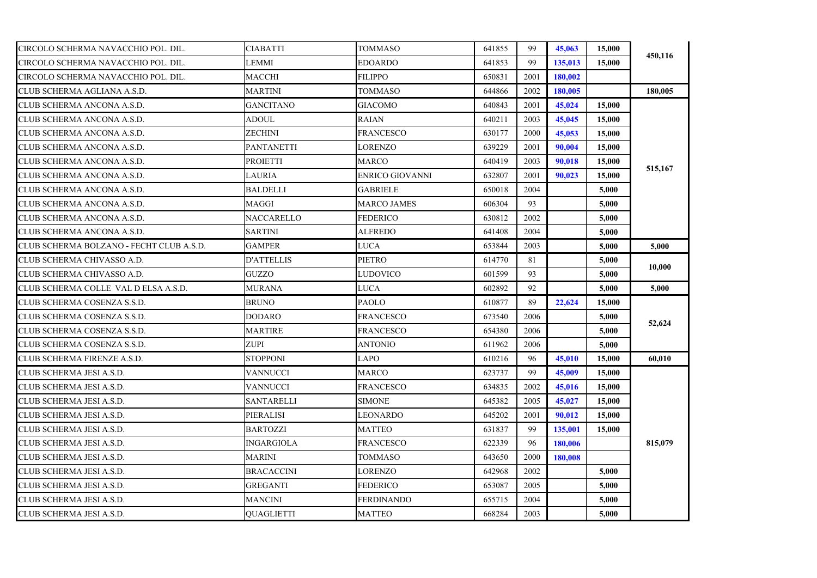| CIRCOLO SCHERMA NAVACCHIO POL. DIL.      | <b>CIABATTI</b>   | TOMMASO                | 641855 | 99   | 45,063  | 15,000 | 450,116 |
|------------------------------------------|-------------------|------------------------|--------|------|---------|--------|---------|
| CIRCOLO SCHERMA NAVACCHIO POL. DIL.      | LEMMI             | <b>EDOARDO</b>         | 641853 | 99   | 135,013 | 15.000 |         |
| CIRCOLO SCHERMA NAVACCHIO POL. DIL.      | MACCHI            | <b>FILIPPO</b>         | 650831 | 2001 | 180,002 |        |         |
| CLUB SCHERMA AGLIANA A.S.D.              | <b>MARTINI</b>    | TOMMASO                | 644866 | 2002 | 180,005 |        | 180,005 |
| CLUB SCHERMA ANCONA A.S.D.               | <b>GANCITANO</b>  | GIACOMO                | 640843 | 2001 | 45,024  | 15,000 |         |
| CLUB SCHERMA ANCONA A.S.D.               | ADOUL             | <b>RAIAN</b>           | 640211 | 2003 | 45,045  | 15,000 |         |
| CLUB SCHERMA ANCONA A.S.D.               | ZECHINI           | <b>FRANCESCO</b>       | 630177 | 2000 | 45,053  | 15,000 |         |
| CLUB SCHERMA ANCONA A.S.D.               | <b>PANTANETTI</b> | <b>LORENZO</b>         | 639229 | 2001 | 90.004  | 15,000 |         |
| CLUB SCHERMA ANCONA A.S.D.               | <b>PROIETTI</b>   | <b>MARCO</b>           | 640419 | 2003 | 90,018  | 15,000 | 515,167 |
| CLUB SCHERMA ANCONA A.S.D.               | LAURIA            | <b>ENRICO GIOVANNI</b> | 632807 | 2001 | 90,023  | 15,000 |         |
| CLUB SCHERMA ANCONA A.S.D.               | <b>BALDELLI</b>   | <b>GABRIELE</b>        | 650018 | 2004 |         | 5,000  |         |
| CLUB SCHERMA ANCONA A.S.D.               | MAGGI             | <b>MARCO JAMES</b>     | 606304 | 93   |         | 5,000  |         |
| CLUB SCHERMA ANCONA A.S.D.               | <b>NACCARELLO</b> | <b>FEDERICO</b>        | 630812 | 2002 |         | 5.000  |         |
| CLUB SCHERMA ANCONA A.S.D.               | <b>SARTINI</b>    | <b>ALFREDO</b>         | 641408 | 2004 |         | 5,000  |         |
| CLUB SCHERMA BOLZANO - FECHT CLUB A.S.D. | <b>GAMPER</b>     | <b>LUCA</b>            | 653844 | 2003 |         | 5.000  | 5,000   |
| CLUB SCHERMA CHIVASSO A.D.               | <b>D'ATTELLIS</b> | <b>PIETRO</b>          | 614770 | 81   |         | 5,000  | 10,000  |
| CLUB SCHERMA CHIVASSO A.D.               | GUZZO             | <b>LUDOVICO</b>        | 601599 | 93   |         | 5,000  |         |
| CLUB SCHERMA COLLE VAL D ELSA A.S.D.     | MURANA            | LUCA                   | 602892 | 92   |         | 5,000  | 5,000   |
| CLUB SCHERMA COSENZA S.S.D.              | <b>BRUNO</b>      | PAOLO                  | 610877 | 89   | 22,624  | 15,000 |         |
| CLUB SCHERMA COSENZA S.S.D.              | <b>DODARO</b>     | <b>FRANCESCO</b>       | 673540 | 2006 |         | 5.000  | 52,624  |
| CLUB SCHERMA COSENZA S.S.D.              | <b>MARTIRE</b>    | <b>FRANCESCO</b>       | 654380 | 2006 |         | 5,000  |         |
| CLUB SCHERMA COSENZA S.S.D.              | ZUPI              | ANTONIO                | 611962 | 2006 |         | 5.000  |         |
| CLUB SCHERMA FIRENZE A.S.D.              | <b>STOPPONI</b>   | LAPO                   | 610216 | 96   | 45,010  | 15,000 | 60,010  |
| CLUB SCHERMA JESI A.S.D.                 | VANNUCCI          | MARCO                  | 623737 | 99   | 45,009  | 15,000 |         |
| CLUB SCHERMA JESI A.S.D.                 | VANNUCCI          | <b>FRANCESCO</b>       | 634835 | 2002 | 45,016  | 15,000 |         |
| CLUB SCHERMA JESI A.S.D.                 | SANTARELLI        | <b>SIMONE</b>          | 645382 | 2005 | 45,027  | 15,000 |         |
| CLUB SCHERMA JESI A.S.D.                 | PIERALISI         | LEONARDO               | 645202 | 2001 | 90.012  | 15,000 |         |
| CLUB SCHERMA JESI A.S.D.                 | <b>BARTOZZI</b>   | <b>MATTEO</b>          | 631837 | 99   | 135,001 | 15,000 |         |
| CLUB SCHERMA JESI A.S.D.                 | INGARGIOLA        | <b>FRANCESCO</b>       | 622339 | 96   | 180,006 |        | 815,079 |
| CLUB SCHERMA JESI A.S.D.                 | <b>MARINI</b>     | TOMMASO                | 643650 | 2000 | 180,008 |        |         |
| CLUB SCHERMA JESI A.S.D.                 | <b>BRACACCINI</b> | LORENZO                | 642968 | 2002 |         | 5,000  |         |
| CLUB SCHERMA JESI A.S.D.                 | GREGANTI          | <b>FEDERICO</b>        | 653087 | 2005 |         | 5,000  |         |
| CLUB SCHERMA JESI A.S.D.                 | <b>MANCINI</b>    | <b>FERDINANDO</b>      | 655715 | 2004 |         | 5,000  |         |
| CLUB SCHERMA JESI A.S.D.                 | <b>OUAGLIETTI</b> | <b>MATTEO</b>          | 668284 | 2003 |         | 5,000  |         |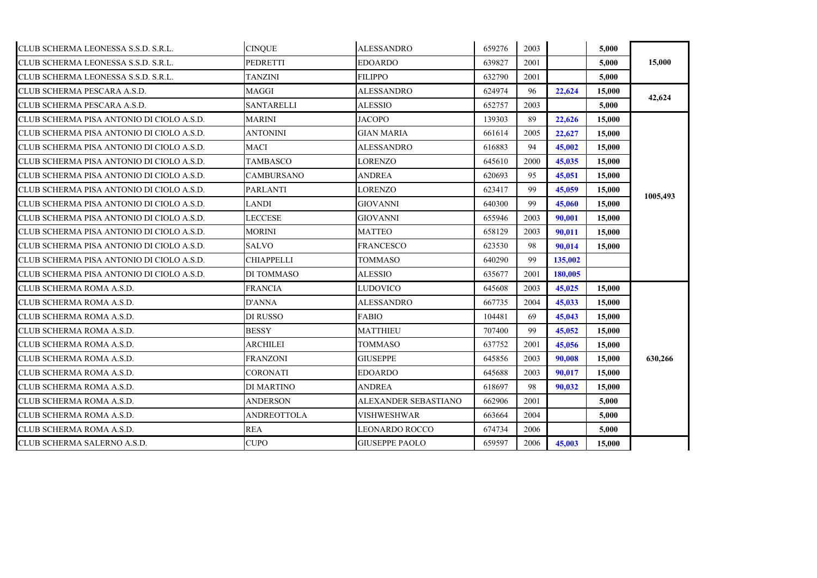| CLUB SCHERMA LEONESSA S.S.D. S.R.L.       | <b>CINOUE</b>      | ALESSANDRO            | 659276 | 2003 |         | 5,000  |          |
|-------------------------------------------|--------------------|-----------------------|--------|------|---------|--------|----------|
| CLUB SCHERMA LEONESSA S.S.D. S.R.L.       | <b>PEDRETTI</b>    | <b>EDOARDO</b>        | 639827 | 2001 |         | 5.000  | 15,000   |
| CLUB SCHERMA LEONESSA S.S.D. S.R.L.       | TANZINI            | <b>FILIPPO</b>        | 632790 | 2001 |         | 5,000  |          |
| CLUB SCHERMA PESCARA A.S.D.               | <b>MAGGI</b>       | <b>ALESSANDRO</b>     | 624974 | 96   | 22,624  | 15,000 |          |
| CLUB SCHERMA PESCARA A.S.D.               | <b>SANTARELLI</b>  | <b>ALESSIO</b>        | 652757 | 2003 |         | 5,000  | 42,624   |
| CLUB SCHERMA PISA ANTONIO DI CIOLO A.S.D. | MARINI             | JACOPO                | 139303 | 89   | 22,626  | 15,000 |          |
| CLUB SCHERMA PISA ANTONIO DI CIOLO A.S.D. | <b>ANTONINI</b>    | <b>GIAN MARIA</b>     | 661614 | 2005 | 22,627  | 15,000 |          |
| CLUB SCHERMA PISA ANTONIO DI CIOLO A.S.D. | <b>MACI</b>        | <b>ALESSANDRO</b>     | 616883 | 94   | 45,002  | 15,000 |          |
| CLUB SCHERMA PISA ANTONIO DI CIOLO A.S.D. | <b>TAMBASCO</b>    | LORENZO               | 645610 | 2000 | 45,035  | 15,000 |          |
| CLUB SCHERMA PISA ANTONIO DI CIOLO A.S.D. | <b>CAMBURSANO</b>  | <b>ANDREA</b>         | 620693 | 95   | 45,051  | 15,000 |          |
| CLUB SCHERMA PISA ANTONIO DI CIOLO A.S.D. | <b>PARLANTI</b>    | <b>LORENZO</b>        | 623417 | 99   | 45,059  | 15,000 |          |
| CLUB SCHERMA PISA ANTONIO DI CIOLO A.S.D. | LANDI              | <b>GIOVANNI</b>       | 640300 | 99   | 45,060  | 15,000 | 1005,493 |
| CLUB SCHERMA PISA ANTONIO DI CIOLO A.S.D. | LECCESE            | GIOVANNI              | 655946 | 2003 | 90.001  | 15,000 |          |
| CLUB SCHERMA PISA ANTONIO DI CIOLO A.S.D. | <b>MORINI</b>      | <b>MATTEO</b>         | 658129 | 2003 | 90.011  | 15,000 |          |
| CLUB SCHERMA PISA ANTONIO DI CIOLO A.S.D. | <b>SALVO</b>       | <b>FRANCESCO</b>      | 623530 | 98   | 90.014  | 15,000 |          |
| CLUB SCHERMA PISA ANTONIO DI CIOLO A.S.D. | <b>CHIAPPELLI</b>  | <b>TOMMASO</b>        | 640290 | 99   | 135,002 |        |          |
| CLUB SCHERMA PISA ANTONIO DI CIOLO A.S.D. | DI TOMMASO         | <b>ALESSIO</b>        | 635677 | 2001 | 180,005 |        |          |
| CLUB SCHERMA ROMA A.S.D.                  | <b>FRANCIA</b>     | <b>LUDOVICO</b>       | 645608 | 2003 | 45,025  | 15,000 |          |
| CLUB SCHERMA ROMA A.S.D.                  | <b>D'ANNA</b>      | <b>ALESSANDRO</b>     | 667735 | 2004 | 45,033  | 15,000 |          |
| CLUB SCHERMA ROMA A.S.D.                  | DI RUSSO           | FABIO                 | 104481 | 69   | 45,043  | 15,000 |          |
| CLUB SCHERMA ROMA A.S.D.                  | <b>BESSY</b>       | <b>MATTHIEU</b>       | 707400 | 99   | 45,052  | 15,000 |          |
| CLUB SCHERMA ROMA A.S.D.                  | ARCHILEI           | TOMMASO               | 637752 | 2001 | 45,056  | 15,000 |          |
| CLUB SCHERMA ROMA A.S.D.                  | <b>FRANZONI</b>    | <b>GIUSEPPE</b>       | 645856 | 2003 | 90.008  | 15,000 | 630,266  |
| CLUB SCHERMA ROMA A.S.D.                  | <b>CORONATI</b>    | <b>EDOARDO</b>        | 645688 | 2003 | 90,017  | 15,000 |          |
| CLUB SCHERMA ROMA A.S.D.                  | <b>DI MARTINO</b>  | <b>ANDREA</b>         | 618697 | 98   | 90.032  | 15,000 |          |
| CLUB SCHERMA ROMA A.S.D.                  | <b>ANDERSON</b>    | ALEXANDER SEBASTIANO  | 662906 | 2001 |         | 5,000  |          |
| CLUB SCHERMA ROMA A.S.D.                  | <b>ANDREOTTOLA</b> | <b>VISHWESHWAR</b>    | 663664 | 2004 |         | 5.000  |          |
| CLUB SCHERMA ROMA A.S.D.                  | <b>REA</b>         | <b>LEONARDO ROCCO</b> | 674734 | 2006 |         | 5,000  |          |
| CLUB SCHERMA SALERNO A.S.D.               | <b>CUPO</b>        | <b>GIUSEPPE PAOLO</b> | 659597 | 2006 | 45,003  | 15,000 |          |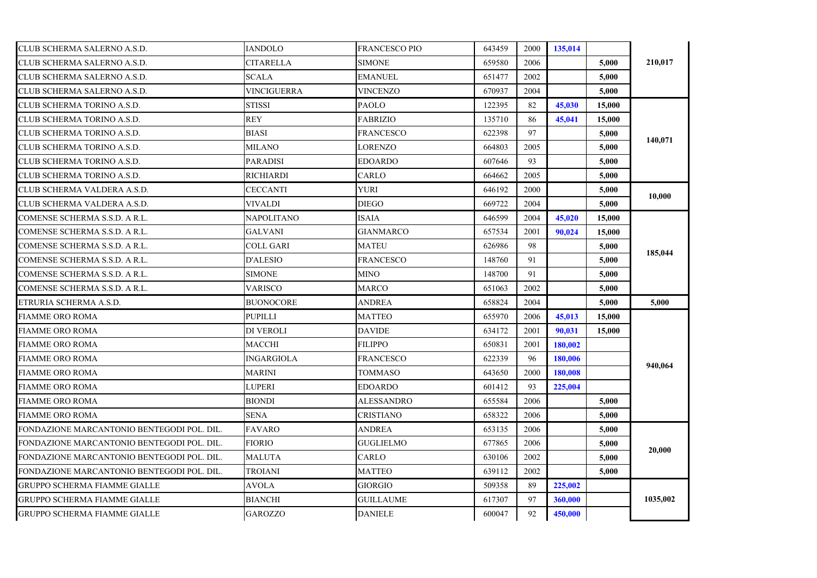| CLUB SCHERMA SALERNO A.S.D.                | <b>IANDOLO</b>     | <b>FRANCESCO PIO</b> | 643459 | 2000 | 135,014 |        |          |
|--------------------------------------------|--------------------|----------------------|--------|------|---------|--------|----------|
| CLUB SCHERMA SALERNO A.S.D.                | CITARELLA          | <b>SIMONE</b>        | 659580 | 2006 |         | 5,000  | 210,017  |
| CLUB SCHERMA SALERNO A.S.D.                | <b>SCALA</b>       | <b>EMANUEL</b>       | 651477 | 2002 |         | 5.000  |          |
| CLUB SCHERMA SALERNO A.S.D.                | <b>VINCIGUERRA</b> | VINCENZO             | 670937 | 2004 |         | 5,000  |          |
| CLUB SCHERMA TORINO A.S.D.                 | <b>STISSI</b>      | <b>PAOLO</b>         | 122395 | 82   | 45,030  | 15,000 |          |
| CLUB SCHERMA TORINO A.S.D.                 | REY                | <b>FABRIZIO</b>      | 135710 | 86   | 45,041  | 15,000 |          |
| CLUB SCHERMA TORINO A.S.D.                 | <b>BIASI</b>       | <b>FRANCESCO</b>     | 622398 | 97   |         | 5,000  |          |
| CLUB SCHERMA TORINO A.S.D.                 | MILANO             | LORENZO              | 664803 | 2005 |         | 5.000  | 140,071  |
| CLUB SCHERMA TORINO A.S.D.                 | <b>PARADISI</b>    | <b>EDOARDO</b>       | 607646 | 93   |         | 5,000  |          |
| CLUB SCHERMA TORINO A.S.D.                 | <b>RICHIARDI</b>   | CARLO                | 664662 | 2005 |         | 5.000  |          |
| CLUB SCHERMA VALDERA A.S.D.                | <b>CECCANTI</b>    | YURI                 | 646192 | 2000 |         | 5,000  |          |
| CLUB SCHERMA VALDERA A.S.D.                | VIVALDI            | <b>DIEGO</b>         | 669722 | 2004 |         | 5.000  | 10,000   |
| COMENSE SCHERMA S.S.D. A R.L.              | NAPOLITANO         | <b>ISAIA</b>         | 646599 | 2004 | 45,020  | 15,000 |          |
| COMENSE SCHERMA S.S.D. A R.L.              | GALVANI            | <b>GIANMARCO</b>     | 657534 | 2001 | 90.024  | 15,000 |          |
| COMENSE SCHERMA S.S.D. A R.L.              | COLL GARI          | <b>MATEU</b>         | 626986 | 98   |         | 5,000  |          |
| COMENSE SCHERMA S.S.D. A R.L.              | D'ALESIO           | FRANCESCO            | 148760 | 91   |         | 5,000  | 185,044  |
| COMENSE SCHERMA S.S.D. A R.L.              | <b>SIMONE</b>      | MINO                 | 148700 | 91   |         | 5,000  |          |
| COMENSE SCHERMA S.S.D. A R.L.              | <b>VARISCO</b>     | <b>MARCO</b>         | 651063 | 2002 |         | 5,000  |          |
| ETRURIA SCHERMA A.S.D.                     | <b>BUONOCORE</b>   | <b>ANDREA</b>        | 658824 | 2004 |         | 5,000  | 5,000    |
| FIAMME ORO ROMA                            | <b>PUPILLI</b>     | <b>MATTEO</b>        | 655970 | 2006 | 45,013  | 15,000 |          |
| <b>FIAMME ORO ROMA</b>                     | DI VEROLI          | <b>DAVIDE</b>        | 634172 | 2001 | 90,031  | 15,000 |          |
| FIAMME ORO ROMA                            | MACCHI             | <b>FILIPPO</b>       | 650831 | 2001 | 180,002 |        |          |
| <b>FIAMME ORO ROMA</b>                     | <b>INGARGIOLA</b>  | <b>FRANCESCO</b>     | 622339 | 96   | 180,006 |        |          |
| <b>FIAMME ORO ROMA</b>                     | <b>MARINI</b>      | TOMMASO              | 643650 | 2000 | 180,008 |        | 940,064  |
| FIAMME ORO ROMA                            | LUPERI             | <b>EDOARDO</b>       | 601412 | 93   | 225,004 |        |          |
| <b>FIAMME ORO ROMA</b>                     | BIONDI             | ALESSANDRO           | 655584 | 2006 |         | 5,000  |          |
| FIAMME ORO ROMA                            | <b>SENA</b>        | <b>CRISTIANO</b>     | 658322 | 2006 |         | 5,000  |          |
| FONDAZIONE MARCANTONIO BENTEGODI POL. DIL. | <b>FAVARO</b>      | <b>ANDREA</b>        | 653135 | 2006 |         | 5,000  |          |
| FONDAZIONE MARCANTONIO BENTEGODI POL. DIL. | <b>FIORIO</b>      | <b>GUGLIELMO</b>     | 677865 | 2006 |         | 5.000  |          |
| FONDAZIONE MARCANTONIO BENTEGODI POL. DIL. | MALUTA             | CARLO                | 630106 | 2002 |         | 5.000  | 20,000   |
| FONDAZIONE MARCANTONIO BENTEGODI POL. DIL. | TROIANI            | MATTEO               | 639112 | 2002 |         | 5,000  |          |
| GRUPPO SCHERMA FIAMME GIALLE               | <b>AVOLA</b>       | <b>GIORGIO</b>       | 509358 | 89   | 225,002 |        |          |
| GRUPPO SCHERMA FIAMME GIALLE               | BIANCHI            | <b>GUILLAUME</b>     | 617307 | 97   | 360,000 |        | 1035,002 |
| <b>GRUPPO SCHERMA FIAMME GIALLE</b>        | <b>GAROZZO</b>     | <b>DANIELE</b>       | 600047 | 92   | 450,000 |        |          |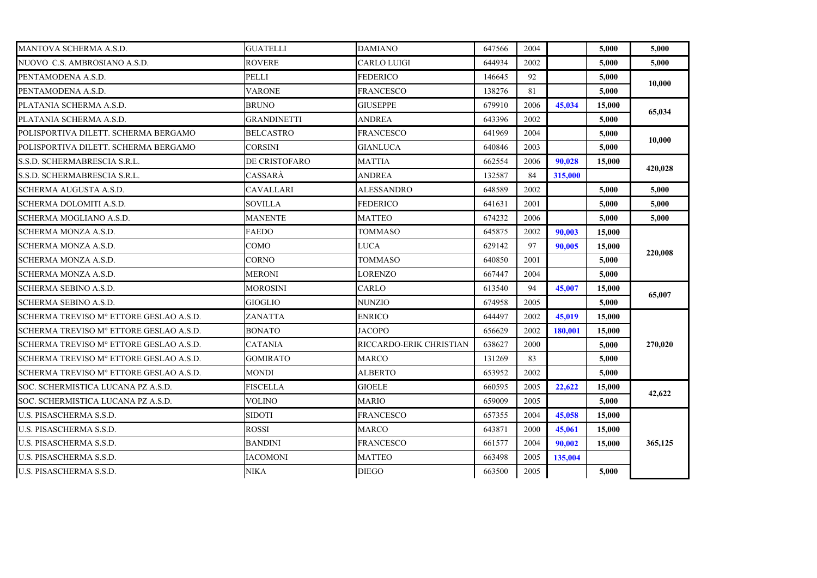| MANTOVA SCHERMA A.S.D.                  | <b>GUATELLI</b>    | <b>DAMIANO</b>          | 647566 | 2004 |                | 5.000  | 5.000   |
|-----------------------------------------|--------------------|-------------------------|--------|------|----------------|--------|---------|
| NUOVO C.S. AMBROSIANO A.S.D.            | <b>ROVERE</b>      | CARLO LUIGI             | 644934 | 2002 |                | 5.000  | 5,000   |
| PENTAMODENA A.S.D.                      | <b>PELLI</b>       | <b>FEDERICO</b>         | 146645 | 92   |                | 5.000  | 10,000  |
| PENTAMODENA A.S.D.                      | <b>VARONE</b>      | FRANCESCO               | 138276 | -81  |                | 5.000  |         |
| PLATANIA SCHERMA A.S.D.                 | <b>BRUNO</b>       | <b>GIUSEPPE</b>         | 679910 | 2006 | 45,034         | 15,000 | 65,034  |
| PLATANIA SCHERMA A.S.D.                 | <b>GRANDINETTI</b> | <b>ANDREA</b>           | 643396 | 2002 |                | 5.000  |         |
| POLISPORTIVA DILETT. SCHERMA BERGAMO    | <b>BELCASTRO</b>   | <b>FRANCESCO</b>        | 641969 | 2004 |                | 5.000  | 10,000  |
| POLISPORTIVA DILETT. SCHERMA BERGAMO    | <b>CORSINI</b>     | <b>GIANLUCA</b>         | 640846 | 2003 |                | 5.000  |         |
| S.S.D. SCHERMABRESCIA S.R.L.            | DE CRISTOFARO      | MATTIA                  | 662554 | 2006 | 90.028         | 15,000 |         |
| S.S.D. SCHERMABRESCIA S.R.L.            | CASSARÀ            | <b>ANDREA</b>           | 132587 | 84   | 315,000        |        | 420,028 |
| SCHERMA AUGUSTA A.S.D.                  | <b>CAVALLARI</b>   | ALESSANDRO              | 648589 | 2002 |                | 5.000  | 5.000   |
| SCHERMA DOLOMITI A.S.D.                 | SOVILLA            | FEDERICO                | 641631 | 2001 |                | 5.000  | 5,000   |
| SCHERMA MOGLIANO A.S.D.                 | <b>MANENTE</b>     | MATTEO                  | 674232 | 2006 |                | 5.000  | 5.000   |
| SCHERMA MONZA A.S.D.                    | <b>FAEDO</b>       | <b>TOMMASO</b>          | 645875 | 2002 | 90.003         | 15,000 |         |
| SCHERMA MONZA A.S.D.                    | COMO               | LUCA                    | 629142 | 97   | 90,005         | 15.000 | 220,008 |
| SCHERMA MONZA A.S.D.                    | <b>CORNO</b>       | <b>TOMMASO</b>          | 640850 | 2001 |                | 5.000  |         |
| SCHERMA MONZA A.S.D.                    | <b>MERONI</b>      | <b>LORENZO</b>          | 667447 | 2004 |                | 5.000  |         |
| SCHERMA SEBINO A.S.D.                   | MOROSINI           | CARLO                   | 613540 | 94   | 45,007         | 15.000 |         |
| SCHERMA SEBINO A.S.D.                   | <b>GIOGLIO</b>     | NUNZIO                  | 674958 | 2005 |                | 5,000  | 65,007  |
| SCHERMA TREVISO Mº ETTORE GESLAO A.S.D. | <b>ZANATTA</b>     | <b>ENRICO</b>           | 644497 | 2002 | 45,019         | 15,000 |         |
| SCHERMA TREVISO Mº ETTORE GESLAO A.S.D. | <b>BONATO</b>      | <b>JACOPO</b>           | 656629 | 2002 | <b>180,001</b> | 15,000 |         |
| SCHERMA TREVISO Mº ETTORE GESLAO A.S.D. | <b>CATANIA</b>     | RICCARDO-ERIK CHRISTIAN | 638627 | 2000 |                | 5.000  | 270,020 |
| SCHERMA TREVISO Mº ETTORE GESLAO A.S.D. | <b>GOMIRATO</b>    | MARCO                   | 131269 | 83   |                | 5.000  |         |
| SCHERMA TREVISO Mº ETTORE GESLAO A.S.D. | <b>MONDI</b>       | <b>ALBERTO</b>          | 653952 | 2002 |                | 5.000  |         |
| SOC. SCHERMISTICA LUCANA PZ A.S.D.      | <b>FISCELLA</b>    | <b>GIOELE</b>           | 660595 | 2005 | 22,622         | 15,000 |         |
| SOC. SCHERMISTICA LUCANA PZ A.S.D.      | <b>VOLINO</b>      | MARIO                   | 659009 | 2005 |                | 5.000  | 42,622  |
| U.S. PISASCHERMA S.S.D.                 | <b>SIDOTI</b>      | <b>FRANCESCO</b>        | 657355 | 2004 | 45,058         | 15,000 |         |
| U.S. PISASCHERMA S.S.D.                 | <b>ROSSI</b>       | <b>MARCO</b>            | 643871 | 2000 | 45,061         | 15,000 |         |
| U.S. PISASCHERMA S.S.D.                 | <b>BANDINI</b>     | FRANCESCO               | 661577 | 2004 | 90.002         | 15,000 | 365,125 |
| U.S. PISASCHERMA S.S.D.                 | <b>IACOMONI</b>    | <b>MATTEO</b>           | 663498 | 2005 | 135,004        |        |         |
| U.S. PISASCHERMA S.S.D.                 | <b>NIKA</b>        | <b>DIEGO</b>            | 663500 | 2005 |                | 5,000  |         |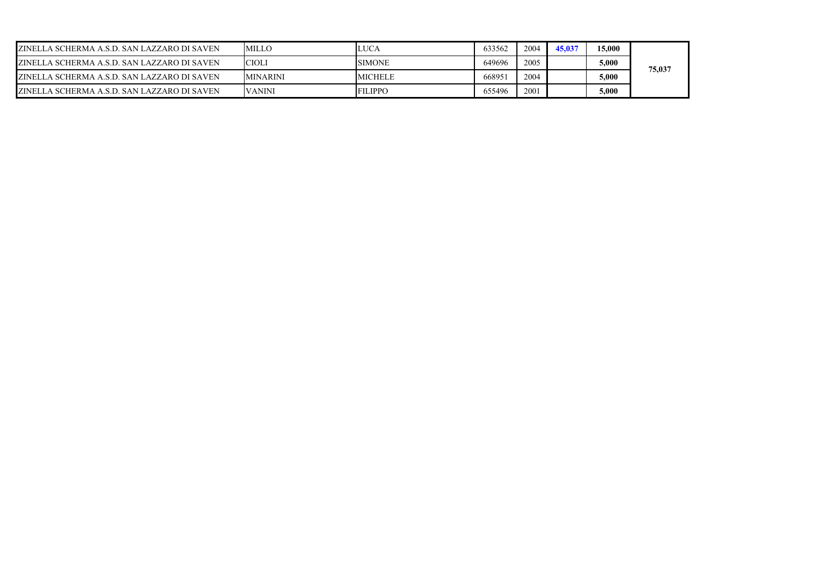| ZINELLA SCHERMA A.S.D. SAN LAZZARO DI SAVEN         | <b>MILLO</b>    | LUCA           | 633562 | 2004 | 45.037 | 15,000 |        |
|-----------------------------------------------------|-----------------|----------------|--------|------|--------|--------|--------|
| <b>IZINELLA SCHERMA A.S.D. SAN LAZZARO DI SAVEN</b> | <b>CIOLI</b>    | <b>SIMONE</b>  | 649696 | 2005 |        | 5,000  | 75,037 |
| <b>IZINELLA SCHERMA A.S.D. SAN LAZZARO DI SAVEN</b> | <b>MINARINI</b> | <b>MICHELE</b> | 66895  | 2004 |        | 5,000  |        |
| ZINELLA SCHERMA A.S.D. SAN LAZZARO DI SAVEN         | <b>VANINI</b>   | <b>FILIPPO</b> | 655496 | 2001 |        | 5,000  |        |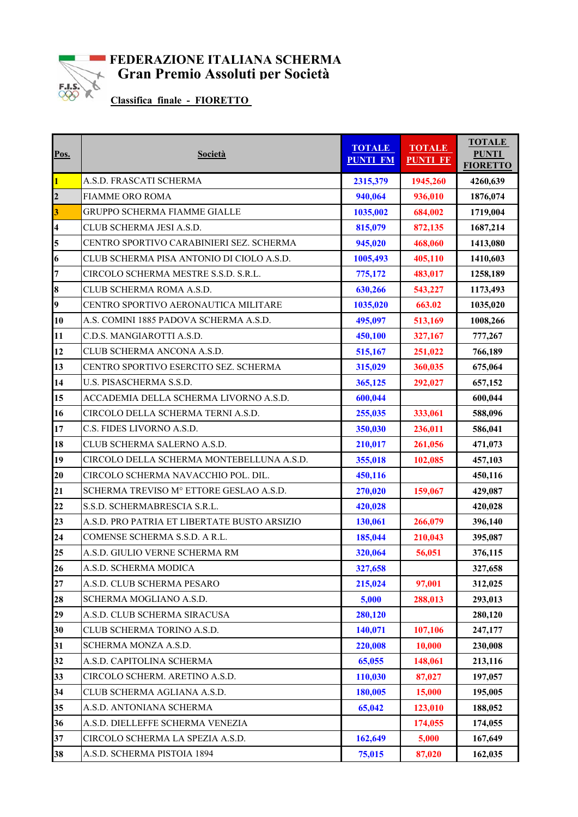

## **FEDERAZIONE ITALIANA SCHERMA** Gran Premio Assoluti per Società

**Classifica finale - FIORETTO** 

| Pos.                    | Società                                      | <b>TOTALE</b><br><b>PUNTI FM</b> | <b>TOTALE</b><br><b>PUNTI FF</b> | <b>TOTALE</b><br><b>PUNTI</b><br><b>FIORETTO</b> |
|-------------------------|----------------------------------------------|----------------------------------|----------------------------------|--------------------------------------------------|
| $\mathbf{1}$            | A.S.D. FRASCATI SCHERMA                      | 2315,379                         | 1945,260                         | 4260,639                                         |
| $\overline{2}$          | <b>FIAMME ORO ROMA</b>                       | 940,064                          | 936,010                          | 1876,074                                         |
| 3                       | GRUPPO SCHERMA FIAMME GIALLE                 | 1035,002                         | 684,002                          | 1719,004                                         |
| $\overline{\mathbf{4}}$ | CLUB SCHERMA JESI A.S.D.                     | 815,079                          | 872,135                          | 1687,214                                         |
| 5                       | CENTRO SPORTIVO CARABINIERI SEZ. SCHERMA     | 945,020                          | 468,060                          | 1413,080                                         |
| 6                       | CLUB SCHERMA PISA ANTONIO DI CIOLO A.S.D.    | 1005,493                         | 405,110                          | 1410,603                                         |
| $\overline{7}$          | CIRCOLO SCHERMA MESTRE S.S.D. S.R.L.         | 775,172                          | 483,017                          | 1258,189                                         |
| 8                       | CLUB SCHERMA ROMA A.S.D.                     | 630,266                          | 543,227                          | 1173,493                                         |
| 9                       | CENTRO SPORTIVO AERONAUTICA MILITARE         | 1035,020                         | 663.02                           | 1035,020                                         |
| 10                      | A.S. COMINI 1885 PADOVA SCHERMA A.S.D.       | 495,097                          | 513,169                          | 1008,266                                         |
| 11                      | C.D.S. MANGIAROTTI A.S.D.                    | 450,100                          | 327,167                          | 777,267                                          |
| 12                      | CLUB SCHERMA ANCONA A.S.D.                   | 515,167                          | 251,022                          | 766,189                                          |
| 13                      | CENTRO SPORTIVO ESERCITO SEZ. SCHERMA        | 315,029                          | 360,035                          | 675,064                                          |
| 14                      | U.S. PISASCHERMA S.S.D.                      | 365,125                          | 292,027                          | 657,152                                          |
| 15                      | ACCADEMIA DELLA SCHERMA LIVORNO A.S.D.       | 600,044                          |                                  | 600,044                                          |
| 16                      | CIRCOLO DELLA SCHERMA TERNI A.S.D.           | 255,035                          | 333,061                          | 588,096                                          |
| 17                      | C.S. FIDES LIVORNO A.S.D.                    | 350,030                          | 236,011                          | 586,041                                          |
| 18                      | CLUB SCHERMA SALERNO A.S.D.                  | 210,017                          | 261,056                          | 471,073                                          |
| 19                      | CIRCOLO DELLA SCHERMA MONTEBELLUNA A.S.D.    | 355,018                          | 102,085                          | 457,103                                          |
| 20                      | CIRCOLO SCHERMA NAVACCHIO POL. DIL.          | 450,116                          |                                  | 450,116                                          |
| 21                      | SCHERMA TREVISO M° ETTORE GESLAO A.S.D.      | 270,020                          | 159,067                          | 429,087                                          |
| 22                      | S.S.D. SCHERMABRESCIA S.R.L.                 | 420,028                          |                                  | 420,028                                          |
| 23                      | A.S.D. PRO PATRIA ET LIBERTATE BUSTO ARSIZIO | 130,061                          | 266,079                          | 396,140                                          |
| 24                      | COMENSE SCHERMA S.S.D. A R.L.                | 185,044                          | 210,043                          | 395,087                                          |
| 25                      | A.S.D. GIULIO VERNE SCHERMA RM               | 320,064                          | 56,051                           | 376,115                                          |
| 26                      | A.S.D. SCHERMA MODICA                        | 327,658                          |                                  | 327,658                                          |
| 27                      | A.S.D. CLUB SCHERMA PESARO                   | 215,024                          | 97,001                           | 312,025                                          |
| 28                      | SCHERMA MOGLIANO A.S.D.                      | 5,000                            | 288,013                          | 293,013                                          |
| 29                      | A.S.D. CLUB SCHERMA SIRACUSA                 | 280,120                          |                                  | 280,120                                          |
| 30                      | CLUB SCHERMA TORINO A.S.D.                   | 140,071                          | 107,106                          | 247,177                                          |
| 31                      | SCHERMA MONZA A.S.D.                         | 220,008                          | 10,000                           | 230,008                                          |
| 32                      | A.S.D. CAPITOLINA SCHERMA                    | 65,055                           | 148,061                          | 213,116                                          |
| 33                      | CIRCOLO SCHERM. ARETINO A.S.D.               | 110,030                          | 87,027                           | 197,057                                          |
| 34                      | CLUB SCHERMA AGLIANA A.S.D.                  | 180,005                          | 15,000                           | 195,005                                          |
| 35                      | A.S.D. ANTONIANA SCHERMA                     | 65,042                           | 123,010                          | 188,052                                          |
| 36                      | A.S.D. DIELLEFFE SCHERMA VENEZIA             |                                  | 174,055                          | 174,055                                          |
| 37                      | CIRCOLO SCHERMA LA SPEZIA A.S.D.             | 162,649                          | 5,000                            | 167,649                                          |
| 38                      | A.S.D. SCHERMA PISTOIA 1894                  | 75,015                           | 87,020                           | 162,035                                          |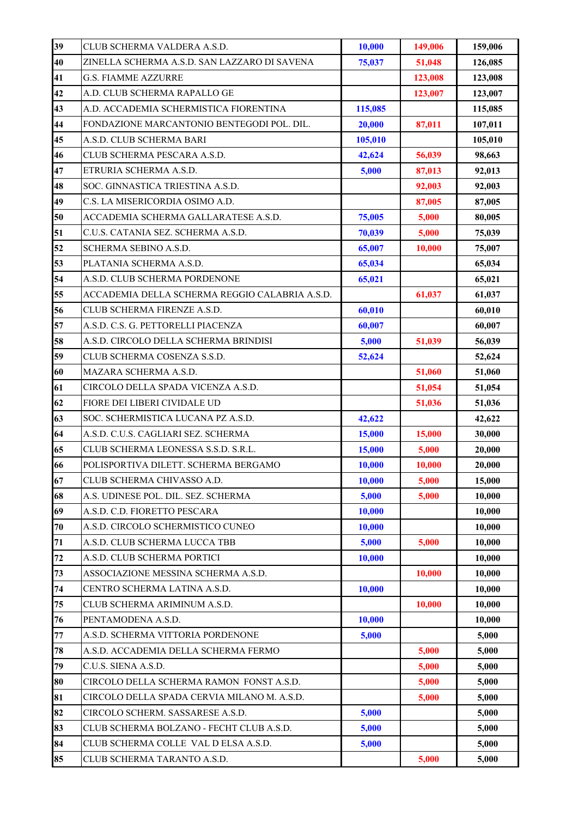| 39 | CLUB SCHERMA VALDERA A.S.D.                    | 10,000  | 149,006 | 159,006 |
|----|------------------------------------------------|---------|---------|---------|
| 40 | ZINELLA SCHERMA A.S.D. SAN LAZZARO DI SAVENA   | 75,037  | 51,048  | 126,085 |
| 41 | <b>G.S. FIAMME AZZURRE</b>                     |         | 123,008 | 123,008 |
| 42 | A.D. CLUB SCHERMA RAPALLO GE                   |         | 123,007 | 123,007 |
| 43 | A.D. ACCADEMIA SCHERMISTICA FIORENTINA         | 115,085 |         | 115,085 |
| 44 | FONDAZIONE MARCANTONIO BENTEGODI POL. DIL.     | 20,000  | 87,011  | 107,011 |
| 45 | A.S.D. CLUB SCHERMA BARI                       | 105,010 |         | 105,010 |
| 46 | CLUB SCHERMA PESCARA A.S.D.                    | 42,624  | 56,039  | 98,663  |
| 47 | ETRURIA SCHERMA A.S.D.                         | 5,000   | 87,013  | 92,013  |
| 48 | SOC. GINNASTICA TRIESTINA A.S.D.               |         | 92,003  | 92,003  |
| 49 | C.S. LA MISERICORDIA OSIMO A.D.                |         | 87,005  | 87,005  |
| 50 | ACCADEMIA SCHERMA GALLARATESE A.S.D.           | 75,005  | 5,000   | 80,005  |
| 51 | C.U.S. CATANIA SEZ. SCHERMA A.S.D.             | 70,039  | 5,000   | 75,039  |
| 52 | SCHERMA SEBINO A.S.D.                          | 65,007  | 10,000  | 75,007  |
| 53 | PLATANIA SCHERMA A.S.D.                        | 65,034  |         | 65,034  |
| 54 | A.S.D. CLUB SCHERMA PORDENONE                  | 65,021  |         | 65,021  |
| 55 | ACCADEMIA DELLA SCHERMA REGGIO CALABRIA A.S.D. |         | 61,037  | 61,037  |
| 56 | CLUB SCHERMA FIRENZE A.S.D.                    | 60,010  |         | 60,010  |
| 57 | A.S.D. C.S. G. PETTORELLI PIACENZA             | 60,007  |         | 60,007  |
| 58 | A.S.D. CIRCOLO DELLA SCHERMA BRINDISI          | 5,000   | 51,039  | 56,039  |
| 59 | CLUB SCHERMA COSENZA S.S.D.                    | 52,624  |         | 52,624  |
| 60 | MAZARA SCHERMA A.S.D.                          |         | 51,060  | 51,060  |
| 61 | CIRCOLO DELLA SPADA VICENZA A.S.D.             |         | 51,054  | 51,054  |
| 62 | FIORE DEI LIBERI CIVIDALE UD                   |         | 51,036  | 51,036  |
| 63 | SOC. SCHERMISTICA LUCANA PZ A.S.D.             | 42,622  |         | 42,622  |
| 64 | A.S.D. C.U.S. CAGLIARI SEZ. SCHERMA            | 15,000  | 15,000  | 30,000  |
| 65 | CLUB SCHERMA LEONESSA S.S.D. S.R.L.            | 15,000  | 5,000   | 20,000  |
| 66 | POLISPORTIVA DILETT. SCHERMA BERGAMO           | 10,000  | 10,000  | 20,000  |
| 67 | CLUB SCHERMA CHIVASSO A.D.                     | 10,000  | 5,000   | 15,000  |
| 68 | A.S. UDINESE POL. DIL. SEZ. SCHERMA            | 5,000   | 5,000   | 10,000  |
| 69 | A.S.D. C.D. FIORETTO PESCARA                   | 10.000  |         | 10,000  |
| 70 | A.S.D. CIRCOLO SCHERMISTICO CUNEO              | 10,000  |         | 10,000  |
| 71 | A.S.D. CLUB SCHERMA LUCCA TBB                  | 5,000   | 5,000   | 10,000  |
| 72 | A.S.D. CLUB SCHERMA PORTICI                    | 10,000  |         | 10,000  |
| 73 | ASSOCIAZIONE MESSINA SCHERMA A.S.D.            |         | 10,000  | 10,000  |
| 74 | CENTRO SCHERMA LATINA A.S.D.                   | 10,000  |         | 10,000  |
| 75 | CLUB SCHERMA ARIMINUM A.S.D.                   |         | 10,000  | 10,000  |
| 76 | PENTAMODENA A.S.D.                             | 10,000  |         | 10,000  |
| 77 | A.S.D. SCHERMA VITTORIA PORDENONE              | 5,000   |         | 5,000   |
| 78 | A.S.D. ACCADEMIA DELLA SCHERMA FERMO           |         | 5,000   | 5,000   |
| 79 | C.U.S. SIENA A.S.D.                            |         | 5,000   | 5,000   |
| 80 | CIRCOLO DELLA SCHERMA RAMON FONST A.S.D.       |         | 5,000   | 5,000   |
| 81 | CIRCOLO DELLA SPADA CERVIA MILANO M. A.S.D.    |         | 5,000   | 5,000   |
| 82 | CIRCOLO SCHERM. SASSARESE A.S.D.               | 5,000   |         | 5,000   |
| 83 | CLUB SCHERMA BOLZANO - FECHT CLUB A.S.D.       | 5,000   |         | 5,000   |
| 84 | CLUB SCHERMA COLLE VAL D ELSA A.S.D.           | 5,000   |         | 5,000   |
| 85 | CLUB SCHERMA TARANTO A.S.D.                    |         | 5,000   | 5,000   |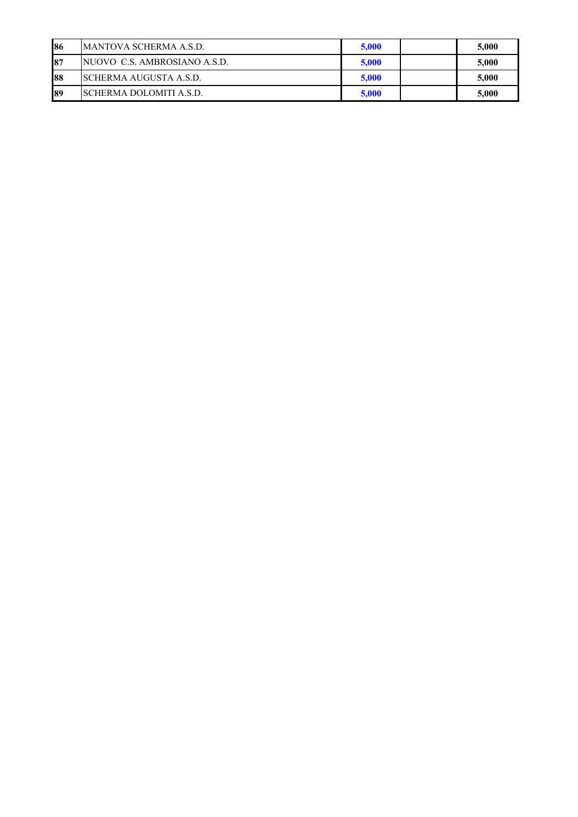| 86 | <b>MANTOVA SCHERMA A.S.D.</b>   | 5.000 | 5,000 |
|----|---------------------------------|-------|-------|
| 87 | NUOVO C.S. AMBROSIANO A.S.D.    | 5,000 | 5,000 |
| 88 | <b>SCHERMA AUGUSTA A.S.D.</b>   | 5,000 | 5,000 |
| 89 | <b>ISCHERMA DOLOMITI A.S.D.</b> | 5,000 | 5,000 |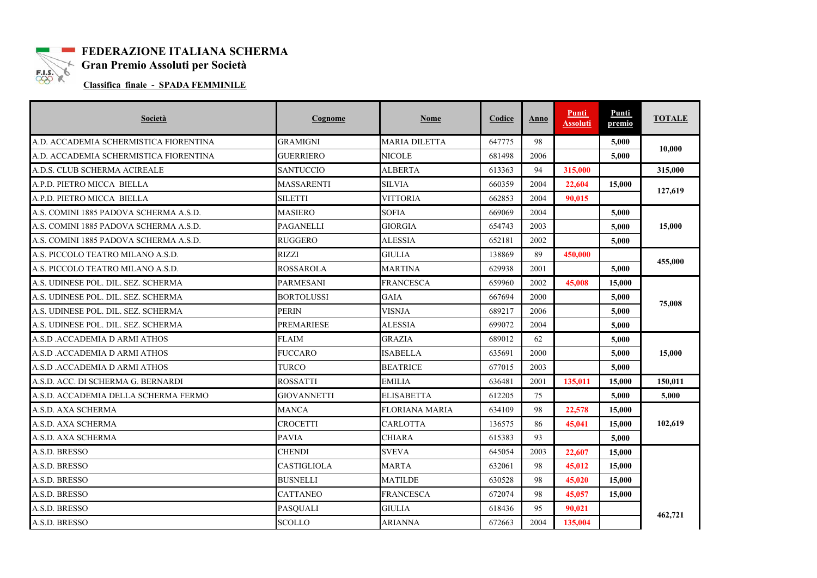

# **FEDERAZIONE ITALIANA SCHERMA** ELS Gran Premio Assoluti per Società

**Classifica finale - SPADA FEMMINILE** 

| Società                                | Cognome            | <b>Nome</b>          | Codice | Anno | <b>Punti</b><br><b>Assoluti</b> | Punti<br>premio | <b>TOTALE</b> |
|----------------------------------------|--------------------|----------------------|--------|------|---------------------------------|-----------------|---------------|
| A.D. ACCADEMIA SCHERMISTICA FIORENTINA | <b>GRAMIGNI</b>    | <b>MARIA DILETTA</b> | 647775 | 98   |                                 | 5,000           | 10.000        |
| A.D. ACCADEMIA SCHERMISTICA FIORENTINA | GUERRIERO          | NICOLE               | 681498 | 2006 |                                 | 5,000           |               |
| A.D.S. CLUB SCHERMA ACIREALE           | <b>SANTUCCIO</b>   | <b>ALBERTA</b>       | 613363 | 94   | 315,000                         |                 | 315,000       |
| A.P.D. PIETRO MICCA  BIELLA            | MASSARENTI         | SILVIA               | 660359 | 2004 | 22,604                          | 15,000          | 127,619       |
| A.P.D. PIETRO MICCA BIELLA             | <b>SILETTI</b>     | <b>VITTORIA</b>      | 662853 | 2004 | 90.015                          |                 |               |
| A.S. COMINI 1885 PADOVA SCHERMA A.S.D. | <b>MASIERO</b>     | <b>SOFIA</b>         | 669069 | 2004 |                                 | 5,000           |               |
| A.S. COMINI 1885 PADOVA SCHERMA A.S.D. | <b>PAGANELLI</b>   | <b>GIORGIA</b>       | 654743 | 2003 |                                 | 5,000           | 15,000        |
| A.S. COMINI 1885 PADOVA SCHERMA A.S.D. | <b>RUGGERO</b>     | <b>ALESSIA</b>       | 652181 | 2002 |                                 | 5,000           |               |
| A.S. PICCOLO TEATRO MILANO A.S.D.      | <b>RIZZI</b>       | <b>GIULIA</b>        | 138869 | 89   | 450,000                         |                 | 455,000       |
| A.S. PICCOLO TEATRO MILANO A.S.D.      | <b>ROSSAROLA</b>   | <b>MARTINA</b>       | 629938 | 2001 |                                 | 5,000           |               |
| A.S. UDINESE POL. DIL. SEZ. SCHERMA    | <b>PARMESANI</b>   | <b>FRANCESCA</b>     | 659960 | 2002 | 45,008                          | 15,000          | 75,008        |
| A.S. UDINESE POL. DIL. SEZ. SCHERMA    | <b>BORTOLUSSI</b>  | <b>GAIA</b>          | 667694 | 2000 |                                 | 5,000           |               |
| A.S. UDINESE POL. DIL. SEZ. SCHERMA    | <b>PERIN</b>       | <b>VISNJA</b>        | 689217 | 2006 |                                 | 5,000           |               |
| A.S. UDINESE POL. DIL. SEZ. SCHERMA    | <b>PREMARIESE</b>  | ALESSIA              | 699072 | 2004 |                                 | 5,000           |               |
| A.S.D .ACCADEMIA D ARMI ATHOS          | <b>FLAIM</b>       | <b>GRAZIA</b>        | 689012 | 62   |                                 | 5,000           |               |
| A.S.D .ACCADEMIA D ARMI ATHOS          | <b>FUCCARO</b>     | ISABELLA             | 635691 | 2000 |                                 | 5.000           | 15,000        |
| A.S.D .ACCADEMIA D ARMI ATHOS          | <b>TURCO</b>       | <b>BEATRICE</b>      | 677015 | 2003 |                                 | 5,000           |               |
| A.S.D. ACC. DI SCHERMA G. BERNARDI     | <b>ROSSATTI</b>    | <b>EMILIA</b>        | 636481 | 2001 | 135.011                         | 15,000          | 150.011       |
| A.S.D. ACCADEMIA DELLA SCHERMA FERMO   | <b>GIOVANNETTI</b> | <b>ELISABETTA</b>    | 612205 | 75   |                                 | 5,000           | 5,000         |
| A.S.D. AXA SCHERMA                     | <b>MANCA</b>       | FLORIANA MARIA       | 634109 | 98   | 22,578                          | 15,000          |               |
| A.S.D. AXA SCHERMA                     | <b>CROCETTI</b>    | CARLOTTA             | 136575 | 86   | 45,041                          | 15,000          | 102,619       |
| A.S.D. AXA SCHERMA                     | <b>PAVIA</b>       | <b>CHIARA</b>        | 615383 | 93   |                                 | 5.000           |               |
| A.S.D. BRESSO                          | <b>CHENDI</b>      | <b>SVEVA</b>         | 645054 | 2003 | 22,607                          | 15,000          |               |
| A.S.D. BRESSO                          | <b>CASTIGLIOLA</b> | <b>MARTA</b>         | 632061 | 98   | 45,012                          | 15,000          |               |
| A.S.D. BRESSO                          | <b>BUSNELLI</b>    | MATILDE              | 630528 | 98   | 45,020                          | 15,000          |               |
| A.S.D. BRESSO                          | <b>CATTANEO</b>    | <b>FRANCESCA</b>     | 672074 | 98   | 45,057                          | 15,000          | 462,721       |
| A.S.D. BRESSO                          | <b>PASQUALI</b>    | GIULIA               | 618436 | 95   | 90,021                          |                 |               |
| A.S.D. BRESSO                          | <b>SCOLLO</b>      | <b>ARIANNA</b>       | 672663 | 2004 | 135,004                         |                 |               |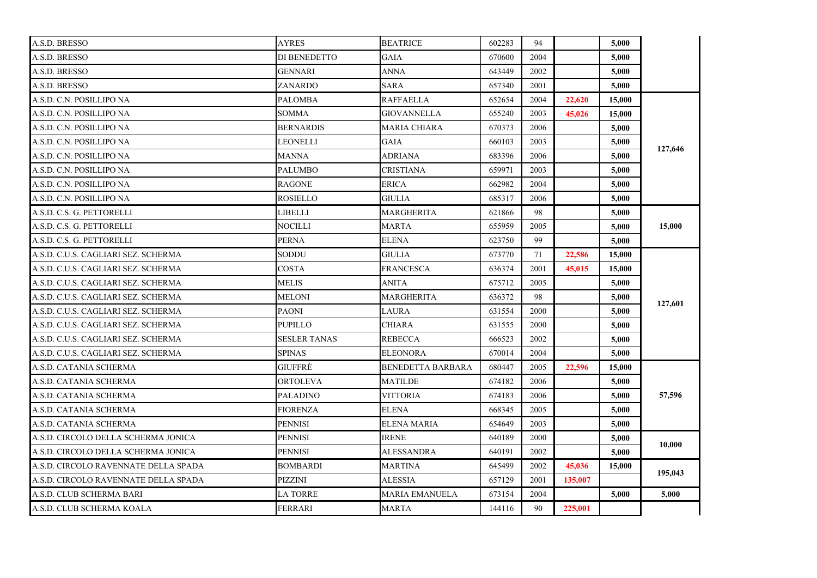| A.S.D. BRESSO                        | AYRES            | <b>BEATRICE</b>          | 602283 | 94   |         | 5,000  |         |
|--------------------------------------|------------------|--------------------------|--------|------|---------|--------|---------|
| A.S.D. BRESSO                        | DI BENEDETTO     | GAIA                     | 670600 | 2004 |         | 5.000  |         |
| A.S.D. BRESSO                        | GENNARI          | <b>ANNA</b>              | 643449 | 2002 |         | 5.000  |         |
| A.S.D. BRESSO                        | ZANARDO          | SARA                     | 657340 | 2001 |         | 5,000  |         |
| A.S.D. C.N. POSILLIPO NA             | PALOMBA          | RAFFAELLA                | 652654 | 2004 | 22,620  | 15,000 |         |
| A.S.D. C.N. POSILLIPO NA             | SOMMA            | <b>GIOVANNELLA</b>       | 655240 | 2003 | 45,026  | 15,000 |         |
| A.S.D. C.N. POSILLIPO NA             | <b>BERNARDIS</b> | MARIA CHIARA             | 670373 | 2006 |         | 5,000  |         |
| A.S.D. C.N. POSILLIPO NA             | LEONELLI         | <b>GAIA</b>              | 660103 | 2003 |         | 5,000  | 127,646 |
| A.S.D. C.N. POSILLIPO NA             | MANNA            | <b>ADRIANA</b>           | 683396 | 2006 |         | 5,000  |         |
| A.S.D. C.N. POSILLIPO NA             | <b>PALUMBO</b>   | CRISTIANA                | 659971 | 2003 |         | 5.000  |         |
| A.S.D. C.N. POSILLIPO NA             | RAGONE           | ERICA                    | 662982 | 2004 |         | 5,000  |         |
| A.S.D. C.N. POSILLIPO NA             | <b>ROSIELLO</b>  | GIULIA                   | 685317 | 2006 |         | 5,000  |         |
| A.S.D. C.S. G. PETTORELLI            | LIBELLI          | MARGHERITA               | 621866 | 98   |         | 5,000  |         |
| A.S.D. C.S. G. PETTORELLI            | NOCILLI          | MARTA                    | 655959 | 2005 |         | 5.000  | 15,000  |
| A.S.D. C.S. G. PETTORELLI            | <b>PERNA</b>     | ELENA                    | 623750 | 99   |         | 5,000  |         |
| A.S.D. C.U.S. CAGLIARI SEZ. SCHERMA  | SODDU            | GIULIA                   | 673770 | 71   | 22,586  | 15,000 |         |
| A.S.D. C.U.S. CAGLIARI SEZ. SCHERMA  | COSTA            | <b>FRANCESCA</b>         | 636374 | 2001 | 45,015  | 15,000 |         |
| A.S.D. C.U.S. CAGLIARI SEZ. SCHERMA  | MELIS            | ANITA                    | 675712 | 2005 |         | 5,000  | 127,601 |
| A.S.D. C.U.S. CAGLIARI SEZ. SCHERMA  | MELONI           | MARGHERITA               | 636372 | 98   |         | 5,000  |         |
| A.S.D. C.U.S. CAGLIARI SEZ. SCHERMA  | PAONI            | LAURA                    | 631554 | 2000 |         | 5.000  |         |
| A.S.D. C.U.S. CAGLIARI SEZ. SCHERMA  | PUPILLO          | CHIARA                   | 631555 | 2000 |         | 5,000  |         |
| A.S.D. C.U.S. CAGLIARI SEZ. SCHERMA  | SESLER TANAS     | <b>REBECCA</b>           | 666523 | 2002 |         | 5.000  |         |
| A.S.D. C.U.S. CAGLIARI SEZ. SCHERMA  | <b>SPINAS</b>    | <b>ELEONORA</b>          | 670014 | 2004 |         | 5,000  |         |
| A.S.D. CATANIA SCHERMA               | <b>GIUFFRE</b>   | <b>BENEDETTA BARBARA</b> | 680447 | 2005 | 22,596  | 15,000 |         |
| A.S.D. CATANIA SCHERMA               | ORTOLEVA         | MATILDE                  | 674182 | 2006 |         | 5,000  |         |
| A.S.D. CATANIA SCHERMA               | PALADINO         | VITTORIA                 | 674183 | 2006 |         | 5,000  | 57,596  |
| A.S.D. CATANIA SCHERMA               | FIORENZA         | <b>ELENA</b>             | 668345 | 2005 |         | 5,000  |         |
| A.S.D. CATANIA SCHERMA               | <b>PENNISI</b>   | <b>ELENA MARIA</b>       | 654649 | 2003 |         | 5.000  |         |
| A.S.D. CIRCOLO DELLA SCHERMA JONICA  | <b>PENNISI</b>   | <b>IRENE</b>             | 640189 | 2000 |         | 5,000  | 10,000  |
| A.S.D. CIRCOLO DELLA SCHERMA JONICA  | <b>PENNISI</b>   | ALESSANDRA               | 640191 | 2002 |         | 5.000  |         |
| A.S.D. CIRCOLO RAVENNATE DELLA SPADA | BOMBARDI         | MARTINA                  | 645499 | 2002 | 45,036  | 15,000 | 195,043 |
| A.S.D. CIRCOLO RAVENNATE DELLA SPADA | PIZZINI          | ALESSIA                  | 657129 | 2001 | 135,007 |        |         |
| A.S.D. CLUB SCHERMA BARI             | <b>LA TORRE</b>  | <b>MARIA EMANUELA</b>    | 673154 | 2004 |         | 5,000  | 5,000   |
| A.S.D. CLUB SCHERMA KOALA            | FERRARI          | MARTA                    | 144116 | 90   | 225,001 |        |         |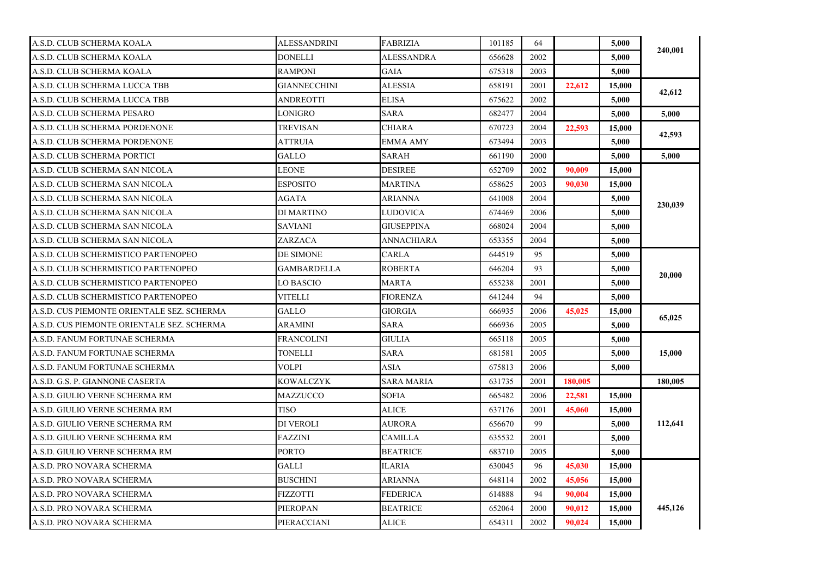| A.S.D. CLUB SCHERMA KOALA                  | ALESSANDRINI        | <b>FABRIZIA</b>   | 101185 | 64   |         | 5,000  |         |
|--------------------------------------------|---------------------|-------------------|--------|------|---------|--------|---------|
| A.S.D. CLUB SCHERMA KOALA                  | <b>DONELLI</b>      | <b>ALESSANDRA</b> | 656628 | 2002 |         | 5.000  | 240,001 |
| A.S.D. CLUB SCHERMA KOALA                  | <b>RAMPONI</b>      | GAIA              | 675318 | 2003 |         | 5,000  |         |
| A.S.D. CLUB SCHERMA LUCCA TBB              | <b>GIANNECCHINI</b> | <b>ALESSIA</b>    | 658191 | 2001 | 22.612  | 15,000 |         |
| A.S.D. CLUB SCHERMA LUCCA TBB              | ANDREOTTI           | ELISA             | 675622 | 2002 |         | 5,000  | 42,612  |
| A.S.D. CLUB SCHERMA PESARO                 | LONIGRO             | <b>SARA</b>       | 682477 | 2004 |         | 5,000  | 5,000   |
| A.S.D. CLUB SCHERMA PORDENONE              | <b>TREVISAN</b>     | CHIARA            | 670723 | 2004 | 22.593  | 15,000 |         |
| A.S.D. CLUB SCHERMA PORDENONE              | ATTRUIA             | EMMA AMY          | 673494 | 2003 |         | 5.000  | 42,593  |
| A.S.D. CLUB SCHERMA PORTICI                | GALLO               | SARAH             | 661190 | 2000 |         | 5,000  | 5,000   |
| A.S.D. CLUB SCHERMA SAN NICOLA             | LEONE               | <b>DESIREE</b>    | 652709 | 2002 | 90.009  | 15,000 |         |
| A.S.D. CLUB SCHERMA SAN NICOLA             | ESPOSITO            | MARTINA           | 658625 | 2003 | 90,030  | 15,000 |         |
| A.S.D. CLUB SCHERMA SAN NICOLA             | AGATA               | ARIANNA           | 641008 | 2004 |         | 5,000  | 230,039 |
| A.S.D. CLUB SCHERMA SAN NICOLA             | DI MARTINO          | <b>LUDOVICA</b>   | 674469 | 2006 |         | 5,000  |         |
| A.S.D. CLUB SCHERMA SAN NICOLA             | <b>SAVIANI</b>      | <b>GIUSEPPINA</b> | 668024 | 2004 |         | 5,000  |         |
| A.S.D. CLUB SCHERMA SAN NICOLA             | ZARZACA             | <b>ANNACHIARA</b> | 653355 | 2004 |         | 5,000  |         |
| A.S.D. CLUB SCHERMISTICO PARTENOPEO        | DE SIMONE           | <b>CARLA</b>      | 644519 | 95   |         | 5,000  |         |
| A.S.D. CLUB SCHERMISTICO PARTENOPEO        | GAMBARDELLA         | ROBERTA           | 646204 | 93   |         | 5,000  | 20,000  |
| A.S.D. CLUB SCHERMISTICO PARTENOPEO        | <b>LO BASCIO</b>    | <b>MARTA</b>      | 655238 | 2001 |         | 5,000  |         |
| A.S.D. CLUB SCHERMISTICO PARTENOPEO        | <b>VITELLI</b>      | <b>FIORENZA</b>   | 641244 | 94   |         | 5,000  |         |
| A.S.D. CUS PIEMONTE ORIENTALE SEZ. SCHERMA | GALLO               | <b>GIORGIA</b>    | 666935 | 2006 | 45,025  | 15,000 |         |
| A.S.D. CUS PIEMONTE ORIENTALE SEZ. SCHERMA | ARAMINI             | <b>SARA</b>       | 666936 | 2005 |         | 5,000  | 65,025  |
| A.S.D. FANUM FORTUNAE SCHERMA              | <b>FRANCOLINI</b>   | <b>GIULIA</b>     | 665118 | 2005 |         | 5,000  |         |
| A.S.D. FANUM FORTUNAE SCHERMA              | <b>TONELLI</b>      | <b>SARA</b>       | 681581 | 2005 |         | 5,000  | 15,000  |
| A.S.D. FANUM FORTUNAE SCHERMA              | VOLPI               | ASIA              | 675813 | 2006 |         | 5,000  |         |
| A.S.D. G.S. P. GIANNONE CASERTA            | KOWALCZYK           | SARA MARIA        | 631735 | 2001 | 180,005 |        | 180,005 |
| A.S.D. GIULIO VERNE SCHERMA RM             | MAZZUCCO            | <b>SOFIA</b>      | 665482 | 2006 | 22,581  | 15,000 |         |
| A.S.D. GIULIO VERNE SCHERMA RM             | <b>TISO</b>         | <b>ALICE</b>      | 637176 | 2001 | 45,060  | 15,000 |         |
| A.S.D. GIULIO VERNE SCHERMA RM             | DI VEROLI           | AURORA            | 656670 | 99   |         | 5,000  | 112,641 |
| A.S.D. GIULIO VERNE SCHERMA RM             | FAZZINI             | CAMILLA           | 635532 | 2001 |         | 5,000  |         |
| A.S.D. GIULIO VERNE SCHERMA RM             | <b>PORTO</b>        | <b>BEATRICE</b>   | 683710 | 2005 |         | 5,000  |         |
| A.S.D. PRO NOVARA SCHERMA                  | <b>GALLI</b>        | ILARIA            | 630045 | 96   | 45,030  | 15,000 |         |
| A.S.D. PRO NOVARA SCHERMA                  | BUSCHINI            | ARIANNA           | 648114 | 2002 | 45,056  | 15,000 |         |
| A.S.D. PRO NOVARA SCHERMA                  | <b>FIZZOTTI</b>     | <b>FEDERICA</b>   | 614888 | 94   | 90.004  | 15,000 | 445,126 |
| A.S.D. PRO NOVARA SCHERMA                  | <b>PIEROPAN</b>     | <b>BEATRICE</b>   | 652064 | 2000 | 90,012  | 15,000 |         |
| A.S.D. PRO NOVARA SCHERMA                  | PIERACCIANI         | <b>ALICE</b>      | 654311 | 2002 | 90,024  | 15,000 |         |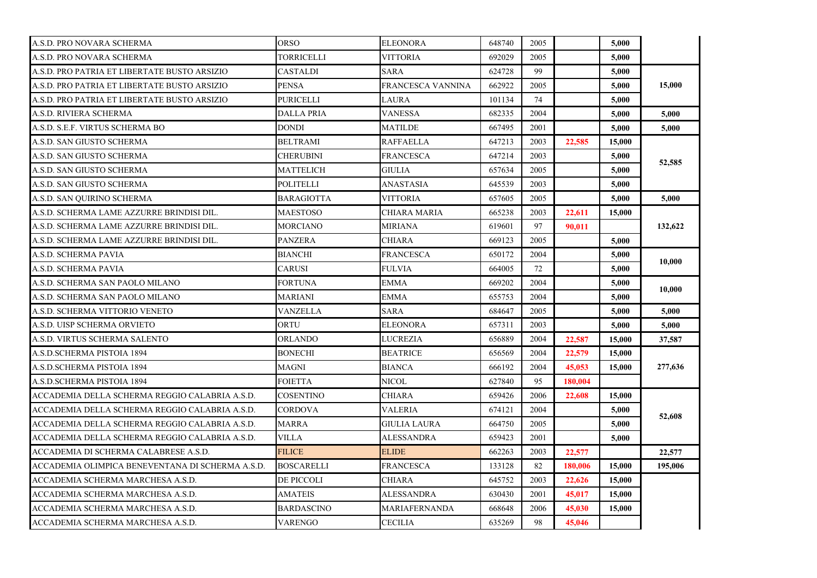| A.S.D. PRO NOVARA SCHERMA                        | ORSO              | <b>ELEONORA</b>      | 648740 | 2005 |         | 5.000  |         |
|--------------------------------------------------|-------------------|----------------------|--------|------|---------|--------|---------|
| A.S.D. PRO NOVARA SCHERMA                        | TORRICELLI        | VITTORIA             | 692029 | 2005 |         | 5.000  |         |
| A.S.D. PRO PATRIA ET LIBERTATE BUSTO ARSIZIO     | <b>CASTALDI</b>   | SARA                 | 624728 | 99   |         | 5,000  |         |
| A.S.D. PRO PATRIA ET LIBERTATE BUSTO ARSIZIO     | <b>PENSA</b>      | FRANCESCA VANNINA    | 662922 | 2005 |         | 5.000  | 15,000  |
| A.S.D. PRO PATRIA ET LIBERTATE BUSTO ARSIZIO     | PURICELLI         | LAURA                | 101134 | 74   |         | 5,000  |         |
| A.S.D. RIVIERA SCHERMA                           | DALLA PRIA        | <b>VANESSA</b>       | 682335 | 2004 |         | 5,000  | 5,000   |
| A.S.D. S.E.F. VIRTUS SCHERMA BO                  | <b>DONDI</b>      | MATILDE              | 667495 | 2001 |         | 5.000  | 5.000   |
| A.S.D. SAN GIUSTO SCHERMA                        | BELTRAMI          | RAFFAELLA            | 647213 | 2003 | 22,585  | 15,000 |         |
| A.S.D. SAN GIUSTO SCHERMA                        | <b>CHERUBINI</b>  | <b>FRANCESCA</b>     | 647214 | 2003 |         | 5,000  |         |
| A.S.D. SAN GIUSTO SCHERMA                        | MATTELICH         | <b>GIULIA</b>        | 657634 | 2005 |         | 5.000  | 52,585  |
| A.S.D. SAN GIUSTO SCHERMA                        | POLITELLI         | <b>ANASTASIA</b>     | 645539 | 2003 |         | 5,000  |         |
| A.S.D. SAN QUIRINO SCHERMA                       | BARAGIOTTA        | <b>VITTORIA</b>      | 657605 | 2005 |         | 5,000  | 5,000   |
| A.S.D. SCHERMA LAME AZZURRE BRINDISI DIL.        | <b>MAESTOSO</b>   | <b>CHIARA MARIA</b>  | 665238 | 2003 | 22,611  | 15,000 |         |
| A.S.D. SCHERMA LAME AZZURRE BRINDISI DIL.        | MORCIANO          | MIRIANA              | 619601 | 97   | 90,011  |        | 132,622 |
| A.S.D. SCHERMA LAME AZZURRE BRINDISI DIL.        | <b>PANZERA</b>    | <b>CHIARA</b>        | 669123 | 2005 |         | 5.000  |         |
| A.S.D. SCHERMA PAVIA                             | BIANCHI           | FRANCESCA            | 650172 | 2004 |         | 5,000  | 10,000  |
| A.S.D. SCHERMA PAVIA                             | CARUSI            | FULVIA               | 664005 | 72   |         | 5,000  |         |
| A.S.D. SCHERMA SAN PAOLO MILANO                  | FORTUNA           | <b>EMMA</b>          | 669202 | 2004 |         | 5.000  | 10,000  |
| A.S.D. SCHERMA SAN PAOLO MILANO                  | MARIANI           | <b>EMMA</b>          | 655753 | 2004 |         | 5,000  |         |
| A.S.D. SCHERMA VITTORIO VENETO                   | VANZELLA          | <b>SARA</b>          | 684647 | 2005 |         | 5,000  | 5,000   |
| A.S.D. UISP SCHERMA ORVIETO                      | ORTU              | <b>ELEONORA</b>      | 657311 | 2003 |         | 5,000  | 5,000   |
| A.S.D. VIRTUS SCHERMA SALENTO                    | ORLANDO           | LUCREZIA             | 656889 | 2004 | 22,587  | 15,000 | 37,587  |
| A.S.D.SCHERMA PISTOIA 1894                       | BONECHI           | <b>BEATRICE</b>      | 656569 | 2004 | 22,579  | 15,000 |         |
| A.S.D.SCHERMA PISTOIA 1894                       | MAGNI             | BIANCA               | 666192 | 2004 | 45,053  | 15,000 | 277,636 |
| A.S.D.SCHERMA PISTOIA 1894                       | FOIETTA           | NICOL                | 627840 | 95   | 180,004 |        |         |
| ACCADEMIA DELLA SCHERMA REGGIO CALABRIA A.S.D.   | COSENTINO         | <b>CHIARA</b>        | 659426 | 2006 | 22.608  | 15,000 |         |
| ACCADEMIA DELLA SCHERMA REGGIO CALABRIA A.S.D.   | CORDOVA           | VALERIA              | 674121 | 2004 |         | 5,000  |         |
| ACCADEMIA DELLA SCHERMA REGGIO CALABRIA A.S.D.   | MARRA             | GIULIA LAURA         | 664750 | 2005 |         | 5,000  | 52,608  |
| ACCADEMIA DELLA SCHERMA REGGIO CALABRIA A.S.D.   | VILLA             | <b>ALESSANDRA</b>    | 659423 | 2001 |         | 5,000  |         |
| ACCADEMIA DI SCHERMA CALABRESE A.S.D.            | <b>FILICE</b>     | <b>ELIDE</b>         | 662263 | 2003 | 22,577  |        | 22,577  |
| ACCADEMIA OLIMPICA BENEVENTANA DI SCHERMA A.S.D. | <b>BOSCARELLI</b> | FRANCESCA            | 133128 | 82   | 180,006 | 15,000 | 195,006 |
| ACCADEMIA SCHERMA MARCHESA A.S.D.                | DE PICCOLI        | <b>CHIARA</b>        | 645752 | 2003 | 22,626  | 15,000 |         |
| ACCADEMIA SCHERMA MARCHESA A.S.D.                | AMATEIS           | ALESSANDRA           | 630430 | 2001 | 45,017  | 15,000 |         |
| ACCADEMIA SCHERMA MARCHESA A.S.D.                | <b>BARDASCINO</b> | <b>MARIAFERNANDA</b> | 668648 | 2006 | 45,030  | 15,000 |         |
| ACCADEMIA SCHERMA MARCHESA A.S.D.                | VARENGO           | <b>CECILIA</b>       | 635269 | 98   | 45,046  |        |         |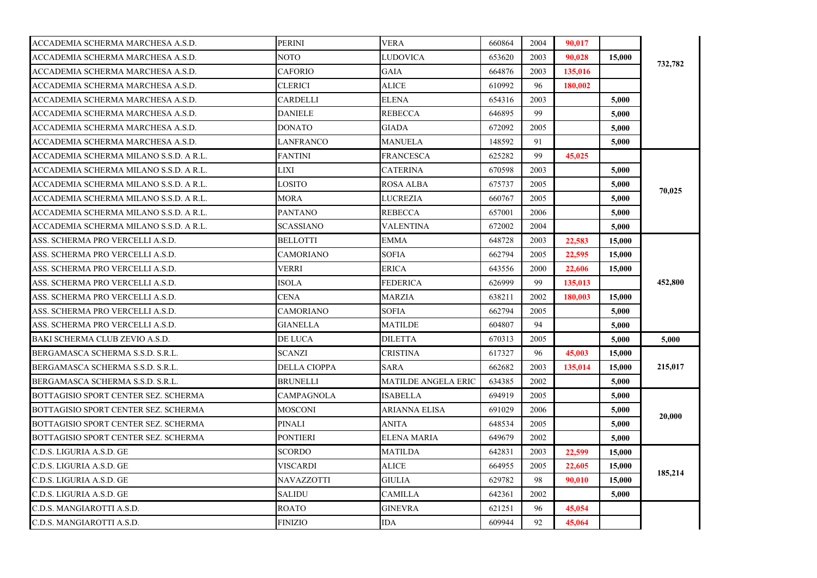| ACCADEMIA SCHERMA MARCHESA A.S.D.      | <b>PERINI</b>     | <b>VERA</b>         | 660864 | 2004 | 90.017  |        |         |
|----------------------------------------|-------------------|---------------------|--------|------|---------|--------|---------|
| ACCADEMIA SCHERMA MARCHESA A.S.D.      | NOTO              | LUDOVICA            | 653620 | 2003 | 90.028  | 15,000 | 732,782 |
| ACCADEMIA SCHERMA MARCHESA A.S.D.      | <b>CAFORIO</b>    | GAIA                | 664876 | 2003 | 135,016 |        |         |
| ACCADEMIA SCHERMA MARCHESA A.S.D.      | <b>CLERICI</b>    | <b>ALICE</b>        | 610992 | 96   | 180.002 |        |         |
| ACCADEMIA SCHERMA MARCHESA A.S.D.      | CARDELLI          | ELENA               | 654316 | 2003 |         | 5,000  |         |
| ACCADEMIA SCHERMA MARCHESA A.S.D.      | <b>DANIELE</b>    | <b>REBECCA</b>      | 646895 | 99   |         | 5,000  |         |
| ACCADEMIA SCHERMA MARCHESA A.S.D.      | <b>DONATO</b>     | <b>GIADA</b>        | 672092 | 2005 |         | 5,000  |         |
| ACCADEMIA SCHERMA MARCHESA A.S.D.      | LANFRANCO         | <b>MANUELA</b>      | 148592 | 91   |         | 5.000  |         |
| ACCADEMIA SCHERMA MILANO S.S.D. A R.L. | FANTINI           | FRANCESCA           | 625282 | 99   | 45,025  |        |         |
| ACCADEMIA SCHERMA MILANO S.S.D. A R.L. | LIXI              | <b>CATERINA</b>     | 670598 | 2003 |         | 5,000  |         |
| ACCADEMIA SCHERMA MILANO S.S.D. A R.L. | LOSITO            | ROSA ALBA           | 675737 | 2005 |         | 5,000  | 70,025  |
| ACCADEMIA SCHERMA MILANO S.S.D. A R.L. | <b>MORA</b>       | <b>LUCREZIA</b>     | 660767 | 2005 |         | 5,000  |         |
| ACCADEMIA SCHERMA MILANO S.S.D. A R.L. | <b>PANTANO</b>    | <b>REBECCA</b>      | 657001 | 2006 |         | 5,000  |         |
| ACCADEMIA SCHERMA MILANO S.S.D. A R.L. | SCASSIANO         | VALENTINA           | 672002 | 2004 |         | 5.000  |         |
| ASS. SCHERMA PRO VERCELLI A.S.D.       | <b>BELLOTTI</b>   | <b>EMMA</b>         | 648728 | 2003 | 22,583  | 15,000 |         |
| ASS. SCHERMA PRO VERCELLI A.S.D.       | CAMORIANO         | <b>SOFIA</b>        | 662794 | 2005 | 22,595  | 15,000 | 452,800 |
| ASS. SCHERMA PRO VERCELLI A.S.D.       | VERRI             | ERICA               | 643556 | 2000 | 22,606  | 15,000 |         |
| ASS. SCHERMA PRO VERCELLI A.S.D.       | <b>ISOLA</b>      | <b>FEDERICA</b>     | 626999 | 99   | 135,013 |        |         |
| ASS. SCHERMA PRO VERCELLI A.S.D.       | CENA              | MARZIA              | 638211 | 2002 | 180,003 | 15,000 |         |
| ASS. SCHERMA PRO VERCELLI A.S.D.       | <b>CAMORIANO</b>  | <b>SOFIA</b>        | 662794 | 2005 |         | 5.000  |         |
| ASS. SCHERMA PRO VERCELLI A.S.D.       | <b>GIANELLA</b>   | MATILDE             | 604807 | 94   |         | 5,000  |         |
| BAKI SCHERMA CLUB ZEVIO A.S.D.         | DE LUCA           | <b>DILETTA</b>      | 670313 | 2005 |         | 5,000  | 5,000   |
| BERGAMASCA SCHERMA S.S.D. S.R.L.       | SCANZI            | <b>CRISTINA</b>     | 617327 | 96   | 45,003  | 15,000 |         |
| BERGAMASCA SCHERMA S.S.D. S.R.L.       | DELLA CIOPPA      | <b>SARA</b>         | 662682 | 2003 | 135,014 | 15,000 | 215,017 |
| BERGAMASCA SCHERMA S.S.D. S.R.L.       | BRUNELLI          | MATILDE ANGELA ERIC | 634385 | 2002 |         | 5,000  |         |
| BOTTAGISIO SPORT CENTER SEZ. SCHERMA   | <b>CAMPAGNOLA</b> | <b>ISABELLA</b>     | 694919 | 2005 |         | 5,000  |         |
| BOTTAGISIO SPORT CENTER SEZ. SCHERMA   | MOSCONI           | ARIANNA ELISA       | 691029 | 2006 |         | 5,000  | 20,000  |
| BOTTAGISIO SPORT CENTER SEZ. SCHERMA   | PINALI            | ANITA               | 648534 | 2005 |         | 5,000  |         |
| BOTTAGISIO SPORT CENTER SEZ. SCHERMA   | PONTIERI          | <b>ELENA MARIA</b>  | 649679 | 2002 |         | 5,000  |         |
| C.D.S. LIGURIA A.S.D. GE               | <b>SCORDO</b>     | <b>MATILDA</b>      | 642831 | 2003 | 22,599  | 15,000 |         |
| C.D.S. LIGURIA A.S.D. GE               | VISCARDI          | <b>ALICE</b>        | 664955 | 2005 | 22,605  | 15,000 | 185,214 |
| C.D.S. LIGURIA A.S.D. GE               | NAVAZZOTTI        | GIULIA              | 629782 | 98   | 90,010  | 15,000 |         |
| C.D.S. LIGURIA A.S.D. GE               | SALIDU            | <b>CAMILLA</b>      | 642361 | 2002 |         | 5,000  |         |
| C.D.S. MANGIAROTTI A.S.D.              | <b>ROATO</b>      | <b>GINEVRA</b>      | 621251 | 96   | 45,054  |        |         |
| C.D.S. MANGIAROTTI A.S.D.              | <b>FINIZIO</b>    | <b>IDA</b>          | 609944 | 92   | 45,064  |        |         |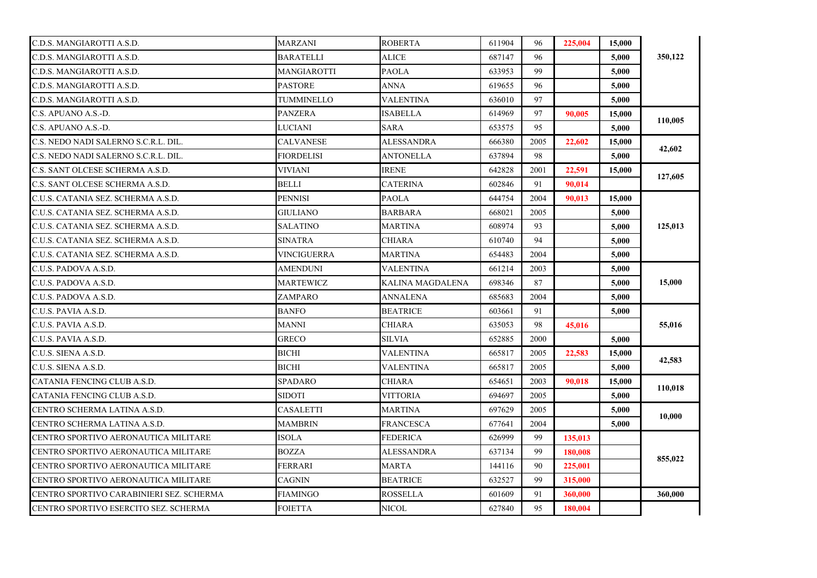| C.D.S. MANGIAROTTI A.S.D.                | MARZANI           | <b>ROBERTA</b>          | 611904 | 96   | 225,004 | 15,000 |         |
|------------------------------------------|-------------------|-------------------------|--------|------|---------|--------|---------|
| C.D.S. MANGIAROTTI A.S.D.                | BARATELLI         | <b>ALICE</b>            | 687147 | 96   |         | 5,000  | 350,122 |
| C.D.S. MANGIAROTTI A.S.D.                | MANGIAROTTI       | <b>PAOLA</b>            | 633953 | 99   |         | 5,000  |         |
| C.D.S. MANGIAROTTI A.S.D.                | <b>PASTORE</b>    | ANNA                    | 619655 | 96   |         | 5,000  |         |
| C.D.S. MANGIAROTTI A.S.D.                | TUMMINELLO        | <b>VALENTINA</b>        | 636010 | 97   |         | 5,000  |         |
| C.S. APUANO A.S.-D.                      | PANZERA           | ISABELLA                | 614969 | 97   | 90,005  | 15,000 | 110,005 |
| C.S. APUANO A.S.-D.                      | LUCIANI           | <b>SARA</b>             | 653575 | 95   |         | 5,000  |         |
| C.S. NEDO NADI SALERNO S.C.R.L. DIL.     | CALVANESE         | <b>ALESSANDRA</b>       | 666380 | 2005 | 22,602  | 15,000 | 42,602  |
| C.S. NEDO NADI SALERNO S.C.R.L. DIL.     | <b>FIORDELISI</b> | <b>ANTONELLA</b>        | 637894 | 98   |         | 5,000  |         |
| C.S. SANT OLCESE SCHERMA A.S.D.          | <b>VIVIANI</b>    | <b>IRENE</b>            | 642828 | 2001 | 22,591  | 15,000 |         |
| C.S. SANT OLCESE SCHERMA A.S.D.          | BELLI             | CATERINA                | 602846 | 91   | 90.014  |        | 127,605 |
| C.U.S. CATANIA SEZ. SCHERMA A.S.D.       | <b>PENNISI</b>    | <b>PAOLA</b>            | 644754 | 2004 | 90.013  | 15,000 |         |
| C.U.S. CATANIA SEZ. SCHERMA A.S.D.       | <b>GIULIANO</b>   | <b>BARBARA</b>          | 668021 | 2005 |         | 5,000  |         |
| C.U.S. CATANIA SEZ. SCHERMA A.S.D.       | <b>SALATINO</b>   | <b>MARTINA</b>          | 608974 | 93   |         | 5.000  | 125,013 |
| C.U.S. CATANIA SEZ. SCHERMA A.S.D.       | <b>SINATRA</b>    | CHIARA                  | 610740 | 94   |         | 5.000  |         |
| C.U.S. CATANIA SEZ. SCHERMA A.S.D.       | VINCIGUERRA       | MARTINA                 | 654483 | 2004 |         | 5,000  |         |
| C.U.S. PADOVA A.S.D.                     | AMENDUNI          | VALENTINA               | 661214 | 2003 |         | 5,000  |         |
| C.U.S. PADOVA A.S.D.                     | MARTEWICZ         | <b>KALINA MAGDALENA</b> | 698346 | 87   |         | 5,000  | 15,000  |
| C.U.S. PADOVA A.S.D.                     | ZAMPARO           | <b>ANNALENA</b>         | 685683 | 2004 |         | 5,000  |         |
| C.U.S. PAVIA A.S.D.                      | <b>BANFO</b>      | <b>BEATRICE</b>         | 603661 | 91   |         | 5,000  |         |
| C.U.S. PAVIA A.S.D.                      | MANNI             | CHIARA                  | 635053 | 98   | 45,016  |        | 55,016  |
| C.U.S. PAVIA A.S.D.                      | <b>GRECO</b>      | SILVIA                  | 652885 | 2000 |         | 5,000  |         |
| C.U.S. SIENA A.S.D.                      | <b>BICHI</b>      | VALENTINA               | 665817 | 2005 | 22.583  | 15,000 | 42,583  |
| C.U.S. SIENA A.S.D.                      | BICHI             | VALENTINA               | 665817 | 2005 |         | 5,000  |         |
| CATANIA FENCING CLUB A.S.D.              | SPADARO           | CHIARA                  | 654651 | 2003 | 90.018  | 15,000 | 110,018 |
| CATANIA FENCING CLUB A.S.D.              | SIDOTI            | VITTORIA                | 694697 | 2005 |         | 5,000  |         |
| CENTRO SCHERMA LATINA A.S.D.             | CASALETTI         | MARTINA                 | 697629 | 2005 |         | 5.000  | 10,000  |
| CENTRO SCHERMA LATINA A.S.D.             | <b>MAMBRIN</b>    | <b>FRANCESCA</b>        | 677641 | 2004 |         | 5,000  |         |
| CENTRO SPORTIVO AERONAUTICA MILITARE     | ISOLA             | FEDERICA                | 626999 | 99   | 135,013 |        |         |
| CENTRO SPORTIVO AERONAUTICA MILITARE     | <b>BOZZA</b>      | ALESSANDRA              | 637134 | 99   | 180,008 |        | 855,022 |
| CENTRO SPORTIVO AERONAUTICA MILITARE     | FERRARI           | MARTA                   | 144116 | 90   | 225,001 |        |         |
| CENTRO SPORTIVO AERONAUTICA MILITARE     | CAGNIN            | <b>BEATRICE</b>         | 632527 | 99   | 315,000 |        |         |
| CENTRO SPORTIVO CARABINIERI SEZ. SCHERMA | <b>FIAMINGO</b>   | <b>ROSSELLA</b>         | 601609 | 91   | 360,000 |        | 360,000 |
| CENTRO SPORTIVO ESERCITO SEZ. SCHERMA    | <b>FOIETTA</b>    | NICOL                   | 627840 | 95   | 180,004 |        |         |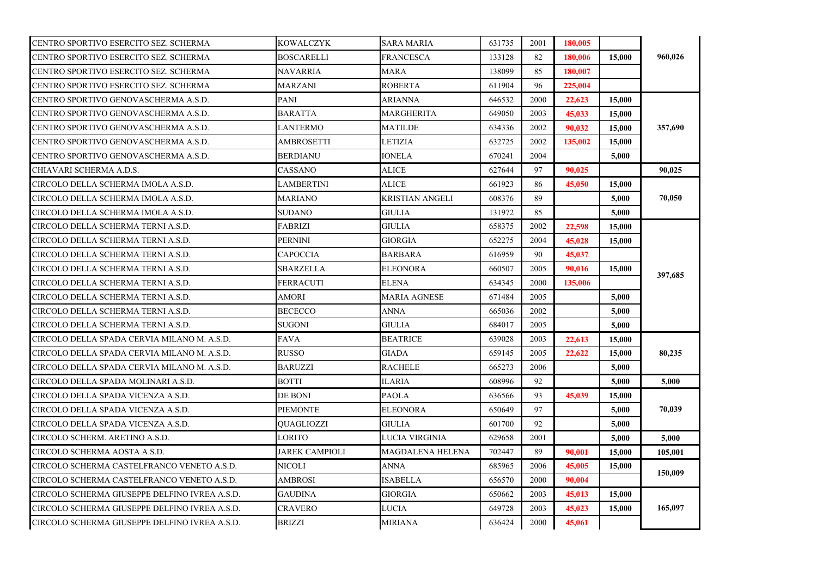| CENTRO SPORTIVO ESERCITO SEZ. SCHERMA         | <b>KOWALCZYK</b> | SARA MARIA             | 631735 | 2001 | 180,005 |        |         |
|-----------------------------------------------|------------------|------------------------|--------|------|---------|--------|---------|
| CENTRO SPORTIVO ESERCITO SEZ. SCHERMA         | BOSCARELLI       | <b>FRANCESCA</b>       | 133128 | 82   | 180,006 | 15,000 | 960,026 |
| CENTRO SPORTIVO ESERCITO SEZ. SCHERMA         | NAVARRIA         | MARA                   | 138099 | 85   | 180.007 |        |         |
| CENTRO SPORTIVO ESERCITO SEZ. SCHERMA         | <b>MARZANI</b>   | <b>ROBERTA</b>         | 611904 | 96   | 225,004 |        |         |
| CENTRO SPORTIVO GENOVASCHERMA A.S.D.          | PANI             | <b>ARIANNA</b>         | 646532 | 2000 | 22,623  | 15,000 |         |
| CENTRO SPORTIVO GENOVASCHERMA A.S.D.          | <b>BARATTA</b>   | MARGHERITA             | 649050 | 2003 | 45,033  | 15,000 |         |
| CENTRO SPORTIVO GENOVASCHERMA A.S.D.          | LANTERMO         | MATILDE                | 634336 | 2002 | 90,032  | 15,000 | 357,690 |
| CENTRO SPORTIVO GENOVASCHERMA A.S.D.          | AMBROSETTI       | LETIZIA                | 632725 | 2002 | 135,002 | 15,000 |         |
| CENTRO SPORTIVO GENOVASCHERMA A.S.D.          | BERDIANU         | IONELA                 | 670241 | 2004 |         | 5,000  |         |
| CHIAVARI SCHERMA A.D.S.                       | CASSANO          | <b>ALICE</b>           | 627644 | 97   | 90.025  |        | 90,025  |
| CIRCOLO DELLA SCHERMA IMOLA A.S.D.            | LAMBERTINI       | <b>ALICE</b>           | 661923 | 86   | 45,050  | 15,000 |         |
| CIRCOLO DELLA SCHERMA IMOLA A.S.D.            | MARIANO          | <b>KRISTIAN ANGELI</b> | 608376 | 89   |         | 5,000  | 70,050  |
| CIRCOLO DELLA SCHERMA IMOLA A.S.D.            | <b>SUDANO</b>    | <b>GIULIA</b>          | 131972 | 85   |         | 5,000  |         |
| CIRCOLO DELLA SCHERMA TERNI A.S.D.            | <b>FABRIZI</b>   | <b>GIULIA</b>          | 658375 | 2002 | 22,598  | 15,000 |         |
| CIRCOLO DELLA SCHERMA TERNI A.S.D.            | <b>PERNINI</b>   | GIORGIA                | 652275 | 2004 | 45,028  | 15,000 |         |
| CIRCOLO DELLA SCHERMA TERNI A.S.D.            | CAPOCCIA         | BARBARA                | 616959 | 90   | 45,037  |        |         |
| CIRCOLO DELLA SCHERMA TERNI A.S.D.            | SBARZELLA        | <b>ELEONORA</b>        | 660507 | 2005 | 90,016  | 15,000 | 397,685 |
| CIRCOLO DELLA SCHERMA TERNI A.S.D.            | FERRACUTI        | <b>ELENA</b>           | 634345 | 2000 | 135,006 |        |         |
| CIRCOLO DELLA SCHERMA TERNI A.S.D.            | AMORI            | MARIA AGNESE           | 671484 | 2005 |         | 5,000  |         |
| CIRCOLO DELLA SCHERMA TERNI A.S.D.            | <b>BECECCO</b>   | <b>ANNA</b>            | 665036 | 2002 |         | 5.000  |         |
| CIRCOLO DELLA SCHERMA TERNI A.S.D.            | <b>SUGONI</b>    | GIULIA                 | 684017 | 2005 |         | 5,000  |         |
| CIRCOLO DELLA SPADA CERVIA MILANO M. A.S.D.   | <b>FAVA</b>      | <b>BEATRICE</b>        | 639028 | 2003 | 22.613  | 15,000 |         |
| CIRCOLO DELLA SPADA CERVIA MILANO M. A.S.D.   | RUSSO            | GIADA                  | 659145 | 2005 | 22,622  | 15,000 | 80,235  |
| CIRCOLO DELLA SPADA CERVIA MILANO M. A.S.D.   | <b>BARUZZI</b>   | RACHELE                | 665273 | 2006 |         | 5.000  |         |
| CIRCOLO DELLA SPADA MOLINARI A.S.D.           | BOTTI            | <b>ILARIA</b>          | 608996 | 92   |         | 5,000  | 5,000   |
| CIRCOLO DELLA SPADA VICENZA A.S.D.            | DE BONI          | <b>PAOLA</b>           | 636566 | 93   | 45,039  | 15,000 |         |
| CIRCOLO DELLA SPADA VICENZA A.S.D.            | <b>PIEMONTE</b>  | <b>ELEONORA</b>        | 650649 | 97   |         | 5,000  | 70,039  |
| CIRCOLO DELLA SPADA VICENZA A.S.D.            | OUAGLIOZZI       | <b>GIULIA</b>          | 601700 | 92   |         | 5,000  |         |
| CIRCOLO SCHERM. ARETINO A.S.D.                | LORITO           | LUCIA VIRGINIA         | 629658 | 2001 |         | 5.000  | 5,000   |
| CIRCOLO SCHERMA AOSTA A.S.D.                  | JAREK CAMPIOLI   | MAGDALENA HELENA       | 702447 | 89   | 90,001  | 15,000 | 105,001 |
| CIRCOLO SCHERMA CASTELFRANCO VENETO A.S.D.    | NICOLI           | ANNA                   | 685965 | 2006 | 45,005  | 15,000 | 150,009 |
| CIRCOLO SCHERMA CASTELFRANCO VENETO A.S.D.    | AMBROSI          | ISABELLA               | 656570 | 2000 | 90,004  |        |         |
| CIRCOLO SCHERMA GIUSEPPE DELFINO IVREA A.S.D. | <b>GAUDINA</b>   | <b>GIORGIA</b>         | 650662 | 2003 | 45,013  | 15,000 |         |
| CIRCOLO SCHERMA GIUSEPPE DELFINO IVREA A.S.D. | CRAVERO          | LUCIA                  | 649728 | 2003 | 45,023  | 15,000 | 165,097 |
| CIRCOLO SCHERMA GIUSEPPE DELFINO IVREA A.S.D. | <b>BRIZZI</b>    | <b>MIRIANA</b>         | 636424 | 2000 | 45,061  |        |         |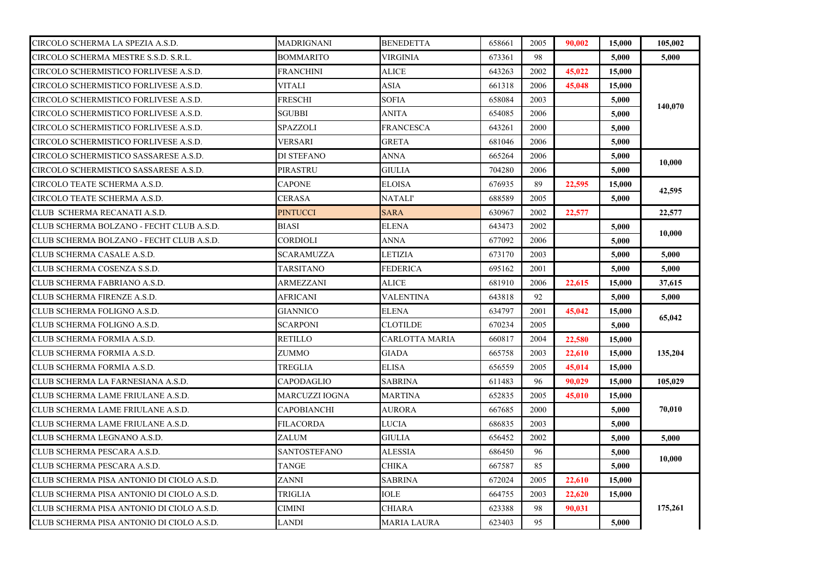| CIRCOLO SCHERMA LA SPEZIA A.S.D.          | MADRIGNANI          | <b>BENEDETTA</b>   | 658661 | 2005 | 90.002 | 15,000 | 105,002 |
|-------------------------------------------|---------------------|--------------------|--------|------|--------|--------|---------|
| CIRCOLO SCHERMA MESTRE S.S.D. S.R.L.      | <b>BOMMARITO</b>    | VIRGINIA           | 673361 | 98   |        | 5.000  | 5,000   |
| CIRCOLO SCHERMISTICO FORLIVESE A.S.D.     | FRANCHINI           | <b>ALICE</b>       | 643263 | 2002 | 45,022 | 15,000 |         |
| CIRCOLO SCHERMISTICO FORLIVESE A.S.D.     | <b>VITALI</b>       | <b>ASIA</b>        | 661318 | 2006 | 45,048 | 15,000 |         |
| CIRCOLO SCHERMISTICO FORLIVESE A.S.D.     | FRESCHI             | <b>SOFIA</b>       | 658084 | 2003 |        | 5,000  |         |
| CIRCOLO SCHERMISTICO FORLIVESE A.S.D.     | SGUBBI              | ANITA              | 654085 | 2006 |        | 5,000  | 140,070 |
| CIRCOLO SCHERMISTICO FORLIVESE A.S.D.     | SPAZZOLI            | <b>FRANCESCA</b>   | 643261 | 2000 |        | 5,000  |         |
| CIRCOLO SCHERMISTICO FORLIVESE A.S.D.     | VERSARI             | <b>GRETA</b>       | 681046 | 2006 |        | 5.000  |         |
| CIRCOLO SCHERMISTICO SASSARESE A.S.D.     | DI STEFANO          | <b>ANNA</b>        | 665264 | 2006 |        | 5,000  | 10,000  |
| CIRCOLO SCHERMISTICO SASSARESE A.S.D.     | PIRASTRU            | GIULIA             | 704280 | 2006 |        | 5,000  |         |
| CIRCOLO TEATE SCHERMA A.S.D.              | <b>CAPONE</b>       | <b>ELOISA</b>      | 676935 | 89   | 22,595 | 15,000 |         |
| CIRCOLO TEATE SCHERMA A.S.D.              | CERASA              | NATALI'            | 688589 | 2005 |        | 5,000  | 42,595  |
| CLUB SCHERMA RECANATI A.S.D.              | PINTUCCI            | <b>SARA</b>        | 630967 | 2002 | 22,577 |        | 22,577  |
| CLUB SCHERMA BOLZANO - FECHT CLUB A.S.D.  | <b>BIASI</b>        | <b>ELENA</b>       | 643473 | 2002 |        | 5,000  | 10,000  |
| CLUB SCHERMA BOLZANO - FECHT CLUB A.S.D.  | CORDIOLI            | ANNA               | 677092 | 2006 |        | 5,000  |         |
| CLUB SCHERMA CASALE A.S.D.                | SCARAMUZZA          | LETIZIA            | 673170 | 2003 |        | 5,000  | 5,000   |
| CLUB SCHERMA COSENZA S.S.D.               | TARSITANO           | <b>FEDERICA</b>    | 695162 | 2001 |        | 5,000  | 5,000   |
| CLUB SCHERMA FABRIANO A.S.D.              | ARMEZZANI           | <b>ALICE</b>       | 681910 | 2006 | 22,615 | 15,000 | 37,615  |
| CLUB SCHERMA FIRENZE A.S.D.               | AFRICANI            | <b>VALENTINA</b>   | 643818 | 92   |        | 5,000  | 5,000   |
| CLUB SCHERMA FOLIGNO A.S.D.               | GIANNICO            | <b>ELENA</b>       | 634797 | 2001 | 45,042 | 15,000 |         |
| CLUB SCHERMA FOLIGNO A.S.D.               | SCARPONI            | <b>CLOTILDE</b>    | 670234 | 2005 |        | 5,000  | 65,042  |
| CLUB SCHERMA FORMIA A.S.D.                | RETILLO             | CARLOTTA MARIA     | 660817 | 2004 | 22,580 | 15,000 |         |
| CLUB SCHERMA FORMIA A.S.D.                | ZUMMO               | <b>GIADA</b>       | 665758 | 2003 | 22.610 | 15,000 | 135,204 |
| CLUB SCHERMA FORMIA A.S.D.                | TREGLIA             | ELISA              | 656559 | 2005 | 45,014 | 15,000 |         |
| CLUB SCHERMA LA FARNESIANA A.S.D.         | CAPODAGLIO          | SABRINA            | 611483 | 96   | 90.029 | 15,000 | 105,029 |
| CLUB SCHERMA LAME FRIULANE A.S.D.         | MARCUZZI IOGNA      | <b>MARTINA</b>     | 652835 | 2005 | 45,010 | 15,000 |         |
| CLUB SCHERMA LAME FRIULANE A.S.D.         | <b>CAPOBIANCHI</b>  | <b>AURORA</b>      | 667685 | 2000 |        | 5,000  | 70,010  |
| CLUB SCHERMA LAME FRIULANE A.S.D.         | FILACORDA           | LUCIA              | 686835 | 2003 |        | 5,000  |         |
| CLUB SCHERMA LEGNANO A.S.D.               | ZALUM               | <b>GIULIA</b>      | 656452 | 2002 |        | 5,000  | 5,000   |
| CLUB SCHERMA PESCARA A.S.D.               | <b>SANTOSTEFANO</b> | ALESSIA            | 686450 | 96   |        | 5,000  | 10,000  |
| CLUB SCHERMA PESCARA A.S.D.               | TANGE               | <b>CHIKA</b>       | 667587 | 85   |        | 5.000  |         |
| CLUB SCHERMA PISA ANTONIO DI CIOLO A.S.D. | ZANNI               | SABRINA            | 672024 | 2005 | 22,610 | 15,000 |         |
| CLUB SCHERMA PISA ANTONIO DI CIOLO A.S.D. | TRIGLIA             | IOLE               | 664755 | 2003 | 22,620 | 15,000 | 175,261 |
| CLUB SCHERMA PISA ANTONIO DI CIOLO A.S.D. | CIMINI              | <b>CHIARA</b>      | 623388 | 98   | 90,031 |        |         |
| CLUB SCHERMA PISA ANTONIO DI CIOLO A.S.D. | LANDI               | <b>MARIA LAURA</b> | 623403 | 95   |        | 5,000  |         |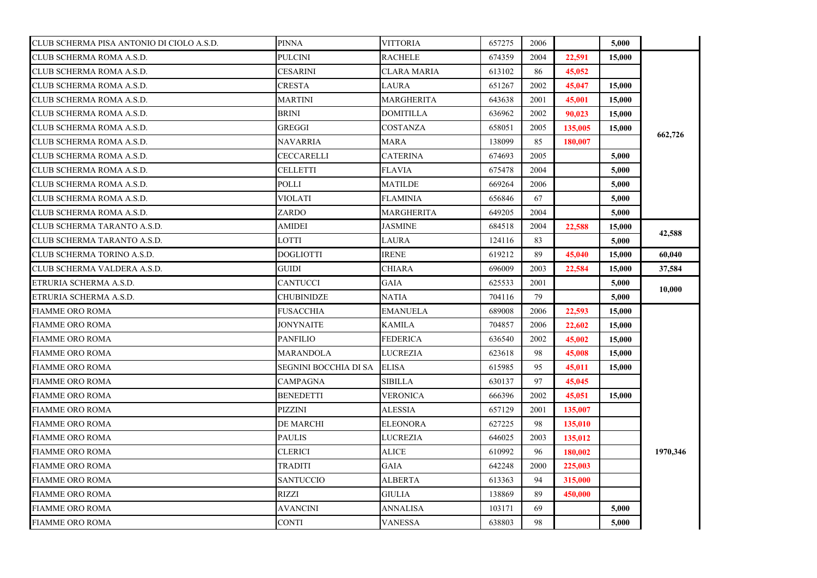| CLUB SCHERMA PISA ANTONIO DI CIOLO A.S.D. | <b>PINNA</b>          | <b>VITTORIA</b>    | 657275 | 2006 |         | 5,000  |          |
|-------------------------------------------|-----------------------|--------------------|--------|------|---------|--------|----------|
| CLUB SCHERMA ROMA A.S.D.                  | <b>PULCINI</b>        | <b>RACHELE</b>     | 674359 | 2004 | 22.591  | 15,000 |          |
| CLUB SCHERMA ROMA A.S.D.                  | <b>CESARINI</b>       | <b>CLARA MARIA</b> | 613102 | 86   | 45,052  |        |          |
| CLUB SCHERMA ROMA A.S.D.                  | <b>CRESTA</b>         | <b>LAURA</b>       | 651267 | 2002 | 45,047  | 15,000 |          |
| CLUB SCHERMA ROMA A.S.D.                  | <b>MARTINI</b>        | MARGHERITA         | 643638 | 2001 | 45,001  | 15,000 |          |
| CLUB SCHERMA ROMA A.S.D.                  | BRINI                 | <b>DOMITILLA</b>   | 636962 | 2002 | 90,023  | 15,000 |          |
| CLUB SCHERMA ROMA A.S.D.                  | <b>GREGGI</b>         | COSTANZA           | 658051 | 2005 | 135,005 | 15,000 |          |
| CLUB SCHERMA ROMA A.S.D.                  | NAVARRIA              | MARA               | 138099 | 85   | 180,007 |        | 662,726  |
| CLUB SCHERMA ROMA A.S.D.                  | CECCARELLI            | <b>CATERINA</b>    | 674693 | 2005 |         | 5,000  |          |
| CLUB SCHERMA ROMA A.S.D.                  | <b>CELLETTI</b>       | <b>FLAVIA</b>      | 675478 | 2004 |         | 5,000  |          |
| CLUB SCHERMA ROMA A.S.D.                  | POLLI                 | MATILDE            | 669264 | 2006 |         | 5,000  |          |
| CLUB SCHERMA ROMA A.S.D.                  | <b>VIOLATI</b>        | <b>FLAMINIA</b>    | 656846 | 67   |         | 5,000  |          |
| CLUB SCHERMA ROMA A.S.D.                  | ZARDO                 | MARGHERITA         | 649205 | 2004 |         | 5,000  |          |
| CLUB SCHERMA TARANTO A.S.D.               | AMIDEI                | <b>JASMINE</b>     | 684518 | 2004 | 22,588  | 15,000 | 42,588   |
| CLUB SCHERMA TARANTO A.S.D.               | LOTTI                 | LAURA              | 124116 | 83   |         | 5,000  |          |
| CLUB SCHERMA TORINO A.S.D.                | <b>DOGLIOTTI</b>      | <b>IRENE</b>       | 619212 | 89   | 45,040  | 15,000 | 60,040   |
| CLUB SCHERMA VALDERA A.S.D.               | GUIDI                 | <b>CHIARA</b>      | 696009 | 2003 | 22,584  | 15,000 | 37,584   |
| ETRURIA SCHERMA A.S.D.                    | <b>CANTUCCI</b>       | <b>GAIA</b>        | 625533 | 2001 |         | 5,000  | 10,000   |
| ETRURIA SCHERMA A.S.D.                    | CHUBINIDZE            | NATIA              | 704116 | 79   |         | 5,000  |          |
| <b>FIAMME ORO ROMA</b>                    | <b>FUSACCHIA</b>      | <b>EMANUELA</b>    | 689008 | 2006 | 22,593  | 15,000 |          |
| <b>FIAMME ORO ROMA</b>                    | JONYNAITE             | <b>KAMILA</b>      | 704857 | 2006 | 22,602  | 15,000 |          |
| <b>FIAMME ORO ROMA</b>                    | <b>PANFILIO</b>       | <b>FEDERICA</b>    | 636540 | 2002 | 45,002  | 15,000 |          |
| <b>FIAMME ORO ROMA</b>                    | MARANDOLA             | LUCREZIA           | 623618 | 98   | 45,008  | 15,000 |          |
| <b>FIAMME ORO ROMA</b>                    | SEGNINI BOCCHIA DI SA | <b>ELISA</b>       | 615985 | 95   | 45,011  | 15,000 |          |
| <b>FIAMME ORO ROMA</b>                    | CAMPAGNA              | SIBILLA            | 630137 | 97   | 45,045  |        |          |
| <b>FIAMME ORO ROMA</b>                    | <b>BENEDETTI</b>      | <b>VERONICA</b>    | 666396 | 2002 | 45,051  | 15,000 |          |
| <b>FIAMME ORO ROMA</b>                    | <b>PIZZINI</b>        | <b>ALESSIA</b>     | 657129 | 2001 | 135,007 |        |          |
| <b>FIAMME ORO ROMA</b>                    | <b>DE MARCHI</b>      | <b>ELEONORA</b>    | 627225 | 98   | 135,010 |        |          |
| <b>FIAMME ORO ROMA</b>                    | <b>PAULIS</b>         | LUCREZIA           | 646025 | 2003 | 135,012 |        |          |
| <b>FIAMME ORO ROMA</b>                    | <b>CLERICI</b>        | <b>ALICE</b>       | 610992 | 96   | 180,002 |        | 1970,346 |
| <b>FIAMME ORO ROMA</b>                    | TRADITI               | <b>GAIA</b>        | 642248 | 2000 | 225,003 |        |          |
| <b>FIAMME ORO ROMA</b>                    | <b>SANTUCCIO</b>      | <b>ALBERTA</b>     | 613363 | 94   | 315,000 |        |          |
| <b>FIAMME ORO ROMA</b>                    | RIZZI                 | GIULIA             | 138869 | 89   | 450,000 |        |          |
| <b>FIAMME ORO ROMA</b>                    | <b>AVANCINI</b>       | <b>ANNALISA</b>    | 103171 | 69   |         | 5,000  |          |
| <b>FIAMME ORO ROMA</b>                    | <b>CONTI</b>          | <b>VANESSA</b>     | 638803 | 98   |         | 5,000  |          |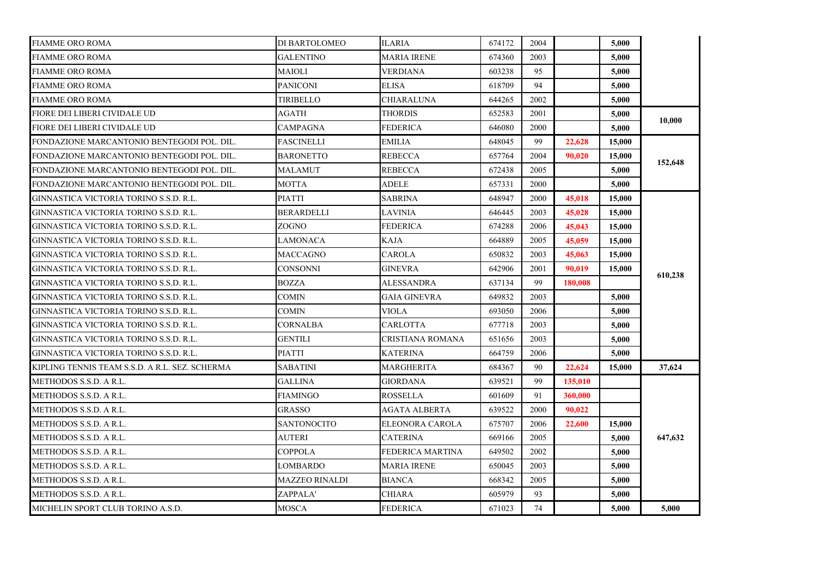| <b>FIAMME ORO ROMA</b>                         | DI BARTOLOMEO      | ILARIA              | 674172 | 2004 |         | 5,000  |         |
|------------------------------------------------|--------------------|---------------------|--------|------|---------|--------|---------|
| <b>FIAMME ORO ROMA</b>                         | GALENTINO          | MARIA IRENE         | 674360 | 2003 |         | 5.000  |         |
| <b>FIAMME ORO ROMA</b>                         | <b>MAIOLI</b>      | VERDIANA            | 603238 | 95   |         | 5,000  |         |
| <b>FIAMME ORO ROMA</b>                         | <b>PANICONI</b>    | <b>ELISA</b>        | 618709 | 94   |         | 5.000  |         |
| <b>FIAMME ORO ROMA</b>                         | TIRIBELLO          | CHIARALUNA          | 644265 | 2002 |         | 5.000  |         |
| FIORE DEI LIBERI CIVIDALE UD                   | AGATH              | THORDIS             | 652583 | 2001 |         | 5,000  |         |
| FIORE DEI LIBERI CIVIDALE UD                   | CAMPAGNA           | FEDERICA            | 646080 | 2000 |         | 5,000  | 10,000  |
| FONDAZIONE MARCANTONIO BENTEGODI POL. DIL.     | <b>FASCINELLI</b>  | <b>EMILIA</b>       | 648045 | 99   | 22,628  | 15,000 |         |
| FONDAZIONE MARCANTONIO BENTEGODI POL. DIL.     | <b>BARONETTO</b>   | <b>REBECCA</b>      | 657764 | 2004 | 90.020  | 15,000 |         |
| FONDAZIONE MARCANTONIO BENTEGODI POL. DIL.     | MALAMUT            | REBECCA             | 672438 | 2005 |         | 5.000  | 152,648 |
| FONDAZIONE MARCANTONIO BENTEGODI POL. DIL.     | MOTTA              | ADELE               | 657331 | 2000 |         | 5,000  |         |
| GINNASTICA VICTORIA TORINO S.S.D. R.L.         | PIATTI             | SABRINA             | 648947 | 2000 | 45,018  | 15,000 |         |
| GINNASTICA VICTORIA TORINO S.S.D. R.L.         | <b>BERARDELLI</b>  | <b>LAVINIA</b>      | 646445 | 2003 | 45,028  | 15,000 |         |
| GINNASTICA VICTORIA TORINO S.S.D. R.L.         | ZOGNO              | <b>FEDERICA</b>     | 674288 | 2006 | 45,043  | 15,000 |         |
| GINNASTICA VICTORIA TORINO S.S.D. R.L.         | LAMONACA           | KAJA                | 664889 | 2005 | 45,059  | 15,000 |         |
| GINNASTICA VICTORIA TORINO S.S.D. R.L.         | MACCAGNO           | CAROLA              | 650832 | 2003 | 45,063  | 15,000 |         |
| GINNASTICA VICTORIA TORINO S.S.D. R.L.         | CONSONNI           | GINEVRA             | 642906 | 2001 | 90.019  | 15,000 | 610,238 |
| GINNASTICA VICTORIA TORINO S.S.D. R.L.         | <b>BOZZA</b>       | <b>ALESSANDRA</b>   | 637134 | 99   | 180.008 |        |         |
| GINNASTICA VICTORIA TORINO S.S.D. R.L.         | <b>COMIN</b>       | <b>GAIA GINEVRA</b> | 649832 | 2003 |         | 5,000  |         |
| GINNASTICA VICTORIA TORINO S.S.D. R.L.         | COMIN              | VIOLA               | 693050 | 2006 |         | 5,000  |         |
| GINNASTICA VICTORIA TORINO S.S.D. R.L.         | CORNALBA           | CARLOTTA            | 677718 | 2003 |         | 5,000  |         |
| GINNASTICA VICTORIA TORINO S.S.D. R.L.         | <b>GENTILI</b>     | CRISTIANA ROMANA    | 651656 | 2003 |         | 5,000  |         |
| GINNASTICA VICTORIA TORINO S.S.D. R.L.         | <b>PIATTI</b>      | KATERINA            | 664759 | 2006 |         | 5,000  |         |
| KIPLING TENNIS TEAM S.S.D. A R.L. SEZ. SCHERMA | <b>SABATINI</b>    | MARGHERITA          | 684367 | 90   | 22,624  | 15,000 | 37,624  |
| METHODOS S.S.D. A R.L.                         | <b>GALLINA</b>     | GIORDANA            | 639521 | 99   | 135,010 |        |         |
| METHODOS S.S.D. A R.L.                         | FIAMINGO           | ROSSELLA            | 601609 | 91   | 360,000 |        |         |
| METHODOS S.S.D. A R.L.                         | GRASSO             | AGATA ALBERTA       | 639522 | 2000 | 90.022  |        |         |
| METHODOS S.S.D. A R.L.                         | <b>SANTONOCITO</b> | ELEONORA CAROLA     | 675707 | 2006 | 22,600  | 15,000 |         |
| METHODOS S.S.D. A R.L.                         | AUTERI             | <b>CATERINA</b>     | 669166 | 2005 |         | 5,000  | 647,632 |
| METHODOS S.S.D. A R.L.                         | COPPOLA            | FEDERICA MARTINA    | 649502 | 2002 |         | 5,000  |         |
| METHODOS S.S.D. A R.L.                         | LOMBARDO           | MARIA IRENE         | 650045 | 2003 |         | 5,000  |         |
| METHODOS S.S.D. A R.L.                         | MAZZEO RINALDI     | <b>BIANCA</b>       | 668342 | 2005 |         | 5,000  |         |
| METHODOS S.S.D. A R.L.                         | ZAPPALA'           | CHIARA              | 605979 | 93   |         | 5,000  |         |
| MICHELIN SPORT CLUB TORINO A.S.D.              | <b>MOSCA</b>       | <b>FEDERICA</b>     | 671023 | 74   |         | 5,000  | 5,000   |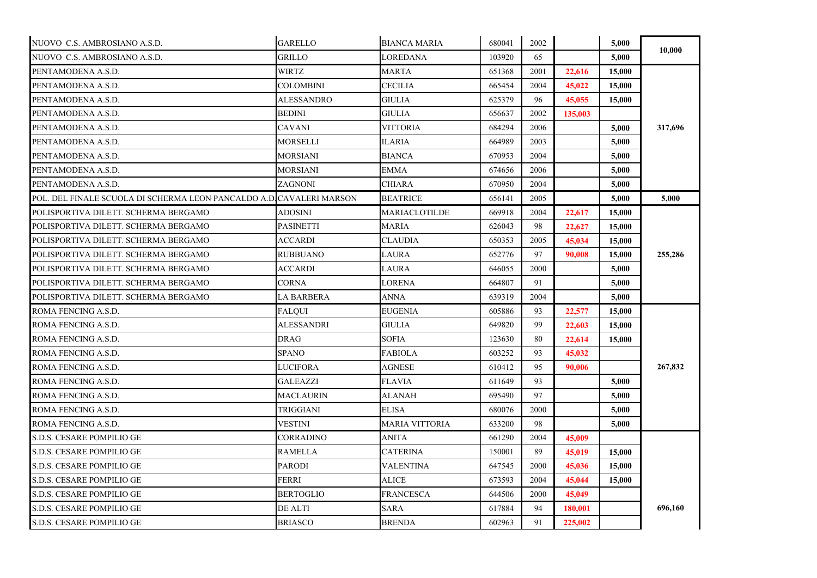| NUOVO C.S. AMBROSIANO A.S.D.                                        | <b>GARELLO</b>    | <b>BIANCA MARIA</b> | 680041 | 2002 |         | 5,000  | 10.000  |
|---------------------------------------------------------------------|-------------------|---------------------|--------|------|---------|--------|---------|
| NUOVO C.S. AMBROSIANO A.S.D.                                        | <b>GRILLO</b>     | LOREDANA            | 103920 | 65   |         | 5,000  |         |
| PENTAMODENA A.S.D.                                                  | <b>WIRTZ</b>      | MARTA               | 651368 | 2001 | 22,616  | 15,000 |         |
| PENTAMODENA A.S.D.                                                  | COLOMBINI         | <b>CECILIA</b>      | 665454 | 2004 | 45,022  | 15,000 |         |
| PENTAMODENA A.S.D.                                                  | ALESSANDRO        | <b>GIULIA</b>       | 625379 | 96   | 45,055  | 15,000 |         |
| PENTAMODENA A.S.D.                                                  | BEDINI            | GIULIA              | 656637 | 2002 | 135,003 |        |         |
| PENTAMODENA A.S.D.                                                  | <b>CAVANI</b>     | <b>VITTORIA</b>     | 684294 | 2006 |         | 5.000  | 317,696 |
| PENTAMODENA A.S.D.                                                  | MORSELLI          | ILARIA              | 664989 | 2003 |         | 5,000  |         |
| PENTAMODENA A.S.D.                                                  | MORSIANI          | <b>BIANCA</b>       | 670953 | 2004 |         | 5,000  |         |
| PENTAMODENA A.S.D.                                                  | MORSIANI          | EMMA                | 674656 | 2006 |         | 5.000  |         |
| PENTAMODENA A.S.D.                                                  | ZAGNONI           | CHIARA              | 670950 | 2004 |         | 5,000  |         |
| POL. DEL FINALE SCUOLA DI SCHERMA LEON PANCALDO A.D CAVALERI MARSON |                   | <b>BEATRICE</b>     | 656141 | 2005 |         | 5,000  | 5,000   |
| POLISPORTIVA DILETT. SCHERMA BERGAMO                                | ADOSINI           | MARIACLOTILDE       | 669918 | 2004 | 22,617  | 15,000 |         |
| POLISPORTIVA DILETT. SCHERMA BERGAMO                                | PASINETTI         | <b>MARIA</b>        | 626043 | 98   | 22,627  | 15,000 | 255,286 |
| POLISPORTIVA DILETT. SCHERMA BERGAMO                                | ACCARDI           | <b>CLAUDIA</b>      | 650353 | 2005 | 45,034  | 15,000 |         |
| POLISPORTIVA DILETT. SCHERMA BERGAMO                                | <b>RUBBUANO</b>   | LAURA               | 652776 | 97   | 90.008  | 15,000 |         |
| POLISPORTIVA DILETT. SCHERMA BERGAMO                                | ACCARDI           | LAURA               | 646055 | 2000 |         | 5,000  |         |
| POLISPORTIVA DILETT. SCHERMA BERGAMO                                | CORNA             | LORENA              | 664807 | 91   |         | 5,000  |         |
| POLISPORTIVA DILETT. SCHERMA BERGAMO                                | LA BARBERA        | ANNA                | 639319 | 2004 |         | 5,000  |         |
| ROMA FENCING A.S.D.                                                 | <b>FALOUI</b>     | <b>EUGENIA</b>      | 605886 | 93   | 22,577  | 15,000 |         |
| ROMA FENCING A.S.D.                                                 | <b>ALESSANDRI</b> | GIULIA              | 649820 | 99   | 22,603  | 15,000 |         |
| ROMA FENCING A.S.D.                                                 | <b>DRAG</b>       | <b>SOFIA</b>        | 123630 | 80   | 22,614  | 15,000 |         |
| ROMA FENCING A.S.D.                                                 | <b>SPANO</b>      | <b>FABIOLA</b>      | 603252 | 93   | 45,032  |        |         |
| ROMA FENCING A.S.D.                                                 | LUCIFORA          | AGNESE              | 610412 | 95   | 90,006  |        | 267,832 |
| ROMA FENCING A.S.D.                                                 | GALEAZZI          | <b>FLAVIA</b>       | 611649 | 93   |         | 5,000  |         |
| ROMA FENCING A.S.D.                                                 | MACLAURIN         | ALANAH              | 695490 | 97   |         | 5.000  |         |
| ROMA FENCING A.S.D.                                                 | TRIGGIANI         | <b>ELISA</b>        | 680076 | 2000 |         | 5,000  |         |
| ROMA FENCING A.S.D.                                                 | VESTINI           | MARIA VITTORIA      | 633200 | 98   |         | 5,000  |         |
| S.D.S. CESARE POMPILIO GE                                           | CORRADINO         | ANITA               | 661290 | 2004 | 45,009  |        |         |
| S.D.S. CESARE POMPILIO GE                                           | <b>RAMELLA</b>    | <b>CATERINA</b>     | 150001 | 89   | 45,019  | 15,000 |         |
| S.D.S. CESARE POMPILIO GE                                           | <b>PARODI</b>     | VALENTINA           | 647545 | 2000 | 45,036  | 15,000 |         |
| S.D.S. CESARE POMPILIO GE                                           | <b>FERRI</b>      | ALICE               | 673593 | 2004 | 45,044  | 15,000 |         |
| S.D.S. CESARE POMPILIO GE                                           | <b>BERTOGLIO</b>  | <b>FRANCESCA</b>    | 644506 | 2000 | 45,049  |        |         |
| S.D.S. CESARE POMPILIO GE                                           | DE ALTI           | SARA                | 617884 | 94   | 180,001 |        | 696,160 |
| S.D.S. CESARE POMPILIO GE                                           | <b>BRIASCO</b>    | <b>BRENDA</b>       | 602963 | 91   | 225,002 |        |         |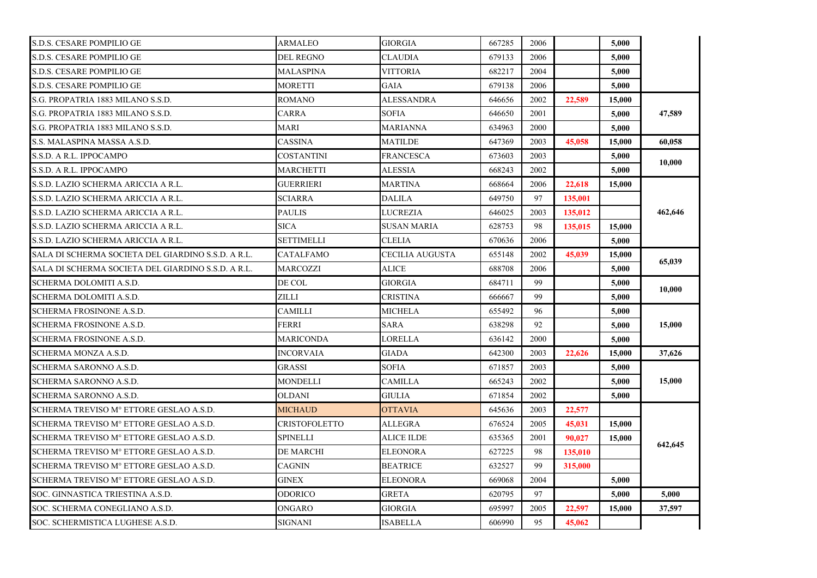| S.D.S. CESARE POMPILIO GE                          | <b>ARMALEO</b>       | <b>GIORGIA</b>     | 667285 | 2006 |         | 5,000  |         |
|----------------------------------------------------|----------------------|--------------------|--------|------|---------|--------|---------|
| S.D.S. CESARE POMPILIO GE                          | DEL REGNO            | <b>CLAUDIA</b>     | 679133 | 2006 |         | 5,000  |         |
| S.D.S. CESARE POMPILIO GE                          | MALASPINA            | <b>VITTORIA</b>    | 682217 | 2004 |         | 5,000  |         |
| S.D.S. CESARE POMPILIO GE                          | <b>MORETTI</b>       | <b>GAIA</b>        | 679138 | 2006 |         | 5,000  |         |
| S.G. PROPATRIA 1883 MILANO S.S.D.                  | <b>ROMANO</b>        | ALESSANDRA         | 646656 | 2002 | 22,589  | 15,000 |         |
| S.G. PROPATRIA 1883 MILANO S.S.D.                  | CARRA                | <b>SOFIA</b>       | 646650 | 2001 |         | 5,000  | 47,589  |
| S.G. PROPATRIA 1883 MILANO S.S.D.                  | <b>MARI</b>          | MARIANNA           | 634963 | 2000 |         | 5,000  |         |
| S.S. MALASPINA MASSA A.S.D.                        | <b>CASSINA</b>       | MATILDE            | 647369 | 2003 | 45,058  | 15,000 | 60.058  |
| S.S.D. A R.L. IPPOCAMPO                            | COSTANTINI           | <b>FRANCESCA</b>   | 673603 | 2003 |         | 5,000  |         |
| S.S.D. A R.L. IPPOCAMPO                            | <b>MARCHETTI</b>     | <b>ALESSIA</b>     | 668243 | 2002 |         | 5,000  | 10,000  |
| S.S.D. LAZIO SCHERMA ARICCIA A R.L.                | <b>GUERRIERI</b>     | MARTINA            | 668664 | 2006 | 22,618  | 15,000 |         |
| S.S.D. LAZIO SCHERMA ARICCIA A R.L.                | <b>SCIARRA</b>       | <b>DALILA</b>      | 649750 | 97   | 135,001 |        |         |
| S.S.D. LAZIO SCHERMA ARICCIA A R.L.                | <b>PAULIS</b>        | LUCREZIA           | 646025 | 2003 | 135,012 |        | 462,646 |
| S.S.D. LAZIO SCHERMA ARICCIA A R.L.                | <b>SICA</b>          | <b>SUSAN MARIA</b> | 628753 | 98   | 135,015 | 15,000 |         |
| S.S.D. LAZIO SCHERMA ARICCIA A R.L.                | SETTIMELLI           | CLELIA             | 670636 | 2006 |         | 5,000  |         |
| SALA DI SCHERMA SOCIETA DEL GIARDINO S.S.D. A R.L. | CATALFAMO            | CECILIA AUGUSTA    | 655148 | 2002 | 45,039  | 15,000 | 65,039  |
| SALA DI SCHERMA SOCIETA DEL GIARDINO S.S.D. A R.L. | <b>MARCOZZI</b>      | ALICE              | 688708 | 2006 |         | 5,000  |         |
| SCHERMA DOLOMITI A.S.D.                            | DE COL               | <b>GIORGIA</b>     | 684711 | 99   |         | 5,000  | 10,000  |
| SCHERMA DOLOMITI A.S.D.                            | ZILLI                | CRISTINA           | 666667 | 99   |         | 5,000  |         |
| <b>SCHERMA FROSINONE A.S.D.</b>                    | <b>CAMILLI</b>       | <b>MICHELA</b>     | 655492 | 96   |         | 5,000  |         |
| <b>SCHERMA FROSINONE A.S.D.</b>                    | FERRI                | SARA               | 638298 | 92   |         | 5,000  | 15,000  |
| <b>SCHERMA FROSINONE A.S.D.</b>                    | MARICONDA            | <b>LORELLA</b>     | 636142 | 2000 |         | 5,000  |         |
| SCHERMA MONZA A.S.D.                               | <b>INCORVAIA</b>     | <b>GIADA</b>       | 642300 | 2003 | 22,626  | 15,000 | 37,626  |
| SCHERMA SARONNO A.S.D.                             | <b>GRASSI</b>        | <b>SOFIA</b>       | 671857 | 2003 |         | 5,000  |         |
| SCHERMA SARONNO A.S.D.                             | MONDELLI             | CAMILLA            | 665243 | 2002 |         | 5,000  | 15,000  |
| SCHERMA SARONNO A.S.D.                             | <b>OLDANI</b>        | <b>GIULIA</b>      | 671854 | 2002 |         | 5,000  |         |
| SCHERMA TREVISO Mº ETTORE GESLAO A.S.D.            | <b>MICHAUD</b>       | <b>OTTAVIA</b>     | 645636 | 2003 | 22,577  |        |         |
| SCHERMA TREVISO Mº ETTORE GESLAO A.S.D.            | <b>CRISTOFOLETTO</b> | ALLEGRA            | 676524 | 2005 | 45,031  | 15,000 |         |
| SCHERMA TREVISO M° ETTORE GESLAO A.S.D.            | <b>SPINELLI</b>      | <b>ALICE ILDE</b>  | 635365 | 2001 | 90,027  | 15,000 |         |
| SCHERMA TREVISO Mº ETTORE GESLAO A.S.D.            | <b>DE MARCHI</b>     | <b>ELEONORA</b>    | 627225 | 98   | 135,010 |        | 642,645 |
| SCHERMA TREVISO M° ETTORE GESLAO A.S.D.            | <b>CAGNIN</b>        | <b>BEATRICE</b>    | 632527 | 99   | 315,000 |        |         |
| SCHERMA TREVISO M° ETTORE GESLAO A.S.D.            | <b>GINEX</b>         | ELEONORA           | 669068 | 2004 |         | 5,000  |         |
| SOC. GINNASTICA TRIESTINA A.S.D.                   | <b>ODORICO</b>       | GRETA              | 620795 | 97   |         | 5,000  | 5,000   |
| SOC. SCHERMA CONEGLIANO A.S.D.                     | ONGARO               | <b>GIORGIA</b>     | 695997 | 2005 | 22,597  | 15,000 | 37,597  |
| SOC. SCHERMISTICA LUGHESE A.S.D.                   | <b>SIGNANI</b>       | <b>ISABELLA</b>    | 606990 | 95   | 45,062  |        |         |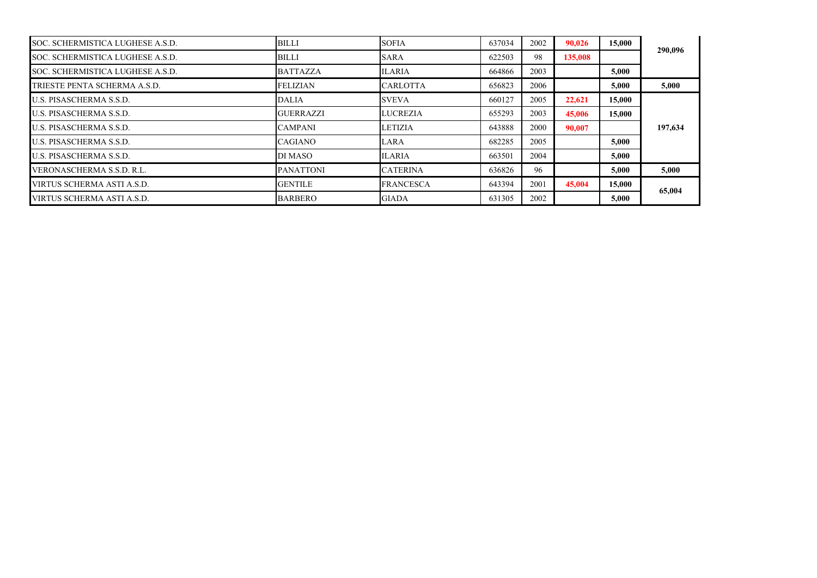| SOC. SCHERMISTICA LUGHESE A.S.D. | <b>BILLI</b>     | <b>SOFIA</b>     | 637034 | 2002 | 90.026  | 15,000 | 290,096 |
|----------------------------------|------------------|------------------|--------|------|---------|--------|---------|
| SOC. SCHERMISTICA LUGHESE A.S.D. | <b>BILLI</b>     | <b>SARA</b>      | 622503 | 98   | 135,008 |        |         |
| SOC. SCHERMISTICA LUGHESE A.S.D. | <b>BATTAZZA</b>  | <b>ILARIA</b>    | 664866 | 2003 |         | 5.000  |         |
| TRIESTE PENTA SCHERMA A.S.D.     | <b>FELIZIAN</b>  | <b>CARLOTTA</b>  | 656823 | 2006 |         | 5.000  | 5,000   |
| <b>U.S. PISASCHERMA S.S.D.</b>   | <b>DALIA</b>     | <b>SVEVA</b>     | 660127 | 2005 | 22,621  | 15,000 |         |
| U.S. PISASCHERMA S.S.D.          | <b>GUERRAZZI</b> | <b>LUCREZIA</b>  | 655293 | 2003 | 45,006  | 15,000 |         |
| U.S. PISASCHERMA S.S.D.          | <b>CAMPANI</b>   | <b>LETIZIA</b>   | 643888 | 2000 | 90,007  |        | 197,634 |
| <b>U.S. PISASCHERMA S.S.D.</b>   | <b>CAGIANO</b>   | LARA             | 682285 | 2005 |         | 5.000  |         |
| <b>U.S. PISASCHERMA S.S.D.</b>   | DI MASO          | <b>ILARIA</b>    | 663501 | 2004 |         | 5.000  |         |
| VERONASCHERMA S.S.D. R.L.        | <b>PANATTONI</b> | <b>CATERINA</b>  | 636826 | 96   |         | 5.000  | 5,000   |
| VIRTUS SCHERMA ASTI A.S.D.       | <b>GENTILE</b>   | <b>FRANCESCA</b> | 643394 | 2001 | 45,004  | 15,000 | 65,004  |
| VIRTUS SCHERMA ASTI A.S.D.       | <b>BARBERO</b>   | <b>GIADA</b>     | 631305 | 2002 |         | 5,000  |         |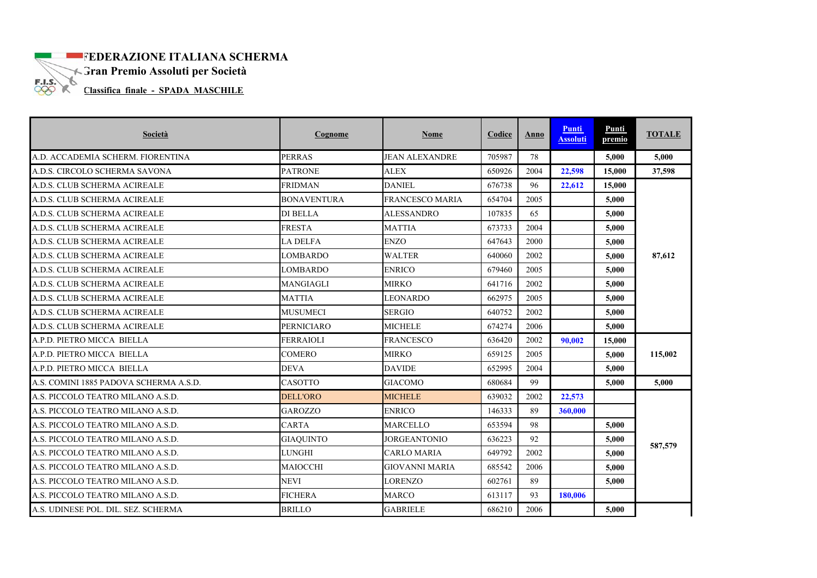## **EXECUTE ITALIANA SCHERMA**

Gran Premio Assoluti per Società

**Classifica finale - SPADA MASCHILE** 

| Società                                | Cognome            | <b>Nome</b>            | Codice | Anno | Punti<br><b>Assoluti</b> | Punti<br>premio | <b>TOTALE</b> |
|----------------------------------------|--------------------|------------------------|--------|------|--------------------------|-----------------|---------------|
| A.D. ACCADEMIA SCHERM. FIORENTINA      | <b>PERRAS</b>      | <b>JEAN ALEXANDRE</b>  | 705987 | 78   |                          | 5,000           | 5,000         |
| A.D.S. CIRCOLO SCHERMA SAVONA          | <b>PATRONE</b>     | <b>ALEX</b>            | 650926 | 2004 | 22,598                   | 15.000          | 37,598        |
| A.D.S. CLUB SCHERMA ACIREALE           | <b>FRIDMAN</b>     | <b>DANIEL</b>          | 676738 | 96   | 22,612                   | 15,000          |               |
| A.D.S. CLUB SCHERMA ACIREALE           | <b>BONAVENTURA</b> | <b>FRANCESCO MARIA</b> | 654704 | 2005 |                          | 5,000           |               |
| A.D.S. CLUB SCHERMA ACIREALE           | <b>DI BELLA</b>    | <b>ALESSANDRO</b>      | 107835 | 65   |                          | 5,000           |               |
| A.D.S. CLUB SCHERMA ACIREALE           | <b>FRESTA</b>      | <b>MATTIA</b>          | 673733 | 2004 |                          | 5.000           |               |
| A.D.S. CLUB SCHERMA ACIREALE           | <b>LA DELFA</b>    | <b>ENZO</b>            | 647643 | 2000 |                          | 5,000           |               |
| A.D.S. CLUB SCHERMA ACIREALE           | <b>LOMBARDO</b>    | <b>WALTER</b>          | 640060 | 2002 |                          | 5.000           | 87,612        |
| A.D.S. CLUB SCHERMA ACIREALE           | <b>LOMBARDO</b>    | <b>ENRICO</b>          | 679460 | 2005 |                          | 5.000           |               |
| A.D.S. CLUB SCHERMA ACIREALE           | MANGIAGLI          | <b>MIRKO</b>           | 641716 | 2002 |                          | 5.000           |               |
| A.D.S. CLUB SCHERMA ACIREALE           | <b>MATTIA</b>      | <b>LEONARDO</b>        | 662975 | 2005 |                          | 5,000           |               |
| A.D.S. CLUB SCHERMA ACIREALE           | <b>MUSUMECI</b>    | <b>SERGIO</b>          | 640752 | 2002 |                          | 5.000           |               |
| A.D.S. CLUB SCHERMA ACIREALE           | <b>PERNICIARO</b>  | <b>MICHELE</b>         | 674274 | 2006 |                          | 5,000           |               |
| A.P.D. PIETRO MICCA BIELLA             | <b>FERRAIOLI</b>   | <b>FRANCESCO</b>       | 636420 | 2002 | 90.002                   | 15,000          |               |
| A.P.D. PIETRO MICCA BIELLA             | <b>COMERO</b>      | <b>MIRKO</b>           | 659125 | 2005 |                          | 5,000           | 115,002       |
| A.P.D. PIETRO MICCA BIELLA             | <b>DEVA</b>        | <b>DAVIDE</b>          | 652995 | 2004 |                          | 5,000           |               |
| A.S. COMINI 1885 PADOVA SCHERMA A.S.D. | <b>CASOTTO</b>     | <b>GIACOMO</b>         | 680684 | 99   |                          | 5.000           | 5,000         |
| A.S. PICCOLO TEATRO MILANO A.S.D.      | <b>DELL'ORO</b>    | <b>MICHELE</b>         | 639032 | 2002 | 22,573                   |                 |               |
| A.S. PICCOLO TEATRO MILANO A.S.D.      | <b>GAROZZO</b>     | <b>ENRICO</b>          | 146333 | 89   | 360,000                  |                 |               |
| A.S. PICCOLO TEATRO MILANO A.S.D.      | <b>CARTA</b>       | <b>MARCELLO</b>        | 653594 | 98   |                          | 5.000           |               |
| A.S. PICCOLO TEATRO MILANO A.S.D.      | <b>GIAQUINTO</b>   | JORGEANTONIO           | 636223 | 92   |                          | 5,000           |               |
| A.S. PICCOLO TEATRO MILANO A.S.D.      | <b>LUNGHI</b>      | <b>CARLO MARIA</b>     | 649792 | 2002 |                          | 5.000           | 587,579       |
| A.S. PICCOLO TEATRO MILANO A.S.D.      | MAIOCCHI           | <b>GIOVANNI MARIA</b>  | 685542 | 2006 |                          | 5,000           |               |
| A.S. PICCOLO TEATRO MILANO A.S.D.      | <b>NEVI</b>        | <b>LORENZO</b>         | 602761 | 89   |                          | 5,000           |               |
| A.S. PICCOLO TEATRO MILANO A.S.D.      | <b>FICHERA</b>     | <b>MARCO</b>           | 613117 | 93   | 180.006                  |                 |               |
| A.S. UDINESE POL. DIL. SEZ. SCHERMA    | <b>BRILLO</b>      | <b>GABRIELE</b>        | 686210 | 2006 |                          | 5.000           |               |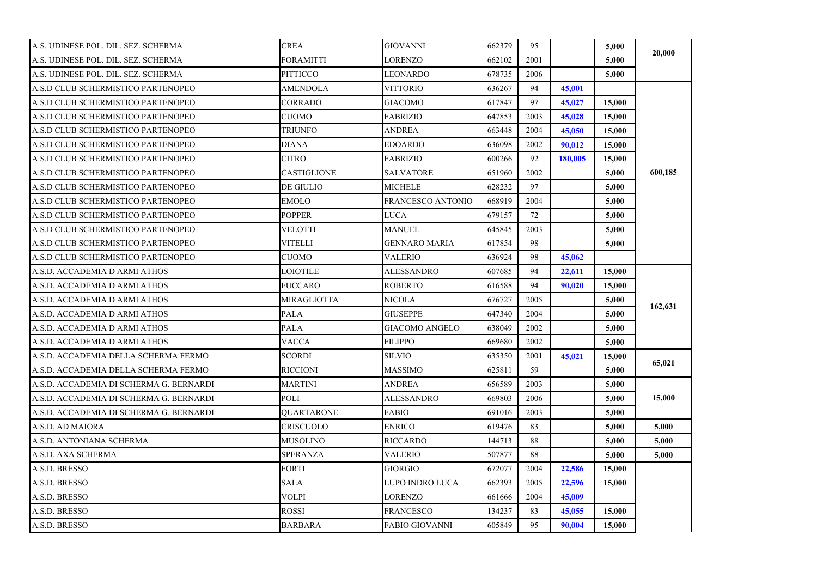| A.S. UDINESE POL. DIL. SEZ. SCHERMA     | <b>CREA</b>        | <b>GIOVANNI</b>          | 662379 | 95   |         | 5,000  |         |
|-----------------------------------------|--------------------|--------------------------|--------|------|---------|--------|---------|
| A.S. UDINESE POL. DIL. SEZ. SCHERMA     | FORAMITTI          | LORENZO                  | 662102 | 2001 |         | 5,000  | 20,000  |
| A.S. UDINESE POL. DIL. SEZ. SCHERMA     | <b>PITTICCO</b>    | LEONARDO                 | 678735 | 2006 |         | 5,000  |         |
| A.S.D CLUB SCHERMISTICO PARTENOPEO      | AMENDOLA           | VITTORIO                 | 636267 | 94   | 45,001  |        |         |
| A.S.D CLUB SCHERMISTICO PARTENOPEO      | <b>CORRADO</b>     | <b>GIACOMO</b>           | 617847 | 97   | 45,027  | 15,000 |         |
| A.S.D CLUB SCHERMISTICO PARTENOPEO      | <b>CUOMO</b>       | <b>FABRIZIO</b>          | 647853 | 2003 | 45,028  | 15,000 |         |
| A.S.D CLUB SCHERMISTICO PARTENOPEO      | <b>TRIUNFO</b>     | <b>ANDREA</b>            | 663448 | 2004 | 45,050  | 15,000 |         |
| A.S.D CLUB SCHERMISTICO PARTENOPEO      | <b>DIANA</b>       | <b>EDOARDO</b>           | 636098 | 2002 | 90,012  | 15,000 |         |
| A.S.D CLUB SCHERMISTICO PARTENOPEO      | CITRO              | <b>FABRIZIO</b>          | 600266 | 92   | 180,005 | 15,000 |         |
| A.S.D CLUB SCHERMISTICO PARTENOPEO      | CASTIGLIONE        | SALVATORE                | 651960 | 2002 |         | 5,000  | 600,185 |
| A.S.D CLUB SCHERMISTICO PARTENOPEO      | DE GIULIO          | MICHELE                  | 628232 | 97   |         | 5,000  |         |
| A.S.D CLUB SCHERMISTICO PARTENOPEO      | <b>EMOLO</b>       | <b>FRANCESCO ANTONIO</b> | 668919 | 2004 |         | 5,000  |         |
| A.S.D CLUB SCHERMISTICO PARTENOPEO      | <b>POPPER</b>      | LUCA                     | 679157 | 72   |         | 5,000  |         |
| A.S.D CLUB SCHERMISTICO PARTENOPEO      | VELOTTI            | MANUEL                   | 645845 | 2003 |         | 5.000  |         |
| A.S.D CLUB SCHERMISTICO PARTENOPEO      | VITELLI            | GENNARO MARIA            | 617854 | 98   |         | 5,000  |         |
| A.S.D CLUB SCHERMISTICO PARTENOPEO      | CUOMO              | VALERIO                  | 636924 | 98   | 45,062  |        |         |
| A.S.D. ACCADEMIA D ARMI ATHOS           | LOIOTILE           | ALESSANDRO               | 607685 | 94   | 22,611  | 15,000 |         |
| A.S.D. ACCADEMIA D ARMI ATHOS           | <b>FUCCARO</b>     | <b>ROBERTO</b>           | 616588 | 94   | 90,020  | 15,000 |         |
| A.S.D. ACCADEMIA D ARMI ATHOS           | <b>MIRAGLIOTTA</b> | <b>NICOLA</b>            | 676727 | 2005 |         | 5,000  | 162,631 |
| A.S.D. ACCADEMIA D ARMI ATHOS           | <b>PALA</b>        | <b>GIUSEPPE</b>          | 647340 | 2004 |         | 5,000  |         |
| A.S.D. ACCADEMIA D ARMI ATHOS           | <b>PALA</b>        | <b>GIACOMO ANGELO</b>    | 638049 | 2002 |         | 5.000  |         |
| A.S.D. ACCADEMIA D ARMI ATHOS           | VACCA              | <b>FILIPPO</b>           | 669680 | 2002 |         | 5,000  |         |
| A.S.D. ACCADEMIA DELLA SCHERMA FERMO    | <b>SCORDI</b>      | SILVIO                   | 635350 | 2001 | 45,021  | 15,000 | 65,021  |
| A.S.D. ACCADEMIA DELLA SCHERMA FERMO    | RICCIONI           | MASSIMO                  | 625811 | 59   |         | 5,000  |         |
| A.S.D. ACCADEMIA DI SCHERMA G. BERNARDI | <b>MARTINI</b>     | <b>ANDREA</b>            | 656589 | 2003 |         | 5,000  |         |
| A.S.D. ACCADEMIA DI SCHERMA G. BERNARDI | POLI               | ALESSANDRO               | 669803 | 2006 |         | 5,000  | 15,000  |
| A.S.D. ACCADEMIA DI SCHERMA G. BERNARDI | OUARTARONE         | <b>FABIO</b>             | 691016 | 2003 |         | 5,000  |         |
| A.S.D. AD MAIORA                        | CRISCUOLO          | <b>ENRICO</b>            | 619476 | 83   |         | 5,000  | 5,000   |
| A.S.D. ANTONIANA SCHERMA                | MUSOLINO           | <b>RICCARDO</b>          | 144713 | 88   |         | 5,000  | 5,000   |
| A.S.D. AXA SCHERMA                      | <b>SPERANZA</b>    | VALERIO                  | 507877 | 88   |         | 5,000  | 5,000   |
| A.S.D. BRESSO                           | FORTI              | GIORGIO                  | 672077 | 2004 | 22,586  | 15,000 |         |
| A.S.D. BRESSO                           | <b>SALA</b>        | LUPO INDRO LUCA          | 662393 | 2005 | 22,596  | 15,000 |         |
| A.S.D. BRESSO                           | VOLPI              | LORENZO                  | 661666 | 2004 | 45,009  |        |         |
| A.S.D. BRESSO                           | <b>ROSSI</b>       | <b>FRANCESCO</b>         | 134237 | 83   | 45,055  | 15,000 |         |
| A.S.D. BRESSO                           | <b>BARBARA</b>     | <b>FABIO GIOVANNI</b>    | 605849 | 95   | 90,004  | 15,000 |         |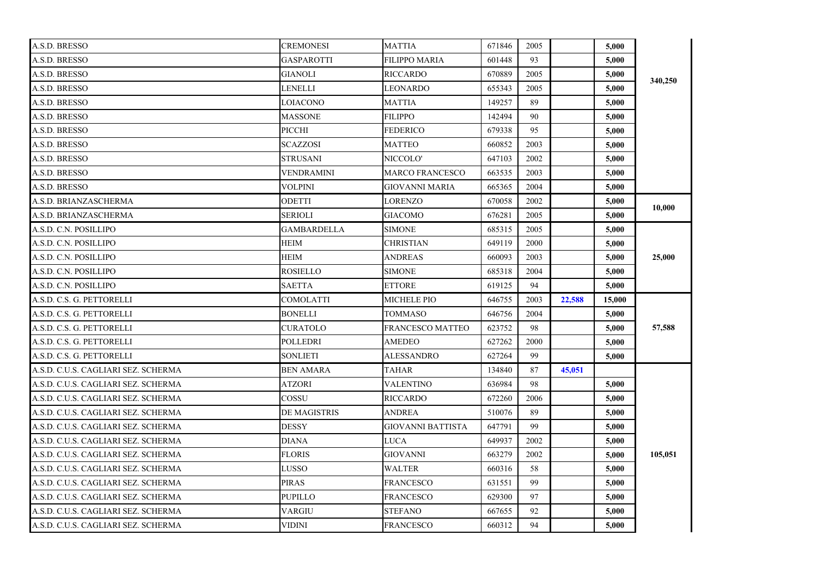| A.S.D. BRESSO                       | <b>CREMONESI</b>   | <b>MATTIA</b>            | 671846 | 2005 |        | 5,000  |         |
|-------------------------------------|--------------------|--------------------------|--------|------|--------|--------|---------|
| A.S.D. BRESSO                       | GASPAROTTI         | FILIPPO MARIA            | 601448 | 93   |        | 5,000  |         |
| A.S.D. BRESSO                       | GIANOLI            | <b>RICCARDO</b>          | 670889 | 2005 |        | 5,000  | 340,250 |
| A.S.D. BRESSO                       | LENELLI            | LEONARDO                 | 655343 | 2005 |        | 5,000  |         |
| A.S.D. BRESSO                       | LOIACONO           | <b>MATTIA</b>            | 149257 | 89   |        | 5,000  |         |
| A.S.D. BRESSO                       | <b>MASSONE</b>     | <b>FILIPPO</b>           | 142494 | 90   |        | 5,000  |         |
| A.S.D. BRESSO                       | PICCHI             | <b>FEDERICO</b>          | 679338 | 95   |        | 5,000  |         |
| A.S.D. BRESSO                       | <b>SCAZZOSI</b>    | <b>MATTEO</b>            | 660852 | 2003 |        | 5.000  |         |
| A.S.D. BRESSO                       | STRUSANI           | NICCOLO'                 | 647103 | 2002 |        | 5,000  |         |
| A.S.D. BRESSO                       | VENDRAMINI         | MARCO FRANCESCO          | 663535 | 2003 |        | 5,000  |         |
| A.S.D. BRESSO                       | <b>VOLPINI</b>     | <b>GIOVANNI MARIA</b>    | 665365 | 2004 |        | 5,000  |         |
| A.S.D. BRIANZASCHERMA               | ODETTI             | <b>LORENZO</b>           | 670058 | 2002 |        | 5,000  | 10,000  |
| A.S.D. BRIANZASCHERMA               | <b>SERIOLI</b>     | <b>GIACOMO</b>           | 676281 | 2005 |        | 5,000  |         |
| A.S.D. C.N. POSILLIPO               | <b>GAMBARDELLA</b> | <b>SIMONE</b>            | 685315 | 2005 |        | 5,000  |         |
| A.S.D. C.N. POSILLIPO               | HEIM               | CHRISTIAN                | 649119 | 2000 |        | 5,000  |         |
| A.S.D. C.N. POSILLIPO               | <b>HEIM</b>        | <b>ANDREAS</b>           | 660093 | 2003 |        | 5,000  | 25,000  |
| A.S.D. C.N. POSILLIPO               | ROSIELLO           | SIMONE                   | 685318 | 2004 |        | 5,000  |         |
| A.S.D. C.N. POSILLIPO               | <b>SAETTA</b>      | <b>ETTORE</b>            | 619125 | 94   |        | 5,000  |         |
| A.S.D. C.S. G. PETTORELLI           | COMOLATTI          | <b>MICHELE PIO</b>       | 646755 | 2003 | 22,588 | 15,000 |         |
| A.S.D. C.S. G. PETTORELLI           | <b>BONELLI</b>     | <b>TOMMASO</b>           | 646756 | 2004 |        | 5,000  |         |
| A.S.D. C.S. G. PETTORELLI           | <b>CURATOLO</b>    | <b>FRANCESCO MATTEO</b>  | 623752 | 98   |        | 5.000  | 57,588  |
| A.S.D. C.S. G. PETTORELLI           | <b>POLLEDRI</b>    | <b>AMEDEO</b>            | 627262 | 2000 |        | 5,000  |         |
| A.S.D. C.S. G. PETTORELLI           | SONLIETI           | ALESSANDRO               | 627264 | 99   |        | 5,000  |         |
| A.S.D. C.U.S. CAGLIARI SEZ. SCHERMA | <b>BEN AMARA</b>   | TAHAR                    | 134840 | 87   | 45,051 |        |         |
| A.S.D. C.U.S. CAGLIARI SEZ. SCHERMA | ATZORI             | VALENTINO                | 636984 | 98   |        | 5,000  |         |
| A.S.D. C.U.S. CAGLIARI SEZ. SCHERMA | COSSU              | <b>RICCARDO</b>          | 672260 | 2006 |        | 5,000  |         |
| A.S.D. C.U.S. CAGLIARI SEZ. SCHERMA | DE MAGISTRIS       | <b>ANDREA</b>            | 510076 | 89   |        | 5,000  |         |
| A.S.D. C.U.S. CAGLIARI SEZ. SCHERMA | <b>DESSY</b>       | <b>GIOVANNI BATTISTA</b> | 647791 | 99   |        | 5,000  |         |
| A.S.D. C.U.S. CAGLIARI SEZ. SCHERMA | <b>DIANA</b>       | <b>LUCA</b>              | 649937 | 2002 |        | 5,000  |         |
| A.S.D. C.U.S. CAGLIARI SEZ. SCHERMA | <b>FLORIS</b>      | <b>GIOVANNI</b>          | 663279 | 2002 |        | 5,000  | 105,051 |
| A.S.D. C.U.S. CAGLIARI SEZ. SCHERMA | LUSSO              | <b>WALTER</b>            | 660316 | 58   |        | 5,000  |         |
| A.S.D. C.U.S. CAGLIARI SEZ. SCHERMA | PIRAS              | FRANCESCO                | 631551 | 99   |        | 5,000  |         |
| A.S.D. C.U.S. CAGLIARI SEZ. SCHERMA | <b>PUPILLO</b>     | FRANCESCO                | 629300 | 97   |        | 5,000  |         |
|                                     |                    |                          |        |      |        |        |         |
| A.S.D. C.U.S. CAGLIARI SEZ. SCHERMA | VARGIU             | STEFANO                  | 667655 | 92   |        | 5,000  |         |
| A.S.D. C.U.S. CAGLIARI SEZ. SCHERMA | VIDINI             | <b>FRANCESCO</b>         | 660312 | 94   |        | 5,000  |         |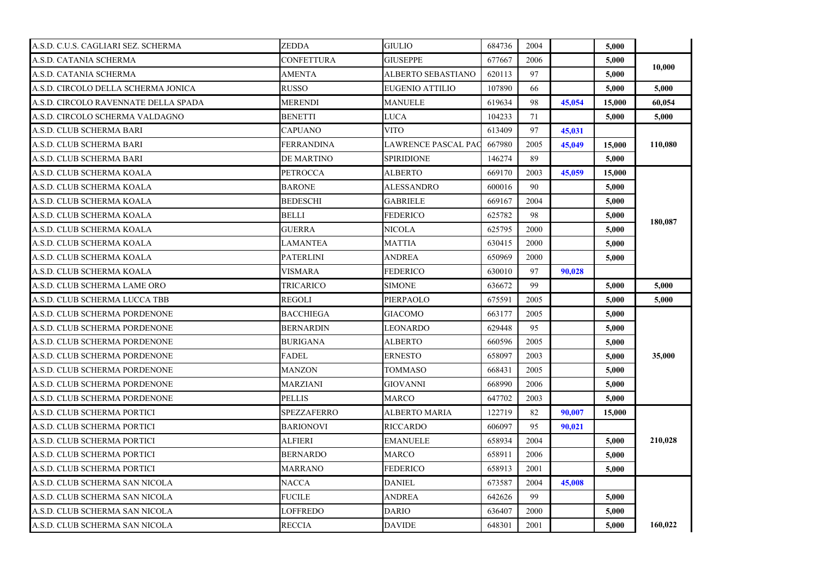| A.S.D. C.U.S. CAGLIARI SEZ. SCHERMA  | ZEDDA              | <b>GIULIO</b>          | 684736 | 2004 |        | 5,000  |         |
|--------------------------------------|--------------------|------------------------|--------|------|--------|--------|---------|
| A.S.D. CATANIA SCHERMA               | CONFETTURA         | GIUSEPPE               | 677667 | 2006 |        | 5,000  | 10.000  |
| A.S.D. CATANIA SCHERMA               | <b>AMENTA</b>      | ALBERTO SEBASTIANO     | 620113 | 97   |        | 5,000  |         |
| A.S.D. CIRCOLO DELLA SCHERMA JONICA  | <b>RUSSO</b>       | <b>EUGENIO ATTILIO</b> | 107890 | 66   |        | 5,000  | 5,000   |
| A.S.D. CIRCOLO RAVENNATE DELLA SPADA | <b>MERENDI</b>     | MANUELE                | 619634 | 98   | 45,054 | 15,000 | 60,054  |
| A.S.D. CIRCOLO SCHERMA VALDAGNO      | <b>BENETTI</b>     | LUCA                   | 104233 | 71   |        | 5,000  | 5,000   |
| A.S.D. CLUB SCHERMA BARI             | <b>CAPUANO</b>     | <b>VITO</b>            | 613409 | 97   | 45,031 |        |         |
| A.S.D. CLUB SCHERMA BARI             | <b>FERRANDINA</b>  | LAWRENCE PASCAL PAC    | 667980 | 2005 | 45,049 | 15,000 | 110,080 |
| A.S.D. CLUB SCHERMA BARI             | DE MARTINO         | SPIRIDIONE             | 146274 | 89   |        | 5,000  |         |
| A.S.D. CLUB SCHERMA KOALA            | <b>PETROCCA</b>    | ALBERTO                | 669170 | 2003 | 45,059 | 15,000 |         |
| A.S.D. CLUB SCHERMA KOALA            | <b>BARONE</b>      | ALESSANDRO             | 600016 | 90   |        | 5,000  |         |
| A.S.D. CLUB SCHERMA KOALA            | <b>BEDESCHI</b>    | <b>GABRIELE</b>        | 669167 | 2004 |        | 5,000  |         |
| A.S.D. CLUB SCHERMA KOALA            | <b>BELLI</b>       | <b>FEDERICO</b>        | 625782 | 98   |        | 5,000  |         |
| A.S.D. CLUB SCHERMA KOALA            | <b>GUERRA</b>      | NICOLA                 | 625795 | 2000 |        | 5,000  | 180,087 |
| A.S.D. CLUB SCHERMA KOALA            | LAMANTEA           | MATTIA                 | 630415 | 2000 |        | 5,000  |         |
| A.S.D. CLUB SCHERMA KOALA            | <b>PATERLINI</b>   | ANDREA                 | 650969 | 2000 |        | 5.000  |         |
| A.S.D. CLUB SCHERMA KOALA            | VISMARA            | FEDERICO               | 630010 | 97   | 90,028 |        |         |
| A.S.D. CLUB SCHERMA LAME ORO         | TRICARICO          | SIMONE                 | 636672 | 99   |        | 5.000  | 5.000   |
| A.S.D. CLUB SCHERMA LUCCA TBB        | <b>REGOLI</b>      | PIERPAOLO              | 675591 | 2005 |        | 5,000  | 5,000   |
| A.S.D. CLUB SCHERMA PORDENONE        | <b>BACCHIEGA</b>   | <b>GIACOMO</b>         | 663177 | 2005 |        | 5,000  |         |
| A.S.D. CLUB SCHERMA PORDENONE        | <b>BERNARDIN</b>   | <b>LEONARDO</b>        | 629448 | 95   |        | 5,000  |         |
| A.S.D. CLUB SCHERMA PORDENONE        | <b>BURIGANA</b>    | ALBERTO                | 660596 | 2005 |        | 5,000  |         |
| A.S.D. CLUB SCHERMA PORDENONE        | <b>FADEL</b>       | <b>ERNESTO</b>         | 658097 | 2003 |        | 5,000  | 35,000  |
| A.S.D. CLUB SCHERMA PORDENONE        | MANZON             | TOMMASO                | 668431 | 2005 |        | 5,000  |         |
| A.S.D. CLUB SCHERMA PORDENONE        | MARZIANI           | GIOVANNI               | 668990 | 2006 |        | 5,000  |         |
| A.S.D. CLUB SCHERMA PORDENONE        | <b>PELLIS</b>      | MARCO                  | 647702 | 2003 |        | 5,000  |         |
| A.S.D. CLUB SCHERMA PORTICI          | <b>SPEZZAFERRO</b> | <b>ALBERTO MARIA</b>   | 122719 | 82   | 90.007 | 15,000 |         |
| A.S.D. CLUB SCHERMA PORTICI          | <b>BARIONOVI</b>   | <b>RICCARDO</b>        | 606097 | 95   | 90.021 |        |         |
| A.S.D. CLUB SCHERMA PORTICI          | ALFIERI            | <b>EMANUELE</b>        | 658934 | 2004 |        | 5,000  | 210,028 |
| A.S.D. CLUB SCHERMA PORTICI          | <b>BERNARDO</b>    | MARCO                  | 658911 | 2006 |        | 5,000  |         |
| A.S.D. CLUB SCHERMA PORTICI          | MARRANO            | <b>FEDERICO</b>        | 658913 | 2001 |        | 5.000  |         |
| A.S.D. CLUB SCHERMA SAN NICOLA       | NACCA              | DANIEL                 | 673587 | 2004 | 45,008 |        |         |
| A.S.D. CLUB SCHERMA SAN NICOLA       | <b>FUCILE</b>      | ANDREA                 | 642626 | 99   |        | 5,000  |         |
| A.S.D. CLUB SCHERMA SAN NICOLA       | LOFFREDO           | <b>DARIO</b>           | 636407 | 2000 |        | 5,000  |         |
| A.S.D. CLUB SCHERMA SAN NICOLA       | <b>RECCIA</b>      | <b>DAVIDE</b>          | 648301 | 2001 |        | 5,000  | 160,022 |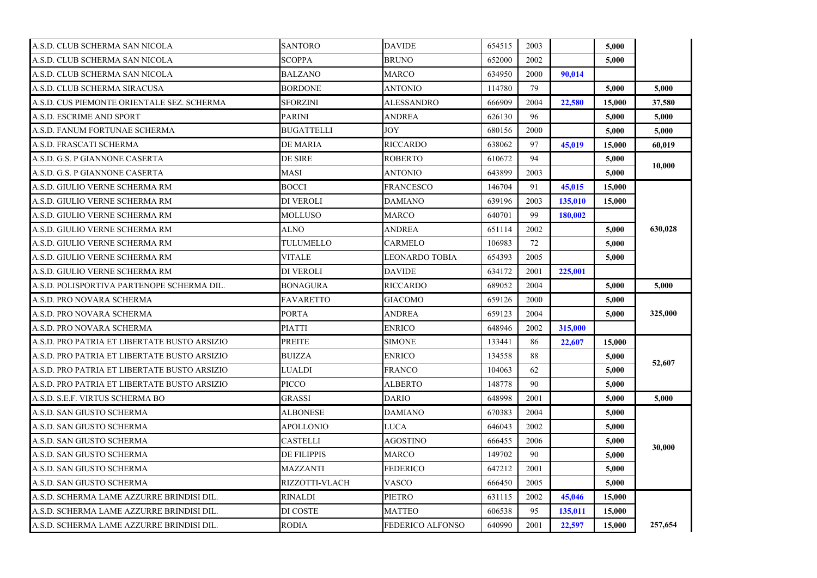| A.S.D. CLUB SCHERMA SAN NICOLA               | <b>SANTORO</b>    | <b>DAVIDE</b>           | 654515 | 2003 |         | 5,000  |         |
|----------------------------------------------|-------------------|-------------------------|--------|------|---------|--------|---------|
| A.S.D. CLUB SCHERMA SAN NICOLA               | SCOPPA            | BRUNO                   | 652000 | 2002 |         | 5,000  |         |
| A.S.D. CLUB SCHERMA SAN NICOLA               | <b>BALZANO</b>    | <b>MARCO</b>            | 634950 | 2000 | 90.014  |        |         |
| A.S.D. CLUB SCHERMA SIRACUSA                 | <b>BORDONE</b>    | ANTONIO                 | 114780 | 79   |         | 5,000  | 5.000   |
| A.S.D. CUS PIEMONTE ORIENTALE SEZ. SCHERMA   | <b>SFORZINI</b>   | ALESSANDRO              | 666909 | 2004 | 22,580  | 15,000 | 37,580  |
| A.S.D. ESCRIME AND SPORT                     | <b>PARINI</b>     | ANDREA                  | 626130 | 96   |         | 5,000  | 5,000   |
| A.S.D. FANUM FORTUNAE SCHERMA                | <b>BUGATTELLI</b> | JOY                     | 680156 | 2000 |         | 5,000  | 5,000   |
| A.S.D. FRASCATI SCHERMA                      | DE MARIA          | <b>RICCARDO</b>         | 638062 | 97   | 45,019  | 15.000 | 60.019  |
| A.S.D. G.S. P GIANNONE CASERTA               | DE SIRE           | ROBERTO                 | 610672 | 94   |         | 5,000  |         |
| A.S.D. G.S. P GIANNONE CASERTA               | MASI              | ANTONIO                 | 643899 | 2003 |         | 5,000  | 10,000  |
| A.S.D. GIULIO VERNE SCHERMA RM               | BOCCI             | <b>FRANCESCO</b>        | 146704 | 91   | 45,015  | 15,000 |         |
| A.S.D. GIULIO VERNE SCHERMA RM               | DI VEROLI         | <b>DAMIANO</b>          | 639196 | 2003 | 135,010 | 15,000 |         |
| A.S.D. GIULIO VERNE SCHERMA RM               | MOLLUSO           | <b>MARCO</b>            | 640701 | 99   | 180,002 |        |         |
| A.S.D. GIULIO VERNE SCHERMA RM               | <b>ALNO</b>       | ANDREA                  | 651114 | 2002 |         | 5,000  | 630,028 |
| A.S.D. GIULIO VERNE SCHERMA RM               | TULUMELLO         | CARMELO                 | 106983 | 72   |         | 5,000  |         |
| A.S.D. GIULIO VERNE SCHERMA RM               | VITALE            | LEONARDO TOBIA          | 654393 | 2005 |         | 5.000  |         |
| A.S.D. GIULIO VERNE SCHERMA RM               | DI VEROLI         | DAVIDE                  | 634172 | 2001 | 225,001 |        |         |
| A.S.D. POLISPORTIVA PARTENOPE SCHERMA DIL.   | <b>BONAGURA</b>   | <b>RICCARDO</b>         | 689052 | 2004 |         | 5.000  | 5.000   |
| A.S.D. PRO NOVARA SCHERMA                    | FAVARETTO         | <b>GIACOMO</b>          | 659126 | 2000 |         | 5,000  |         |
| A.S.D. PRO NOVARA SCHERMA                    | <b>PORTA</b>      | <b>ANDREA</b>           | 659123 | 2004 |         | 5,000  | 325,000 |
| A.S.D. PRO NOVARA SCHERMA                    | <b>PIATTI</b>     | <b>ENRICO</b>           | 648946 | 2002 | 315,000 |        |         |
| A.S.D. PRO PATRIA ET LIBERTATE BUSTO ARSIZIO | <b>PREITE</b>     | <b>SIMONE</b>           | 133441 | 86   | 22,607  | 15,000 |         |
| A.S.D. PRO PATRIA ET LIBERTATE BUSTO ARSIZIO | <b>BUIZZA</b>     | ENRICO                  | 134558 | 88   |         | 5,000  | 52,607  |
| A.S.D. PRO PATRIA ET LIBERTATE BUSTO ARSIZIO | LUALDI            | FRANCO                  | 104063 | 62   |         | 5,000  |         |
| A.S.D. PRO PATRIA ET LIBERTATE BUSTO ARSIZIO | PICCO             | ALBERTO                 | 148778 | 90   |         | 5,000  |         |
| A.S.D. S.E.F. VIRTUS SCHERMA BO              | GRASSI            | <b>DARIO</b>            | 648998 | 2001 |         | 5,000  | 5.000   |
| A.S.D. SAN GIUSTO SCHERMA                    | <b>ALBONESE</b>   | <b>DAMIANO</b>          | 670383 | 2004 |         | 5,000  |         |
| A.S.D. SAN GIUSTO SCHERMA                    | APOLLONIO         | LUCA                    | 646043 | 2002 |         | 5,000  |         |
| A.S.D. SAN GIUSTO SCHERMA                    | <b>CASTELLI</b>   | <b>AGOSTINO</b>         | 666455 | 2006 |         | 5,000  | 30,000  |
| A.S.D. SAN GIUSTO SCHERMA                    | DE FILIPPIS       | MARCO                   | 149702 | 90   |         | 5,000  |         |
| A.S.D. SAN GIUSTO SCHERMA                    | MAZZANTI          | FEDERICO                | 647212 | 2001 |         | 5.000  |         |
| A.S.D. SAN GIUSTO SCHERMA                    | RIZZOTTI-VLACH    | VASCO                   | 666450 | 2005 |         | 5,000  |         |
| A.S.D. SCHERMA LAME AZZURRE BRINDISI DIL.    | <b>RINALDI</b>    | PIETRO                  | 631115 | 2002 | 45,046  | 15,000 |         |
| A.S.D. SCHERMA LAME AZZURRE BRINDISI DIL.    | DI COSTE          | <b>MATTEO</b>           | 606538 | 95   | 135,011 | 15,000 |         |
| A.S.D. SCHERMA LAME AZZURRE BRINDISI DIL.    | <b>RODIA</b>      | <b>FEDERICO ALFONSO</b> | 640990 | 2001 | 22,597  | 15,000 | 257,654 |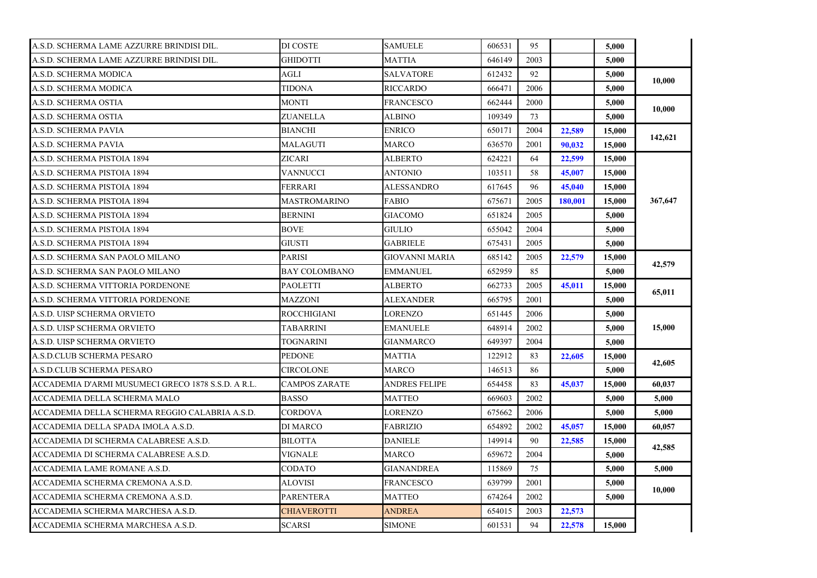| A.S.D. SCHERMA LAME AZZURRE BRINDISI DIL.          | DI COSTE             | <b>SAMUELE</b>    | 606531 | 95   |         | 5,000  |         |
|----------------------------------------------------|----------------------|-------------------|--------|------|---------|--------|---------|
| A.S.D. SCHERMA LAME AZZURRE BRINDISI DIL.          | <b>GHIDOTTI</b>      | MATTIA            | 646149 | 2003 |         | 5,000  |         |
| A.S.D. SCHERMA MODICA                              | AGLI                 | <b>SALVATORE</b>  | 612432 | 92   |         | 5,000  | 10.000  |
| A.S.D. SCHERMA MODICA                              | TIDONA               | <b>RICCARDO</b>   | 666471 | 2006 |         | 5,000  |         |
| A.S.D. SCHERMA OSTIA                               | <b>MONTI</b>         | <b>FRANCESCO</b>  | 662444 | 2000 |         | 5.000  | 10,000  |
| A.S.D. SCHERMA OSTIA                               | ZUANELLA             | <b>ALBINO</b>     | 109349 | 73   |         | 5,000  |         |
| A.S.D. SCHERMA PAVIA                               | <b>BIANCHI</b>       | <b>ENRICO</b>     | 650171 | 2004 | 22,589  | 15,000 | 142,621 |
| A.S.D. SCHERMA PAVIA                               | MALAGUTI             | MARCO             | 636570 | 2001 | 90,032  | 15,000 |         |
| A.S.D. SCHERMA PISTOIA 1894                        | ZICARI               | ALBERTO           | 624221 | 64   | 22,599  | 15,000 |         |
| A.S.D. SCHERMA PISTOIA 1894                        | VANNUCCI             | ANTONIO           | 103511 | 58   | 45,007  | 15,000 |         |
| A.S.D. SCHERMA PISTOIA 1894                        | FERRARI              | ALESSANDRO        | 617645 | 96   | 45,040  | 15,000 |         |
| A.S.D. SCHERMA PISTOIA 1894                        | <b>MASTROMARINO</b>  | <b>FABIO</b>      | 675671 | 2005 | 180.001 | 15,000 | 367,647 |
| A.S.D. SCHERMA PISTOIA 1894                        | <b>BERNINI</b>       | GIACOMO           | 651824 | 2005 |         | 5,000  |         |
| A.S.D. SCHERMA PISTOIA 1894                        | <b>BOVE</b>          | GIULIO            | 655042 | 2004 |         | 5,000  |         |
| A.S.D. SCHERMA PISTOIA 1894                        | <b>GIUSTI</b>        | <b>GABRIELE</b>   | 675431 | 2005 |         | 5,000  |         |
| A.S.D. SCHERMA SAN PAOLO MILANO                    | <b>PARISI</b>        | GIOVANNI MARIA    | 685142 | 2005 | 22,579  | 15,000 | 42,579  |
| A.S.D. SCHERMA SAN PAOLO MILANO                    | <b>BAY COLOMBANO</b> | EMMANUEL          | 652959 | 85   |         | 5,000  |         |
| A.S.D. SCHERMA VITTORIA PORDENONE                  | <b>PAOLETTI</b>      | ALBERTO           | 662733 | 2005 | 45,011  | 15,000 | 65,011  |
| A.S.D. SCHERMA VITTORIA PORDENONE                  | <b>MAZZONI</b>       | ALEXANDER         | 665795 | 2001 |         | 5,000  |         |
| A.S.D. UISP SCHERMA ORVIETO                        | <b>ROCCHIGIANI</b>   | <b>LORENZO</b>    | 651445 | 2006 |         | 5,000  |         |
| A.S.D. UISP SCHERMA ORVIETO                        | TABARRINI            | <b>EMANUELE</b>   | 648914 | 2002 |         | 5,000  | 15,000  |
| A.S.D. UISP SCHERMA ORVIETO                        | TOGNARINI            | GIANMARCO         | 649397 | 2004 |         | 5,000  |         |
| A.S.D.CLUB SCHERMA PESARO                          | <b>PEDONE</b>        | MATTIA            | 122912 | 83   | 22,605  | 15,000 |         |
| A.S.D.CLUB SCHERMA PESARO                          | CIRCOLONE            | MARCO             | 146513 | 86   |         | 5,000  | 42,605  |
| ACCADEMIA D'ARMI MUSUMECI GRECO 1878 S.S.D. A R.L. | <b>CAMPOS ZARATE</b> | ANDRES FELIPE     | 654458 | 83   | 45,037  | 15,000 | 60,037  |
| ACCADEMIA DELLA SCHERMA MALO                       | <b>BASSO</b>         | MATTEO            | 669603 | 2002 |         | 5,000  | 5,000   |
| ACCADEMIA DELLA SCHERMA REGGIO CALABRIA A.S.D.     | <b>CORDOVA</b>       | <b>LORENZO</b>    | 675662 | 2006 |         | 5,000  | 5,000   |
| ACCADEMIA DELLA SPADA IMOLA A.S.D.                 | DI MARCO             | <b>FABRIZIO</b>   | 654892 | 2002 | 45,057  | 15,000 | 60,057  |
| ACCADEMIA DI SCHERMA CALABRESE A.S.D.              | <b>BILOTTA</b>       | <b>DANIELE</b>    | 149914 | 90   | 22,585  | 15,000 |         |
| ACCADEMIA DI SCHERMA CALABRESE A.S.D.              | VIGNALE              | MARCO             | 659672 | 2004 |         | 5,000  | 42,585  |
| ACCADEMIA LAME ROMANE A.S.D.                       | CODATO               | <b>GIANANDREA</b> | 115869 | 75   |         | 5,000  | 5,000   |
| ACCADEMIA SCHERMA CREMONA A.S.D.                   | ALOVISI              | FRANCESCO         | 639799 | 2001 |         | 5,000  |         |
| ACCADEMIA SCHERMA CREMONA A.S.D.                   | <b>PARENTERA</b>     | <b>MATTEO</b>     | 674264 | 2002 |         | 5,000  | 10,000  |
| ACCADEMIA SCHERMA MARCHESA A.S.D.                  | <b>CHIAVEROTTI</b>   | <b>ANDREA</b>     | 654015 | 2003 | 22,573  |        |         |
| ACCADEMIA SCHERMA MARCHESA A.S.D.                  | <b>SCARSI</b>        | <b>SIMONE</b>     | 601531 | 94   | 22,578  | 15,000 |         |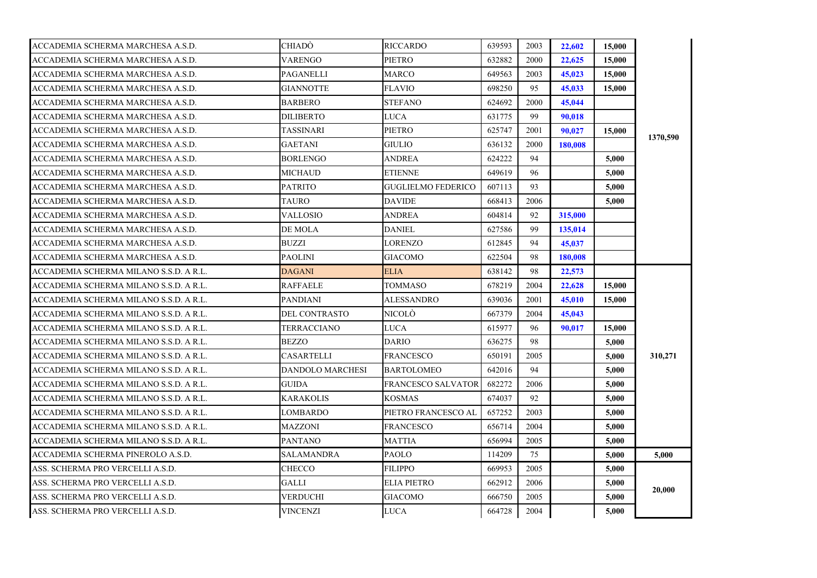| ACCADEMIA SCHERMA MARCHESA A.S.D.      | CHIADO                  | <b>RICCARDO</b>           | 639593 | 2003 | 22,602  | 15,000 |          |
|----------------------------------------|-------------------------|---------------------------|--------|------|---------|--------|----------|
| ACCADEMIA SCHERMA MARCHESA A.S.D.      | <b>VARENGO</b>          | <b>PIETRO</b>             | 632882 | 2000 | 22,625  | 15,000 |          |
| ACCADEMIA SCHERMA MARCHESA A.S.D.      | PAGANELLI               | <b>MARCO</b>              | 649563 | 2003 | 45,023  | 15,000 |          |
| ACCADEMIA SCHERMA MARCHESA A.S.D.      | <b>GIANNOTTE</b>        | <b>FLAVIO</b>             | 698250 | 95   | 45,033  | 15,000 |          |
| ACCADEMIA SCHERMA MARCHESA A.S.D.      | <b>BARBERO</b>          | <b>STEFANO</b>            | 624692 | 2000 | 45,044  |        |          |
| ACCADEMIA SCHERMA MARCHESA A.S.D.      | DILIBERTO               | LUCA                      | 631775 | 99   | 90,018  |        |          |
| ACCADEMIA SCHERMA MARCHESA A.S.D.      | TASSINARI               | <b>PIETRO</b>             | 625747 | 2001 | 90,027  | 15,000 | 1370,590 |
| ACCADEMIA SCHERMA MARCHESA A.S.D.      | <b>GAETANI</b>          | <b>GIULIO</b>             | 636132 | 2000 | 180,008 |        |          |
| ACCADEMIA SCHERMA MARCHESA A.S.D.      | <b>BORLENGO</b>         | <b>ANDREA</b>             | 624222 | 94   |         | 5,000  |          |
| ACCADEMIA SCHERMA MARCHESA A.S.D.      | MICHAUD                 | <b>ETIENNE</b>            | 649619 | 96   |         | 5.000  |          |
| ACCADEMIA SCHERMA MARCHESA A.S.D.      | <b>PATRITO</b>          | <b>GUGLIELMO FEDERICO</b> | 607113 | 93   |         | 5,000  |          |
| ACCADEMIA SCHERMA MARCHESA A.S.D.      | TAURO                   | <b>DAVIDE</b>             | 668413 | 2006 |         | 5,000  |          |
| ACCADEMIA SCHERMA MARCHESA A.S.D.      | <b>VALLOSIO</b>         | <b>ANDREA</b>             | 604814 | 92   | 315,000 |        |          |
| ACCADEMIA SCHERMA MARCHESA A.S.D.      | DE MOLA                 | <b>DANIEL</b>             | 627586 | 99   | 135,014 |        |          |
| ACCADEMIA SCHERMA MARCHESA A.S.D.      | <b>BUZZI</b>            | <b>LORENZO</b>            | 612845 | 94   | 45,037  |        |          |
| ACCADEMIA SCHERMA MARCHESA A.S.D.      | PAOLINI                 | <b>GIACOMO</b>            | 622504 | 98   | 180,008 |        |          |
| ACCADEMIA SCHERMA MILANO S.S.D. A R.L. | DAGANI                  | <b>ELIA</b>               | 638142 | 98   | 22,573  |        |          |
| ACCADEMIA SCHERMA MILANO S.S.D. A R.L. | <b>RAFFAELE</b>         | TOMMASO                   | 678219 | 2004 | 22,628  | 15,000 |          |
| ACCADEMIA SCHERMA MILANO S.S.D. A R.L. | <b>PANDIANI</b>         | <b>ALESSANDRO</b>         | 639036 | 2001 | 45,010  | 15,000 |          |
| ACCADEMIA SCHERMA MILANO S.S.D. A R.L. | DEL CONTRASTO           | NICOLÒ                    | 667379 | 2004 | 45,043  |        |          |
| ACCADEMIA SCHERMA MILANO S.S.D. A R.L. | TERRACCIANO             | LUCA                      | 615977 | 96   | 90,017  | 15,000 |          |
| ACCADEMIA SCHERMA MILANO S.S.D. A R.L. | <b>BEZZO</b>            | <b>DARIO</b>              | 636275 | 98   |         | 5,000  |          |
| ACCADEMIA SCHERMA MILANO S.S.D. A R.L. | <b>CASARTELLI</b>       | <b>FRANCESCO</b>          | 650191 | 2005 |         | 5,000  | 310,271  |
| ACCADEMIA SCHERMA MILANO S.S.D. A R.L. | <b>DANDOLO MARCHESI</b> | <b>BARTOLOMEO</b>         | 642016 | 94   |         | 5.000  |          |
| ACCADEMIA SCHERMA MILANO S.S.D. A R.L. | <b>GUIDA</b>            | <b>FRANCESCO SALVATOR</b> | 682272 | 2006 |         | 5,000  |          |
| ACCADEMIA SCHERMA MILANO S.S.D. A R.L. | KARAKOLIS               | <b>KOSMAS</b>             | 674037 | 92   |         | 5,000  |          |
| ACCADEMIA SCHERMA MILANO S.S.D. A R.L. | LOMBARDO                | PIETRO FRANCESCO AL       | 657252 | 2003 |         | 5,000  |          |
| ACCADEMIA SCHERMA MILANO S.S.D. A R.L. | MAZZONI                 | <b>FRANCESCO</b>          | 656714 | 2004 |         | 5,000  |          |
| ACCADEMIA SCHERMA MILANO S.S.D. A R.L. | <b>PANTANO</b>          | <b>MATTIA</b>             | 656994 | 2005 |         | 5,000  |          |
| ACCADEMIA SCHERMA PINEROLO A.S.D.      | <b>SALAMANDRA</b>       | <b>PAOLO</b>              | 114209 | 75   |         | 5.000  | 5.000    |
| ASS. SCHERMA PRO VERCELLI A.S.D.       | CHECCO                  | <b>FILIPPO</b>            | 669953 | 2005 |         | 5,000  |          |
| ASS. SCHERMA PRO VERCELLI A.S.D.       | GALLI                   | <b>ELIA PIETRO</b>        | 662912 | 2006 |         | 5,000  |          |
| ASS. SCHERMA PRO VERCELLI A.S.D.       | <b>VERDUCHI</b>         | <b>GIACOMO</b>            | 666750 | 2005 |         | 5,000  | 20,000   |
| ASS. SCHERMA PRO VERCELLI A.S.D.       | <b>VINCENZI</b>         | <b>LUCA</b>               | 664728 | 2004 |         | 5,000  |          |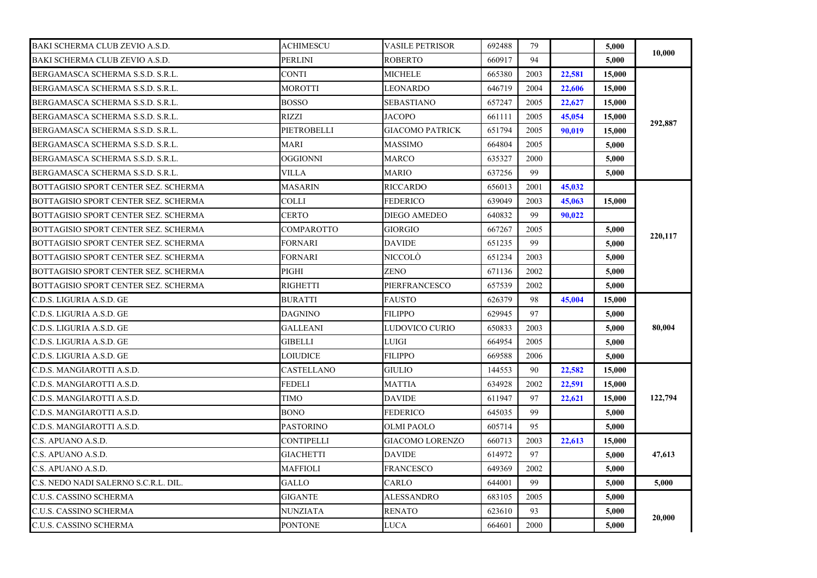| BAKI SCHERMA CLUB ZEVIO A.S.D.       | <b>ACHIMESCU</b>  | <b>VASILE PETRISOR</b> | 692488 | 79   |        | 5,000  | 10,000  |
|--------------------------------------|-------------------|------------------------|--------|------|--------|--------|---------|
| BAKI SCHERMA CLUB ZEVIO A.S.D.       | PERLINI           | ROBERTO                | 660917 | 94   |        | 5,000  |         |
| BERGAMASCA SCHERMA S.S.D. S.R.L.     | <b>CONTI</b>      | <b>MICHELE</b>         | 665380 | 2003 | 22,581 | 15,000 |         |
| BERGAMASCA SCHERMA S.S.D. S.R.L.     | <b>MOROTTI</b>    | LEONARDO               | 646719 | 2004 | 22,606 | 15,000 |         |
| BERGAMASCA SCHERMA S.S.D. S.R.L.     | <b>BOSSO</b>      | SEBASTIANO             | 657247 | 2005 | 22,627 | 15,000 |         |
| BERGAMASCA SCHERMA S.S.D. S.R.L.     | RIZZI             | <b>JACOPO</b>          | 661111 | 2005 | 45,054 | 15,000 |         |
| BERGAMASCA SCHERMA S.S.D. S.R.L.     | PIETROBELLI       | GIACOMO PATRICK        | 651794 | 2005 | 90,019 | 15,000 | 292,887 |
| BERGAMASCA SCHERMA S.S.D. S.R.L.     | <b>MARI</b>       | MASSIMO                | 664804 | 2005 |        | 5.000  |         |
| BERGAMASCA SCHERMA S.S.D. S.R.L.     | OGGIONNI          | MARCO                  | 635327 | 2000 |        | 5,000  |         |
| BERGAMASCA SCHERMA S.S.D. S.R.L.     | VILLA             | MARIO                  | 637256 | 99   |        | 5,000  |         |
| BOTTAGISIO SPORT CENTER SEZ. SCHERMA | <b>MASARIN</b>    | RICCARDO               | 656013 | 2001 | 45,032 |        |         |
| BOTTAGISIO SPORT CENTER SEZ. SCHERMA | <b>COLLI</b>      | FEDERICO               | 639049 | 2003 | 45,063 | 15,000 |         |
| BOTTAGISIO SPORT CENTER SEZ. SCHERMA | <b>CERTO</b>      | DIEGO AMEDEO           | 640832 | 99   | 90.022 |        |         |
| BOTTAGISIO SPORT CENTER SEZ. SCHERMA | COMPAROTTO        | GIORGIO                | 667267 | 2005 |        | 5,000  |         |
| BOTTAGISIO SPORT CENTER SEZ. SCHERMA | <b>FORNARI</b>    | <b>DAVIDE</b>          | 651235 | 99   |        | 5.000  | 220,117 |
| BOTTAGISIO SPORT CENTER SEZ. SCHERMA | FORNARI           | NICCOLÒ                | 651234 | 2003 |        | 5,000  |         |
| BOTTAGISIO SPORT CENTER SEZ. SCHERMA | PIGHI             | ZENO                   | 671136 | 2002 |        | 5,000  |         |
| BOTTAGISIO SPORT CENTER SEZ. SCHERMA | <b>RIGHETTI</b>   | PIERFRANCESCO          | 657539 | 2002 |        | 5,000  |         |
| C.D.S. LIGURIA A.S.D. GE             | <b>BURATTI</b>    | <b>FAUSTO</b>          | 626379 | 98   | 45,004 | 15,000 |         |
| C.D.S. LIGURIA A.S.D. GE             | <b>DAGNINO</b>    | <b>FILIPPO</b>         | 629945 | 97   |        | 5,000  |         |
| C.D.S. LIGURIA A.S.D. GE             | <b>GALLEANI</b>   | LUDOVICO CURIO         | 650833 | 2003 |        | 5,000  | 80,004  |
| C.D.S. LIGURIA A.S.D. GE             | GIBELLI           | LUIGI                  | 664954 | 2005 |        | 5.000  |         |
| C.D.S. LIGURIA A.S.D. GE             | LOIUDICE          | FILIPPO                | 669588 | 2006 |        | 5,000  |         |
| C.D.S. MANGIAROTTI A.S.D.            | CASTELLANO        | GIULIO                 | 144553 | 90   | 22,582 | 15,000 |         |
| C.D.S. MANGIAROTTI A.S.D.            | <b>FEDELI</b>     | MATTIA                 | 634928 | 2002 | 22,591 | 15,000 |         |
| C.D.S. MANGIAROTTI A.S.D.            | TIMO              | DAVIDE                 | 611947 | 97   | 22,621 | 15,000 | 122,794 |
| C.D.S. MANGIAROTTI A.S.D.            | <b>BONO</b>       | FEDERICO               | 645035 | 99   |        | 5,000  |         |
| C.D.S. MANGIAROTTI A.S.D.            | <b>PASTORINO</b>  | OLMI PAOLO             | 605714 | 95   |        | 5,000  |         |
| C.S. APUANO A.S.D.                   | <b>CONTIPELLI</b> | GIACOMO LORENZO        | 660713 | 2003 | 22,613 | 15,000 |         |
| C.S. APUANO A.S.D.                   | <b>GIACHETTI</b>  | <b>DAVIDE</b>          | 614972 | 97   |        | 5.000  | 47,613  |
| C.S. APUANO A.S.D.                   | MAFFIOLI          | FRANCESCO              | 649369 | 2002 |        | 5,000  |         |
| C.S. NEDO NADI SALERNO S.C.R.L. DIL. | GALLO             | CARLO                  | 644001 | 99   |        | 5,000  | 5.000   |
| C.U.S. CASSINO SCHERMA               | GIGANTE           | ALESSANDRO             | 683105 | 2005 |        | 5,000  |         |
| C.U.S. CASSINO SCHERMA               | <b>NUNZIATA</b>   | <b>RENATO</b>          | 623610 | 93   |        | 5,000  | 20,000  |
| C.U.S. CASSINO SCHERMA               | <b>PONTONE</b>    | <b>LUCA</b>            | 664601 | 2000 |        | 5,000  |         |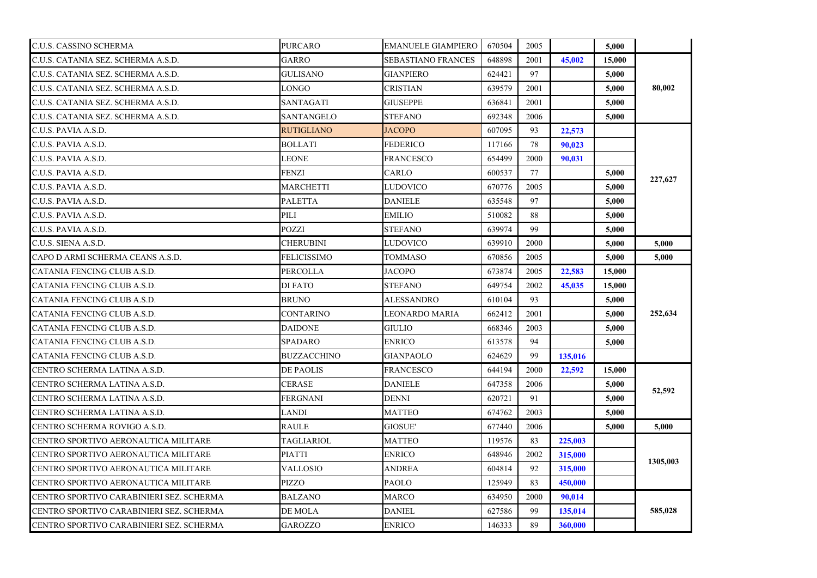| C.U.S. CASSINO SCHERMA                   | <b>PURCARO</b>     | <b>EMANUELE GIAMPIERO</b> | 670504 | 2005 |         | 5,000  |          |
|------------------------------------------|--------------------|---------------------------|--------|------|---------|--------|----------|
| C.U.S. CATANIA SEZ. SCHERMA A.S.D.       | GARRO              | SEBASTIANO FRANCES        | 648898 | 2001 | 45,002  | 15,000 |          |
| C.U.S. CATANIA SEZ. SCHERMA A.S.D.       | <b>GULISANO</b>    | <b>GIANPIERO</b>          | 624421 | 97   |         | 5,000  |          |
| C.U.S. CATANIA SEZ. SCHERMA A.S.D.       | <b>LONGO</b>       | <b>CRISTIAN</b>           | 639579 | 2001 |         | 5.000  | 80,002   |
| C.U.S. CATANIA SEZ. SCHERMA A.S.D.       | SANTAGATI          | <b>GIUSEPPE</b>           | 636841 | 2001 |         | 5,000  |          |
| C.U.S. CATANIA SEZ. SCHERMA A.S.D.       | <b>SANTANGELO</b>  | <b>STEFANO</b>            | 692348 | 2006 |         | 5,000  |          |
| C.U.S. PAVIA A.S.D.                      | <b>RUTIGLIANO</b>  | <b>JACOPO</b>             | 607095 | 93   | 22,573  |        |          |
| C.U.S. PAVIA A.S.D.                      | <b>BOLLATI</b>     | FEDERICO                  | 117166 | 78   | 90,023  |        |          |
| C.U.S. PAVIA A.S.D.                      | LEONE              | FRANCESCO                 | 654499 | 2000 | 90,031  |        |          |
| C.U.S. PAVIA A.S.D.                      | FENZI              | CARLO                     | 600537 | 77   |         | 5,000  |          |
| C.U.S. PAVIA A.S.D.                      | <b>MARCHETTI</b>   | <b>LUDOVICO</b>           | 670776 | 2005 |         | 5,000  | 227,627  |
| C.U.S. PAVIA A.S.D.                      | <b>PALETTA</b>     | <b>DANIELE</b>            | 635548 | 97   |         | 5,000  |          |
| C.U.S. PAVIA A.S.D.                      | PILI               | <b>EMILIO</b>             | 510082 | 88   |         | 5,000  |          |
| C.U.S. PAVIA A.S.D.                      | <b>POZZI</b>       | <b>STEFANO</b>            | 639974 | 99   |         | 5,000  |          |
| C.U.S. SIENA A.S.D.                      | CHERUBINI          | LUDOVICO                  | 639910 | 2000 |         | 5,000  | 5,000    |
| CAPO D ARMI SCHERMA CEANS A.S.D.         | FELICISSIMO        | TOMMASO                   | 670856 | 2005 |         | 5,000  | 5,000    |
| CATANIA FENCING CLUB A.S.D.              | PERCOLLA           | JACOPO                    | 673874 | 2005 | 22,583  | 15,000 |          |
| CATANIA FENCING CLUB A.S.D.              | DI FATO            | <b>STEFANO</b>            | 649754 | 2002 | 45,035  | 15,000 |          |
| CATANIA FENCING CLUB A.S.D.              | <b>BRUNO</b>       | <b>ALESSANDRO</b>         | 610104 | 93   |         | 5.000  |          |
| CATANIA FENCING CLUB A.S.D.              | <b>CONTARINO</b>   | LEONARDO MARIA            | 662412 | 2001 |         | 5,000  | 252,634  |
| CATANIA FENCING CLUB A.S.D.              | <b>DAIDONE</b>     | GIULIO                    | 668346 | 2003 |         | 5.000  |          |
| CATANIA FENCING CLUB A.S.D.              | <b>SPADARO</b>     | <b>ENRICO</b>             | 613578 | 94   |         | 5,000  |          |
| CATANIA FENCING CLUB A.S.D.              | <b>BUZZACCHINO</b> | GIANPAOLO                 | 624629 | 99   | 135,016 |        |          |
| CENTRO SCHERMA LATINA A.S.D.             | <b>DE PAOLIS</b>   | FRANCESCO                 | 644194 | 2000 | 22,592  | 15,000 |          |
| CENTRO SCHERMA LATINA A.S.D.             | CERASE             | <b>DANIELE</b>            | 647358 | 2006 |         | 5,000  |          |
| CENTRO SCHERMA LATINA A.S.D.             | <b>FERGNANI</b>    | <b>DENNI</b>              | 620721 | 91   |         | 5,000  | 52,592   |
| CENTRO SCHERMA LATINA A.S.D.             | LANDI              | <b>MATTEO</b>             | 674762 | 2003 |         | 5,000  |          |
| CENTRO SCHERMA ROVIGO A.S.D.             | RAULE              | GIOSUE'                   | 677440 | 2006 |         | 5,000  | 5,000    |
| CENTRO SPORTIVO AERONAUTICA MILITARE     | <b>TAGLIARIOL</b>  | <b>MATTEO</b>             | 119576 | 83   | 225,003 |        |          |
| CENTRO SPORTIVO AERONAUTICA MILITARE     | <b>PIATTI</b>      | <b>ENRICO</b>             | 648946 | 2002 | 315,000 |        | 1305,003 |
| CENTRO SPORTIVO AERONAUTICA MILITARE     | VALLOSIO           | ANDREA                    | 604814 | 92   | 315,000 |        |          |
| CENTRO SPORTIVO AERONAUTICA MILITARE     | PIZZO              | <b>PAOLO</b>              | 125949 | 83   | 450,000 |        |          |
| CENTRO SPORTIVO CARABINIERI SEZ. SCHERMA | <b>BALZANO</b>     | MARCO                     | 634950 | 2000 | 90,014  |        |          |
| CENTRO SPORTIVO CARABINIERI SEZ. SCHERMA | DE MOLA            | <b>DANIEL</b>             | 627586 | 99   | 135,014 |        | 585,028  |
| CENTRO SPORTIVO CARABINIERI SEZ. SCHERMA | <b>GAROZZO</b>     | <b>ENRICO</b>             | 146333 | 89   | 360,000 |        |          |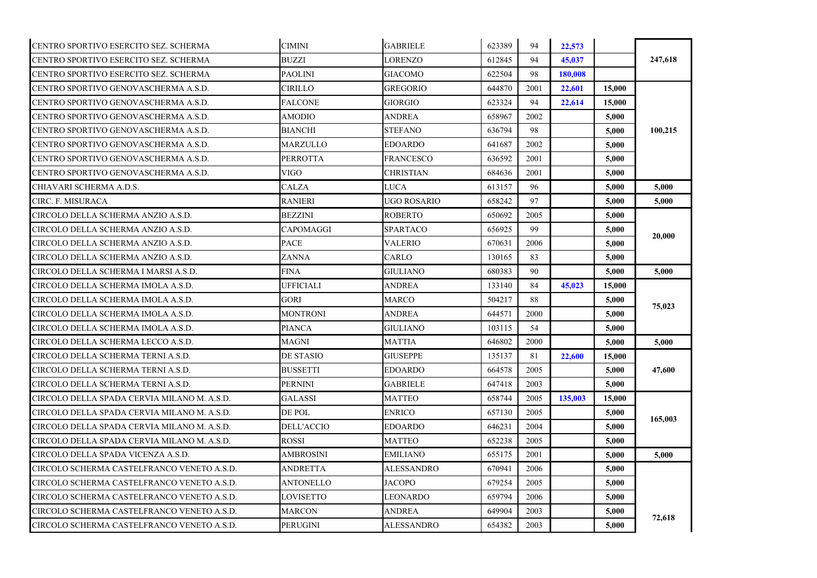| CENTRO SPORTIVO ESERCITO SEZ. SCHERMA       | <b>CIMINI</b>    | <b>GABRIELE</b>   | 623389 | 94   | 22,573  |        |         |
|---------------------------------------------|------------------|-------------------|--------|------|---------|--------|---------|
| CENTRO SPORTIVO ESERCITO SEZ. SCHERMA       | <b>BUZZI</b>     | LORENZO           | 612845 | 94   | 45,037  |        | 247,618 |
| CENTRO SPORTIVO ESERCITO SEZ. SCHERMA       | <b>PAOLINI</b>   | <b>GIACOMO</b>    | 622504 | 98   | 180.008 |        |         |
| CENTRO SPORTIVO GENOVASCHERMA A.S.D.        | <b>CIRILLO</b>   | <b>GREGORIO</b>   | 644870 | 2001 | 22,601  | 15,000 |         |
| CENTRO SPORTIVO GENOVASCHERMA A.S.D.        | <b>FALCONE</b>   | GIORGIO           | 623324 | 94   | 22,614  | 15,000 |         |
| CENTRO SPORTIVO GENOVASCHERMA A.S.D.        | <b>AMODIO</b>    | <b>ANDREA</b>     | 658967 | 2002 |         | 5,000  |         |
| CENTRO SPORTIVO GENOVASCHERMA A.S.D.        | <b>BIANCHI</b>   | STEFANO           | 636794 | 98   |         | 5,000  | 100,215 |
| CENTRO SPORTIVO GENOVASCHERMA A.S.D.        | MARZULLO         | EDOARDO           | 641687 | 2002 |         | 5,000  |         |
| CENTRO SPORTIVO GENOVASCHERMA A.S.D.        | PERROTTA         | FRANCESCO         | 636592 | 2001 |         | 5,000  |         |
| CENTRO SPORTIVO GENOVASCHERMA A.S.D.        | <b>VIGO</b>      | CHRISTIAN         | 684636 | 2001 |         | 5,000  |         |
| CHIAVARI SCHERMA A.D.S.                     | <b>CALZA</b>     | LUCA              | 613157 | 96   |         | 5,000  | 5,000   |
| CIRC. F. MISURACA                           | <b>RANIERI</b>   | UGO ROSARIO       | 658242 | 97   |         | 5,000  | 5,000   |
| CIRCOLO DELLA SCHERMA ANZIO A.S.D.          | <b>BEZZINI</b>   | <b>ROBERTO</b>    | 650692 | 2005 |         | 5,000  |         |
| CIRCOLO DELLA SCHERMA ANZIO A.S.D.          | CAPOMAGGI        | SPARTACO          | 656925 | 99   |         | 5.000  |         |
| CIRCOLO DELLA SCHERMA ANZIO A.S.D.          | PACE             | VALERIO           | 670631 | 2006 |         | 5,000  | 20,000  |
| CIRCOLO DELLA SCHERMA ANZIO A.S.D.          | ZANNA            | CARLO             | 130165 | 83   |         | 5,000  |         |
| CIRCOLO DELLA SCHERMA I MARSI A.S.D.        | FINA             | GIULIANO          | 680383 | 90   |         | 5,000  | 5,000   |
| CIRCOLO DELLA SCHERMA IMOLA A.S.D.          | <b>UFFICIALI</b> | <b>ANDREA</b>     | 133140 | 84   | 45,023  | 15,000 |         |
| CIRCOLO DELLA SCHERMA IMOLA A.S.D.          | <b>GORI</b>      | <b>MARCO</b>      | 504217 | 88   |         | 5,000  | 75,023  |
| CIRCOLO DELLA SCHERMA IMOLA A.S.D.          | <b>MONTRONI</b>  | ANDREA            | 644571 | 2000 |         | 5,000  |         |
| CIRCOLO DELLA SCHERMA IMOLA A.S.D.          | <b>PIANCA</b>    | <b>GIULIANO</b>   | 103115 | 54   |         | 5.000  |         |
| CIRCOLO DELLA SCHERMA LECCO A.S.D.          | MAGNI            | MATTIA            | 646802 | 2000 |         | 5,000  | 5,000   |
| CIRCOLO DELLA SCHERMA TERNI A.S.D.          | DE STASIO        | GIUSEPPE          | 135137 | 81   | 22,600  | 15,000 |         |
| CIRCOLO DELLA SCHERMA TERNI A.S.D.          | <b>BUSSETTI</b>  | EDOARDO           | 664578 | 2005 |         | 5,000  | 47,600  |
| CIRCOLO DELLA SCHERMA TERNI A.S.D.          | PERNINI          | <b>GABRIELE</b>   | 647418 | 2003 |         | 5,000  |         |
| CIRCOLO DELLA SPADA CERVIA MILANO M. A.S.D. | <b>GALASSI</b>   | <b>MATTEO</b>     | 658744 | 2005 | 135,003 | 15,000 |         |
| CIRCOLO DELLA SPADA CERVIA MILANO M. A.S.D. | DE POL           | ENRICO            | 657130 | 2005 |         | 5,000  |         |
| CIRCOLO DELLA SPADA CERVIA MILANO M. A.S.D. | DELL'ACCIO       | EDOARDO           | 646231 | 2004 |         | 5,000  | 165,003 |
| CIRCOLO DELLA SPADA CERVIA MILANO M. A.S.D. | <b>ROSSI</b>     | MATTEO            | 652238 | 2005 |         | 5,000  |         |
| CIRCOLO DELLA SPADA VICENZA A.S.D.          | AMBROSINI        | EMILIANO          | 655175 | 2001 |         | 5,000  | 5,000   |
| CIRCOLO SCHERMA CASTELFRANCO VENETO A.S.D.  | <b>ANDRETTA</b>  | ALESSANDRO        | 670941 | 2006 |         | 5,000  |         |
| CIRCOLO SCHERMA CASTELFRANCO VENETO A.S.D.  | ANTONELLO        | JACOPO            | 679254 | 2005 |         | 5,000  |         |
| CIRCOLO SCHERMA CASTELFRANCO VENETO A.S.D.  | LOVISETTO        | LEONARDO          | 659794 | 2006 |         | 5,000  |         |
| CIRCOLO SCHERMA CASTELFRANCO VENETO A.S.D.  | <b>MARCON</b>    | <b>ANDREA</b>     | 649904 | 2003 |         | 5.000  |         |
| CIRCOLO SCHERMA CASTELFRANCO VENETO A.S.D.  | <b>PERUGINI</b>  | <b>ALESSANDRO</b> | 654382 | 2003 |         | 5,000  | 72,618  |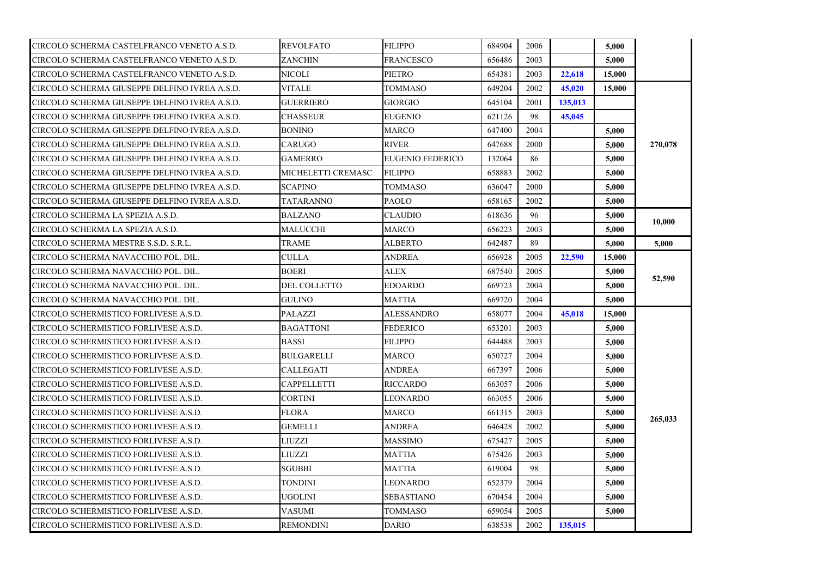| CIRCOLO SCHERMA CASTELFRANCO VENETO A.S.D.    | <b>REVOLFATO</b>    | <b>FILIPPO</b>          | 684904 | 2006 |         | 5,000  |         |
|-----------------------------------------------|---------------------|-------------------------|--------|------|---------|--------|---------|
| CIRCOLO SCHERMA CASTELFRANCO VENETO A.S.D.    | ZANCHIN             | FRANCESCO               | 656486 | 2003 |         | 5,000  |         |
| CIRCOLO SCHERMA CASTELFRANCO VENETO A.S.D.    | NICOLI              | PIETRO                  | 654381 | 2003 | 22,618  | 15,000 |         |
| CIRCOLO SCHERMA GIUSEPPE DELFINO IVREA A.S.D. | <b>VITALE</b>       | <b>TOMMASO</b>          | 649204 | 2002 | 45,020  | 15,000 |         |
| CIRCOLO SCHERMA GIUSEPPE DELFINO IVREA A.S.D. | <b>GUERRIERO</b>    | GIORGIO                 | 645104 | 2001 | 135,013 |        |         |
| CIRCOLO SCHERMA GIUSEPPE DELFINO IVREA A.S.D. | <b>CHASSEUR</b>     | <b>EUGENIO</b>          | 621126 | 98   | 45,045  |        |         |
| CIRCOLO SCHERMA GIUSEPPE DELFINO IVREA A.S.D. | <b>BONINO</b>       | MARCO                   | 647400 | 2004 |         | 5,000  |         |
| CIRCOLO SCHERMA GIUSEPPE DELFINO IVREA A.S.D. | CARUGO              | <b>RIVER</b>            | 647688 | 2000 |         | 5.000  | 270,078 |
| CIRCOLO SCHERMA GIUSEPPE DELFINO IVREA A.S.D. | <b>GAMERRO</b>      | <b>EUGENIO FEDERICO</b> | 132064 | 86   |         | 5,000  |         |
| CIRCOLO SCHERMA GIUSEPPE DELFINO IVREA A.S.D. | MICHELETTI CREMASC  | <b>FILIPPO</b>          | 658883 | 2002 |         | 5,000  |         |
| CIRCOLO SCHERMA GIUSEPPE DELFINO IVREA A.S.D. | <b>SCAPINO</b>      | TOMMASO                 | 636047 | 2000 |         | 5,000  |         |
| CIRCOLO SCHERMA GIUSEPPE DELFINO IVREA A.S.D. | <b>TATARANNO</b>    | <b>PAOLO</b>            | 658165 | 2002 |         | 5,000  |         |
| CIRCOLO SCHERMA LA SPEZIA A.S.D.              | <b>BALZANO</b>      | CLAUDIO                 | 618636 | 96   |         | 5,000  | 10.000  |
| CIRCOLO SCHERMA LA SPEZIA A.S.D.              | MALUCCHI            | <b>MARCO</b>            | 656223 | 2003 |         | 5,000  |         |
| CIRCOLO SCHERMA MESTRE S.S.D. S.R.L.          | TRAME               | <b>ALBERTO</b>          | 642487 | 89   |         | 5,000  | 5,000   |
| CIRCOLO SCHERMA NAVACCHIO POL. DIL.           | CULLA               | <b>ANDREA</b>           | 656928 | 2005 | 22,590  | 15,000 |         |
| CIRCOLO SCHERMA NAVACCHIO POL. DIL.           | BOERI               | ALEX                    | 687540 | 2005 |         | 5,000  |         |
| CIRCOLO SCHERMA NAVACCHIO POL. DIL.           | <b>DEL COLLETTO</b> | <b>EDOARDO</b>          | 669723 | 2004 |         | 5.000  | 52,590  |
| CIRCOLO SCHERMA NAVACCHIO POL. DIL.           | GULINO              | MATTIA                  | 669720 | 2004 |         | 5,000  |         |
| CIRCOLO SCHERMISTICO FORLIVESE A.S.D.         | PALAZZI             | ALESSANDRO              | 658077 | 2004 | 45,018  | 15,000 |         |
| CIRCOLO SCHERMISTICO FORLIVESE A.S.D.         | <b>BAGATTONI</b>    | <b>FEDERICO</b>         | 653201 | 2003 |         | 5,000  |         |
| CIRCOLO SCHERMISTICO FORLIVESE A.S.D.         | <b>BASSI</b>        | <b>FILIPPO</b>          | 644488 | 2003 |         | 5,000  |         |
| CIRCOLO SCHERMISTICO FORLIVESE A.S.D.         | BULGARELLI          | MARCO                   | 650727 | 2004 |         | 5,000  |         |
| CIRCOLO SCHERMISTICO FORLIVESE A.S.D.         | CALLEGATI           | <b>ANDREA</b>           | 667397 | 2006 |         | 5,000  |         |
| CIRCOLO SCHERMISTICO FORLIVESE A.S.D.         | CAPPELLETTI         | RICCARDO                | 663057 | 2006 |         | 5,000  |         |
| CIRCOLO SCHERMISTICO FORLIVESE A.S.D.         | CORTINI             | LEONARDO                | 663055 | 2006 |         | 5,000  |         |
| CIRCOLO SCHERMISTICO FORLIVESE A.S.D.         | <b>FLORA</b>        | <b>MARCO</b>            | 661315 | 2003 |         | 5.000  |         |
| CIRCOLO SCHERMISTICO FORLIVESE A.S.D.         | GEMELLI             | ANDREA                  | 646428 | 2002 |         | 5,000  | 265,033 |
| CIRCOLO SCHERMISTICO FORLIVESE A.S.D.         | LIUZZI              | <b>MASSIMO</b>          | 675427 | 2005 |         | 5,000  |         |
| CIRCOLO SCHERMISTICO FORLIVESE A.S.D.         | LIUZZI              | MATTIA                  | 675426 | 2003 |         | 5,000  |         |
| CIRCOLO SCHERMISTICO FORLIVESE A.S.D.         | SGUBBI              | MATTIA                  | 619004 | 98   |         | 5.000  |         |
| CIRCOLO SCHERMISTICO FORLIVESE A.S.D.         | TONDINI             | LEONARDO                | 652379 | 2004 |         | 5,000  |         |
| CIRCOLO SCHERMISTICO FORLIVESE A.S.D.         | UGOLINI             | SEBASTIANO              | 670454 | 2004 |         | 5,000  |         |
| CIRCOLO SCHERMISTICO FORLIVESE A.S.D.         | VASUMI              | TOMMASO                 | 659054 | 2005 |         | 5,000  |         |
| CIRCOLO SCHERMISTICO FORLIVESE A.S.D.         | <b>REMONDINI</b>    | <b>DARIO</b>            | 638538 | 2002 | 135,015 |        |         |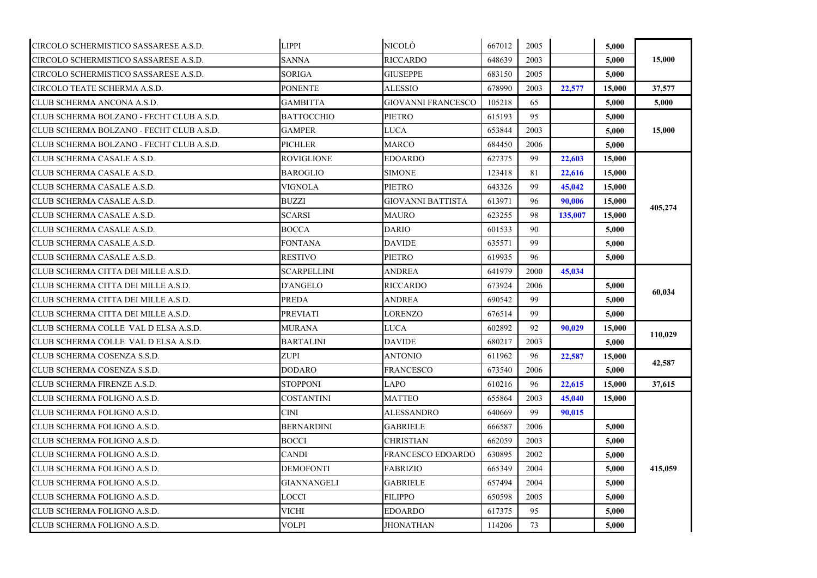| CIRCOLO SCHERMISTICO SASSARESE A.S.D.    | <b>LIPPI</b>      | NICOLÒ                    | 667012 | 2005 |         | 5,000  |         |
|------------------------------------------|-------------------|---------------------------|--------|------|---------|--------|---------|
| CIRCOLO SCHERMISTICO SASSARESE A.S.D.    | SANNA             | RICCARDO                  | 648639 | 2003 |         | 5,000  | 15,000  |
| CIRCOLO SCHERMISTICO SASSARESE A.S.D.    | <b>SORIGA</b>     | <b>GIUSEPPE</b>           | 683150 | 2005 |         | 5,000  |         |
| CIRCOLO TEATE SCHERMA A.S.D.             | <b>PONENTE</b>    | <b>ALESSIO</b>            | 678990 | 2003 | 22,577  | 15,000 | 37,577  |
| CLUB SCHERMA ANCONA A.S.D.               | GAMBITTA          | <b>GIOVANNI FRANCESCO</b> | 105218 | 65   |         | 5,000  | 5,000   |
| CLUB SCHERMA BOLZANO - FECHT CLUB A.S.D. | <b>BATTOCCHIO</b> | <b>PIETRO</b>             | 615193 | 95   |         | 5,000  |         |
| CLUB SCHERMA BOLZANO - FECHT CLUB A.S.D. | <b>GAMPER</b>     | LUCA                      | 653844 | 2003 |         | 5,000  | 15,000  |
| CLUB SCHERMA BOLZANO - FECHT CLUB A.S.D. | PICHLER           | MARCO                     | 684450 | 2006 |         | 5,000  |         |
| CLUB SCHERMA CASALE A.S.D.               | ROVIGLIONE        | EDOARDO                   | 627375 | 99   | 22,603  | 15,000 |         |
| CLUB SCHERMA CASALE A.S.D.               | <b>BAROGLIO</b>   | SIMONE                    | 123418 | 81   | 22,616  | 15,000 |         |
| CLUB SCHERMA CASALE A.S.D.               | VIGNOLA           | PIETRO                    | 643326 | 99   | 45,042  | 15,000 |         |
| CLUB SCHERMA CASALE A.S.D.               | <b>BUZZI</b>      | <b>GIOVANNI BATTISTA</b>  | 613971 | 96   | 90,006  | 15,000 | 405,274 |
| CLUB SCHERMA CASALE A.S.D.               | SCARSI            | MAURO                     | 623255 | 98   | 135,007 | 15,000 |         |
| CLUB SCHERMA CASALE A.S.D.               | <b>BOCCA</b>      | <b>DARIO</b>              | 601533 | 90   |         | 5.000  |         |
| CLUB SCHERMA CASALE A.S.D.               | <b>FONTANA</b>    | DAVIDE                    | 635571 | 99   |         | 5,000  |         |
| CLUB SCHERMA CASALE A.S.D.               | RESTIVO           | PIETRO                    | 619935 | 96   |         | 5,000  |         |
| CLUB SCHERMA CITTA DEI MILLE A.S.D.      | SCARPELLINI       | ANDREA                    | 641979 | 2000 | 45,034  |        |         |
| CLUB SCHERMA CITTA DEI MILLE A.S.D.      | <b>D'ANGELO</b>   | RICCARDO                  | 673924 | 2006 |         | 5,000  |         |
| CLUB SCHERMA CITTA DEI MILLE A.S.D.      | PREDA             | ANDREA                    | 690542 | 99   |         | 5,000  | 60,034  |
| CLUB SCHERMA CITTA DEI MILLE A.S.D.      | <b>PREVIATI</b>   | LORENZO                   | 676514 | 99   |         | 5,000  |         |
| CLUB SCHERMA COLLE VAL D ELSA A.S.D.     | MURANA            | LUCA                      | 602892 | 92   | 90.029  | 15,000 | 110,029 |
| CLUB SCHERMA COLLE VAL D ELSA A.S.D.     | <b>BARTALINI</b>  | <b>DAVIDE</b>             | 680217 | 2003 |         | 5,000  |         |
| CLUB SCHERMA COSENZA S.S.D.              | <b>ZUPI</b>       | ANTONIO                   | 611962 | 96   | 22,587  | 15,000 | 42,587  |
| CLUB SCHERMA COSENZA S.S.D.              | DODARO            | FRANCESCO                 | 673540 | 2006 |         | 5,000  |         |
| CLUB SCHERMA FIRENZE A.S.D.              | <b>STOPPONI</b>   | LAPO                      | 610216 | 96   | 22,615  | 15,000 | 37,615  |
| CLUB SCHERMA FOLIGNO A.S.D.              | COSTANTINI        | MATTEO                    | 655864 | 2003 | 45,040  | 15,000 |         |
| CLUB SCHERMA FOLIGNO A.S.D.              | <b>CINI</b>       | <b>ALESSANDRO</b>         | 640669 | 99   | 90,015  |        |         |
| CLUB SCHERMA FOLIGNO A.S.D.              | <b>BERNARDINI</b> | <b>GABRIELE</b>           | 666587 | 2006 |         | 5,000  |         |
| CLUB SCHERMA FOLIGNO A.S.D.              | <b>BOCCI</b>      | CHRISTIAN                 | 662059 | 2003 |         | 5,000  |         |
| CLUB SCHERMA FOLIGNO A.S.D.              | <b>CANDI</b>      | FRANCESCO EDOARDO         | 630895 | 2002 |         | 5,000  |         |
| CLUB SCHERMA FOLIGNO A.S.D.              | <b>DEMOFONTI</b>  | <b>FABRIZIO</b>           | 665349 | 2004 |         | 5.000  | 415,059 |
| CLUB SCHERMA FOLIGNO A.S.D.              | GIANNANGELI       | GABRIELE                  | 657494 | 2004 |         | 5,000  |         |
| CLUB SCHERMA FOLIGNO A.S.D.              | LOCCI             | <b>FILIPPO</b>            | 650598 | 2005 |         | 5.000  |         |
| CLUB SCHERMA FOLIGNO A.S.D.              | VICHI             | EDOARDO                   | 617375 | 95   |         | 5,000  |         |
| CLUB SCHERMA FOLIGNO A.S.D.              | <b>VOLPI</b>      | <b>JHONATHAN</b>          | 114206 | 73   |         | 5,000  |         |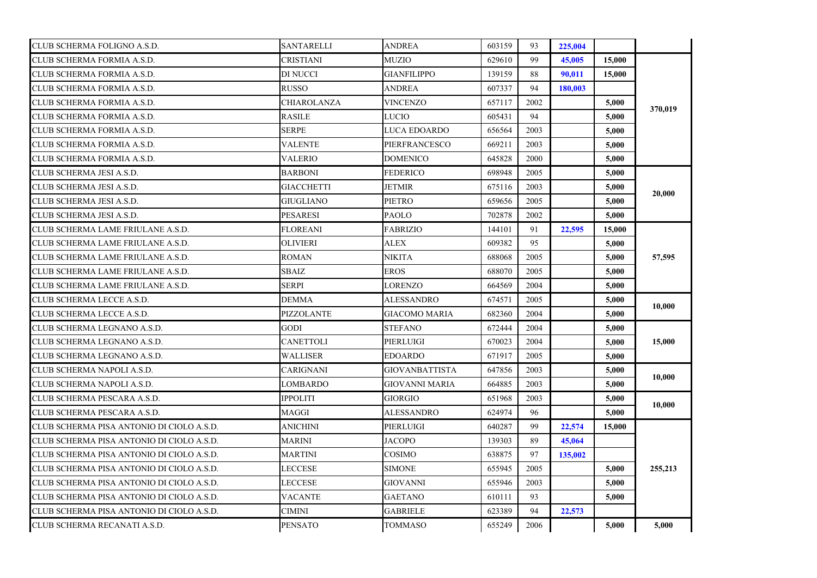| CLUB SCHERMA FOLIGNO A.S.D.               | <b>SANTARELLI</b> | <b>ANDREA</b>        | 603159 | 93   | 225,004 |        |         |
|-------------------------------------------|-------------------|----------------------|--------|------|---------|--------|---------|
| CLUB SCHERMA FORMIA A.S.D.                | CRISTIANI         | MUZIO                | 629610 | 99   | 45,005  | 15,000 |         |
| CLUB SCHERMA FORMIA A.S.D.                | DI NUCCI          | <b>GIANFILIPPO</b>   | 139159 | 88   | 90.011  | 15,000 |         |
| CLUB SCHERMA FORMIA A.S.D.                | <b>RUSSO</b>      | <b>ANDREA</b>        | 607337 | 94   | 180.003 |        |         |
| CLUB SCHERMA FORMIA A.S.D.                | CHIAROLANZA       | <b>VINCENZO</b>      | 657117 | 2002 |         | 5,000  |         |
| CLUB SCHERMA FORMIA A.S.D.                | <b>RASILE</b>     | LUCIO                | 605431 | 94   |         | 5,000  | 370,019 |
| CLUB SCHERMA FORMIA A.S.D.                | SERPE             | LUCA EDOARDO         | 656564 | 2003 |         | 5,000  |         |
| CLUB SCHERMA FORMIA A.S.D.                | <b>VALENTE</b>    | PIERFRANCESCO        | 669211 | 2003 |         | 5.000  |         |
| CLUB SCHERMA FORMIA A.S.D.                | VALERIO           | DOMENICO             | 645828 | 2000 |         | 5,000  |         |
| CLUB SCHERMA JESI A.S.D.                  | <b>BARBONI</b>    | FEDERICO             | 698948 | 2005 |         | 5,000  |         |
| CLUB SCHERMA JESI A.S.D.                  | <b>GIACCHETTI</b> | JETMIR               | 675116 | 2003 |         | 5,000  | 20,000  |
| CLUB SCHERMA JESI A.S.D.                  | <b>GIUGLIANO</b>  | PIETRO               | 659656 | 2005 |         | 5,000  |         |
| CLUB SCHERMA JESI A.S.D.                  | <b>PESARESI</b>   | <b>PAOLO</b>         | 702878 | 2002 |         | 5,000  |         |
| CLUB SCHERMA LAME FRIULANE A.S.D.         | <b>FLOREANI</b>   | <b>FABRIZIO</b>      | 144101 | 91   | 22,595  | 15,000 |         |
| CLUB SCHERMA LAME FRIULANE A.S.D.         | <b>OLIVIERI</b>   | ALEX                 | 609382 | 95   |         | 5.000  |         |
| CLUB SCHERMA LAME FRIULANE A.S.D.         | ROMAN             | NIKITA               | 688068 | 2005 |         | 5,000  | 57,595  |
| CLUB SCHERMA LAME FRIULANE A.S.D.         | <b>SBAIZ</b>      | EROS                 | 688070 | 2005 |         | 5,000  |         |
| CLUB SCHERMA LAME FRIULANE A.S.D.         | <b>SERPI</b>      | LORENZO              | 664569 | 2004 |         | 5,000  |         |
| CLUB SCHERMA LECCE A.S.D.                 | DEMMA             | <b>ALESSANDRO</b>    | 674571 | 2005 |         | 5,000  |         |
| CLUB SCHERMA LECCE A.S.D.                 | PIZZOLANTE        | <b>GIACOMO MARIA</b> | 682360 | 2004 |         | 5,000  | 10,000  |
| CLUB SCHERMA LEGNANO A.S.D.               | GODI              | <b>STEFANO</b>       | 672444 | 2004 |         | 5,000  |         |
| CLUB SCHERMA LEGNANO A.S.D.               | <b>CANETTOLI</b>  | PIERLUIGI            | 670023 | 2004 |         | 5,000  | 15,000  |
| CLUB SCHERMA LEGNANO A.S.D.               | WALLISER          | EDOARDO              | 671917 | 2005 |         | 5,000  |         |
| CLUB SCHERMA NAPOLI A.S.D.                | CARIGNANI         | GIOVANBATTISTA       | 647856 | 2003 |         | 5,000  |         |
| CLUB SCHERMA NAPOLI A.S.D.                | LOMBARDO          | GIOVANNI MARIA       | 664885 | 2003 |         | 5,000  | 10,000  |
| CLUB SCHERMA PESCARA A.S.D.               | <b>IPPOLITI</b>   | <b>GIORGIO</b>       | 651968 | 2003 |         | 5,000  | 10,000  |
| CLUB SCHERMA PESCARA A.S.D.               | MAGGI             | <b>ALESSANDRO</b>    | 624974 | 96   |         | 5,000  |         |
| CLUB SCHERMA PISA ANTONIO DI CIOLO A.S.D. | <b>ANICHINI</b>   | PIERLUIGI            | 640287 | 99   | 22,574  | 15,000 |         |
| CLUB SCHERMA PISA ANTONIO DI CIOLO A.S.D. | MARINI            | <b>JACOPO</b>        | 139303 | 89   | 45,064  |        |         |
| CLUB SCHERMA PISA ANTONIO DI CIOLO A.S.D. | MARTINI           | COSIMO               | 638875 | 97   | 135,002 |        |         |
| CLUB SCHERMA PISA ANTONIO DI CIOLO A.S.D. | LECCESE           | SIMONE               | 655945 | 2005 |         | 5,000  | 255,213 |
| CLUB SCHERMA PISA ANTONIO DI CIOLO A.S.D. | LECCESE           | GIOVANNI             | 655946 | 2003 |         | 5.000  |         |
| CLUB SCHERMA PISA ANTONIO DI CIOLO A.S.D. | VACANTE           | <b>GAETANO</b>       | 610111 | 93   |         | 5,000  |         |
| CLUB SCHERMA PISA ANTONIO DI CIOLO A.S.D. | CIMINI            | <b>GABRIELE</b>      | 623389 | 94   | 22,573  |        |         |
| CLUB SCHERMA RECANATI A.S.D.              | <b>PENSATO</b>    | <b>TOMMASO</b>       | 655249 | 2006 |         | 5,000  | 5,000   |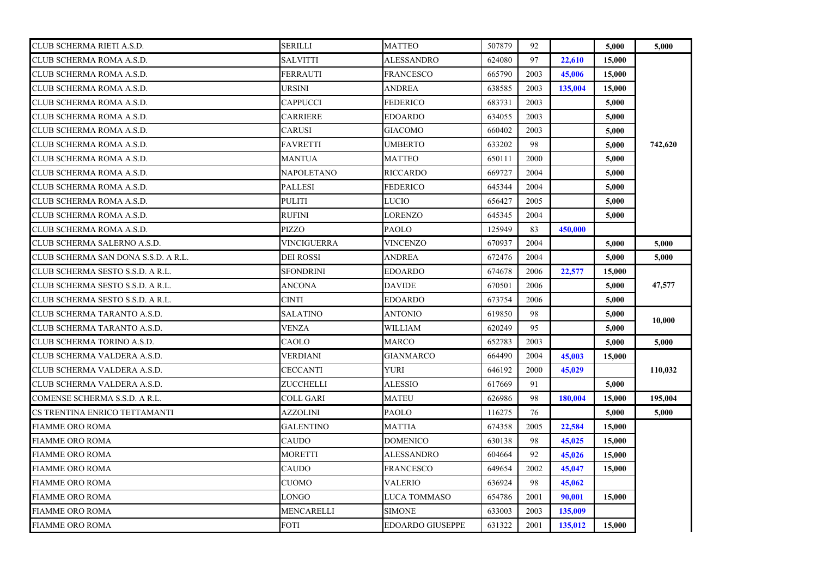| CLUB SCHERMA RIETI A.S.D.           | SERILLI           | <b>MATTEO</b>           | 507879 | 92   |         | 5,000  | 5,000   |
|-------------------------------------|-------------------|-------------------------|--------|------|---------|--------|---------|
| CLUB SCHERMA ROMA A.S.D.            | <b>SALVITTI</b>   | ALESSANDRO              | 624080 | 97   | 22,610  | 15,000 |         |
| CLUB SCHERMA ROMA A.S.D.            | <b>FERRAUTI</b>   | <b>FRANCESCO</b>        | 665790 | 2003 | 45,006  | 15,000 |         |
| CLUB SCHERMA ROMA A.S.D.            | <b>URSINI</b>     | <b>ANDREA</b>           | 638585 | 2003 | 135,004 | 15,000 |         |
| CLUB SCHERMA ROMA A.S.D.            | <b>CAPPUCCI</b>   | <b>FEDERICO</b>         | 683731 | 2003 |         | 5,000  |         |
| CLUB SCHERMA ROMA A.S.D.            | <b>CARRIERE</b>   | <b>EDOARDO</b>          | 634055 | 2003 |         | 5,000  |         |
| CLUB SCHERMA ROMA A.S.D.            | CARUSI            | GIACOMO                 | 660402 | 2003 |         | 5,000  |         |
| CLUB SCHERMA ROMA A.S.D.            | <b>FAVRETTI</b>   | UMBERTO                 | 633202 | 98   |         | 5,000  | 742,620 |
| CLUB SCHERMA ROMA A.S.D.            | MANTUA            | MATTEO                  | 650111 | 2000 |         | 5.000  |         |
| CLUB SCHERMA ROMA A.S.D.            | <b>NAPOLETANO</b> | RICCARDO                | 669727 | 2004 |         | 5,000  |         |
| CLUB SCHERMA ROMA A.S.D.            | <b>PALLESI</b>    | <b>FEDERICO</b>         | 645344 | 2004 |         | 5.000  |         |
| CLUB SCHERMA ROMA A.S.D.            | <b>PULITI</b>     | LUCIO                   | 656427 | 2005 |         | 5,000  |         |
| CLUB SCHERMA ROMA A.S.D.            | <b>RUFINI</b>     | LORENZO                 | 645345 | 2004 |         | 5,000  |         |
| CLUB SCHERMA ROMA A.S.D.            | <b>PIZZO</b>      | PAOLO                   | 125949 | 83   | 450,000 |        |         |
| CLUB SCHERMA SALERNO A.S.D.         | VINCIGUERRA       | VINCENZO                | 670937 | 2004 |         | 5.000  | 5.000   |
| CLUB SCHERMA SAN DONA S.S.D. A R.L. | <b>DEI ROSSI</b>  | ANDREA                  | 672476 | 2004 |         | 5,000  | 5,000   |
| CLUB SCHERMA SESTO S.S.D. A R.L.    | <b>SFONDRINI</b>  | <b>EDOARDO</b>          | 674678 | 2006 | 22,577  | 15,000 |         |
| CLUB SCHERMA SESTO S.S.D. A R.L.    | <b>ANCONA</b>     | <b>DAVIDE</b>           | 670501 | 2006 |         | 5,000  | 47,577  |
| CLUB SCHERMA SESTO S.S.D. A R.L.    | <b>CINTI</b>      | <b>EDOARDO</b>          | 673754 | 2006 |         | 5,000  |         |
| CLUB SCHERMA TARANTO A.S.D.         | SALATINO          | <b>ANTONIO</b>          | 619850 | 98   |         | 5,000  | 10,000  |
| CLUB SCHERMA TARANTO A.S.D.         | <b>VENZA</b>      | WILLIAM                 | 620249 | 95   |         | 5,000  |         |
| CLUB SCHERMA TORINO A.S.D.          | CAOLO             | MARCO                   | 652783 | 2003 |         | 5,000  | 5.000   |
| CLUB SCHERMA VALDERA A.S.D.         | VERDIANI          | GIANMARCO               | 664490 | 2004 | 45,003  | 15,000 |         |
| CLUB SCHERMA VALDERA A.S.D.         | <b>CECCANTI</b>   | YURI                    | 646192 | 2000 | 45,029  |        | 110,032 |
| CLUB SCHERMA VALDERA A.S.D.         | ZUCCHELLI         | <b>ALESSIO</b>          | 617669 | 91   |         | 5,000  |         |
| COMENSE SCHERMA S.S.D. A R.L.       | COLL GARI         | <b>MATEU</b>            | 626986 | 98   | 180,004 | 15,000 | 195,004 |
| CS TRENTINA ENRICO TETTAMANTI       | AZZOLINI          | <b>PAOLO</b>            | 116275 | 76   |         | 5,000  | 5,000   |
| <b>FIAMME ORO ROMA</b>              | GALENTINO         | MATTIA                  | 674358 | 2005 | 22,584  | 15,000 |         |
| <b>FIAMME ORO ROMA</b>              | CAUDO             | <b>DOMENICO</b>         | 630138 | 98   | 45,025  | 15,000 |         |
| <b>FIAMME ORO ROMA</b>              | MORETTI           | ALESSANDRO              | 604664 | 92   | 45,026  | 15,000 |         |
| FIAMME ORO ROMA                     | CAUDO             | FRANCESCO               | 649654 | 2002 | 45,047  | 15,000 |         |
| FIAMME ORO ROMA                     | CUOMO             | VALERIO                 | 636924 | 98   | 45,062  |        |         |
| <b>FIAMME ORO ROMA</b>              | LONGO             | LUCA TOMMASO            | 654786 | 2001 | 90,001  | 15,000 |         |
| <b>FIAMME ORO ROMA</b>              | MENCARELLI        | <b>SIMONE</b>           | 633003 | 2003 | 135,009 |        |         |
| <b>FIAMME ORO ROMA</b>              | <b>FOTI</b>       | <b>EDOARDO GIUSEPPE</b> | 631322 | 2001 | 135,012 | 15,000 |         |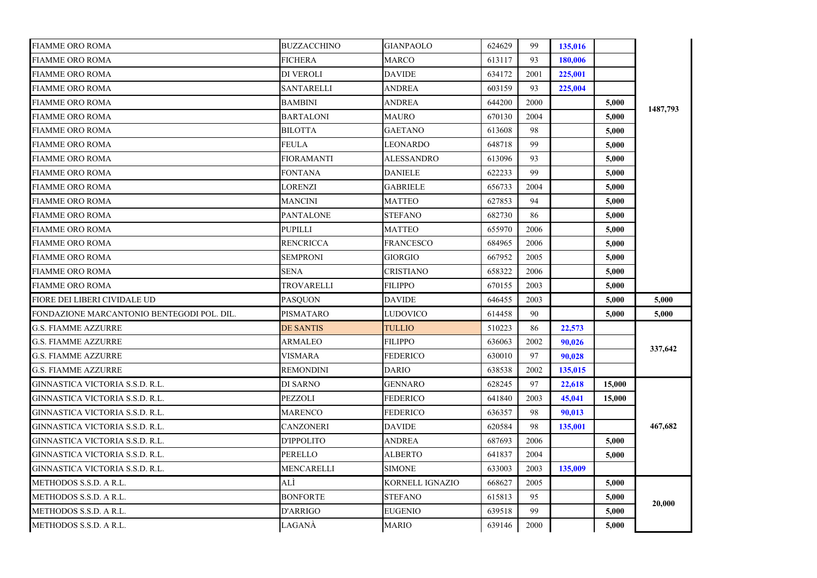| <b>FIAMME ORO ROMA</b>                     | <b>BUZZACCHINO</b> | <b>GIANPAOLO</b> | 624629 | 99   | 135,016 |        |          |
|--------------------------------------------|--------------------|------------------|--------|------|---------|--------|----------|
| FIAMME ORO ROMA                            | FICHERA            | MARCO            | 613117 | 93   | 180,006 |        |          |
| <b>FIAMME ORO ROMA</b>                     | DI VEROLI          | <b>DAVIDE</b>    | 634172 | 2001 | 225,001 |        |          |
| <b>FIAMME ORO ROMA</b>                     | SANTARELLI         | ANDREA           | 603159 | 93   | 225,004 |        |          |
| <b>FIAMME ORO ROMA</b>                     | <b>BAMBINI</b>     | <b>ANDREA</b>    | 644200 | 2000 |         | 5,000  |          |
| <b>FIAMME ORO ROMA</b>                     | <b>BARTALONI</b>   | MAURO            | 670130 | 2004 |         | 5,000  | 1487,793 |
| <b>FIAMME ORO ROMA</b>                     | <b>BILOTTA</b>     | <b>GAETANO</b>   | 613608 | 98   |         | 5,000  |          |
| <b>FIAMME ORO ROMA</b>                     | FEULA              | LEONARDO         | 648718 | 99   |         | 5,000  |          |
| FIAMME ORO ROMA                            | FIORAMANTI         | ALESSANDRO       | 613096 | 93   |         | 5,000  |          |
| FIAMME ORO ROMA                            | FONTANA            | <b>DANIELE</b>   | 622233 | 99   |         | 5,000  |          |
| <b>FIAMME ORO ROMA</b>                     | LORENZI            | <b>GABRIELE</b>  | 656733 | 2004 |         | 5,000  |          |
| <b>FIAMME ORO ROMA</b>                     | MANCINI            | <b>MATTEO</b>    | 627853 | 94   |         | 5,000  |          |
| <b>FIAMME ORO ROMA</b>                     | <b>PANTALONE</b>   | <b>STEFANO</b>   | 682730 | 86   |         | 5,000  |          |
| <b>FIAMME ORO ROMA</b>                     | PUPILLI            | MATTEO           | 655970 | 2006 |         | 5,000  |          |
| <b>FIAMME ORO ROMA</b>                     | RENCRICCA          | <b>FRANCESCO</b> | 684965 | 2006 |         | 5.000  |          |
| FIAMME ORO ROMA                            | SEMPRONI           | GIORGIO          | 667952 | 2005 |         | 5,000  |          |
| FIAMME ORO ROMA                            | SENA               | CRISTIANO        | 658322 | 2006 |         | 5,000  |          |
| <b>FIAMME ORO ROMA</b>                     | TROVARELLI         | <b>FILIPPO</b>   | 670155 | 2003 |         | 5,000  |          |
| <b>FIORE DEI LIBERI CIVIDALE UD</b>        | <b>PASOUON</b>     | <b>DAVIDE</b>    | 646455 | 2003 |         | 5,000  | 5.000    |
| FONDAZIONE MARCANTONIO BENTEGODI POL. DIL. | PISMATARO          | LUDOVICO         | 614458 | 90   |         | 5,000  | 5,000    |
| <b>G.S. FIAMME AZZURRE</b>                 | <b>DE SANTIS</b>   | <b>TULLIO</b>    | 510223 | 86   | 22,573  |        |          |
| <b>G.S. FIAMME AZZURRE</b>                 | ARMALEO            | FILIPPO          | 636063 | 2002 | 90,026  |        |          |
| <b>G.S. FIAMME AZZURRE</b>                 | VISMARA            | FEDERICO         | 630010 | 97   | 90.028  |        | 337,642  |
| <b>G.S. FIAMME AZZURRE</b>                 | REMONDINI          | DARIO            | 638538 | 2002 | 135,015 |        |          |
| GINNASTICA VICTORIA S.S.D. R.L.            | DI SARNO           | GENNARO          | 628245 | 97   | 22,618  | 15,000 |          |
| GINNASTICA VICTORIA S.S.D. R.L.            | PEZZOLI            | <b>FEDERICO</b>  | 641840 | 2003 | 45,041  | 15,000 |          |
| GINNASTICA VICTORIA S.S.D. R.L.            | <b>MARENCO</b>     | <b>FEDERICO</b>  | 636357 | 98   | 90,013  |        |          |
| GINNASTICA VICTORIA S.S.D. R.L.            | CANZONERI          | <b>DAVIDE</b>    | 620584 | 98   | 135,001 |        | 467,682  |
| GINNASTICA VICTORIA S.S.D. R.L.            | D'IPPOLITO         | ANDREA           | 687693 | 2006 |         | 5.000  |          |
| GINNASTICA VICTORIA S.S.D. R.L.            | PERELLO            | ALBERTO          | 641837 | 2004 |         | 5,000  |          |
| GINNASTICA VICTORIA S.S.D. R.L.            | MENCARELLI         | <b>SIMONE</b>    | 633003 | 2003 | 135,009 |        |          |
| METHODOS S.S.D. A R.L.                     | ALÌ                | KORNELL IGNAZIO  | 668627 | 2005 |         | 5,000  |          |
| METHODOS S.S.D. A R.L.                     | <b>BONFORTE</b>    | <b>STEFANO</b>   | 615813 | 95   |         | 5,000  |          |
| METHODOS S.S.D. A R.L.                     | D'ARRIGO           | <b>EUGENIO</b>   | 639518 | 99   |         | 5,000  | 20,000   |
| METHODOS S.S.D. A R.L.                     | LAGANÀ             | <b>MARIO</b>     | 639146 | 2000 |         | 5,000  |          |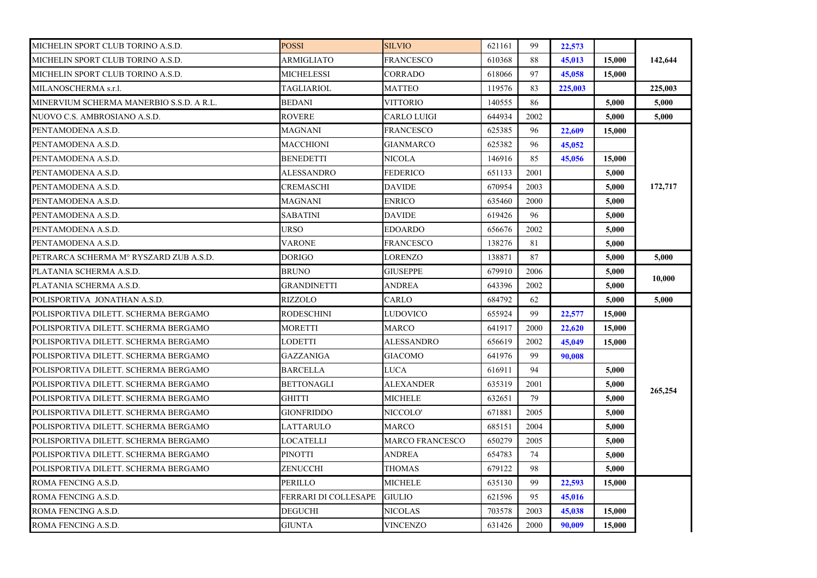| MICHELIN SPORT CLUB TORINO A.S.D.        | <b>POSSI</b>         | <b>SILVIO</b>      | 621161 | 99   | 22,573  |        |         |
|------------------------------------------|----------------------|--------------------|--------|------|---------|--------|---------|
| MICHELIN SPORT CLUB TORINO A.S.D.        | ARMIGLIATO           | FRANCESCO          | 610368 | 88   | 45,013  | 15,000 | 142,644 |
| MICHELIN SPORT CLUB TORINO A.S.D.        | <b>MICHELESSI</b>    | CORRADO            | 618066 | 97   | 45,058  | 15,000 |         |
| MILANOSCHERMA s.r.l.                     | TAGLIARIOL           | <b>MATTEO</b>      | 119576 | 83   | 225,003 |        | 225,003 |
| MINERVIUM SCHERMA MANERBIO S.S.D. A R.L. | <b>BEDANI</b>        | VITTORIO           | 140555 | 86   |         | 5,000  | 5,000   |
| NUOVO C.S. AMBROSIANO A.S.D.             | <b>ROVERE</b>        | <b>CARLO LUIGI</b> | 644934 | 2002 |         | 5,000  | 5,000   |
| PENTAMODENA A.S.D.                       | MAGNANI              | FRANCESCO          | 625385 | 96   | 22,609  | 15,000 |         |
| PENTAMODENA A.S.D.                       | MACCHIONI            | <b>GIANMARCO</b>   | 625382 | 96   | 45,052  |        |         |
| PENTAMODENA A.S.D.                       | BENEDETTI            | NICOLA             | 146916 | 85   | 45,056  | 15,000 |         |
| PENTAMODENA A.S.D.                       | ALESSANDRO           | <b>FEDERICO</b>    | 651133 | 2001 |         | 5,000  |         |
| PENTAMODENA A.S.D.                       | CREMASCHI            | <b>DAVIDE</b>      | 670954 | 2003 |         | 5,000  | 172,717 |
| PENTAMODENA A.S.D.                       | MAGNANI              | <b>ENRICO</b>      | 635460 | 2000 |         | 5,000  |         |
| PENTAMODENA A.S.D.                       | <b>SABATINI</b>      | <b>DAVIDE</b>      | 619426 | 96   |         | 5,000  |         |
| PENTAMODENA A.S.D.                       | URSO                 | <b>EDOARDO</b>     | 656676 | 2002 |         | 5,000  |         |
| PENTAMODENA A.S.D.                       | <b>VARONE</b>        | <b>FRANCESCO</b>   | 138276 | 81   |         | 5.000  |         |
| PETRARCA SCHERMA M° RYSZARD ZUB A.S.D.   | DORIGO               | LORENZO            | 138871 | 87   |         | 5,000  | 5,000   |
| PLATANIA SCHERMA A.S.D.                  | <b>BRUNO</b>         | GIUSEPPE           | 679910 | 2006 |         | 5,000  |         |
| PLATANIA SCHERMA A.S.D.                  | <b>GRANDINETTI</b>   | <b>ANDREA</b>      | 643396 | 2002 |         | 5,000  | 10,000  |
| POLISPORTIVA JONATHAN A.S.D.             | RIZZOLO              | CARLO              | 684792 | 62   |         | 5,000  | 5,000   |
| POLISPORTIVA DILETT. SCHERMA BERGAMO     | <b>RODESCHINI</b>    | LUDOVICO           | 655924 | 99   | 22,577  | 15,000 |         |
| POLISPORTIVA DILETT. SCHERMA BERGAMO     | MORETTI              | MARCO              | 641917 | 2000 | 22,620  | 15,000 |         |
| POLISPORTIVA DILETT. SCHERMA BERGAMO     | LODETTI              | ALESSANDRO         | 656619 | 2002 | 45,049  | 15,000 |         |
| POLISPORTIVA DILETT. SCHERMA BERGAMO     | GAZZANIGA            | GIACOMO            | 641976 | 99   | 90,008  |        |         |
| POLISPORTIVA DILETT. SCHERMA BERGAMO     | BARCELLA             | LUCA               | 616911 | 94   |         | 5,000  |         |
| POLISPORTIVA DILETT. SCHERMA BERGAMO     | <b>BETTONAGLI</b>    | ALEXANDER          | 635319 | 2001 |         | 5,000  | 265,254 |
| POLISPORTIVA DILETT. SCHERMA BERGAMO     | <b>GHITTI</b>        | MICHELE            | 632651 | 79   |         | 5,000  |         |
| POLISPORTIVA DILETT. SCHERMA BERGAMO     | <b>GIONFRIDDO</b>    | NICCOLO'           | 671881 | 2005 |         | 5,000  |         |
| POLISPORTIVA DILETT. SCHERMA BERGAMO     | LATTARULO            | MARCO              | 685151 | 2004 |         | 5,000  |         |
| POLISPORTIVA DILETT. SCHERMA BERGAMO     | LOCATELLI            | MARCO FRANCESCO    | 650279 | 2005 |         | 5,000  |         |
| POLISPORTIVA DILETT. SCHERMA BERGAMO     | <b>PINOTTI</b>       | ANDREA             | 654783 | 74   |         | 5.000  |         |
| POLISPORTIVA DILETT. SCHERMA BERGAMO     | ZENUCCHI             | THOMAS             | 679122 | 98   |         | 5,000  |         |
| ROMA FENCING A.S.D.                      | PERILLO              | MICHELE            | 635130 | 99   | 22,593  | 15,000 |         |
| ROMA FENCING A.S.D.                      | FERRARI DI COLLESAPE | <b>GIULIO</b>      | 621596 | 95   | 45,016  |        |         |
| ROMA FENCING A.S.D.                      | <b>DEGUCHI</b>       | <b>NICOLAS</b>     | 703578 | 2003 | 45,038  | 15,000 |         |
| ROMA FENCING A.S.D.                      | <b>GIUNTA</b>        | <b>VINCENZO</b>    | 631426 | 2000 | 90,009  | 15,000 |         |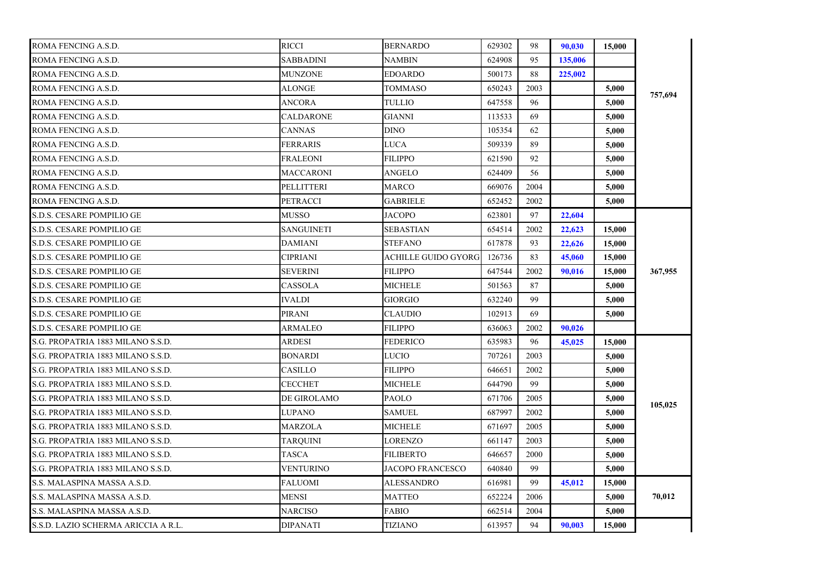| ROMA FENCING A.S.D.                 | <b>RICCI</b>      | <b>BERNARDO</b>     | 629302 | 98   | 90.030  | 15,000 |         |
|-------------------------------------|-------------------|---------------------|--------|------|---------|--------|---------|
| ROMA FENCING A.S.D.                 | SABBADINI         | NAMBIN              | 624908 | 95   | 135,006 |        |         |
| ROMA FENCING A.S.D.                 | <b>MUNZONE</b>    | <b>EDOARDO</b>      | 500173 | 88   | 225,002 |        |         |
| ROMA FENCING A.S.D.                 | <b>ALONGE</b>     | <b>TOMMASO</b>      | 650243 | 2003 |         | 5.000  |         |
| ROMA FENCING A.S.D.                 | <b>ANCORA</b>     | TULLIO              | 647558 | 96   |         | 5,000  | 757,694 |
| ROMA FENCING A.S.D.                 | CALDARONE         | <b>GIANNI</b>       | 113533 | 69   |         | 5,000  |         |
| ROMA FENCING A.S.D.                 | CANNAS            | <b>DINO</b>         | 105354 | 62   |         | 5,000  |         |
| ROMA FENCING A.S.D.                 | FERRARIS          | LUCA                | 509339 | 89   |         | 5.000  |         |
| ROMA FENCING A.S.D.                 | FRALEONI          | <b>FILIPPO</b>      | 621590 | 92   |         | 5,000  |         |
| ROMA FENCING A.S.D.                 | MACCARONI         | ANGELO              | 624409 | 56   |         | 5.000  |         |
| ROMA FENCING A.S.D.                 | PELLITTERI        | <b>MARCO</b>        | 669076 | 2004 |         | 5,000  |         |
| ROMA FENCING A.S.D.                 | PETRACCI          | <b>GABRIELE</b>     | 652452 | 2002 |         | 5,000  |         |
| S.D.S. CESARE POMPILIO GE           | MUSSO             | <b>JACOPO</b>       | 623801 | 97   | 22,604  |        |         |
| S.D.S. CESARE POMPILIO GE           | <b>SANGUINETI</b> | <b>SEBASTIAN</b>    | 654514 | 2002 | 22,623  | 15,000 |         |
| S.D.S. CESARE POMPILIO GE           | DAMIANI           | <b>STEFANO</b>      | 617878 | 93   | 22,626  | 15,000 |         |
| S.D.S. CESARE POMPILIO GE           | CIPRIANI          | ACHILLE GUIDO GYORG | 126736 | 83   | 45,060  | 15,000 |         |
| S.D.S. CESARE POMPILIO GE           | SEVERINI          | <b>FILIPPO</b>      | 647544 | 2002 | 90,016  | 15,000 | 367,955 |
| S.D.S. CESARE POMPILIO GE           | CASSOLA           | <b>MICHELE</b>      | 501563 | 87   |         | 5,000  |         |
| S.D.S. CESARE POMPILIO GE           | <b>IVALDI</b>     | <b>GIORGIO</b>      | 632240 | 99   |         | 5,000  |         |
| S.D.S. CESARE POMPILIO GE           | <b>PIRANI</b>     | <b>CLAUDIO</b>      | 102913 | 69   |         | 5.000  |         |
| S.D.S. CESARE POMPILIO GE           | ARMALEO           | <b>FILIPPO</b>      | 636063 | 2002 | 90,026  |        |         |
| S.G. PROPATRIA 1883 MILANO S.S.D.   | <b>ARDESI</b>     | <b>FEDERICO</b>     | 635983 | 96   | 45,025  | 15,000 |         |
| S.G. PROPATRIA 1883 MILANO S.S.D.   | <b>BONARDI</b>    | LUCIO               | 707261 | 2003 |         | 5,000  |         |
| S.G. PROPATRIA 1883 MILANO S.S.D.   | CASILLO           | <b>FILIPPO</b>      | 646651 | 2002 |         | 5,000  |         |
| S.G. PROPATRIA 1883 MILANO S.S.D.   | CECCHET           | MICHELE             | 644790 | 99   |         | 5,000  |         |
| S.G. PROPATRIA 1883 MILANO S.S.D.   | DE GIROLAMO       | <b>PAOLO</b>        | 671706 | 2005 |         | 5.000  |         |
| S.G. PROPATRIA 1883 MILANO S.S.D.   | LUPANO            | <b>SAMUEL</b>       | 687997 | 2002 |         | 5,000  | 105,025 |
| S.G. PROPATRIA 1883 MILANO S.S.D.   | MARZOLA           | <b>MICHELE</b>      | 671697 | 2005 |         | 5,000  |         |
| S.G. PROPATRIA 1883 MILANO S.S.D.   | TARQUINI          | LORENZO             | 661147 | 2003 |         | 5,000  |         |
| S.G. PROPATRIA 1883 MILANO S.S.D.   | <b>TASCA</b>      | <b>FILIBERTO</b>    | 646657 | 2000 |         | 5,000  |         |
| S.G. PROPATRIA 1883 MILANO S.S.D.   | VENTURINO         | JACOPO FRANCESCO    | 640840 | 99   |         | 5,000  |         |
| S.S. MALASPINA MASSA A.S.D.         | FALUOMI           | <b>ALESSANDRO</b>   | 616981 | 99   | 45,012  | 15,000 |         |
| S.S. MALASPINA MASSA A.S.D.         | MENSI             | <b>MATTEO</b>       | 652224 | 2006 |         | 5,000  | 70,012  |
| S.S. MALASPINA MASSA A.S.D.         | NARCISO           | <b>FABIO</b>        | 662514 | 2004 |         | 5,000  |         |
| S.S.D. LAZIO SCHERMA ARICCIA A R.L. | <b>DIPANATI</b>   | TIZIANO             | 613957 | 94   | 90,003  | 15,000 |         |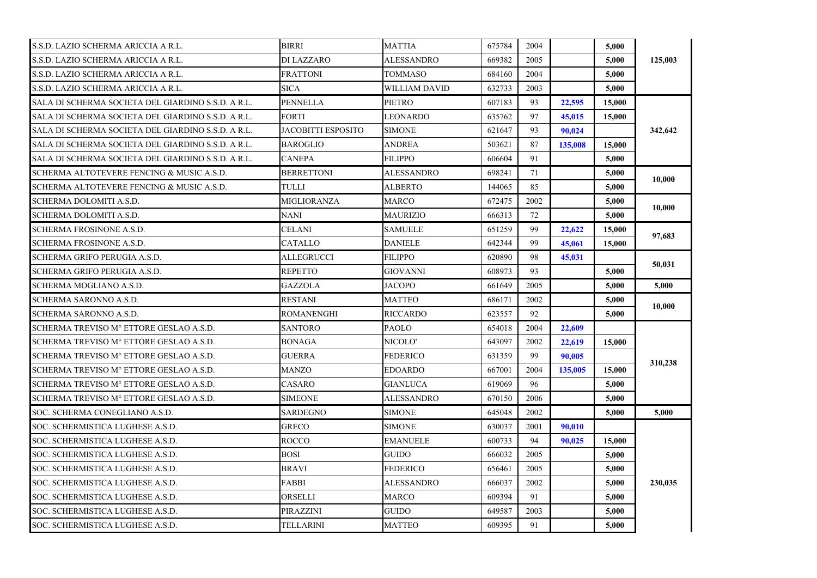| S.S.D. LAZIO SCHERMA ARICCIA A R.L.                | <b>BIRRI</b>       | <b>MATTIA</b>     | 675784 | 2004 |         | 5.000           |         |
|----------------------------------------------------|--------------------|-------------------|--------|------|---------|-----------------|---------|
| S.S.D. LAZIO SCHERMA ARICCIA A R.L.                | DI LAZZARO         | ALESSANDRO        | 669382 | 2005 |         | 5,000           | 125,003 |
| S.S.D. LAZIO SCHERMA ARICCIA A R.L.                | <b>FRATTONI</b>    | <b>TOMMASO</b>    | 684160 | 2004 |         | 5.000           |         |
| S.S.D. LAZIO SCHERMA ARICCIA A R.L.                | <b>SICA</b>        | WILLIAM DAVID     | 632733 | 2003 |         | 5,000           |         |
| SALA DI SCHERMA SOCIETA DEL GIARDINO S.S.D. A R.L. | <b>PENNELLA</b>    | <b>PIETRO</b>     | 607183 | 93   | 22,595  | 15,000          |         |
| SALA DI SCHERMA SOCIETA DEL GIARDINO S.S.D. A R.L. | <b>FORTI</b>       | <b>LEONARDO</b>   | 635762 | 97   | 45,015  | 15,000          |         |
| SALA DI SCHERMA SOCIETA DEL GIARDINO S.S.D. A R.L. | JACOBITTI ESPOSITO | <b>SIMONE</b>     | 621647 | 93   | 90,024  |                 | 342,642 |
| SALA DI SCHERMA SOCIETA DEL GIARDINO S.S.D. A R.L. | <b>BAROGLIO</b>    | <b>ANDREA</b>     | 503621 | 87   | 135,008 | 15.000          |         |
| SALA DI SCHERMA SOCIETA DEL GIARDINO S.S.D. A R.L. | <b>CANEPA</b>      | <b>FILIPPO</b>    | 606604 | 91   |         | 5,000           |         |
| SCHERMA ALTOTEVERE FENCING & MUSIC A.S.D.          | <b>BERRETTONI</b>  | ALESSANDRO        | 698241 | 71   |         | 5,000           |         |
| SCHERMA ALTOTEVERE FENCING & MUSIC A.S.D.          | TULLI              | <b>ALBERTO</b>    | 144065 | 85   |         | 5,000           | 10.000  |
| SCHERMA DOLOMITI A.S.D.                            | MIGLIORANZA        | <b>MARCO</b>      | 672475 | 2002 |         | 5,000           |         |
| SCHERMA DOLOMITI A.S.D.                            | NANI               | <b>MAURIZIO</b>   | 666313 | 72   |         | 5.000           | 10,000  |
| SCHERMA FROSINONE A.S.D.                           | CELANI             | <b>SAMUELE</b>    | 651259 | 99   | 22,622  | 15,000          |         |
| SCHERMA FROSINONE A.S.D.                           | CATALLO            | <b>DANIELE</b>    | 642344 | 99   | 45,061  | 15,000          | 97.683  |
| SCHERMA GRIFO PERUGIA A.S.D.                       | ALLEGRUCCI         | <b>FILIPPO</b>    | 620890 | 98   | 45,031  |                 |         |
| SCHERMA GRIFO PERUGIA A.S.D.                       | REPETTO            | <b>GIOVANNI</b>   | 608973 | 93   |         | 5,000           | 50.031  |
| SCHERMA MOGLIANO A.S.D.                            | <b>GAZZOLA</b>     | <b>JACOPO</b>     | 661649 | 2005 |         | 5,000           | 5.000   |
| SCHERMA SARONNO A.S.D.                             | <b>RESTANI</b>     | <b>MATTEO</b>     | 686171 | 2002 |         | 5,000           |         |
| SCHERMA SARONNO A.S.D.                             | <b>ROMANENGHI</b>  | <b>RICCARDO</b>   | 623557 | 92   |         | 10,000<br>5,000 |         |
| SCHERMA TREVISO M° ETTORE GESLAO A.S.D.            | <b>SANTORO</b>     | <b>PAOLO</b>      | 654018 | 2004 | 22,609  |                 |         |
| SCHERMA TREVISO M° ETTORE GESLAO A.S.D.            | <b>BONAGA</b>      | NICOLO'           | 643097 | 2002 | 22,619  | 15,000          |         |
| SCHERMA TREVISO Mº ETTORE GESLAO A.S.D.            | GUERRA             | <b>FEDERICO</b>   | 631359 | 99   | 90,005  |                 |         |
| SCHERMA TREVISO M° ETTORE GESLAO A.S.D.            | MANZO              | <b>EDOARDO</b>    | 667001 | 2004 | 135,005 | 15,000          | 310,238 |
| SCHERMA TREVISO Mº ETTORE GESLAO A.S.D.            | CASARO             | <b>GIANLUCA</b>   | 619069 | 96   |         | 5,000           |         |
| SCHERMA TREVISO Mº ETTORE GESLAO A.S.D.            | <b>SIMEONE</b>     | <b>ALESSANDRO</b> | 670150 | 2006 |         | 5,000           |         |
| SOC. SCHERMA CONEGLIANO A.S.D.                     | <b>SARDEGNO</b>    | <b>SIMONE</b>     | 645048 | 2002 |         | 5,000           | 5,000   |
| SOC. SCHERMISTICA LUGHESE A.S.D.                   | <b>GRECO</b>       | <b>SIMONE</b>     | 630037 | 2001 | 90,010  |                 |         |
| SOC. SCHERMISTICA LUGHESE A.S.D.                   | <b>ROCCO</b>       | <b>EMANUELE</b>   | 600733 | 94   | 90.025  | 15,000          |         |
| SOC. SCHERMISTICA LUGHESE A.S.D.                   | BOSI               | <b>GUIDO</b>      | 666032 | 2005 |         | 5,000           |         |
| SOC. SCHERMISTICA LUGHESE A.S.D.                   | <b>BRAVI</b>       | <b>FEDERICO</b>   | 656461 | 2005 |         | 5.000           |         |
| SOC. SCHERMISTICA LUGHESE A.S.D.                   | FABBI              | ALESSANDRO        | 666037 | 2002 |         | 5,000           | 230,035 |
| SOC. SCHERMISTICA LUGHESE A.S.D.                   | ORSELLI            | <b>MARCO</b>      | 609394 | 91   |         | 5,000           |         |
| SOC. SCHERMISTICA LUGHESE A.S.D.                   | PIRAZZINI          | <b>GUIDO</b>      | 649587 | 2003 |         | 5,000           |         |
| SOC. SCHERMISTICA LUGHESE A.S.D.                   | TELLARINI          | <b>MATTEO</b>     | 609395 | 91   |         | 5,000           |         |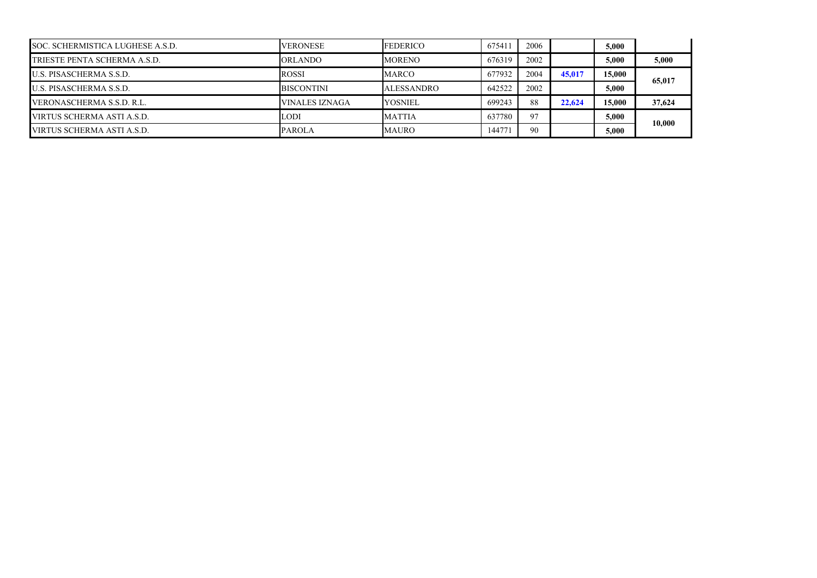| SOC. SCHERMISTICA LUGHESE A.S.D. | <b>VERONESE</b>   | <b>FEDERICO</b>   | 675411 | 2006 |        | 5,000  |        |  |
|----------------------------------|-------------------|-------------------|--------|------|--------|--------|--------|--|
| TRIESTE PENTA SCHERMA A.S.D.     | <b>ORLANDO</b>    | <b>MORENO</b>     | 676319 | 2002 |        | 5.000  | 5,000  |  |
| <b>U.S. PISASCHERMA S.S.D.</b>   | <b>ROSSI</b>      | <b>MARCO</b>      | 677932 | 2004 | 45,017 | 15,000 |        |  |
| <b>U.S. PISASCHERMA S.S.D.</b>   | <b>BISCONTINI</b> | <b>ALESSANDRO</b> | 642522 | 2002 |        | 5,000  | 65,017 |  |
| VERONASCHERMA S.S.D. R.L.        | VINALES IZNAGA    | <b>YOSNIEL</b>    | 699243 | 88   | 22.624 | 15,000 | 37,624 |  |
| VIRTUS SCHERMA ASTI A.S.D.       | <b>LODI</b>       | <b>MATTIA</b>     | 637780 | 97   |        | 5,000  | 10.000 |  |
| VIRTUS SCHERMA ASTI A.S.D.       | <b>PAROLA</b>     | <b>MAURO</b>      | 144771 | 90   |        | 5,000  |        |  |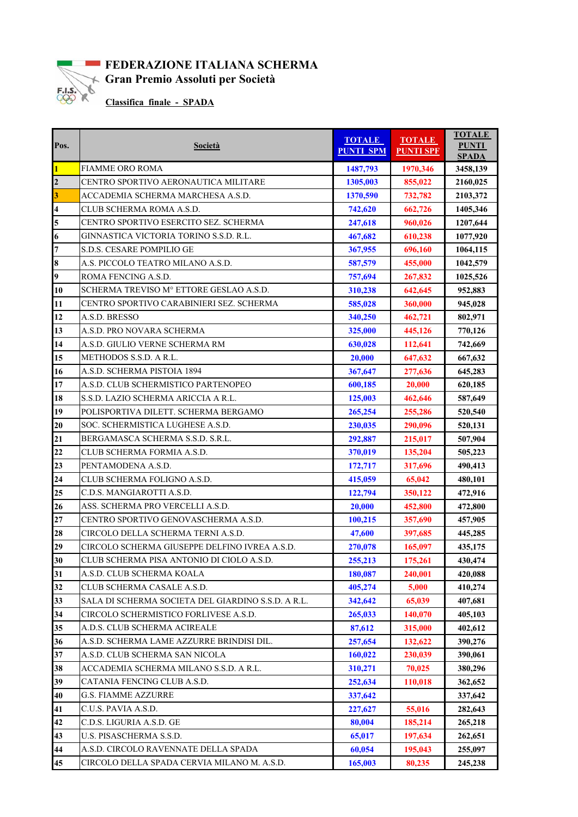

## **FEDERAZIONE ITALIANA SCHERMA Gran Premio Assoluti per Società**<br>Classifica finale - SPADA

 **Classifica finale - SPADA**

| Pos.                    | <b>Società</b>                                     | <b>TOTALE</b><br><b>PUNTI SPM</b> | <b>TOTALE</b><br><b>PUNTI SPF</b> | <b>TOTALE</b><br><b>PUNTI</b><br><b>SPADA</b> |
|-------------------------|----------------------------------------------------|-----------------------------------|-----------------------------------|-----------------------------------------------|
| $\mathbf{1}$            | FIAMME ORO ROMA                                    | 1487,793                          | 1970,346                          | 3458,139                                      |
| $\overline{2}$          | CENTRO SPORTIVO AERONAUTICA MILITARE               | 1305,003                          | 855,022                           | 2160,025                                      |
| $\overline{\mathbf{3}}$ | ACCADEMIA SCHERMA MARCHESA A.S.D.                  | 1370,590                          | 732,782                           | 2103,372                                      |
| $\overline{\mathbf{4}}$ | CLUB SCHERMA ROMA A.S.D.                           | 742,620                           | 662,726                           | 1405,346                                      |
| 5                       | CENTRO SPORTIVO ESERCITO SEZ. SCHERMA              | 247,618                           | 960,026                           | 1207,644                                      |
| 6                       | GINNASTICA VICTORIA TORINO S.S.D. R.L.             | 467,682                           | 610,238                           | 1077,920                                      |
| 7                       | S.D.S. CESARE POMPILIO GE                          | 367,955                           | 696,160                           | 1064,115                                      |
| 8                       | A.S. PICCOLO TEATRO MILANO A.S.D.                  | 587,579                           | 455,000                           | 1042,579                                      |
| 9                       | ROMA FENCING A.S.D.                                | 757,694                           | 267,832                           | 1025,526                                      |
| 10                      | SCHERMA TREVISO Mº ETTORE GESLAO A.S.D.            | 310,238                           | 642,645                           | 952,883                                       |
| 11                      | CENTRO SPORTIVO CARABINIERI SEZ. SCHERMA           | 585,028                           | 360,000                           | 945,028                                       |
| 12                      | A.S.D. BRESSO                                      | 340,250                           | 462,721                           | 802,971                                       |
| 13                      | A.S.D. PRO NOVARA SCHERMA                          | 325,000                           | 445,126                           | 770,126                                       |
| 14                      | A.S.D. GIULIO VERNE SCHERMA RM                     | 630,028                           | 112,641                           | 742,669                                       |
| 15                      | METHODOS S.S.D. A R.L.                             | 20,000                            | 647,632                           | 667,632                                       |
| 16                      | A.S.D. SCHERMA PISTOIA 1894                        | 367,647                           | 277,636                           | 645,283                                       |
| 17                      | A.S.D. CLUB SCHERMISTICO PARTENOPEO                | 600,185                           | 20,000                            | 620,185                                       |
| 18                      | S.S.D. LAZIO SCHERMA ARICCIA A R.L.                | 125,003                           | 462,646                           | 587,649                                       |
| 19                      | POLISPORTIVA DILETT. SCHERMA BERGAMO               | 265,254                           | 255,286                           | 520,540                                       |
| 20                      | SOC. SCHERMISTICA LUGHESE A.S.D.                   | 230,035                           | 290,096                           | 520,131                                       |
| 21                      | BERGAMASCA SCHERMA S.S.D. S.R.L.                   | 292,887                           | 215,017                           | 507,904                                       |
| 22                      | CLUB SCHERMA FORMIA A.S.D.                         | 370,019                           | 135,204                           | 505,223                                       |
| 23                      | PENTAMODENA A.S.D.                                 | 172,717                           | 317,696                           | 490,413                                       |
| 24                      | CLUB SCHERMA FOLIGNO A.S.D.                        | 415,059                           | 65,042                            | 480,101                                       |
| 25                      | C.D.S. MANGIAROTTI A.S.D.                          | 122,794                           | 350,122                           | 472,916                                       |
| 26                      | ASS. SCHERMA PRO VERCELLI A.S.D.                   | 20,000                            | 452,800                           | 472,800                                       |
| 27                      | CENTRO SPORTIVO GENOVASCHERMA A.S.D.               | 100,215                           | 357,690                           | 457,905                                       |
| 28                      | CIRCOLO DELLA SCHERMA TERNI A.S.D.                 | 47,600                            | 397,685                           | 445,285                                       |
| 29                      | CIRCOLO SCHERMA GIUSEPPE DELFINO IVREA A.S.D.      | 270,078                           | 165,097                           | 435,175                                       |
| 30                      | CLUB SCHERMA PISA ANTONIO DI CIOLO A.S.D.          | 255,213                           | 175,261                           | 430,474                                       |
| 31                      | A.S.D. CLUB SCHERMA KOALA                          | 180,087                           | 240,001                           | 420,088                                       |
| 32                      | CLUB SCHERMA CASALE A.S.D.                         | 405,274                           | 5,000                             | 410,274                                       |
| 33                      | SALA DI SCHERMA SOCIETA DEL GIARDINO S.S.D. A R.L. | 342,642                           | 65,039                            | 407,681                                       |
| 34                      | CIRCOLO SCHERMISTICO FORLIVESE A.S.D.              | 265,033                           | 140,070                           | 405,103                                       |
| 35                      | A.D.S. CLUB SCHERMA ACIREALE                       | 87,612                            | 315,000                           | 402,612                                       |
| 36                      | A.S.D. SCHERMA LAME AZZURRE BRINDISI DIL.          | 257,654                           | 132,622                           | 390,276                                       |
| 37                      | A.S.D. CLUB SCHERMA SAN NICOLA                     | 160,022                           | 230,039                           | 390,061                                       |
| 38                      | ACCADEMIA SCHERMA MILANO S.S.D. A R.L.             | 310,271                           | 70,025                            | 380,296                                       |
| 39                      | CATANIA FENCING CLUB A.S.D.                        | 252,634                           | 110,018                           | 362,652                                       |
| 40                      | <b>G.S. FIAMME AZZURRE</b>                         | 337,642                           |                                   | 337,642                                       |
| 41                      | C.U.S. PAVIA A.S.D.                                | 227,627                           | 55,016                            | 282,643                                       |
| 42                      | C.D.S. LIGURIA A.S.D. GE                           | 80,004                            | 185,214                           | 265,218                                       |
| 43                      | U.S. PISASCHERMA S.S.D.                            | 65,017                            | 197,634                           | 262,651                                       |
| 44                      | A.S.D. CIRCOLO RAVENNATE DELLA SPADA               | 60,054                            | 195,043                           | 255,097                                       |
| 45                      | CIRCOLO DELLA SPADA CERVIA MILANO M. A.S.D.        | 165,003                           | 80,235                            | 245,238                                       |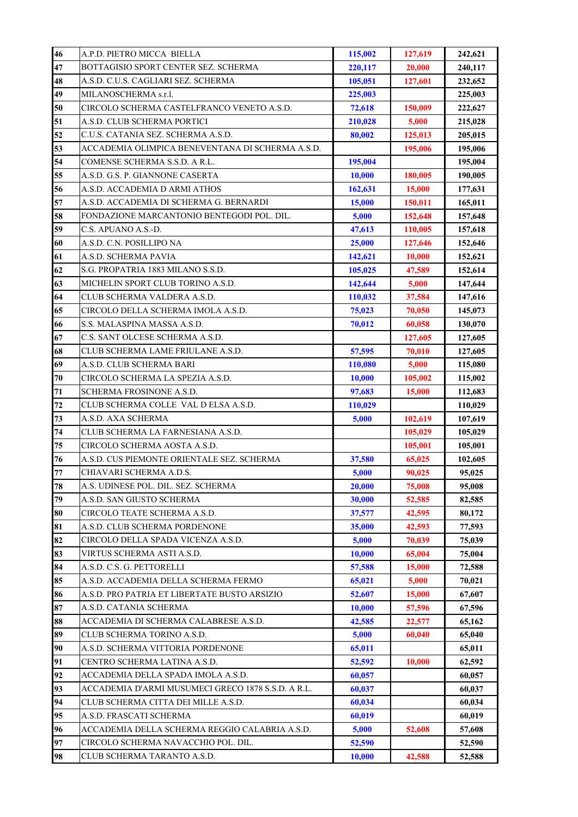| 46 | A.P.D. PIETRO MICCA BIELLA                         | 115,002 | 127,619 | 242,621 |
|----|----------------------------------------------------|---------|---------|---------|
| 47 | BOTTAGISIO SPORT CENTER SEZ. SCHERMA               | 220,117 | 20,000  | 240,117 |
| 48 | A.S.D. C.U.S. CAGLIARI SEZ. SCHERMA                | 105,051 | 127,601 | 232,652 |
| 49 | MILANOSCHERMA s.r.l.                               | 225,003 |         | 225,003 |
| 50 | CIRCOLO SCHERMA CASTELFRANCO VENETO A.S.D.         | 72,618  | 150,009 | 222,627 |
| 51 | A.S.D. CLUB SCHERMA PORTICI                        | 210,028 | 5,000   | 215,028 |
| 52 | C.U.S. CATANIA SEZ. SCHERMA A.S.D.                 | 80,002  | 125,013 | 205,015 |
| 53 | ACCADEMIA OLIMPICA BENEVENTANA DI SCHERMA A.S.D.   |         | 195,006 | 195,006 |
| 54 | COMENSE SCHERMA S.S.D. A R.L.                      | 195,004 |         | 195,004 |
| 55 | A.S.D. G.S. P. GIANNONE CASERTA                    | 10,000  | 180,005 | 190,005 |
| 56 | A.S.D. ACCADEMIA D ARMI ATHOS                      | 162,631 | 15,000  | 177,631 |
| 57 | A.S.D. ACCADEMIA DI SCHERMA G. BERNARDI            | 15,000  | 150,011 | 165,011 |
| 58 | FONDAZIONE MARCANTONIO BENTEGODI POL. DIL.         | 5,000   | 152,648 | 157,648 |
| 59 | C.S. APUANO A.S.-D.                                | 47,613  | 110,005 | 157,618 |
| 60 | A.S.D. C.N. POSILLIPO NA                           | 25,000  | 127,646 | 152,646 |
| 61 | A.S.D. SCHERMA PAVIA                               | 142,621 | 10,000  | 152,621 |
| 62 | S.G. PROPATRIA 1883 MILANO S.S.D.                  | 105,025 | 47,589  | 152,614 |
| 63 | MICHELIN SPORT CLUB TORINO A.S.D.                  | 142,644 | 5,000   | 147,644 |
| 64 | CLUB SCHERMA VALDERA A.S.D.                        | 110,032 | 37,584  | 147,616 |
| 65 | CIRCOLO DELLA SCHERMA IMOLA A.S.D.                 | 75,023  | 70,050  | 145,073 |
| 66 | S.S. MALASPINA MASSA A.S.D.                        | 70,012  | 60,058  | 130,070 |
| 67 | C.S. SANT OLCESE SCHERMA A.S.D.                    |         | 127,605 | 127,605 |
| 68 | CLUB SCHERMA LAME FRIULANE A.S.D.                  | 57,595  | 70,010  | 127,605 |
| 69 | A.S.D. CLUB SCHERMA BARI                           | 110,080 | 5,000   | 115,080 |
| 70 | CIRCOLO SCHERMA LA SPEZIA A.S.D.                   | 10,000  | 105,002 | 115,002 |
| 71 | SCHERMA FROSINONE A.S.D.                           | 97,683  | 15,000  | 112,683 |
| 72 | CLUB SCHERMA COLLE VAL D ELSA A.S.D.               | 110,029 |         | 110,029 |
| 73 | A.S.D. AXA SCHERMA                                 | 5,000   | 102,619 | 107,619 |
| 74 | CLUB SCHERMA LA FARNESIANA A.S.D.                  |         | 105,029 | 105,029 |
| 75 | CIRCOLO SCHERMA AOSTA A.S.D.                       |         | 105,001 | 105,001 |
| 76 | A.S.D. CUS PIEMONTE ORIENTALE SEZ. SCHERMA         | 37,580  | 65,025  | 102,605 |
| 77 | CHIAVARI SCHERMA A.D.S.                            | 5,000   | 90,025  | 95,025  |
| 78 | A.S. UDINESE POL. DIL. SEZ. SCHERMA                | 20,000  | 75,008  | 95,008  |
| 79 | A.S.D. SAN GIUSTO SCHERMA                          | 30,000  | 52,585  | 82,585  |
| 80 | CIRCOLO TEATE SCHERMA A.S.D.                       | 37,577  | 42,595  | 80,172  |
| 81 | A.S.D. CLUB SCHERMA PORDENONE                      | 35,000  | 42,593  | 77,593  |
| 82 | CIRCOLO DELLA SPADA VICENZA A.S.D.                 | 5,000   | 70,039  | 75,039  |
| 83 | VIRTUS SCHERMA ASTI A.S.D.                         | 10,000  | 65,004  | 75,004  |
| 84 | A.S.D. C.S. G. PETTORELLI                          | 57,588  | 15,000  | 72,588  |
| 85 | A.S.D. ACCADEMIA DELLA SCHERMA FERMO               | 65,021  | 5,000   | 70,021  |
| 86 | A.S.D. PRO PATRIA ET LIBERTATE BUSTO ARSIZIO       | 52,607  | 15,000  | 67,607  |
| 87 | A.S.D. CATANIA SCHERMA                             | 10,000  | 57,596  | 67,596  |
| 88 | ACCADEMIA DI SCHERMA CALABRESE A.S.D.              | 42,585  | 22,577  | 65,162  |
| 89 | CLUB SCHERMA TORINO A.S.D.                         | 5,000   | 60,040  | 65,040  |
| 90 | A.S.D. SCHERMA VITTORIA PORDENONE                  | 65,011  |         | 65,011  |
| 91 | CENTRO SCHERMA LATINA A.S.D.                       | 52,592  | 10,000  | 62,592  |
| 92 | ACCADEMIA DELLA SPADA IMOLA A.S.D.                 | 60,057  |         | 60,057  |
| 93 | ACCADEMIA D'ARMI MUSUMECI GRECO 1878 S.S.D. A R.L. | 60,037  |         | 60,037  |
| 94 | CLUB SCHERMA CITTA DEI MILLE A.S.D.                | 60,034  |         | 60,034  |
| 95 | A.S.D. FRASCATI SCHERMA                            | 60,019  |         | 60,019  |
| 96 | ACCADEMIA DELLA SCHERMA REGGIO CALABRIA A.S.D.     | 5,000   | 52,608  | 57,608  |
| 97 | CIRCOLO SCHERMA NAVACCHIO POL. DIL.                | 52,590  |         | 52,590  |
| 98 | CLUB SCHERMA TARANTO A.S.D.                        | 10,000  | 42,588  | 52,588  |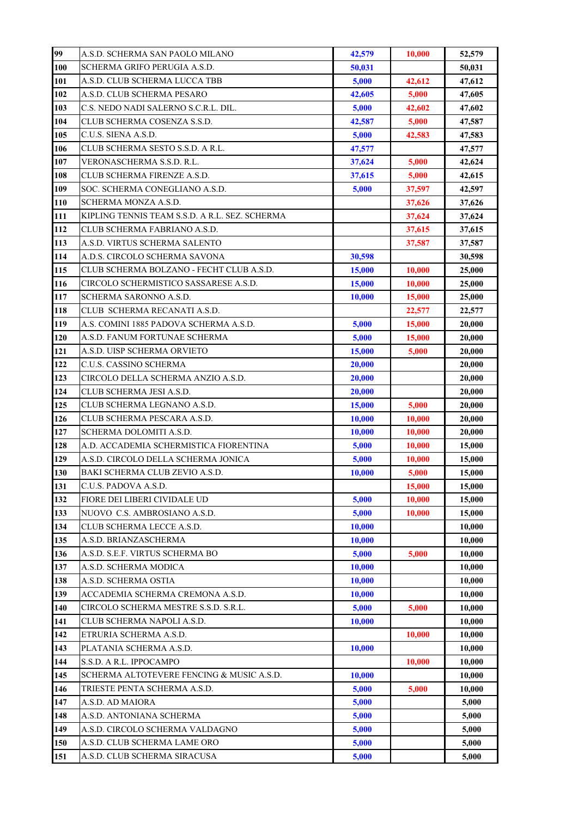| 99  | A.S.D. SCHERMA SAN PAOLO MILANO                | 42,579        | 10,000 | 52,579 |
|-----|------------------------------------------------|---------------|--------|--------|
| 100 | SCHERMA GRIFO PERUGIA A.S.D.                   | 50,031        |        | 50,031 |
| 101 | A.S.D. CLUB SCHERMA LUCCA TBB                  | 5,000         | 42,612 | 47,612 |
| 102 | A.S.D. CLUB SCHERMA PESARO                     | 42,605        | 5,000  | 47,605 |
| 103 | C.S. NEDO NADI SALERNO S.C.R.L. DIL.           | 5,000         | 42,602 | 47,602 |
| 104 | CLUB SCHERMA COSENZA S.S.D.                    | 42,587        | 5,000  | 47,587 |
| 105 | C.U.S. SIENA A.S.D.                            | 5,000         | 42,583 | 47,583 |
| 106 | CLUB SCHERMA SESTO S.S.D. A R.L.               | 47,577        |        | 47,577 |
| 107 | VERONASCHERMA S.S.D. R.L.                      | 37,624        | 5,000  | 42,624 |
| 108 | CLUB SCHERMA FIRENZE A.S.D.                    | 37,615        | 5,000  | 42,615 |
| 109 | SOC. SCHERMA CONEGLIANO A.S.D.                 | 5,000         | 37,597 | 42,597 |
| 110 | SCHERMA MONZA A.S.D.                           |               | 37,626 | 37,626 |
| 111 | KIPLING TENNIS TEAM S.S.D. A R.L. SEZ. SCHERMA |               | 37,624 | 37,624 |
| 112 | CLUB SCHERMA FABRIANO A.S.D.                   |               | 37,615 | 37,615 |
| 113 | A.S.D. VIRTUS SCHERMA SALENTO                  |               | 37,587 | 37,587 |
| 114 | A.D.S. CIRCOLO SCHERMA SAVONA                  | 30,598        |        | 30,598 |
| 115 | CLUB SCHERMA BOLZANO - FECHT CLUB A.S.D.       | <b>15,000</b> | 10,000 | 25,000 |
| 116 | CIRCOLO SCHERMISTICO SASSARESE A.S.D.          | 15,000        | 10,000 | 25,000 |
| 117 | SCHERMA SARONNO A.S.D.                         | <b>10,000</b> | 15,000 | 25,000 |
| 118 | CLUB  SCHERMA RECANATI A.S.D.                  |               | 22,577 | 22,577 |
| 119 | A.S. COMINI 1885 PADOVA SCHERMA A.S.D.         | 5,000         | 15,000 | 20,000 |
| 120 | A.S.D. FANUM FORTUNAE SCHERMA                  | 5,000         | 15,000 | 20,000 |
| 121 | A.S.D. UISP SCHERMA ORVIETO                    | 15,000        | 5,000  | 20,000 |
| 122 | C.U.S. CASSINO SCHERMA                         | 20,000        |        | 20,000 |
| 123 | CIRCOLO DELLA SCHERMA ANZIO A.S.D.             | 20,000        |        | 20,000 |
| 124 | CLUB SCHERMA JESI A.S.D.                       | 20,000        |        | 20,000 |
| 125 | CLUB SCHERMA LEGNANO A.S.D.                    | <b>15,000</b> | 5,000  | 20,000 |
| 126 | CLUB SCHERMA PESCARA A.S.D.                    | 10,000        | 10,000 | 20,000 |
| 127 | SCHERMA DOLOMITI A.S.D.                        | <b>10,000</b> | 10,000 | 20,000 |
| 128 | A.D. ACCADEMIA SCHERMISTICA FIORENTINA         | 5,000         | 10,000 | 15,000 |
| 129 | A.S.D. CIRCOLO DELLA SCHERMA JONICA            | 5,000         | 10,000 | 15,000 |
| 130 | BAKI SCHERMA CLUB ZEVIO A.S.D.                 | 10,000        | 5,000  | 15,000 |
| 131 | C.U.S. PADOVA A.S.D.                           |               | 15,000 | 15,000 |
| 132 | FIORE DEI LIBERI CIVIDALE UD                   | 5,000         | 10.000 | 15.000 |
| 133 | NUOVO C.S. AMBROSIANO A.S.D.                   | 5,000         | 10,000 | 15,000 |
| 134 | CLUB SCHERMA LECCE A.S.D.                      | 10,000        |        | 10,000 |
| 135 | A.S.D. BRIANZASCHERMA                          | 10,000        |        | 10,000 |
| 136 | A.S.D. S.E.F. VIRTUS SCHERMA BO                | 5,000         | 5,000  | 10,000 |
| 137 | A.S.D. SCHERMA MODICA                          | 10,000        |        | 10,000 |
| 138 | A.S.D. SCHERMA OSTIA                           | 10,000        |        | 10,000 |
| 139 | ACCADEMIA SCHERMA CREMONA A.S.D.               | 10,000        |        | 10,000 |
| 140 | CIRCOLO SCHERMA MESTRE S.S.D. S.R.L.           | 5,000         | 5,000  | 10,000 |
| 141 | CLUB SCHERMA NAPOLI A.S.D.                     | 10,000        |        | 10,000 |
| 142 | ETRURIA SCHERMA A.S.D.                         |               | 10,000 | 10,000 |
| 143 | PLATANIA SCHERMA A.S.D.                        | 10,000        |        | 10,000 |
| 144 | S.S.D. A R.L. IPPOCAMPO                        |               | 10,000 | 10,000 |
| 145 | SCHERMA ALTOTEVERE FENCING & MUSIC A.S.D.      | 10,000        |        | 10,000 |
| 146 | TRIESTE PENTA SCHERMA A.S.D.                   | 5,000         | 5,000  | 10,000 |
| 147 | A.S.D. AD MAIORA                               | 5,000         |        | 5,000  |
| 148 | A.S.D. ANTONIANA SCHERMA                       | 5,000         |        | 5,000  |
| 149 | A.S.D. CIRCOLO SCHERMA VALDAGNO                | 5,000         |        | 5,000  |
| 150 | A.S.D. CLUB SCHERMA LAME ORO                   | 5,000         |        | 5,000  |
| 151 | A.S.D. CLUB SCHERMA SIRACUSA                   | 5,000         |        | 5,000  |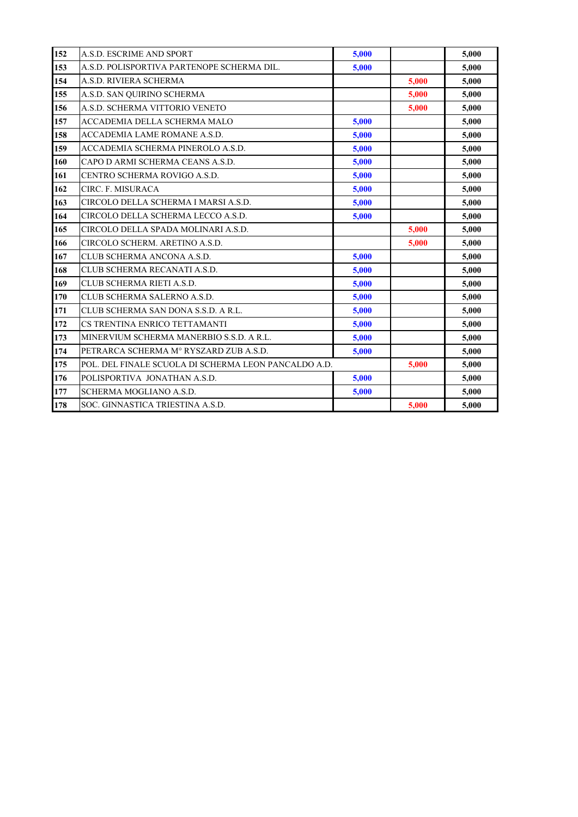| 152 | A.S.D. ESCRIME AND SPORT                             | 5,000 |       | 5,000 |
|-----|------------------------------------------------------|-------|-------|-------|
| 153 | A.S.D. POLISPORTIVA PARTENOPE SCHERMA DIL.           | 5,000 |       | 5,000 |
| 154 | A.S.D. RIVIERA SCHERMA                               |       | 5,000 | 5,000 |
| 155 | A.S.D. SAN QUIRINO SCHERMA                           |       | 5,000 | 5,000 |
| 156 | A.S.D. SCHERMA VITTORIO VENETO                       |       | 5,000 | 5,000 |
| 157 | <b>ACCADEMIA DELLA SCHERMA MALO</b>                  | 5,000 |       | 5,000 |
| 158 | ACCADEMIA LAME ROMANE A.S.D.                         | 5,000 |       | 5,000 |
| 159 | ACCADEMIA SCHERMA PINEROLO A.S.D.                    | 5,000 |       | 5,000 |
| 160 | CAPO D ARMI SCHERMA CEANS A.S.D.                     | 5,000 |       | 5,000 |
| 161 | CENTRO SCHERMA ROVIGO A.S.D.                         | 5,000 |       | 5,000 |
| 162 | CIRC. F. MISURACA                                    | 5,000 |       | 5,000 |
| 163 | CIRCOLO DELLA SCHERMA I MARSI A.S.D.                 | 5,000 |       | 5,000 |
| 164 | CIRCOLO DELLA SCHERMA LECCO A.S.D.                   | 5,000 |       | 5,000 |
| 165 | CIRCOLO DELLA SPADA MOLINARI A.S.D.                  |       | 5,000 | 5,000 |
| 166 | CIRCOLO SCHERM. ARETINO A.S.D.                       |       | 5,000 | 5,000 |
| 167 | CLUB SCHERMA ANCONA A.S.D.                           | 5,000 |       | 5,000 |
| 168 | CLUB SCHERMA RECANATI A.S.D.                         | 5,000 |       | 5,000 |
| 169 | CLUB SCHERMA RIETI A.S.D.                            | 5,000 |       | 5,000 |
| 170 | CLUB SCHERMA SALERNO A.S.D.                          | 5,000 |       | 5,000 |
| 171 | CLUB SCHERMA SAN DONA S.S.D. A R.L.                  | 5,000 |       | 5,000 |
| 172 | CS TRENTINA ENRICO TETTAMANTI                        | 5,000 |       | 5,000 |
| 173 | MINERVIUM SCHERMA MANERBIO S.S.D. A R.L.             | 5,000 |       | 5,000 |
| 174 | PETRARCA SCHERMA M° RYSZARD ZUB A.S.D.               | 5,000 |       | 5,000 |
| 175 | POL. DEL FINALE SCUOLA DI SCHERMA LEON PANCALDO A.D. |       | 5,000 | 5,000 |
| 176 | POLISPORTIVA JONATHAN A.S.D.                         | 5,000 |       | 5,000 |
| 177 | SCHERMA MOGLIANO A.S.D.                              | 5,000 |       | 5,000 |
| 178 | SOC. GINNASTICA TRIESTINA A.S.D.                     |       | 5,000 | 5,000 |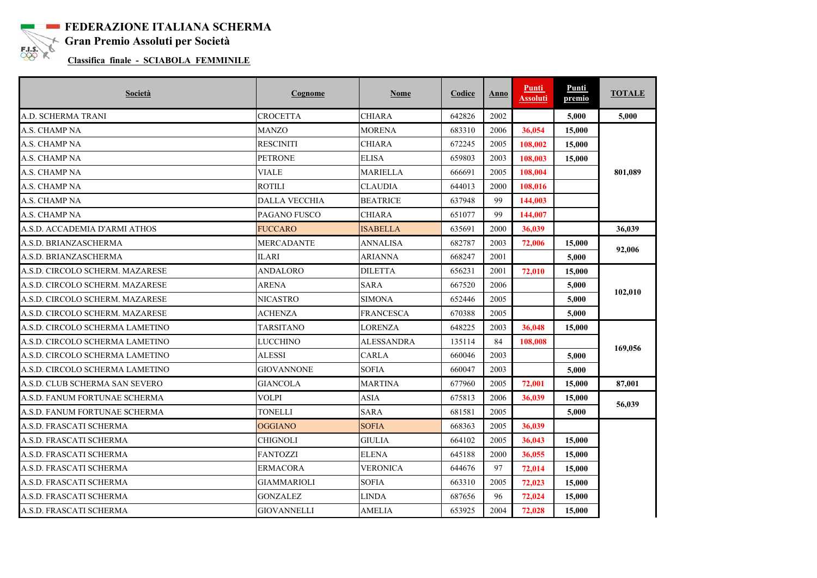

**FEDERAZIONE ITALIANA SCHERMA Gran Premio Assoluti per Società**<br>Classifica finale SCLAROLA FEMALE

**Classifica finale - SCIABOLA FEMMINILE** 

| Società                         | Cognome              | <b>Nome</b>       | Codice | Anno | Punti<br>Assoluti | Punti<br>premio | <b>TOTALE</b> |
|---------------------------------|----------------------|-------------------|--------|------|-------------------|-----------------|---------------|
| A.D. SCHERMA TRANI              | <b>CROCETTA</b>      | <b>CHIARA</b>     | 642826 | 2002 |                   | 5,000           | 5,000         |
| A.S. CHAMP NA                   | <b>MANZO</b>         | <b>MORENA</b>     | 683310 | 2006 | 36,054            | 15,000          |               |
| A.S. CHAMP NA                   | <b>RESCINITI</b>     | <b>CHIARA</b>     | 672245 | 2005 | 108,002           | 15,000          |               |
| A.S. CHAMP NA                   | <b>PETRONE</b>       | <b>ELISA</b>      | 659803 | 2003 | 108,003           | 15,000          |               |
| A.S. CHAMP NA                   | <b>VIALE</b>         | <b>MARIELLA</b>   | 666691 | 2005 | 108.004           |                 | 801,089       |
| A.S. CHAMP NA                   | <b>ROTILI</b>        | <b>CLAUDIA</b>    | 644013 | 2000 | 108,016           |                 |               |
| A.S. CHAMP NA                   | <b>DALLA VECCHIA</b> | <b>BEATRICE</b>   | 637948 | 99   | 144,003           |                 |               |
| A.S. CHAMP NA                   | PAGANO FUSCO         | <b>CHIARA</b>     | 651077 | 99   | 144,007           |                 |               |
| A.S.D. ACCADEMIA D'ARMI ATHOS   | <b>FUCCARO</b>       | <b>ISABELLA</b>   | 635691 | 2000 | 36,039            |                 | 36.039        |
| A.S.D. BRIANZASCHERMA           | <b>MERCADANTE</b>    | <b>ANNALISA</b>   | 682787 | 2003 | 72,006            | 15,000          | 92,006        |
| A.S.D. BRIANZASCHERMA           | <b>ILARI</b>         | <b>ARIANNA</b>    | 668247 | 2001 |                   | 5,000           |               |
| A.S.D. CIRCOLO SCHERM. MAZARESE | ANDALORO             | <b>DILETTA</b>    | 656231 | 2001 | 72,010            | 15,000          |               |
| A.S.D. CIRCOLO SCHERM. MAZARESE | <b>ARENA</b>         | <b>SARA</b>       | 667520 | 2006 |                   | 5,000           | 102,010       |
| A.S.D. CIRCOLO SCHERM. MAZARESE | <b>NICASTRO</b>      | <b>SIMONA</b>     | 652446 | 2005 |                   | 5.000           |               |
| A.S.D. CIRCOLO SCHERM. MAZARESE | <b>ACHENZA</b>       | <b>FRANCESCA</b>  | 670388 | 2005 |                   | 5,000           |               |
| A.S.D. CIRCOLO SCHERMA LAMETINO | TARSITANO            | <b>LORENZA</b>    | 648225 | 2003 | 36,048            | 15,000          |               |
| A.S.D. CIRCOLO SCHERMA LAMETINO | LUCCHINO             | <b>ALESSANDRA</b> | 135114 | 84   | 108,008           |                 | 169,056       |
| A.S.D. CIRCOLO SCHERMA LAMETINO | ALESSI               | <b>CARLA</b>      | 660046 | 2003 |                   | 5,000           |               |
| A.S.D. CIRCOLO SCHERMA LAMETINO | <b>GIOVANNONE</b>    | <b>SOFIA</b>      | 660047 | 2003 |                   | 5.000           |               |
| A.S.D. CLUB SCHERMA SAN SEVERO  | <b>GIANCOLA</b>      | <b>MARTINA</b>    | 677960 | 2005 | 72,001            | 15,000          | 87,001        |
| A.S.D. FANUM FORTUNAE SCHERMA   | <b>VOLPI</b>         | <b>ASIA</b>       | 675813 | 2006 | 36,039            | 15,000          |               |
| A.S.D. FANUM FORTUNAE SCHERMA   | TONELLI              | <b>SARA</b>       | 681581 | 2005 |                   | 5,000           | 56,039        |
| A.S.D. FRASCATI SCHERMA         | <b>OGGIANO</b>       | <b>SOFIA</b>      | 668363 | 2005 | 36,039            |                 |               |
| A.S.D. FRASCATI SCHERMA         | <b>CHIGNOLI</b>      | <b>GIULIA</b>     | 664102 | 2005 | 36,043            | 15,000          |               |
| A.S.D. FRASCATI SCHERMA         | <b>FANTOZZI</b>      | <b>ELENA</b>      | 645188 | 2000 | 36,055            | 15,000          |               |
| A.S.D. FRASCATI SCHERMA         | <b>ERMACORA</b>      | <b>VERONICA</b>   | 644676 | 97   | 72,014            | 15,000          |               |
| A.S.D. FRASCATI SCHERMA         | <b>GIAMMARIOLI</b>   | <b>SOFIA</b>      | 663310 | 2005 | 72,023            | 15,000          |               |
| A.S.D. FRASCATI SCHERMA         | GONZALEZ             | <b>LINDA</b>      | 687656 | 96   | 72,024            | 15,000          |               |
| A.S.D. FRASCATI SCHERMA         | <b>GIOVANNELLI</b>   | <b>AMELIA</b>     | 653925 | 2004 | 72,028            | 15,000          |               |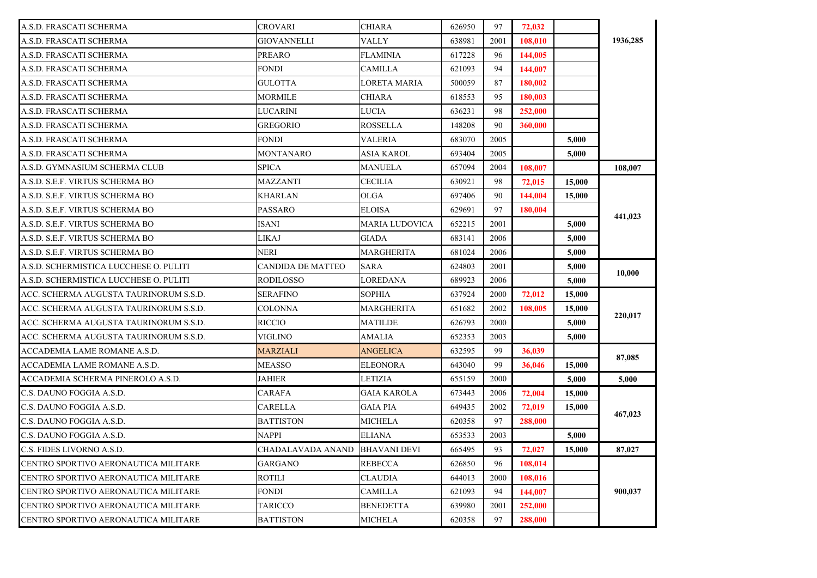| A.S.D. FRASCATI SCHERMA                | <b>CROVARI</b>    | CHIARA              | 626950 | 97   | 72,032  |        |          |
|----------------------------------------|-------------------|---------------------|--------|------|---------|--------|----------|
| A.S.D. FRASCATI SCHERMA                | GIOVANNELLI       | VALLY               | 638981 | 2001 | 108,010 |        | 1936,285 |
| A.S.D. FRASCATI SCHERMA                | <b>PREARO</b>     | FLAMINIA            | 617228 | 96   | 144,005 |        |          |
| A.S.D. FRASCATI SCHERMA                | FONDI             | CAMILLA             | 621093 | 94   | 144,007 |        |          |
| A.S.D. FRASCATI SCHERMA                | GULOTTA           | LORETA MARIA        | 500059 | 87   | 180,002 |        |          |
| A.S.D. FRASCATI SCHERMA                | MORMILE           | CHIARA              | 618553 | 95   | 180,003 |        |          |
| A.S.D. FRASCATI SCHERMA                | LUCARINI          | LUCIA               | 636231 | 98   | 252,000 |        |          |
| A.S.D. FRASCATI SCHERMA                | <b>GREGORIO</b>   | ROSSELLA            | 148208 | 90   | 360,000 |        |          |
| A.S.D. FRASCATI SCHERMA                | <b>FONDI</b>      | <b>VALERIA</b>      | 683070 | 2005 |         | 5,000  |          |
| A.S.D. FRASCATI SCHERMA                | MONTANARO         | ASIA KAROL          | 693404 | 2005 |         | 5,000  |          |
| A.S.D. GYMNASIUM SCHERMA CLUB          | SPICA             | MANUELA             | 657094 | 2004 | 108,007 |        | 108,007  |
| A.S.D. S.E.F. VIRTUS SCHERMA BO        | MAZZANTI          | CECILIA             | 630921 | 98   | 72,015  | 15,000 |          |
| A.S.D. S.E.F. VIRTUS SCHERMA BO        | <b>KHARLAN</b>    | OLGA                | 697406 | 90   | 144,004 | 15,000 |          |
| A.S.D. S.E.F. VIRTUS SCHERMA BO        | PASSARO           | ELOISA              | 629691 | 97   | 180,004 |        |          |
| A.S.D. S.E.F. VIRTUS SCHERMA BO        | ISANI             | MARIA LUDOVICA      | 652215 | 2001 |         | 5.000  | 441,023  |
| A.S.D. S.E.F. VIRTUS SCHERMA BO        | LIKAJ             | GIADA               | 683141 | 2006 |         | 5,000  |          |
| A.S.D. S.E.F. VIRTUS SCHERMA BO        | NERI              | MARGHERITA          | 681024 | 2006 |         | 5,000  |          |
| A.S.D. SCHERMISTICA LUCCHESE O. PULITI | CANDIDA DE MATTEO | SARA                | 624803 | 2001 |         | 5,000  | 10,000   |
| A.S.D. SCHERMISTICA LUCCHESE O. PULITI | RODILOSSO         | LOREDANA            | 689923 | 2006 |         | 5,000  |          |
| ACC. SCHERMA AUGUSTA TAURINORUM S.S.D. | <b>SERAFINO</b>   | SOPHIA              | 637924 | 2000 | 72,012  | 15,000 |          |
| ACC. SCHERMA AUGUSTA TAURINORUM S.S.D. | <b>COLONNA</b>    | MARGHERITA          | 651682 | 2002 | 108,005 | 15,000 | 220,017  |
| ACC. SCHERMA AUGUSTA TAURINORUM S.S.D. | RICCIO            | MATILDE             | 626793 | 2000 |         | 5,000  |          |
| ACC. SCHERMA AUGUSTA TAURINORUM S.S.D. | VIGLINO           | AMALIA              | 652353 | 2003 |         | 5,000  |          |
| ACCADEMIA LAME ROMANE A.S.D.           | MARZIALI          | ANGELICA            | 632595 | 99   | 36,039  |        | 87,085   |
| ACCADEMIA LAME ROMANE A.S.D.           | MEASSO            | ELEONORA            | 643040 | 99   | 36,046  | 15,000 |          |
| ACCADEMIA SCHERMA PINEROLO A.S.D.      | JAHIER            | LETIZIA             | 655159 | 2000 |         | 5.000  | 5.000    |
| C.S. DAUNO FOGGIA A.S.D.               | CARAFA            | GAIA KAROLA         | 673443 | 2006 | 72,004  | 15,000 |          |
| C.S. DAUNO FOGGIA A.S.D.               | CARELLA           | GAIA PIA            | 649435 | 2002 | 72,019  | 15,000 | 467,023  |
| C.S. DAUNO FOGGIA A.S.D.               | <b>BATTISTON</b>  | MICHELA             | 620358 | 97   | 288,000 |        |          |
| C.S. DAUNO FOGGIA A.S.D.               | NAPPI             | ELIANA              | 653533 | 2003 |         | 5,000  |          |
| C.S. FIDES LIVORNO A.S.D.              | CHADALAVADA ANAND | <b>BHAVANI DEVI</b> | 665495 | 93   | 72,027  | 15,000 | 87,027   |
| CENTRO SPORTIVO AERONAUTICA MILITARE   | <b>GARGANO</b>    | REBECCA             | 626850 | 96   | 108,014 |        |          |
| CENTRO SPORTIVO AERONAUTICA MILITARE   | ROTILI            | CLAUDIA             | 644013 | 2000 | 108,016 |        |          |
| CENTRO SPORTIVO AERONAUTICA MILITARE   | <b>FONDI</b>      | CAMILLA             | 621093 | 94   | 144,007 |        | 900,037  |
| CENTRO SPORTIVO AERONAUTICA MILITARE   | <b>TARICCO</b>    | BENEDETTA           | 639980 | 2001 | 252,000 |        |          |
| CENTRO SPORTIVO AERONAUTICA MILITARE   | <b>BATTISTON</b>  | <b>MICHELA</b>      | 620358 | 97   | 288,000 |        |          |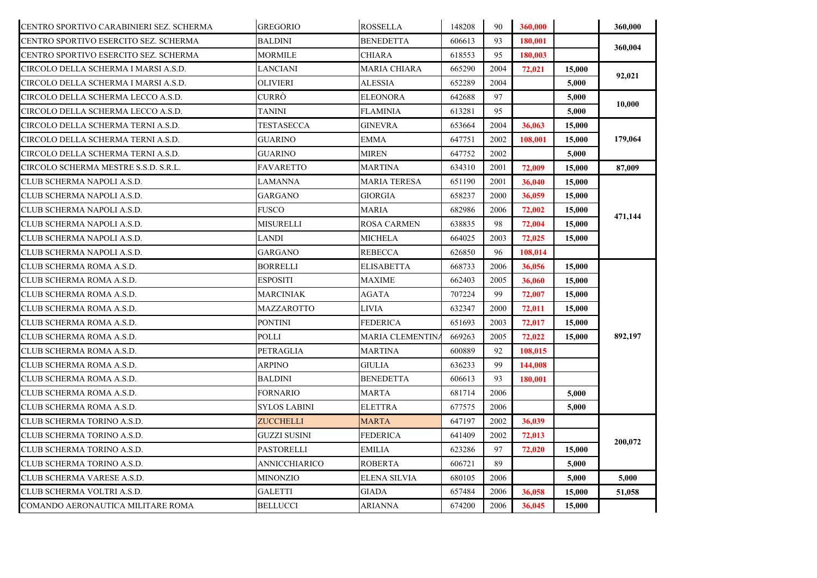| CENTRO SPORTIVO CARABINIERI SEZ. SCHERMA | <b>GREGORIO</b>     | <b>ROSSELLA</b>         | 148208 | 90   | 360,000 |        | 360,000 |
|------------------------------------------|---------------------|-------------------------|--------|------|---------|--------|---------|
| CENTRO SPORTIVO ESERCITO SEZ. SCHERMA    | BALDINI             | <b>BENEDETTA</b>        | 606613 | 93   | 180,001 |        |         |
| CENTRO SPORTIVO ESERCITO SEZ. SCHERMA    | MORMILE             | <b>CHIARA</b>           | 618553 | 95   | 180,003 |        | 360,004 |
| CIRCOLO DELLA SCHERMA I MARSI A.S.D.     | LANCIANI            | <b>MARIA CHIARA</b>     | 665290 | 2004 | 72,021  | 15,000 | 92,021  |
| CIRCOLO DELLA SCHERMA I MARSI A.S.D.     | <b>OLIVIERI</b>     | <b>ALESSIA</b>          | 652289 | 2004 |         | 5,000  |         |
| CIRCOLO DELLA SCHERMA LECCO A.S.D.       | CURRÒ               | <b>ELEONORA</b>         | 642688 | 97   |         | 5,000  | 10,000  |
| CIRCOLO DELLA SCHERMA LECCO A.S.D.       | TANINI              | FLAMINIA                | 613281 | 95   |         | 5.000  |         |
| CIRCOLO DELLA SCHERMA TERNI A.S.D.       | TESTASECCA          | GINEVRA                 | 653664 | 2004 | 36,063  | 15,000 |         |
| CIRCOLO DELLA SCHERMA TERNI A.S.D.       | <b>GUARINO</b>      | EMMA                    | 647751 | 2002 | 108,001 | 15,000 | 179,064 |
| CIRCOLO DELLA SCHERMA TERNI A.S.D.       | <b>GUARINO</b>      | MIREN                   | 647752 | 2002 |         | 5,000  |         |
| CIRCOLO SCHERMA MESTRE S.S.D. S.R.L.     | FAVARETTO           | MARTINA                 | 634310 | 2001 | 72,009  | 15,000 | 87,009  |
| CLUB SCHERMA NAPOLI A.S.D.               | LAMANNA             | <b>MARIA TERESA</b>     | 651190 | 2001 | 36,040  | 15,000 |         |
| CLUB SCHERMA NAPOLI A.S.D.               | GARGANO             | <b>GIORGIA</b>          | 658237 | 2000 | 36,059  | 15,000 |         |
| CLUB SCHERMA NAPOLI A.S.D.               | <b>FUSCO</b>        | <b>MARIA</b>            | 682986 | 2006 | 72,002  | 15,000 |         |
| CLUB SCHERMA NAPOLI A.S.D.               | MISURELLI           | <b>ROSA CARMEN</b>      | 638835 | 98   | 72,004  | 15,000 | 471,144 |
| CLUB SCHERMA NAPOLI A.S.D.               | LANDI               | <b>MICHELA</b>          | 664025 | 2003 | 72,025  | 15,000 |         |
| CLUB SCHERMA NAPOLI A.S.D.               | GARGANO             | REBECCA                 | 626850 | 96   | 108,014 |        |         |
| CLUB SCHERMA ROMA A.S.D.                 | <b>BORRELLI</b>     | <b>ELISABETTA</b>       | 668733 | 2006 | 36,056  | 15.000 |         |
| CLUB SCHERMA ROMA A.S.D.                 | <b>ESPOSITI</b>     | <b>MAXIME</b>           | 662403 | 2005 | 36,060  | 15,000 |         |
| CLUB SCHERMA ROMA A.S.D.                 | <b>MARCINIAK</b>    | <b>AGATA</b>            | 707224 | 99   | 72,007  | 15,000 |         |
| CLUB SCHERMA ROMA A.S.D.                 | MAZZAROTTO          | LIVIA                   | 632347 | 2000 | 72,011  | 15,000 |         |
| CLUB SCHERMA ROMA A.S.D.                 | <b>PONTINI</b>      | FEDERICA                | 651693 | 2003 | 72,017  | 15,000 |         |
| CLUB SCHERMA ROMA A.S.D.                 | POLLI               | <b>MARIA CLEMENTIN.</b> | 669263 | 2005 | 72,022  | 15,000 | 892,197 |
| CLUB SCHERMA ROMA A.S.D.                 | PETRAGLIA           | MARTINA                 | 600889 | 92   | 108,015 |        |         |
| CLUB SCHERMA ROMA A.S.D.                 | ARPINO              | <b>GIULIA</b>           | 636233 | 99   | 144,008 |        |         |
| CLUB SCHERMA ROMA A.S.D.                 | <b>BALDINI</b>      | <b>BENEDETTA</b>        | 606613 | 93   | 180,001 |        |         |
| CLUB SCHERMA ROMA A.S.D.                 | <b>FORNARIO</b>     | <b>MARTA</b>            | 681714 | 2006 |         | 5,000  |         |
| CLUB SCHERMA ROMA A.S.D.                 | <b>SYLOS LABINI</b> | <b>ELETTRA</b>          | 677575 | 2006 |         | 5,000  |         |
| CLUB SCHERMA TORINO A.S.D.               | <b>ZUCCHELLI</b>    | MARTA                   | 647197 | 2002 | 36,039  |        |         |
| CLUB SCHERMA TORINO A.S.D.               | <b>GUZZI SUSINI</b> | FEDERICA                | 641409 | 2002 | 72,013  |        | 200,072 |
| CLUB SCHERMA TORINO A.S.D.               | PASTORELLI          | EMILIA                  | 623286 | 97   | 72,020  | 15,000 |         |
| CLUB SCHERMA TORINO A.S.D.               | ANNICCHIARICO       | ROBERTA                 | 606721 | 89   |         | 5,000  |         |
| CLUB SCHERMA VARESE A.S.D.               | MINONZIO            | ELENA SILVIA            | 680105 | 2006 |         | 5,000  | 5,000   |
| CLUB SCHERMA VOLTRI A.S.D.               | <b>GALETTI</b>      | <b>GIADA</b>            | 657484 | 2006 | 36,058  | 15,000 | 51,058  |
| COMANDO AERONAUTICA MILITARE ROMA        | <b>BELLUCCI</b>     | ARIANNA                 | 674200 | 2006 | 36,045  | 15,000 |         |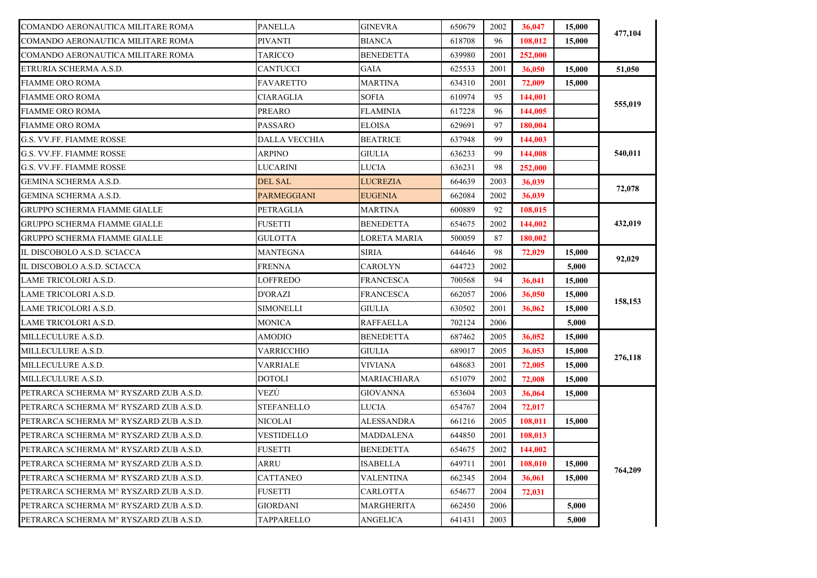| COMANDO AERONAUTICA MILITARE ROMA      | PANELLA           | GINEVRA          | 650679 | 2002 | 36,047  | 15,000 |         |
|----------------------------------------|-------------------|------------------|--------|------|---------|--------|---------|
| COMANDO AERONAUTICA MILITARE ROMA      | <b>PIVANTI</b>    | BIANCA           | 618708 | 96   | 108,012 | 15,000 | 477,104 |
| COMANDO AERONAUTICA MILITARE ROMA      | <b>TARICCO</b>    | <b>BENEDETTA</b> | 639980 | 2001 | 252,000 |        |         |
| ETRURIA SCHERMA A.S.D.                 | <b>CANTUCCI</b>   | GAIA             | 625533 | 2001 | 36,050  | 15,000 | 51,050  |
| <b>FIAMME ORO ROMA</b>                 | FAVARETTO         | MARTINA          | 634310 | 2001 | 72,009  | 15,000 |         |
| FIAMME ORO ROMA                        | CIARAGLIA         | <b>SOFIA</b>     | 610974 | 95   | 144,001 |        | 555,019 |
| <b>FIAMME ORO ROMA</b>                 | PREARO            | <b>FLAMINIA</b>  | 617228 | 96   | 144,005 |        |         |
| <b>FIAMME ORO ROMA</b>                 | PASSARO           | <b>ELOISA</b>    | 629691 | 97   | 180,004 |        |         |
| G.S. VV.FF. FIAMME ROSSE               | DALLA VECCHIA     | <b>BEATRICE</b>  | 637948 | 99   | 144,003 |        |         |
| G.S. VV.FF. FIAMME ROSSE               | <b>ARPINO</b>     | GIULIA           | 636233 | 99   | 144,008 |        | 540,011 |
| G.S. VV.FF. FIAMME ROSSE               | LUCARINI          | LUCIA            | 636231 | 98   | 252,000 |        |         |
| GEMINA SCHERMA A.S.D.                  | <b>DEL SAL</b>    | LUCREZIA         | 664639 | 2003 | 36,039  |        | 72,078  |
| GEMINA SCHERMA A.S.D.                  | PARMEGGIANI       | EUGENIA          | 662084 | 2002 | 36,039  |        |         |
| <b>GRUPPO SCHERMA FIAMME GIALLE</b>    | PETRAGLIA         | MARTINA          | 600889 | 92   | 108,015 |        |         |
| <b>GRUPPO SCHERMA FIAMME GIALLE</b>    | FUSETTI           | <b>BENEDETTA</b> | 654675 | 2002 | 144,002 |        | 432,019 |
| <b>GRUPPO SCHERMA FIAMME GIALLE</b>    | GULOTTA           | LORETA MARIA     | 500059 | 87   | 180,002 |        |         |
| IL DISCOBOLO A.S.D. SCIACCA            | MANTEGNA          | SIRIA            | 644646 | 98   | 72,029  | 15,000 | 92,029  |
| IL DISCOBOLO A.S.D. SCIACCA            | FRENNA            | CAROLYN          | 644723 | 2002 |         | 5,000  |         |
| <b>LAME TRICOLORI A.S.D.</b>           | LOFFREDO          | FRANCESCA        | 700568 | 94   | 36,041  | 15,000 |         |
| LAME TRICOLORI A.S.D.                  | <b>D'ORAZI</b>    | FRANCESCA        | 662057 | 2006 | 36,050  | 15,000 | 158,153 |
| LAME TRICOLORI A.S.D.                  | <b>SIMONELLI</b>  | <b>GIULIA</b>    | 630502 | 2001 | 36,062  | 15,000 |         |
| LAME TRICOLORI A.S.D.                  | <b>MONICA</b>     | <b>RAFFAELLA</b> | 702124 | 2006 |         | 5,000  |         |
| MILLECULURE A.S.D.                     | <b>AMODIO</b>     | <b>BENEDETTA</b> | 687462 | 2005 | 36,052  | 15,000 |         |
| MILLECULURE A.S.D.                     | <b>VARRICCHIO</b> | GIULIA           | 689017 | 2005 | 36,053  | 15,000 | 276,118 |
| MILLECULURE A.S.D.                     | <b>VARRIALE</b>   | VIVIANA          | 648683 | 2001 | 72,005  | 15,000 |         |
| MILLECULURE A.S.D.                     | DOTOLI            | MARIACHIARA      | 651079 | 2002 | 72,008  | 15,000 |         |
| PETRARCA SCHERMA Mº RYSZARD ZUB A.S.D. | VEZÙ              | <b>GIOVANNA</b>  | 653604 | 2003 | 36,064  | 15,000 |         |
| PETRARCA SCHERMA M° RYSZARD ZUB A.S.D. | STEFANELLO        | LUCIA            | 654767 | 2004 | 72,017  |        |         |
| PETRARCA SCHERMA M° RYSZARD ZUB A.S.D. | NICOLAI           | ALESSANDRA       | 661216 | 2005 | 108,011 | 15,000 |         |
| PETRARCA SCHERMA M° RYSZARD ZUB A.S.D. | <b>VESTIDELLO</b> | MADDALENA        | 644850 | 2001 | 108,013 |        |         |
| PETRARCA SCHERMA M° RYSZARD ZUB A.S.D. | <b>FUSETTI</b>    | <b>BENEDETTA</b> | 654675 | 2002 | 144,002 |        |         |
| PETRARCA SCHERMA M° RYSZARD ZUB A.S.D. | ARRU              | ISABELLA         | 649711 | 2001 | 108,010 | 15,000 |         |
| PETRARCA SCHERMA M° RYSZARD ZUB A.S.D. | <b>CATTANEO</b>   | <b>VALENTINA</b> | 662345 | 2004 | 36,061  | 15,000 | 764,209 |
| PETRARCA SCHERMA M° RYSZARD ZUB A.S.D. | <b>FUSETTI</b>    | CARLOTTA         | 654677 | 2004 | 72,031  |        |         |
| PETRARCA SCHERMA Mº RYSZARD ZUB A.S.D. | <b>GIORDANI</b>   | MARGHERITA       | 662450 | 2006 |         | 5,000  |         |
| PETRARCA SCHERMA Mº RYSZARD ZUB A.S.D. | <b>TAPPARELLO</b> | <b>ANGELICA</b>  | 641431 | 2003 |         | 5,000  |         |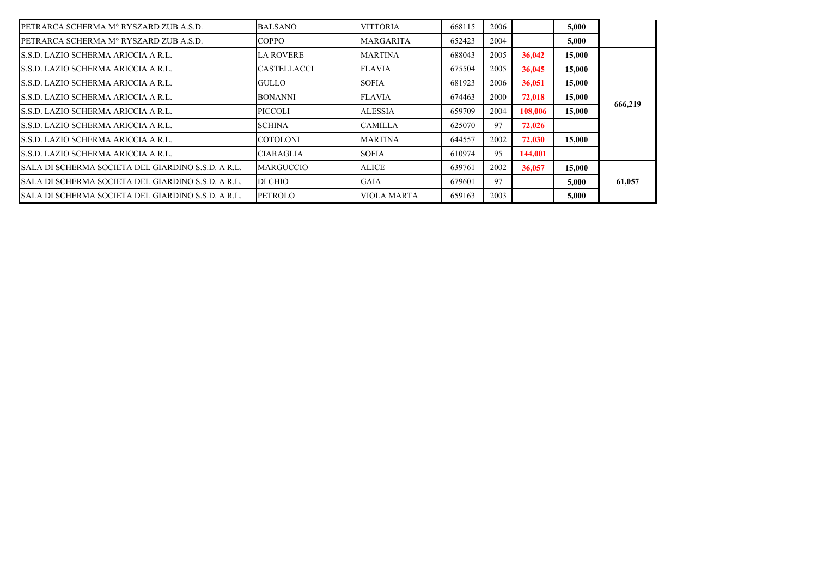| PETRARCA SCHERMA M° RYSZARD ZUB A.S.D.             | <b>BALSANO</b>     | <b>VITTORIA</b>    | 668115 | 2006 |         | 5,000  |         |
|----------------------------------------------------|--------------------|--------------------|--------|------|---------|--------|---------|
| PETRARCA SCHERMA M° RYSZARD ZUB A.S.D.             | <b>COPPO</b>       | <b>MARGARITA</b>   | 652423 | 2004 |         | 5,000  |         |
| S.S.D. LAZIO SCHERMA ARICCIA A R.L.                | <b>LA ROVERE</b>   | <b>MARTINA</b>     | 688043 | 2005 | 36,042  | 15,000 |         |
| S.S.D. LAZIO SCHERMA ARICCIA A R.L.                | <b>CASTELLACCI</b> | <b>FLAVIA</b>      | 675504 | 2005 | 36,045  | 15,000 |         |
| S.S.D. LAZIO SCHERMA ARICCIA A R.L.                | GULLO              | <b>SOFIA</b>       | 681923 | 2006 | 36,051  | 15,000 |         |
| S.S.D. LAZIO SCHERMA ARICCIA A R.L.                | <b>BONANNI</b>     | <b>FLAVIA</b>      | 674463 | 2000 | 72,018  | 15,000 |         |
| S.S.D. LAZIO SCHERMA ARICCIA A R.L.                | PICCOLI            | <b>ALESSIA</b>     | 659709 | 2004 | 108.006 | 15,000 | 666,219 |
| S.S.D. LAZIO SCHERMA ARICCIA A R.L.                | <b>SCHINA</b>      | <b>CAMILLA</b>     | 625070 | 97   | 72,026  |        |         |
| S.S.D. LAZIO SCHERMA ARICCIA A R.L.                | <b>COTOLONI</b>    | <b>MARTINA</b>     | 644557 | 2002 | 72,030  | 15,000 |         |
| S.S.D. LAZIO SCHERMA ARICCIA A R.L.                | <b>CIARAGLIA</b>   | <b>SOFIA</b>       | 610974 | 95   | 144.001 |        |         |
| SALA DI SCHERMA SOCIETA DEL GIARDINO S.S.D. A R.L. | <b>MARGUCCIO</b>   | <b>ALICE</b>       | 639761 | 2002 | 36,057  | 15,000 |         |
| SALA DI SCHERMA SOCIETA DEL GIARDINO S.S.D. A R.L. | DI CHIO            | <b>GAIA</b>        | 679601 | 97   |         | 5,000  | 61,057  |
| SALA DI SCHERMA SOCIETA DEL GIARDINO S.S.D. A R.L. | PETROLO            | <b>VIOLA MARTA</b> | 659163 | 2003 |         | 5.000  |         |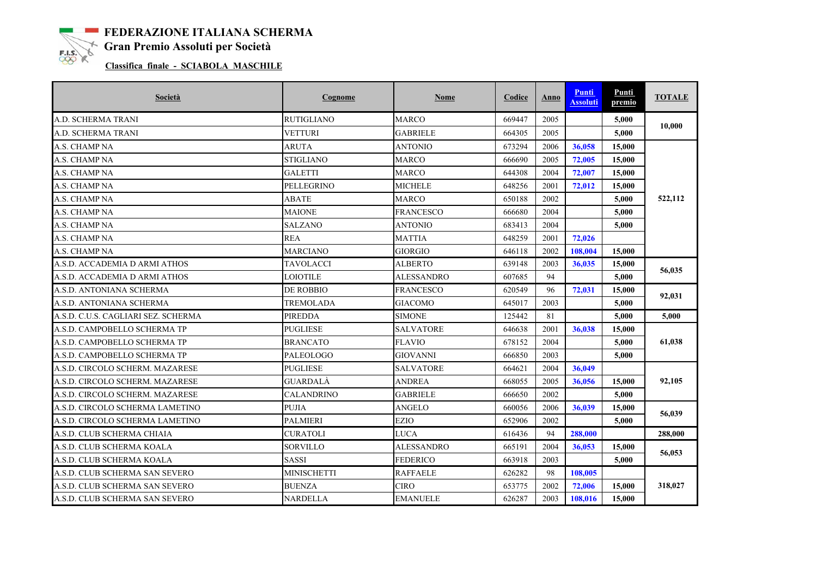**EXAMPLE FEDERAZIONE ITALIANA SCHERMA**<br> **EXAMPLE Gran Premio Assoluti per Società** 

## **Classifica finale - SCIABOLA MASCHILE**

| Società                             | Cognome            | Nome              | Codice | Anno | <b>Punti</b><br><b>Assoluti</b> | Punti<br>premio | <b>TOTALE</b> |
|-------------------------------------|--------------------|-------------------|--------|------|---------------------------------|-----------------|---------------|
| A.D. SCHERMA TRANI                  | <b>RUTIGLIANO</b>  | <b>MARCO</b>      | 669447 | 2005 |                                 | 5,000           | 10,000        |
| A.D. SCHERMA TRANI                  | VETTURI            | <b>GABRIELE</b>   | 664305 | 2005 |                                 | 5,000           |               |
| A.S. CHAMP NA                       | <b>ARUTA</b>       | <b>ANTONIO</b>    | 673294 | 2006 | 36,058                          | 15,000          |               |
| A.S. CHAMP NA                       | <b>STIGLIANO</b>   | <b>MARCO</b>      | 666690 | 2005 | 72,005                          | 15,000          |               |
| A.S. CHAMP NA                       | GALETTI            | <b>MARCO</b>      | 644308 | 2004 | 72,007                          | 15,000          |               |
| A.S. CHAMP NA                       | PELLEGRINO         | <b>MICHELE</b>    | 648256 | 2001 | 72,012                          | 15,000          |               |
| A.S. CHAMP NA                       | ABATE              | <b>MARCO</b>      | 650188 | 2002 |                                 | 5.000           | 522,112       |
| A.S. CHAMP NA                       | MAIONE             | <b>FRANCESCO</b>  | 666680 | 2004 |                                 | 5,000           |               |
| A.S. CHAMP NA                       | <b>SALZANO</b>     | <b>ANTONIO</b>    | 683413 | 2004 |                                 | 5.000           |               |
| A.S. CHAMP NA                       | <b>REA</b>         | <b>MATTIA</b>     | 648259 | 2001 | 72,026                          |                 |               |
| A.S. CHAMP NA                       | MARCIANO           | GIORGIO           | 646118 | 2002 | 108,004                         | 15,000          |               |
| A.S.D. ACCADEMIA D ARMI ATHOS       | TAVOLACCI          | <b>ALBERTO</b>    | 639148 | 2003 | 36,035                          | 15,000          |               |
| A.S.D. ACCADEMIA D ARMI ATHOS       | <b>LOIOTILE</b>    | <b>ALESSANDRO</b> | 607685 | 94   |                                 | 5,000           | 56,035        |
| A.S.D. ANTONIANA SCHERMA            | <b>DE ROBBIO</b>   | <b>FRANCESCO</b>  | 620549 | 96   | 72,031                          | 15,000          | 92,031        |
| A.S.D. ANTONIANA SCHERMA            | TREMOLADA          | <b>GIACOMO</b>    | 645017 | 2003 |                                 | 5,000           |               |
| A.S.D. C.U.S. CAGLIARI SEZ. SCHERMA | <b>PIREDDA</b>     | <b>SIMONE</b>     | 125442 | 81   |                                 | 5,000           | 5,000         |
| A.S.D. CAMPOBELLO SCHERMA TP        | <b>PUGLIESE</b>    | <b>SALVATORE</b>  | 646638 | 2001 | 36,038                          | 15,000          |               |
| A.S.D. CAMPOBELLO SCHERMA TP        | <b>BRANCATO</b>    | <b>FLAVIO</b>     | 678152 | 2004 |                                 | 5,000           | 61,038        |
| A.S.D. CAMPOBELLO SCHERMA TP        | PALEOLOGO          | <b>GIOVANNI</b>   | 666850 | 2003 |                                 | 5,000           |               |
| A.S.D. CIRCOLO SCHERM. MAZARESE     | <b>PUGLIESE</b>    | <b>SALVATORE</b>  | 664621 | 2004 | 36,049                          |                 |               |
| A.S.D. CIRCOLO SCHERM. MAZARESE     | GUARDALA           | <b>ANDREA</b>     | 668055 | 2005 | 36,056                          | 15,000          | 92,105        |
| A.S.D. CIRCOLO SCHERM. MAZARESE     | CALANDRINO         | <b>GABRIELE</b>   | 666650 | 2002 |                                 | 5,000           |               |
| A.S.D. CIRCOLO SCHERMA LAMETINO     | PUJIA              | ANGELO            | 660056 | 2006 | 36,039                          | 15,000          |               |
| A.S.D. CIRCOLO SCHERMA LAMETINO     | <b>PALMIERI</b>    | <b>EZIO</b>       | 652906 | 2002 |                                 | 5,000           | 56,039        |
| A.S.D. CLUB SCHERMA CHIAIA          | <b>CURATOLI</b>    | <b>LUCA</b>       | 616436 | 94   | 288.000                         |                 | 288,000       |
| A.S.D. CLUB SCHERMA KOALA           | <b>SORVILLO</b>    | <b>ALESSANDRO</b> | 665191 | 2004 | 36,053                          | 15,000          | 56,053        |
| A.S.D. CLUB SCHERMA KOALA           | <b>SASSI</b>       | <b>FEDERICO</b>   | 663918 | 2003 |                                 | 5,000           |               |
| A.S.D. CLUB SCHERMA SAN SEVERO      | <b>MINISCHETTI</b> | <b>RAFFAELE</b>   | 626282 | 98   | 108,005                         |                 |               |
| A.S.D. CLUB SCHERMA SAN SEVERO      | <b>BUENZA</b>      | <b>CIRO</b>       | 653775 | 2002 | 72,006                          | 15,000          | 318,027       |
| A.S.D. CLUB SCHERMA SAN SEVERO      | NARDELLA           | <b>EMANUELE</b>   | 626287 | 2003 | 108,016                         | 15,000          |               |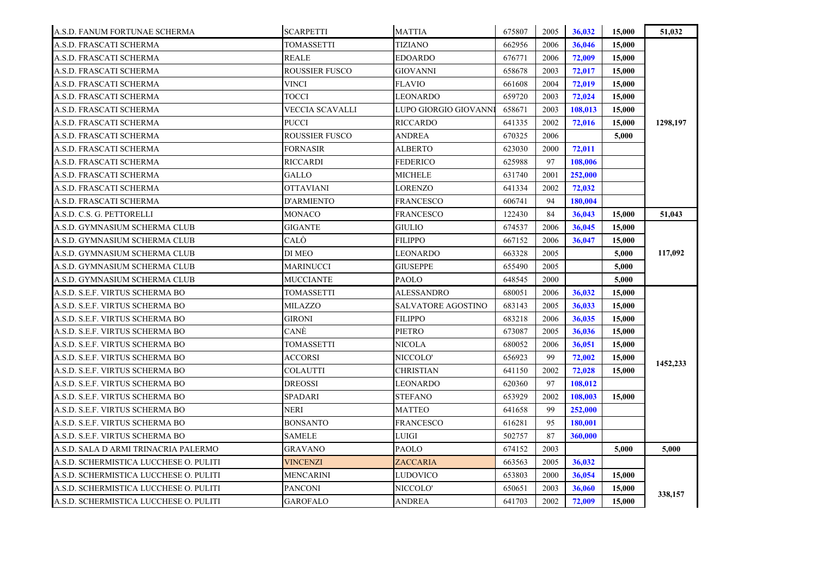| A.S.D. FANUM FORTUNAE SCHERMA          | <b>SCARPETTI</b>      | <b>MATTIA</b>         | 675807 | 2005 | 36,032  | 15,000 | 51,032   |
|----------------------------------------|-----------------------|-----------------------|--------|------|---------|--------|----------|
| A.S.D. FRASCATI SCHERMA                | <b>TOMASSETTI</b>     | TIZIANO               | 662956 | 2006 | 36,046  | 15,000 |          |
| A.S.D. FRASCATI SCHERMA                | <b>REALE</b>          | <b>EDOARDO</b>        | 676771 | 2006 | 72,009  | 15,000 |          |
| A.S.D. FRASCATI SCHERMA                | <b>ROUSSIER FUSCO</b> | <b>GIOVANNI</b>       | 658678 | 2003 | 72,017  | 15,000 |          |
| A.S.D. FRASCATI SCHERMA                | VINCI                 | <b>FLAVIO</b>         | 661608 | 2004 | 72,019  | 15,000 |          |
| A.S.D. FRASCATI SCHERMA                | TOCCI                 | <b>LEONARDO</b>       | 659720 | 2003 | 72,024  | 15,000 |          |
| A.S.D. FRASCATI SCHERMA                | VECCIA SCAVALLI       | LUPO GIORGIO GIOVANNI | 658671 | 2003 | 108,013 | 15,000 |          |
| A.S.D. FRASCATI SCHERMA                | PUCCI                 | <b>RICCARDO</b>       | 641335 | 2002 | 72,016  | 15,000 | 1298,197 |
| A.S.D. FRASCATI SCHERMA                | <b>ROUSSIER FUSCO</b> | ANDREA                | 670325 | 2006 |         | 5,000  |          |
| A.S.D. FRASCATI SCHERMA                | FORNASIR              | <b>ALBERTO</b>        | 623030 | 2000 | 72,011  |        |          |
| A.S.D. FRASCATI SCHERMA                | RICCARDI              | <b>FEDERICO</b>       | 625988 | 97   | 108,006 |        |          |
| A.S.D. FRASCATI SCHERMA                | GALLO                 | <b>MICHELE</b>        | 631740 | 2001 | 252,000 |        |          |
| A.S.D. FRASCATI SCHERMA                | <b>OTTAVIANI</b>      | LORENZO               | 641334 | 2002 | 72,032  |        |          |
| A.S.D. FRASCATI SCHERMA                | D'ARMIENTO            | <b>FRANCESCO</b>      | 606741 | 94   | 180.004 |        |          |
| A.S.D. C.S. G. PETTORELLI              | MONACO                | FRANCESCO             | 122430 | 84   | 36,043  | 15,000 | 51,043   |
| A.S.D. GYMNASIUM SCHERMA CLUB          | <b>GIGANTE</b>        | <b>GIULIO</b>         | 674537 | 2006 | 36,045  | 15,000 |          |
| A.S.D. GYMNASIUM SCHERMA CLUB          | CALÒ                  | <b>FILIPPO</b>        | 667152 | 2006 | 36,047  | 15,000 |          |
| A.S.D. GYMNASIUM SCHERMA CLUB          | DI MEO                | LEONARDO              | 663328 | 2005 |         | 5,000  | 117,092  |
| A.S.D. GYMNASIUM SCHERMA CLUB          | <b>MARINUCCI</b>      | <b>GIUSEPPE</b>       | 655490 | 2005 |         | 5,000  |          |
| A.S.D. GYMNASIUM SCHERMA CLUB          | <b>MUCCIANTE</b>      | PAOLO                 | 648545 | 2000 |         | 5,000  |          |
| A.S.D. S.E.F. VIRTUS SCHERMA BO        | <b>TOMASSETTI</b>     | <b>ALESSANDRO</b>     | 680051 | 2006 | 36,032  | 15,000 |          |
| A.S.D. S.E.F. VIRTUS SCHERMA BO        | <b>MILAZZO</b>        | SALVATORE AGOSTINO    | 683143 | 2005 | 36,033  | 15,000 |          |
| A.S.D. S.E.F. VIRTUS SCHERMA BO        | <b>GIRONI</b>         | <b>FILIPPO</b>        | 683218 | 2006 | 36,035  | 15,000 |          |
| A.S.D. S.E.F. VIRTUS SCHERMA BO        | CANÈ                  | <b>PIETRO</b>         | 673087 | 2005 | 36,036  | 15,000 |          |
| A.S.D. S.E.F. VIRTUS SCHERMA BO        | <b>TOMASSETTI</b>     | <b>NICOLA</b>         | 680052 | 2006 | 36,051  | 15,000 |          |
| A.S.D. S.E.F. VIRTUS SCHERMA BO        | <b>ACCORSI</b>        | NICCOLO'              | 656923 | 99   | 72,002  | 15,000 | 1452,233 |
| A.S.D. S.E.F. VIRTUS SCHERMA BO        | <b>COLAUTTI</b>       | <b>CHRISTIAN</b>      | 641150 | 2002 | 72,028  | 15,000 |          |
| A.S.D. S.E.F. VIRTUS SCHERMA BO        | <b>DREOSSI</b>        | <b>LEONARDO</b>       | 620360 | 97   | 108,012 |        |          |
| A.S.D. S.E.F. VIRTUS SCHERMA BO        | SPADARI               | <b>STEFANO</b>        | 653929 | 2002 | 108,003 | 15,000 |          |
| A.S.D. S.E.F. VIRTUS SCHERMA BO        | NERI                  | MATTEO                | 641658 | 99   | 252,000 |        |          |
| A.S.D. S.E.F. VIRTUS SCHERMA BO        | <b>BONSANTO</b>       | <b>FRANCESCO</b>      | 616281 | 95   | 180,001 |        |          |
| A.S.D. S.E.F. VIRTUS SCHERMA BO        | SAMELE                | LUIGI                 | 502757 | 87   | 360,000 |        |          |
| A.S.D. SALA D ARMI TRINACRIA PALERMO   | <b>GRAVANO</b>        | <b>PAOLO</b>          | 674152 | 2003 |         | 5,000  | 5,000    |
| A.S.D. SCHERMISTICA LUCCHESE O. PULITI | <b>VINCENZI</b>       | <b>ZACCARIA</b>       | 663563 | 2005 | 36,032  |        |          |
| A.S.D. SCHERMISTICA LUCCHESE O. PULITI | MENCARINI             | LUDOVICO              | 653803 | 2000 | 36,054  | 15,000 |          |
| A.S.D. SCHERMISTICA LUCCHESE O. PULITI | <b>PANCONI</b>        | NICCOLO'              | 650651 | 2003 | 36,060  | 15,000 | 338,157  |
| A.S.D. SCHERMISTICA LUCCHESE O. PULITI | <b>GAROFALO</b>       | <b>ANDREA</b>         | 641703 | 2002 | 72,009  | 15,000 |          |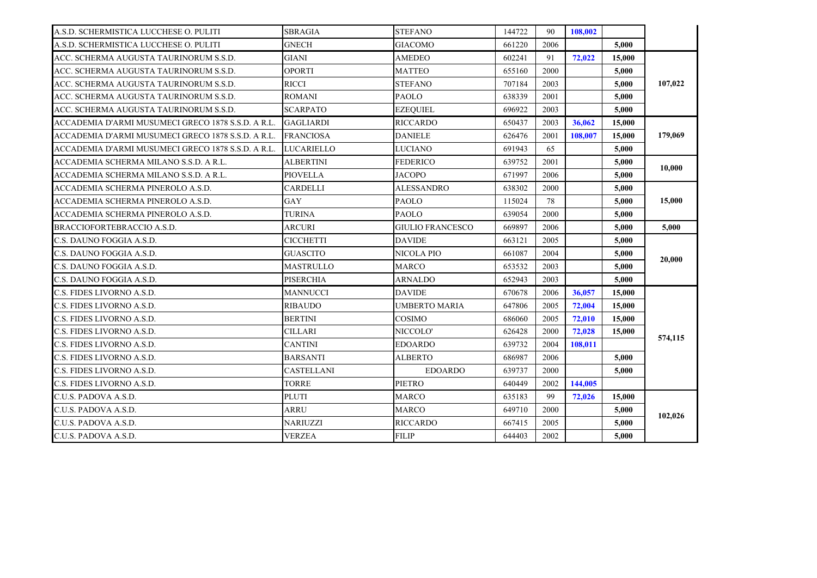| A.S.D. SCHERMISTICA LUCCHESE O. PULITI             | <b>SBRAGIA</b>    | <b>STEFANO</b>          | 144722 | 90   | 108.002 |        |         |
|----------------------------------------------------|-------------------|-------------------------|--------|------|---------|--------|---------|
| A.S.D. SCHERMISTICA LUCCHESE O. PULITI             | <b>GNECH</b>      | <b>GIACOMO</b>          | 661220 | 2006 |         | 5,000  |         |
| ACC. SCHERMA AUGUSTA TAURINORUM S.S.D.             | <b>GIANI</b>      | <b>AMEDEO</b>           | 602241 | 91   | 72,022  | 15,000 |         |
| ACC. SCHERMA AUGUSTA TAURINORUM S.S.D.             | <b>OPORTI</b>     | MATTEO                  | 655160 | 2000 |         | 5,000  |         |
| ACC. SCHERMA AUGUSTA TAURINORUM S.S.D.             | <b>RICCI</b>      | <b>STEFANO</b>          | 707184 | 2003 |         | 5,000  | 107,022 |
| ACC. SCHERMA AUGUSTA TAURINORUM S.S.D.             | <b>ROMANI</b>     | <b>PAOLO</b>            | 638339 | 2001 |         | 5,000  |         |
| ACC. SCHERMA AUGUSTA TAURINORUM S.S.D.             | <b>SCARPATO</b>   | <b>EZEQUIEL</b>         | 696922 | 2003 |         | 5,000  |         |
| ACCADEMIA D'ARMI MUSUMECI GRECO 1878 S.S.D. A R.L. | <b>GAGLIARDI</b>  | <b>RICCARDO</b>         | 650437 | 2003 | 36,062  | 15,000 |         |
| ACCADEMIA D'ARMI MUSUMECI GRECO 1878 S.S.D. A R.L. | FRANCIOSA         | <b>DANIELE</b>          | 626476 | 2001 | 108.007 | 15,000 | 179,069 |
| ACCADEMIA D'ARMI MUSUMECI GRECO 1878 S.S.D. A R.L. | LUCARIELLO        | LUCIANO                 | 691943 | 65   |         | 5,000  |         |
| ACCADEMIA SCHERMA MILANO S.S.D. A R.L.             | <b>ALBERTINI</b>  | <b>FEDERICO</b>         | 639752 | 2001 |         | 5,000  | 10,000  |
| ACCADEMIA SCHERMA MILANO S.S.D. A R.L.             | <b>PIOVELLA</b>   | <b>JACOPO</b>           | 671997 | 2006 |         | 5.000  |         |
| ACCADEMIA SCHERMA PINEROLO A.S.D.                  | CARDELLI          | ALESSANDRO              | 638302 | 2000 |         | 5,000  |         |
| ACCADEMIA SCHERMA PINEROLO A.S.D.                  | <b>GAY</b>        | <b>PAOLO</b>            | 115024 | 78   |         | 5,000  | 15,000  |
| ACCADEMIA SCHERMA PINEROLO A.S.D.                  | TURINA            | <b>PAOLO</b>            | 639054 | 2000 |         | 5.000  |         |
| BRACCIOFORTEBRACCIO A.S.D.                         | ARCURI            | <b>GIULIO FRANCESCO</b> | 669897 | 2006 |         | 5,000  | 5.000   |
|                                                    |                   |                         |        |      |         |        |         |
| C.S. DAUNO FOGGIA A.S.D.                           | CICCHETTI         | <b>DAVIDE</b>           | 663121 | 2005 |         | 5,000  |         |
| C.S. DAUNO FOGGIA A.S.D.                           | <b>GUASCITO</b>   | NICOLA PIO              | 661087 | 2004 |         | 5.000  |         |
| C.S. DAUNO FOGGIA A.S.D.                           | MASTRULLO         | <b>MARCO</b>            | 653532 | 2003 |         | 5,000  | 20,000  |
| C.S. DAUNO FOGGIA A.S.D.                           | <b>PISERCHIA</b>  | <b>ARNALDO</b>          | 652943 | 2003 |         | 5,000  |         |
| C.S. FIDES LIVORNO A.S.D.                          | MANNUCCI          | <b>DAVIDE</b>           | 670678 | 2006 | 36,057  | 15,000 |         |
| C.S. FIDES LIVORNO A.S.D.                          | RIBAUDO           | UMBERTO MARIA           | 647806 | 2005 | 72,004  | 15,000 |         |
| C.S. FIDES LIVORNO A.S.D.                          | <b>BERTINI</b>    | COSIMO                  | 686060 | 2005 | 72,010  | 15,000 |         |
| C.S. FIDES LIVORNO A.S.D.                          | <b>CILLARI</b>    | NICCOLO'                | 626428 | 2000 | 72.028  | 15,000 |         |
| C.S. FIDES LIVORNO A.S.D.                          | CANTINI           | <b>EDOARDO</b>          | 639732 | 2004 | 108,011 |        | 574,115 |
| C.S. FIDES LIVORNO A.S.D.                          | <b>BARSANTI</b>   | <b>ALBERTO</b>          | 686987 | 2006 |         | 5,000  |         |
| C.S. FIDES LIVORNO A.S.D.                          | <b>CASTELLANI</b> | <b>EDOARDO</b>          | 639737 | 2000 |         | 5,000  |         |
| C.S. FIDES LIVORNO A.S.D.                          | <b>TORRE</b>      | <b>PIETRO</b>           | 640449 | 2002 | 144,005 |        |         |
| C.U.S. PADOVA A.S.D.                               | PLUTI             | <b>MARCO</b>            | 635183 | 99   | 72,026  | 15,000 |         |
| C.U.S. PADOVA A.S.D.                               | ARRU              | <b>MARCO</b>            | 649710 | 2000 |         | 5,000  |         |
| C.U.S. PADOVA A.S.D.                               | <b>NARIUZZI</b>   | <b>RICCARDO</b>         | 667415 | 2005 |         | 5,000  | 102,026 |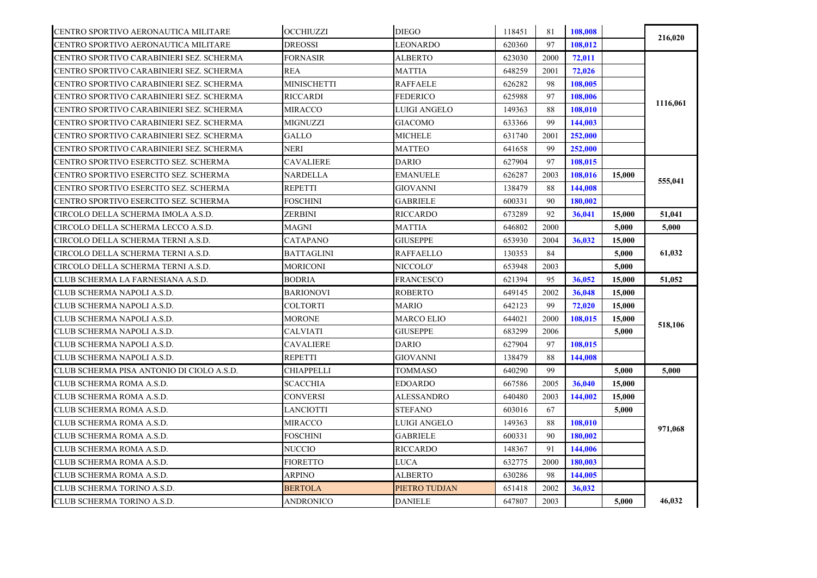| CENTRO SPORTIVO AERONAUTICA MILITARE      | <b>OCCHIUZZI</b>  | <b>DIEGO</b>      | 118451 | 81   | 108,008 |        |          |
|-------------------------------------------|-------------------|-------------------|--------|------|---------|--------|----------|
| CENTRO SPORTIVO AERONAUTICA MILITARE      | <b>DREOSSI</b>    | LEONARDO          | 620360 | 97   | 108,012 |        | 216,020  |
| CENTRO SPORTIVO CARABINIERI SEZ. SCHERMA  | <b>FORNASIR</b>   | ALBERTO           | 623030 | 2000 | 72,011  |        |          |
| CENTRO SPORTIVO CARABINIERI SEZ. SCHERMA  | <b>REA</b>        | MATTIA            | 648259 | 2001 | 72,026  |        |          |
| CENTRO SPORTIVO CARABINIERI SEZ. SCHERMA  | MINISCHETTI       | <b>RAFFAELE</b>   | 626282 | 98   | 108,005 |        |          |
| CENTRO SPORTIVO CARABINIERI SEZ. SCHERMA  | <b>RICCARDI</b>   | <b>FEDERICO</b>   | 625988 | 97   | 108,006 |        |          |
| CENTRO SPORTIVO CARABINIERI SEZ. SCHERMA  | MIRACCO           | LUIGI ANGELO      | 149363 | 88   | 108,010 |        | 1116,061 |
| CENTRO SPORTIVO CARABINIERI SEZ. SCHERMA  | MIGNUZZI          | <b>GIACOMO</b>    | 633366 | 99   | 144,003 |        |          |
| CENTRO SPORTIVO CARABINIERI SEZ. SCHERMA  | GALLO             | MICHELE           | 631740 | 2001 | 252,000 |        |          |
| CENTRO SPORTIVO CARABINIERI SEZ. SCHERMA  | NERI              | <b>MATTEO</b>     | 641658 | 99   | 252,000 |        |          |
| CENTRO SPORTIVO ESERCITO SEZ. SCHERMA     | <b>CAVALIERE</b>  | DARIO             | 627904 | 97   | 108,015 |        |          |
| CENTRO SPORTIVO ESERCITO SEZ. SCHERMA     | NARDELLA          | <b>EMANUELE</b>   | 626287 | 2003 | 108,016 | 15,000 |          |
| CENTRO SPORTIVO ESERCITO SEZ. SCHERMA     | REPETTI           | GIOVANNI          | 138479 | 88   | 144,008 |        | 555,041  |
| CENTRO SPORTIVO ESERCITO SEZ. SCHERMA     | FOSCHINI          | <b>GABRIELE</b>   | 600331 | 90   | 180.002 |        |          |
| CIRCOLO DELLA SCHERMA IMOLA A.S.D.        | ZERBINI           | <b>RICCARDO</b>   | 673289 | 92   | 36,041  | 15,000 | 51,041   |
| CIRCOLO DELLA SCHERMA LECCO A.S.D.        | MAGNI             | MATTIA            | 646802 | 2000 |         | 5,000  | 5,000    |
| CIRCOLO DELLA SCHERMA TERNI A.S.D.        | <b>CATAPANO</b>   | <b>GIUSEPPE</b>   | 653930 | 2004 | 36,032  | 15,000 |          |
| CIRCOLO DELLA SCHERMA TERNI A.S.D.        | BATTAGLINI        | RAFFAELLO         | 130353 | 84   |         | 5,000  | 61,032   |
| CIRCOLO DELLA SCHERMA TERNI A.S.D.        | <b>MORICONI</b>   | NICCOLO'          | 653948 | 2003 |         | 5,000  |          |
| CLUB SCHERMA LA FARNESIANA A.S.D.         | <b>BODRIA</b>     | <b>FRANCESCO</b>  | 621394 | 95   | 36,052  | 15,000 | 51,052   |
| CLUB SCHERMA NAPOLI A.S.D.                | <b>BARIONOVI</b>  | <b>ROBERTO</b>    | 649145 | 2002 | 36,048  | 15,000 |          |
| CLUB SCHERMA NAPOLI A.S.D.                | <b>COLTORTI</b>   | <b>MARIO</b>      | 642123 | 99   | 72,020  | 15,000 |          |
| CLUB SCHERMA NAPOLI A.S.D.                | <b>MORONE</b>     | <b>MARCO ELIO</b> | 644021 | 2000 | 108.015 | 15,000 | 518,106  |
| CLUB SCHERMA NAPOLI A.S.D.                | <b>CALVIATI</b>   | <b>GIUSEPPE</b>   | 683299 | 2006 |         | 5,000  |          |
| CLUB SCHERMA NAPOLI A.S.D.                | <b>CAVALIERE</b>  | DARIO             | 627904 | 97   | 108,015 |        |          |
| CLUB SCHERMA NAPOLI A.S.D.                | REPETTI           | <b>GIOVANNI</b>   | 138479 | 88   | 144,008 |        |          |
| CLUB SCHERMA PISA ANTONIO DI CIOLO A.S.D. | <b>CHIAPPELLI</b> | TOMMASO           | 640290 | 99   |         | 5,000  | 5,000    |
| CLUB SCHERMA ROMA A.S.D.                  | SCACCHIA          | <b>EDOARDO</b>    | 667586 | 2005 | 36,040  | 15,000 |          |
| CLUB SCHERMA ROMA A.S.D.                  | <b>CONVERSI</b>   | ALESSANDRO        | 640480 | 2003 | 144,002 | 15,000 |          |
| CLUB SCHERMA ROMA A.S.D.                  | LANCIOTTI         | <b>STEFANO</b>    | 603016 | 67   |         | 5,000  |          |
| CLUB SCHERMA ROMA A.S.D.                  | MIRACCO           | LUIGI ANGELO      | 149363 | 88   | 108,010 |        | 971,068  |
| CLUB SCHERMA ROMA A.S.D.                  | FOSCHINI          | <b>GABRIELE</b>   | 600331 | 90   | 180,002 |        |          |
| CLUB SCHERMA ROMA A.S.D.                  | NUCCIO            | RICCARDO          | 148367 | 91   | 144,006 |        |          |
| CLUB SCHERMA ROMA A.S.D.                  | <b>FIORETTO</b>   | <b>LUCA</b>       | 632775 | 2000 | 180,003 |        |          |
| CLUB SCHERMA ROMA A.S.D.                  | ARPINO            | ALBERTO           | 630286 | 98   | 144,005 |        |          |
| CLUB SCHERMA TORINO A.S.D.                | <b>BERTOLA</b>    | PIETRO TUDJAN     | 651418 | 2002 | 36,032  |        |          |
| CLUB SCHERMA TORINO A.S.D.                | ANDRONICO         | <b>DANIELE</b>    | 647807 | 2003 |         | 5,000  | 46,032   |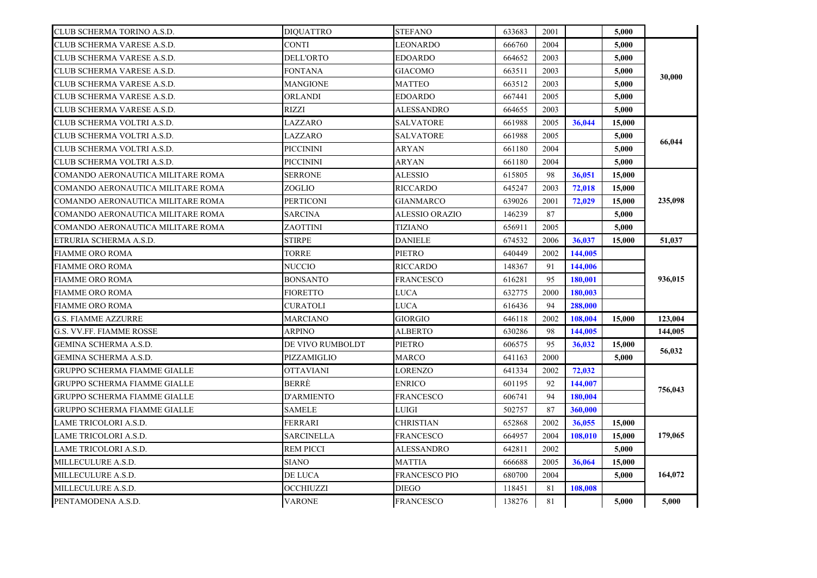| CLUB SCHERMA TORINO A.S.D.          | <b>DIOUATTRO</b>  | <b>STEFANO</b>   | 633683 | 2001 |         | 5.000  |         |
|-------------------------------------|-------------------|------------------|--------|------|---------|--------|---------|
| CLUB SCHERMA VARESE A.S.D.          | CONTI             | LEONARDO         | 666760 | 2004 |         | 5,000  |         |
| CLUB SCHERMA VARESE A.S.D.          | <b>DELL'ORTO</b>  | EDOARDO          | 664652 | 2003 |         | 5.000  |         |
| CLUB SCHERMA VARESE A.S.D.          | FONTANA           | GIACOMO          | 663511 | 2003 |         | 5,000  | 30,000  |
| CLUB SCHERMA VARESE A.S.D.          | MANGIONE          | MATTEO           | 663512 | 2003 |         | 5.000  |         |
| CLUB SCHERMA VARESE A.S.D.          | ORLANDI           | EDOARDO          | 667441 | 2005 |         | 5,000  |         |
| CLUB SCHERMA VARESE A.S.D.          | RIZZI             | ALESSANDRO       | 664655 | 2003 |         | 5,000  |         |
| CLUB SCHERMA VOLTRI A.S.D.          | LAZZARO           | SALVATORE        | 661988 | 2005 | 36,044  | 15,000 |         |
| CLUB SCHERMA VOLTRI A.S.D.          | LAZZARO           | SALVATORE        | 661988 | 2005 |         | 5,000  | 66,044  |
| CLUB SCHERMA VOLTRI A.S.D.          | PICCININI         | ARYAN            | 661180 | 2004 |         | 5,000  |         |
| CLUB SCHERMA VOLTRI A.S.D.          | PICCININI         | ARYAN            | 661180 | 2004 |         | 5,000  |         |
| COMANDO AERONAUTICA MILITARE ROMA   | <b>SERRONE</b>    | ALESSIO          | 615805 | 98   | 36,051  | 15,000 |         |
| COMANDO AERONAUTICA MILITARE ROMA   | ZOGLIO            | RICCARDO         | 645247 | 2003 | 72,018  | 15,000 |         |
| COMANDO AERONAUTICA MILITARE ROMA   | <b>PERTICONI</b>  | GIANMARCO        | 639026 | 2001 | 72,029  | 15,000 | 235,098 |
| COMANDO AERONAUTICA MILITARE ROMA   | <b>SARCINA</b>    | ALESSIO ORAZIO   | 146239 | 87   |         | 5,000  |         |
| COMANDO AERONAUTICA MILITARE ROMA   | ZAOTTINI          | TIZIANO          | 656911 | 2005 |         | 5,000  |         |
| ETRURIA SCHERMA A.S.D.              | <b>STIRPE</b>     | <b>DANIELE</b>   | 674532 | 2006 | 36,037  | 15,000 | 51,037  |
| <b>FIAMME ORO ROMA</b>              | <b>TORRE</b>      | PIETRO           | 640449 | 2002 | 144,005 |        |         |
| <b>FIAMME ORO ROMA</b>              | NUCCIO            | RICCARDO         | 148367 | 91   | 144,006 |        |         |
| <b>FIAMME ORO ROMA</b>              | <b>BONSANTO</b>   | <b>FRANCESCO</b> | 616281 | 95   | 180.001 |        | 936,015 |
| <b>FIAMME ORO ROMA</b>              | <b>FIORETTO</b>   | LUCA             | 632775 | 2000 | 180,003 |        |         |
| <b>FIAMME ORO ROMA</b>              | <b>CURATOLI</b>   | LUCA             | 616436 | 94   | 288,000 |        |         |
| <b>G.S. FIAMME AZZURRE</b>          | <b>MARCIANO</b>   | GIORGIO          | 646118 | 2002 | 108,004 | 15,000 | 123,004 |
| G.S. VV.FF. FIAMME ROSSE            | ARPINO            | ALBERTO          | 630286 | 98   | 144,005 |        | 144,005 |
| GEMINA SCHERMA A.S.D.               | DE VIVO RUMBOLDT  | PIETRO           | 606575 | 95   | 36,032  | 15,000 | 56,032  |
| GEMINA SCHERMA A.S.D.               | PIZZAMIGLIO       | MARCO            | 641163 | 2000 |         | 5.000  |         |
| <b>GRUPPO SCHERMA FIAMME GIALLE</b> | <b>OTTAVIANI</b>  | LORENZO          | 641334 | 2002 | 72,032  |        |         |
| <b>GRUPPO SCHERMA FIAMME GIALLE</b> | BERRE             | ENRICO           | 601195 | 92   | 144,007 |        | 756,043 |
| <b>GRUPPO SCHERMA FIAMME GIALLE</b> | <b>D'ARMIENTO</b> | FRANCESCO        | 606741 | 94   | 180,004 |        |         |
| <b>GRUPPO SCHERMA FIAMME GIALLE</b> | SAMELE            | LUIGI            | 502757 | 87   | 360,000 |        |         |
| LAME TRICOLORI A.S.D.               | FERRARI           | CHRISTIAN        | 652868 | 2002 | 36,055  | 15,000 |         |
| LAME TRICOLORI A.S.D.               | SARCINELLA        | FRANCESCO        | 664957 | 2004 | 108,010 | 15,000 | 179,065 |
| LAME TRICOLORI A.S.D.               | <b>REM PICCI</b>  | ALESSANDRO       | 642811 | 2002 |         | 5,000  |         |
| MILLECULURE A.S.D.                  | <b>SIANO</b>      | MATTIA           | 666688 | 2005 | 36,064  | 15,000 |         |
| MILLECULURE A.S.D.                  | DE LUCA           | FRANCESCO PIO    | 680700 | 2004 |         | 5,000  | 164,072 |
| MILLECULURE A.S.D.                  | OCCHIUZZI         | DIEGO            | 118451 | 81   | 108,008 |        |         |
| PENTAMODENA A.S.D.                  | <b>VARONE</b>     | FRANCESCO        | 138276 | 81   |         | 5,000  | 5,000   |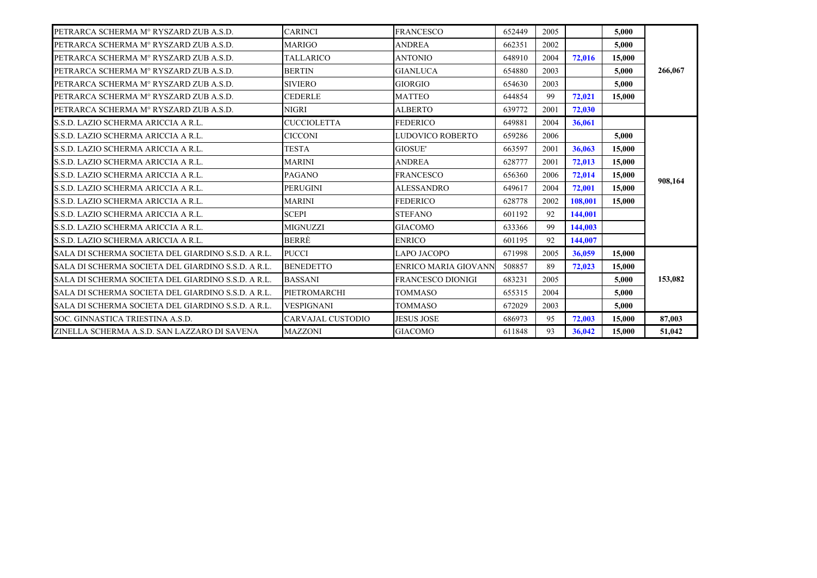| PETRARCA SCHERMA Mº RYSZARD ZUB A.S.D.              | <b>CARINCI</b>           | <b>FRANCESCO</b>            | 652449 | 2005 |         | 5,000  |         |
|-----------------------------------------------------|--------------------------|-----------------------------|--------|------|---------|--------|---------|
| PETRARCA SCHERMA M° RYSZARD ZUB A.S.D.              | MARIGO                   | <b>ANDREA</b>               | 662351 | 2002 |         | 5.000  |         |
| PETRARCA SCHERMA M° RYSZARD ZUB A.S.D.              | <b>TALLARICO</b>         | <b>ANTONIO</b>              | 648910 | 2004 | 72,016  | 15,000 |         |
| PETRARCA SCHERMA M° RYSZARD ZUB A.S.D.              | <b>BERTIN</b>            | <b>GIANLUCA</b>             | 654880 | 2003 |         | 5,000  | 266,067 |
| PETRARCA SCHERMA Mº RYSZARD ZUB A.S.D.              | <b>SIVIERO</b>           | <b>GIORGIO</b>              | 654630 | 2003 |         | 5.000  |         |
| PETRARCA SCHERMA M° RYSZARD ZUB A.S.D.              | <b>CEDERLE</b>           | <b>MATTEO</b>               | 644854 | 99   | 72,021  | 15,000 |         |
| PETRARCA SCHERMA Mº RYSZARD ZUB A.S.D.              | <b>NIGRI</b>             | <b>ALBERTO</b>              | 639772 | 2001 | 72,030  |        |         |
| S.S.D. LAZIO SCHERMA ARICCIA A R.L.                 | <b>CUCCIOLETTA</b>       | <b>FEDERICO</b>             | 649881 | 2004 | 36,061  |        |         |
| S.S.D. LAZIO SCHERMA ARICCIA A R.L.                 | <b>CICCONI</b>           | LUDOVICO ROBERTO            | 659286 | 2006 |         | 5.000  |         |
| S.S.D. LAZIO SCHERMA ARICCIA A R.L.                 | <b>TESTA</b>             | <b>GIOSUE'</b>              | 663597 | 2001 | 36,063  | 15,000 |         |
| S.S.D. LAZIO SCHERMA ARICCIA A R.L.                 | <b>MARINI</b>            | <b>ANDREA</b>               | 628777 | 2001 | 72,013  | 15,000 |         |
| S.S.D. LAZIO SCHERMA ARICCIA A R.L.                 | <b>PAGANO</b>            | <b>FRANCESCO</b>            | 656360 | 2006 | 72,014  | 15,000 | 908,164 |
| S.S.D. LAZIO SCHERMA ARICCIA A R.L.                 | <b>PERUGINI</b>          | <b>ALESSANDRO</b>           | 649617 | 2004 | 72,001  | 15,000 |         |
| S.S.D. LAZIO SCHERMA ARICCIA A R.L.                 | <b>MARINI</b>            | <b>FEDERICO</b>             | 628778 | 2002 | 108.001 | 15,000 |         |
| S.S.D. LAZIO SCHERMA ARICCIA A R.L.                 | <b>SCEPI</b>             | <b>STEFANO</b>              | 601192 | 92   | 144,001 |        |         |
| S.S.D. LAZIO SCHERMA ARICCIA A R.L.                 | <b>MIGNUZZI</b>          | <b>GIACOMO</b>              | 633366 | 99   | 144,003 |        |         |
| S.S.D. LAZIO SCHERMA ARICCIA A R.L.                 | <b>BERRE</b>             | <b>ENRICO</b>               | 601195 | 92   | 144,007 |        |         |
| ISALA DI SCHERMA SOCIETA DEL GIARDINO S.S.D. A R.L. | <b>PUCCI</b>             | LAPO JACOPO                 | 671998 | 2005 | 36,059  | 15,000 |         |
| ISALA DI SCHERMA SOCIETA DEL GIARDINO S.S.D. A R.L. | <b>BENEDETTO</b>         | <b>ENRICO MARIA GIOVANN</b> | 508857 | 89   | 72,023  | 15,000 |         |
| SALA DI SCHERMA SOCIETA DEL GIARDINO S.S.D. A R.L.  | <b>BASSANI</b>           | <b>FRANCESCO DIONIGI</b>    | 683231 | 2005 |         | 5.000  | 153,082 |
| SALA DI SCHERMA SOCIETA DEL GIARDINO S.S.D. A R.L.  | PIETROMARCHI             | <b>TOMMASO</b>              | 655315 | 2004 |         | 5.000  |         |
| SALA DI SCHERMA SOCIETA DEL GIARDINO S.S.D. A R.L.  | <b>VESPIGNANI</b>        | <b>TOMMASO</b>              | 672029 | 2003 |         | 5.000  |         |
| SOC. GINNASTICA TRIESTINA A.S.D.                    | <b>CARVAJAL CUSTODIO</b> | <b>JESUS JOSE</b>           | 686973 | 95   | 72,003  | 15,000 | 87,003  |
| ZINELLA SCHERMA A.S.D. SAN LAZZARO DI SAVENA        | <b>MAZZONI</b>           | <b>GIACOMO</b>              | 611848 | 93   | 36,042  | 15,000 | 51,042  |
|                                                     |                          |                             |        |      |         |        |         |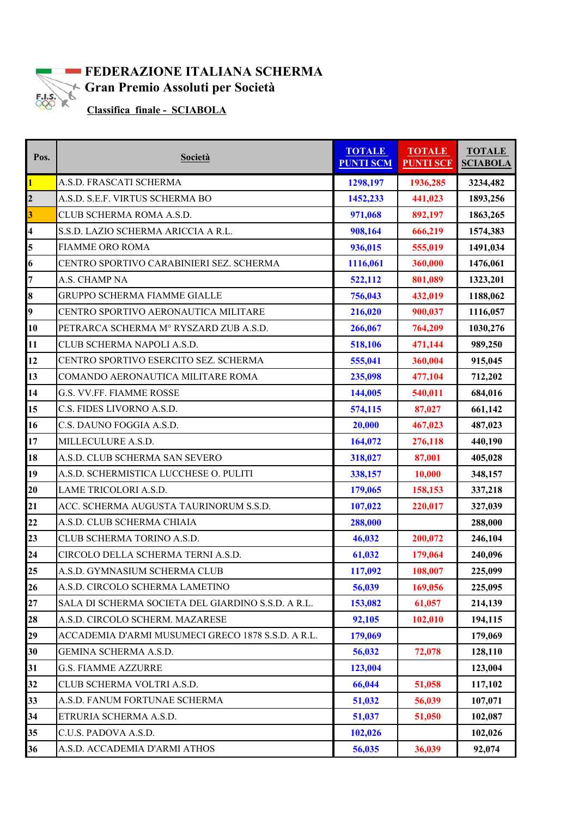

## **FEDERAZIONE ITALIANA SCHERMA Gran Premio Assoluti per Società**<br>Classifica finale SCIAROLA

 **Classifica finale - SCIABOLA**

| Pos.                    | <b>Società</b>                                     | <b>TOTALE</b><br><b>PUNTI SCM</b> | <b>TOTALE</b><br><b>PUNTI SCF</b> | <b>TOTALE</b><br><b>SCIABOLA</b> |
|-------------------------|----------------------------------------------------|-----------------------------------|-----------------------------------|----------------------------------|
| $\overline{1}$          | A.S.D. FRASCATI SCHERMA                            | 1298,197                          | 1936,285                          | 3234,482                         |
| $\overline{\mathbf{c}}$ | A.S.D. S.E.F. VIRTUS SCHERMA BO                    | 1452,233                          | 441,023                           | 1893,256                         |
| $\overline{\mathbf{3}}$ | CLUB SCHERMA ROMA A.S.D.                           | 971,068                           | 892,197                           | 1863,265                         |
| $\overline{\mathbf{4}}$ | S.S.D. LAZIO SCHERMA ARICCIA A R.L.                | 908,164                           | 666,219                           | 1574,383                         |
| 5                       | <b>FIAMME ORO ROMA</b>                             | 936,015                           | 555,019                           | 1491,034                         |
| 6                       | CENTRO SPORTIVO CARABINIERI SEZ. SCHERMA           | 1116,061                          | 360,000                           | 1476,061                         |
| $\overline{7}$          | A.S. CHAMP NA                                      | 522,112                           | 801,089                           | 1323,201                         |
| 8                       | <b>GRUPPO SCHERMA FIAMME GIALLE</b>                | 756,043                           | 432,019                           | 1188,062                         |
| 9                       | CENTRO SPORTIVO AERONAUTICA MILITARE               | 216,020                           | 900,037                           | 1116,057                         |
| 10                      | PETRARCA SCHERMA M° RYSZARD ZUB A.S.D.             | 266,067                           | 764,209                           | 1030,276                         |
| 11                      | CLUB SCHERMA NAPOLI A.S.D.                         | 518,106                           | 471,144                           | 989,250                          |
| 12                      | CENTRO SPORTIVO ESERCITO SEZ. SCHERMA              | 555,041                           | 360,004                           | 915,045                          |
| 13                      | COMANDO AERONAUTICA MILITARE ROMA                  | 235,098                           | 477,104                           | 712,202                          |
| 14                      | G.S. VV.FF. FIAMME ROSSE                           | 144,005                           | 540,011                           | 684,016                          |
| 15                      | C.S. FIDES LIVORNO A.S.D.                          | 574,115                           | 87,027                            | 661,142                          |
| 16                      | C.S. DAUNO FOGGIA A.S.D.                           | 20,000                            | 467,023                           | 487,023                          |
| 17                      | MILLECULURE A.S.D.                                 | 164,072                           | 276,118                           | 440,190                          |
| 18                      | A.S.D. CLUB SCHERMA SAN SEVERO                     | 318,027                           | 87,001                            | 405,028                          |
| 19                      | A.S.D. SCHERMISTICA LUCCHESE O. PULITI             | 338,157                           | 10,000                            | 348,157                          |
| 20                      | LAME TRICOLORI A.S.D.                              | 179,065                           | 158,153                           | 337,218                          |
| 21                      | ACC. SCHERMA AUGUSTA TAURINORUM S.S.D.             | 107,022                           | 220,017                           | 327,039                          |
| $\overline{22}$         | A.S.D. CLUB SCHERMA CHIAIA                         | 288,000                           |                                   | 288,000                          |
| 23                      | CLUB SCHERMA TORINO A.S.D.                         | 46,032                            | 200,072                           | 246,104                          |
| $\overline{24}$         | CIRCOLO DELLA SCHERMA TERNI A.S.D.                 | 61,032                            | 179,064                           | 240,096                          |
| 25                      | A.S.D. GYMNASIUM SCHERMA CLUB                      | 117,092                           | 108,007                           | 225,099                          |
| 26                      | A.S.D. CIRCOLO SCHERMA LAMETINO                    | 56,039                            | 169,056                           | 225,095                          |
| 27                      | SALA DI SCHERMA SOCIETA DEL GIARDINO S.S.D. A R.L. | 153,082                           | 61,057                            | 214,139                          |
| 28                      | A.S.D. CIRCOLO SCHERM. MAZARESE                    | 92,105                            | 102,010                           | 194,115                          |
| 29                      | ACCADEMIA D'ARMI MUSUMECI GRECO 1878 S.S.D. A R.L. | 179,069                           |                                   | 179,069                          |
| 30                      | GEMINA SCHERMA A.S.D.                              | 56,032                            | 72,078                            | 128,110                          |
| 31                      | <b>G.S. FIAMME AZZURRE</b>                         | 123,004                           |                                   | 123,004                          |
| 32                      | CLUB SCHERMA VOLTRI A.S.D.                         | 66,044                            | 51,058                            | 117,102                          |
| 33                      | A.S.D. FANUM FORTUNAE SCHERMA                      | 51,032                            | 56,039                            | 107,071                          |
| 34                      | ETRURIA SCHERMA A.S.D.                             | 51,037                            | 51,050                            | 102,087                          |
| 35                      | C.U.S. PADOVA A.S.D.                               | 102,026                           |                                   | 102,026                          |
| 36                      | A.S.D. ACCADEMIA D'ARMI ATHOS                      | 56,035                            | 36,039                            | 92,074                           |